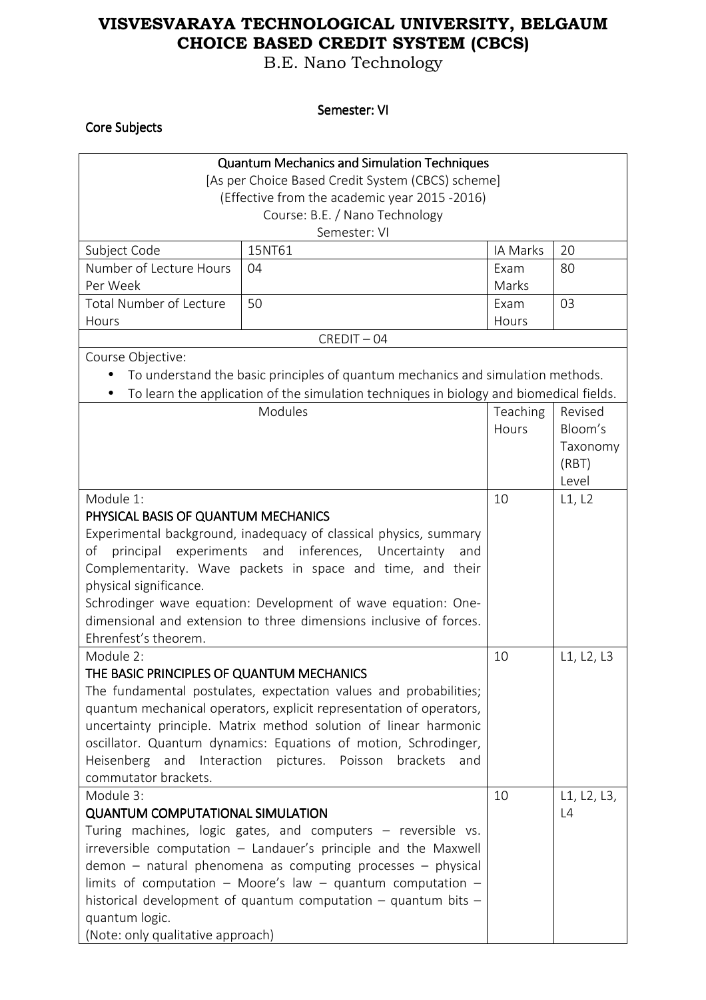B.E. Nano Technology

Semester: VI

### Core Subjects

| [As per Choice Based Credit System (CBCS) scheme]<br>(Effective from the academic year 2015 -2016)<br>Course: B.E. / Nano Technology<br>Semester: VI<br>15NT61<br>IA Marks<br>20<br>Subject Code<br>Number of Lecture Hours<br>04<br>Exam<br>80<br>Per Week<br>Marks<br><b>Total Number of Lecture</b><br>50<br>Exam<br>03<br>Hours<br>Hours<br>$CREDIT - 04$<br>Course Objective:<br>To understand the basic principles of quantum mechanics and simulation methods.<br>To learn the application of the simulation techniques in biology and biomedical fields.<br>Modules<br>Teaching<br>Revised<br>Bloom's<br>Hours<br>Taxonomy<br>(RBT)<br>Level<br>Module 1:<br>10<br>L1, L2<br>PHYSICAL BASIS OF QUANTUM MECHANICS<br>Experimental background, inadequacy of classical physics, summary<br>experiments and inferences, Uncertainty<br>оf<br>principal<br>and<br>Complementarity. Wave packets in space and time, and their<br>physical significance.<br>Schrodinger wave equation: Development of wave equation: One-<br>dimensional and extension to three dimensions inclusive of forces.<br>Ehrenfest's theorem.<br>Module 2:<br>10<br>L1, L2, L3<br>THE BASIC PRINCIPLES OF QUANTUM MECHANICS |
|---------------------------------------------------------------------------------------------------------------------------------------------------------------------------------------------------------------------------------------------------------------------------------------------------------------------------------------------------------------------------------------------------------------------------------------------------------------------------------------------------------------------------------------------------------------------------------------------------------------------------------------------------------------------------------------------------------------------------------------------------------------------------------------------------------------------------------------------------------------------------------------------------------------------------------------------------------------------------------------------------------------------------------------------------------------------------------------------------------------------------------------------------------------------------------------------------------|
|                                                                                                                                                                                                                                                                                                                                                                                                                                                                                                                                                                                                                                                                                                                                                                                                                                                                                                                                                                                                                                                                                                                                                                                                         |
|                                                                                                                                                                                                                                                                                                                                                                                                                                                                                                                                                                                                                                                                                                                                                                                                                                                                                                                                                                                                                                                                                                                                                                                                         |
|                                                                                                                                                                                                                                                                                                                                                                                                                                                                                                                                                                                                                                                                                                                                                                                                                                                                                                                                                                                                                                                                                                                                                                                                         |
|                                                                                                                                                                                                                                                                                                                                                                                                                                                                                                                                                                                                                                                                                                                                                                                                                                                                                                                                                                                                                                                                                                                                                                                                         |
|                                                                                                                                                                                                                                                                                                                                                                                                                                                                                                                                                                                                                                                                                                                                                                                                                                                                                                                                                                                                                                                                                                                                                                                                         |
|                                                                                                                                                                                                                                                                                                                                                                                                                                                                                                                                                                                                                                                                                                                                                                                                                                                                                                                                                                                                                                                                                                                                                                                                         |
|                                                                                                                                                                                                                                                                                                                                                                                                                                                                                                                                                                                                                                                                                                                                                                                                                                                                                                                                                                                                                                                                                                                                                                                                         |
|                                                                                                                                                                                                                                                                                                                                                                                                                                                                                                                                                                                                                                                                                                                                                                                                                                                                                                                                                                                                                                                                                                                                                                                                         |
|                                                                                                                                                                                                                                                                                                                                                                                                                                                                                                                                                                                                                                                                                                                                                                                                                                                                                                                                                                                                                                                                                                                                                                                                         |
|                                                                                                                                                                                                                                                                                                                                                                                                                                                                                                                                                                                                                                                                                                                                                                                                                                                                                                                                                                                                                                                                                                                                                                                                         |
|                                                                                                                                                                                                                                                                                                                                                                                                                                                                                                                                                                                                                                                                                                                                                                                                                                                                                                                                                                                                                                                                                                                                                                                                         |
|                                                                                                                                                                                                                                                                                                                                                                                                                                                                                                                                                                                                                                                                                                                                                                                                                                                                                                                                                                                                                                                                                                                                                                                                         |
|                                                                                                                                                                                                                                                                                                                                                                                                                                                                                                                                                                                                                                                                                                                                                                                                                                                                                                                                                                                                                                                                                                                                                                                                         |
|                                                                                                                                                                                                                                                                                                                                                                                                                                                                                                                                                                                                                                                                                                                                                                                                                                                                                                                                                                                                                                                                                                                                                                                                         |
|                                                                                                                                                                                                                                                                                                                                                                                                                                                                                                                                                                                                                                                                                                                                                                                                                                                                                                                                                                                                                                                                                                                                                                                                         |
|                                                                                                                                                                                                                                                                                                                                                                                                                                                                                                                                                                                                                                                                                                                                                                                                                                                                                                                                                                                                                                                                                                                                                                                                         |
|                                                                                                                                                                                                                                                                                                                                                                                                                                                                                                                                                                                                                                                                                                                                                                                                                                                                                                                                                                                                                                                                                                                                                                                                         |
|                                                                                                                                                                                                                                                                                                                                                                                                                                                                                                                                                                                                                                                                                                                                                                                                                                                                                                                                                                                                                                                                                                                                                                                                         |
|                                                                                                                                                                                                                                                                                                                                                                                                                                                                                                                                                                                                                                                                                                                                                                                                                                                                                                                                                                                                                                                                                                                                                                                                         |
|                                                                                                                                                                                                                                                                                                                                                                                                                                                                                                                                                                                                                                                                                                                                                                                                                                                                                                                                                                                                                                                                                                                                                                                                         |
|                                                                                                                                                                                                                                                                                                                                                                                                                                                                                                                                                                                                                                                                                                                                                                                                                                                                                                                                                                                                                                                                                                                                                                                                         |
|                                                                                                                                                                                                                                                                                                                                                                                                                                                                                                                                                                                                                                                                                                                                                                                                                                                                                                                                                                                                                                                                                                                                                                                                         |
|                                                                                                                                                                                                                                                                                                                                                                                                                                                                                                                                                                                                                                                                                                                                                                                                                                                                                                                                                                                                                                                                                                                                                                                                         |
|                                                                                                                                                                                                                                                                                                                                                                                                                                                                                                                                                                                                                                                                                                                                                                                                                                                                                                                                                                                                                                                                                                                                                                                                         |
|                                                                                                                                                                                                                                                                                                                                                                                                                                                                                                                                                                                                                                                                                                                                                                                                                                                                                                                                                                                                                                                                                                                                                                                                         |
|                                                                                                                                                                                                                                                                                                                                                                                                                                                                                                                                                                                                                                                                                                                                                                                                                                                                                                                                                                                                                                                                                                                                                                                                         |
|                                                                                                                                                                                                                                                                                                                                                                                                                                                                                                                                                                                                                                                                                                                                                                                                                                                                                                                                                                                                                                                                                                                                                                                                         |
|                                                                                                                                                                                                                                                                                                                                                                                                                                                                                                                                                                                                                                                                                                                                                                                                                                                                                                                                                                                                                                                                                                                                                                                                         |
| The fundamental postulates, expectation values and probabilities;                                                                                                                                                                                                                                                                                                                                                                                                                                                                                                                                                                                                                                                                                                                                                                                                                                                                                                                                                                                                                                                                                                                                       |
| quantum mechanical operators, explicit representation of operators,                                                                                                                                                                                                                                                                                                                                                                                                                                                                                                                                                                                                                                                                                                                                                                                                                                                                                                                                                                                                                                                                                                                                     |
| uncertainty principle. Matrix method solution of linear harmonic                                                                                                                                                                                                                                                                                                                                                                                                                                                                                                                                                                                                                                                                                                                                                                                                                                                                                                                                                                                                                                                                                                                                        |
| oscillator. Quantum dynamics: Equations of motion, Schrodinger,                                                                                                                                                                                                                                                                                                                                                                                                                                                                                                                                                                                                                                                                                                                                                                                                                                                                                                                                                                                                                                                                                                                                         |
| Heisenberg and Interaction<br>pictures. Poisson<br>brackets<br>and                                                                                                                                                                                                                                                                                                                                                                                                                                                                                                                                                                                                                                                                                                                                                                                                                                                                                                                                                                                                                                                                                                                                      |
| commutator brackets.                                                                                                                                                                                                                                                                                                                                                                                                                                                                                                                                                                                                                                                                                                                                                                                                                                                                                                                                                                                                                                                                                                                                                                                    |
| Module 3:<br>L1, L2, L3,<br>10                                                                                                                                                                                                                                                                                                                                                                                                                                                                                                                                                                                                                                                                                                                                                                                                                                                                                                                                                                                                                                                                                                                                                                          |
| <b>QUANTUM COMPUTATIONAL SIMULATION</b><br>L4                                                                                                                                                                                                                                                                                                                                                                                                                                                                                                                                                                                                                                                                                                                                                                                                                                                                                                                                                                                                                                                                                                                                                           |
| Turing machines, logic gates, and computers - reversible vs.<br>irreversible computation - Landauer's principle and the Maxwell                                                                                                                                                                                                                                                                                                                                                                                                                                                                                                                                                                                                                                                                                                                                                                                                                                                                                                                                                                                                                                                                         |
|                                                                                                                                                                                                                                                                                                                                                                                                                                                                                                                                                                                                                                                                                                                                                                                                                                                                                                                                                                                                                                                                                                                                                                                                         |
| $demon - natural phenomena$ as computing processes - physical<br>limits of computation - Moore's law - quantum computation -                                                                                                                                                                                                                                                                                                                                                                                                                                                                                                                                                                                                                                                                                                                                                                                                                                                                                                                                                                                                                                                                            |
| historical development of quantum computation $-$ quantum bits $-$                                                                                                                                                                                                                                                                                                                                                                                                                                                                                                                                                                                                                                                                                                                                                                                                                                                                                                                                                                                                                                                                                                                                      |
| quantum logic.                                                                                                                                                                                                                                                                                                                                                                                                                                                                                                                                                                                                                                                                                                                                                                                                                                                                                                                                                                                                                                                                                                                                                                                          |
| (Note: only qualitative approach)                                                                                                                                                                                                                                                                                                                                                                                                                                                                                                                                                                                                                                                                                                                                                                                                                                                                                                                                                                                                                                                                                                                                                                       |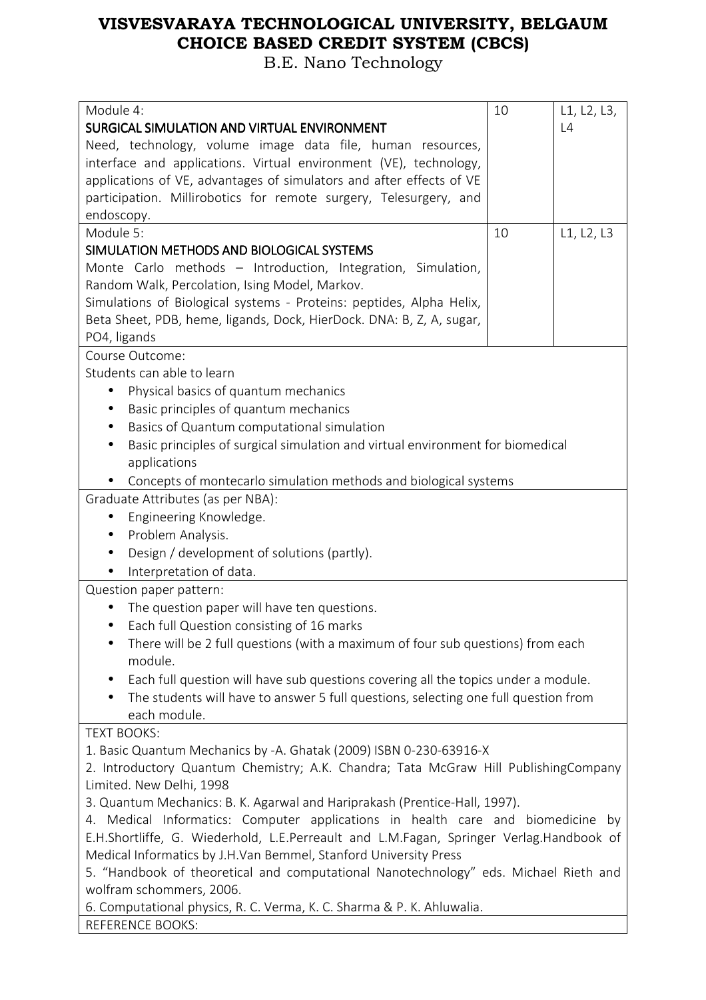| Module 4:<br>10<br>L1, L2, L3,                                                                   |                                                                                     |            |  |  |
|--------------------------------------------------------------------------------------------------|-------------------------------------------------------------------------------------|------------|--|--|
| SURGICAL SIMULATION AND VIRTUAL ENVIRONMENT                                                      |                                                                                     | L4         |  |  |
| Need, technology, volume image data file, human resources,                                       |                                                                                     |            |  |  |
| interface and applications. Virtual environment (VE), technology,                                |                                                                                     |            |  |  |
| applications of VE, advantages of simulators and after effects of VE                             |                                                                                     |            |  |  |
| participation. Millirobotics for remote surgery, Telesurgery, and                                |                                                                                     |            |  |  |
| endoscopy.                                                                                       |                                                                                     |            |  |  |
| Module 5:                                                                                        | 10                                                                                  | L1, L2, L3 |  |  |
| SIMULATION METHODS AND BIOLOGICAL SYSTEMS                                                        |                                                                                     |            |  |  |
| Monte Carlo methods - Introduction, Integration, Simulation,                                     |                                                                                     |            |  |  |
| Random Walk, Percolation, Ising Model, Markov.                                                   |                                                                                     |            |  |  |
| Simulations of Biological systems - Proteins: peptides, Alpha Helix,                             |                                                                                     |            |  |  |
| Beta Sheet, PDB, heme, ligands, Dock, HierDock. DNA: B, Z, A, sugar,                             |                                                                                     |            |  |  |
| PO4, ligands                                                                                     |                                                                                     |            |  |  |
| Course Outcome:                                                                                  |                                                                                     |            |  |  |
| Students can able to learn                                                                       |                                                                                     |            |  |  |
| Physical basics of quantum mechanics<br>$\bullet$                                                |                                                                                     |            |  |  |
| Basic principles of quantum mechanics<br>$\bullet$                                               |                                                                                     |            |  |  |
| Basics of Quantum computational simulation                                                       |                                                                                     |            |  |  |
| Basic principles of surgical simulation and virtual environment for biomedical                   |                                                                                     |            |  |  |
| applications                                                                                     |                                                                                     |            |  |  |
| Concepts of montecarlo simulation methods and biological systems                                 |                                                                                     |            |  |  |
| Graduate Attributes (as per NBA):                                                                |                                                                                     |            |  |  |
| Engineering Knowledge.                                                                           |                                                                                     |            |  |  |
| Problem Analysis.<br>$\bullet$                                                                   |                                                                                     |            |  |  |
| Design / development of solutions (partly).                                                      |                                                                                     |            |  |  |
| Interpretation of data.                                                                          |                                                                                     |            |  |  |
| Question paper pattern:                                                                          |                                                                                     |            |  |  |
| The question paper will have ten questions.                                                      |                                                                                     |            |  |  |
| Each full Question consisting of 16 marks                                                        |                                                                                     |            |  |  |
| There will be 2 full questions (with a maximum of four sub questions) from each<br>$\bullet$     |                                                                                     |            |  |  |
| module.                                                                                          |                                                                                     |            |  |  |
| Each full question will have sub questions covering all the topics under a module.               |                                                                                     |            |  |  |
| The students will have to answer 5 full questions, selecting one full question from<br>$\bullet$ |                                                                                     |            |  |  |
| each module.                                                                                     |                                                                                     |            |  |  |
| <b>TEXT BOOKS:</b>                                                                               |                                                                                     |            |  |  |
| 1. Basic Quantum Mechanics by -A. Ghatak (2009) ISBN 0-230-63916-X                               |                                                                                     |            |  |  |
|                                                                                                  | 2. Introductory Quantum Chemistry; A.K. Chandra; Tata McGraw Hill PublishingCompany |            |  |  |
| Limited. New Delhi, 1998                                                                         |                                                                                     |            |  |  |
| 3. Quantum Mechanics: B. K. Agarwal and Hariprakash (Prentice-Hall, 1997).                       |                                                                                     |            |  |  |
| 4. Medical Informatics: Computer applications in health care and biomedicine by                  |                                                                                     |            |  |  |
| E.H.Shortliffe, G. Wiederhold, L.E.Perreault and L.M.Fagan, Springer Verlag.Handbook of          |                                                                                     |            |  |  |
| Medical Informatics by J.H.Van Bemmel, Stanford University Press                                 |                                                                                     |            |  |  |
| 5. "Handbook of theoretical and computational Nanotechnology" eds. Michael Rieth and             |                                                                                     |            |  |  |
| wolfram schommers, 2006.                                                                         |                                                                                     |            |  |  |
| 6. Computational physics, R. C. Verma, K. C. Sharma & P. K. Ahluwalia.                           |                                                                                     |            |  |  |
| <b>REFERENCE BOOKS:</b>                                                                          |                                                                                     |            |  |  |
|                                                                                                  |                                                                                     |            |  |  |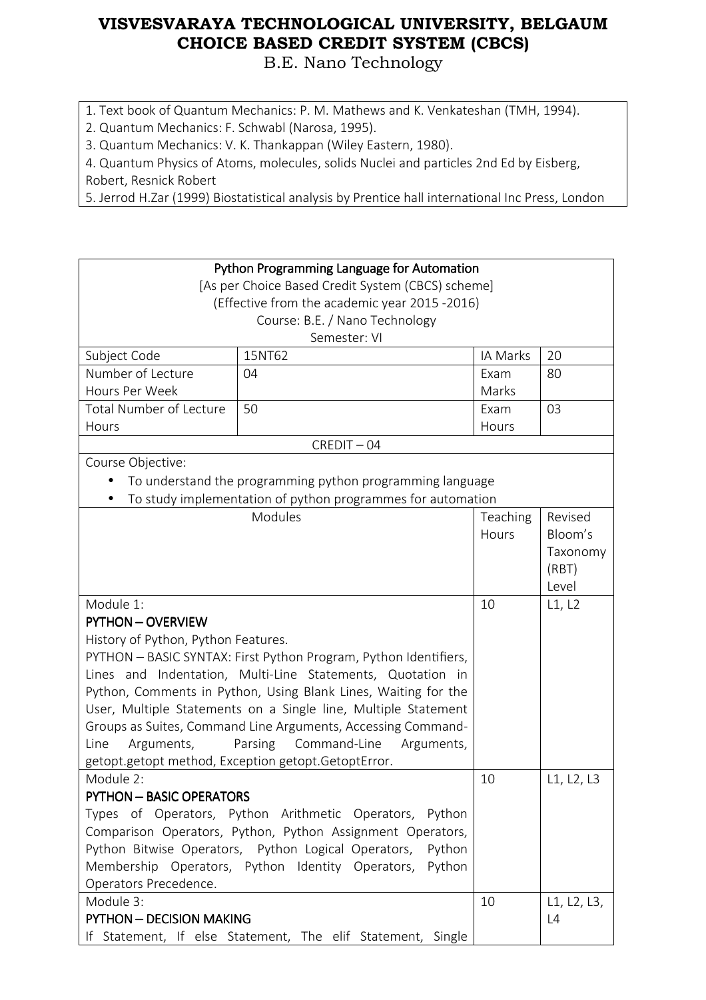B.E. Nano Technology

1. Text book of Quantum Mechanics: P. M. Mathews and K. Venkateshan (TMH, 1994).

2. Quantum Mechanics: F. Schwabl (Narosa, 1995).

3. Quantum Mechanics: V. K. Thankappan (Wiley Eastern, 1980).

4. Quantum Physics of Atoms, molecules, solids Nuclei and particles 2nd Ed by Eisberg, Robert, Resnick Robert

5. Jerrod H.Zar (1999) Biostatistical analysis by Prentice hall international Inc Press, London

| Python Programming Language for Automation<br>[As per Choice Based Credit System (CBCS) scheme]<br>(Effective from the academic year 2015 -2016)<br>Course: B.E. / Nano Technology |                                                                  |          |             |
|------------------------------------------------------------------------------------------------------------------------------------------------------------------------------------|------------------------------------------------------------------|----------|-------------|
|                                                                                                                                                                                    | Semester: VI                                                     |          |             |
| Subject Code                                                                                                                                                                       | 15NT62                                                           | IA Marks | 20          |
| Number of Lecture                                                                                                                                                                  | 04                                                               | Exam     | 80          |
| Hours Per Week                                                                                                                                                                     |                                                                  | Marks    |             |
| <b>Total Number of Lecture</b>                                                                                                                                                     | 50                                                               | Exam     | 03          |
| Hours                                                                                                                                                                              |                                                                  | Hours    |             |
|                                                                                                                                                                                    | $CREDIT - 04$                                                    |          |             |
| Course Objective:                                                                                                                                                                  |                                                                  |          |             |
|                                                                                                                                                                                    | To understand the programming python programming language        |          |             |
|                                                                                                                                                                                    | To study implementation of python programmes for automation      |          |             |
|                                                                                                                                                                                    | Modules                                                          | Teaching | Revised     |
|                                                                                                                                                                                    |                                                                  | Hours    | Bloom's     |
|                                                                                                                                                                                    |                                                                  |          | Taxonomy    |
|                                                                                                                                                                                    |                                                                  |          | (RBT)       |
|                                                                                                                                                                                    |                                                                  |          | Level       |
| Module 1:                                                                                                                                                                          |                                                                  | 10       | L1, L2      |
| <b>PYTHON - OVERVIEW</b>                                                                                                                                                           |                                                                  |          |             |
| History of Python, Python Features.                                                                                                                                                |                                                                  |          |             |
|                                                                                                                                                                                    | PYTHON - BASIC SYNTAX: First Python Program, Python Identifiers, |          |             |
|                                                                                                                                                                                    | Lines and Indentation, Multi-Line Statements, Quotation in       |          |             |
| Python, Comments in Python, Using Blank Lines, Waiting for the                                                                                                                     |                                                                  |          |             |
| User, Multiple Statements on a Single line, Multiple Statement                                                                                                                     |                                                                  |          |             |
| Groups as Suites, Command Line Arguments, Accessing Command-                                                                                                                       |                                                                  |          |             |
| Command-Line<br>Line<br>Arguments,<br>Parsing<br>Arguments,                                                                                                                        |                                                                  |          |             |
|                                                                                                                                                                                    | getopt.getopt method, Exception getopt.GetoptError.              |          |             |
| Module 2:                                                                                                                                                                          |                                                                  | 10       | L1, L2, L3  |
| <b>PYTHON - BASIC OPERATORS</b>                                                                                                                                                    |                                                                  |          |             |
|                                                                                                                                                                                    | Types of Operators, Python Arithmetic Operators, Python          |          |             |
|                                                                                                                                                                                    | Comparison Operators, Python, Python Assignment Operators,       |          |             |
|                                                                                                                                                                                    | Python Bitwise Operators, Python Logical Operators, Python       |          |             |
|                                                                                                                                                                                    | Membership Operators, Python Identity Operators, Python          |          |             |
| Operators Precedence.                                                                                                                                                              |                                                                  |          |             |
| Module 3:                                                                                                                                                                          |                                                                  | 10       | L1, L2, L3, |
| <b>PYTHON - DECISION MAKING</b>                                                                                                                                                    |                                                                  |          | L4          |
|                                                                                                                                                                                    | If Statement, If else Statement, The elif Statement, Single      |          |             |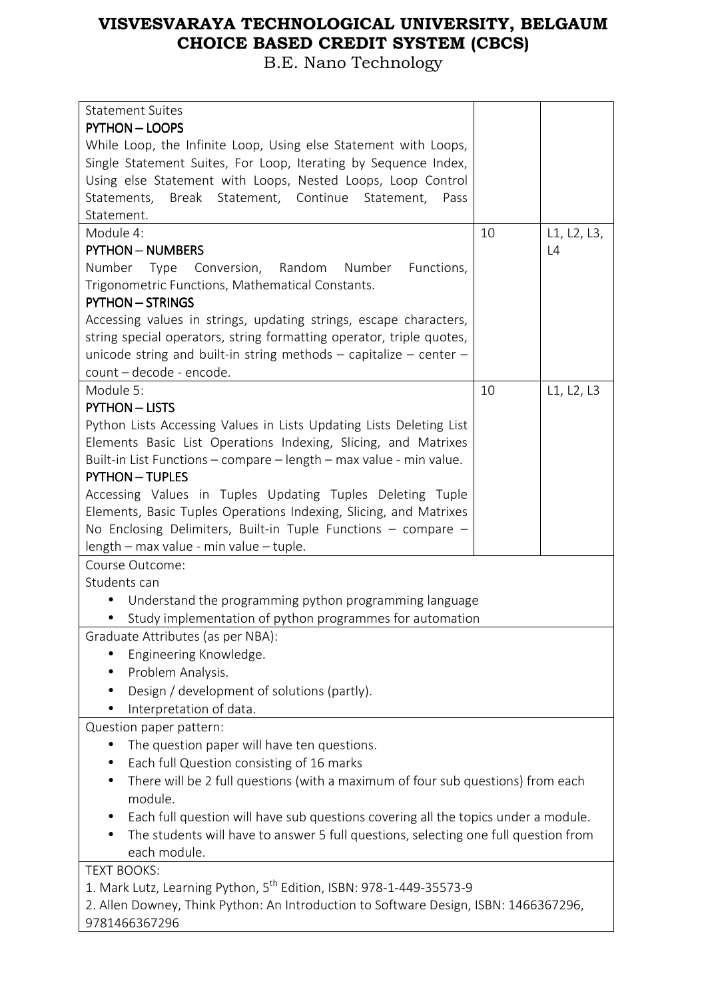| <b>Statement Suites</b>                                                              |    |             |
|--------------------------------------------------------------------------------------|----|-------------|
| <b>PYTHON-LOOPS</b>                                                                  |    |             |
| While Loop, the Infinite Loop, Using else Statement with Loops,                      |    |             |
| Single Statement Suites, For Loop, Iterating by Sequence Index,                      |    |             |
| Using else Statement with Loops, Nested Loops, Loop Control                          |    |             |
| Break Statement, Continue<br>Statements,<br>Statement,<br>Pass                       |    |             |
| Statement.                                                                           |    |             |
| Module 4:                                                                            | 10 | L1, L2, L3, |
| <b>PYTHON - NUMBERS</b>                                                              |    | L4          |
| Random Number<br>Number<br>Type<br>Conversion,<br>Functions,                         |    |             |
| Trigonometric Functions, Mathematical Constants.                                     |    |             |
| <b>PYTHON - STRINGS</b>                                                              |    |             |
| Accessing values in strings, updating strings, escape characters,                    |    |             |
| string special operators, string formatting operator, triple quotes,                 |    |             |
| unicode string and built-in string methods $-$ capitalize $-$ center $-$             |    |             |
| count - decode - encode.                                                             |    |             |
| Module 5:                                                                            | 10 | L1, L2, L3  |
| <b>PYTHON - LISTS</b>                                                                |    |             |
| Python Lists Accessing Values in Lists Updating Lists Deleting List                  |    |             |
| Elements Basic List Operations Indexing, Slicing, and Matrixes                       |    |             |
| Built-in List Functions - compare - length - max value - min value.                  |    |             |
| <b>PYTHON - TUPLES</b>                                                               |    |             |
| Accessing Values in Tuples Updating Tuples Deleting Tuple                            |    |             |
| Elements, Basic Tuples Operations Indexing, Slicing, and Matrixes                    |    |             |
| No Enclosing Delimiters, Built-in Tuple Functions $-$ compare $-$                    |    |             |
| length - max value - min value - tuple.                                              |    |             |
| Course Outcome:                                                                      |    |             |
| Students can                                                                         |    |             |
| Understand the programming python programming language                               |    |             |
| Study implementation of python programmes for automation<br>$\bullet$                |    |             |
| Graduate Attributes (as per NBA):                                                    |    |             |
| Engineering Knowledge.                                                               |    |             |
| Problem Analysis.                                                                    |    |             |
| Design / development of solutions (partly).                                          |    |             |
| Interpretation of data.                                                              |    |             |
| Question paper pattern:                                                              |    |             |
|                                                                                      |    |             |
| The question paper will have ten questions.<br>$\bullet$                             |    |             |
| Each full Question consisting of 16 marks                                            |    |             |
| There will be 2 full questions (with a maximum of four sub questions) from each      |    |             |
| module.                                                                              |    |             |
| Each full question will have sub questions covering all the topics under a module.   |    |             |
| The students will have to answer 5 full questions, selecting one full question from  |    |             |
| each module.                                                                         |    |             |
| <b>TEXT BOOKS:</b>                                                                   |    |             |
| 1. Mark Lutz, Learning Python, 5 <sup>th</sup> Edition, ISBN: 978-1-449-35573-9      |    |             |
| 2. Allen Downey, Think Python: An Introduction to Software Design, ISBN: 1466367296, |    |             |
| 9781466367296                                                                        |    |             |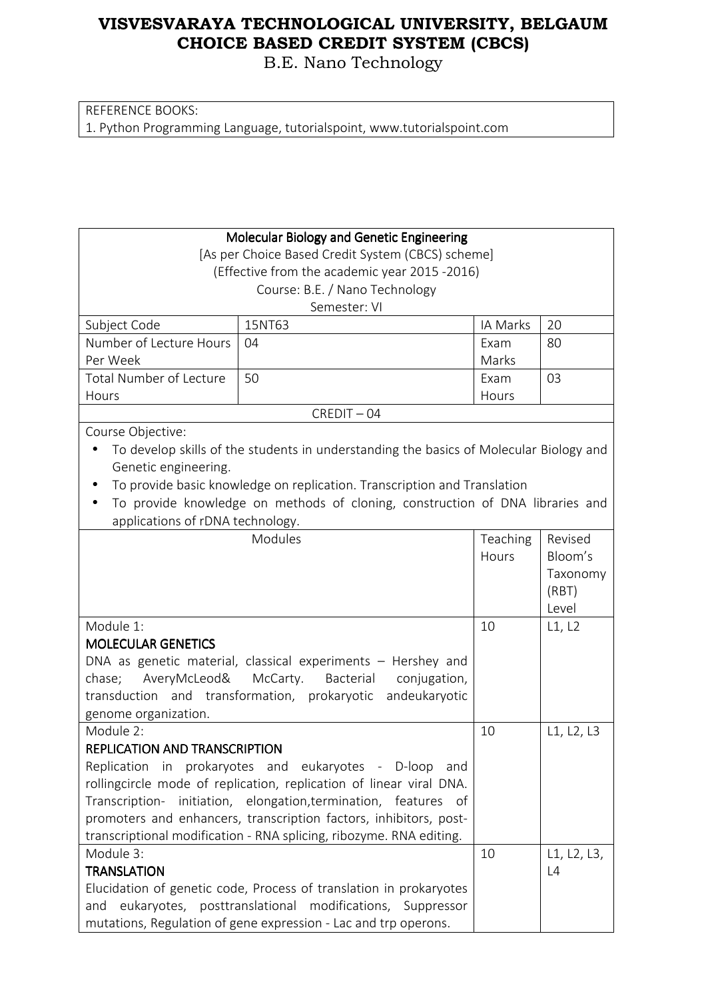B.E. Nano Technology

REFERENCE BOOKS: 1. Python Programming Language, tutorialspoint, www.tutorialspoint.com

|                                                                     | Molecular Biology and Genetic Engineering                                              |          |                |
|---------------------------------------------------------------------|----------------------------------------------------------------------------------------|----------|----------------|
| [As per Choice Based Credit System (CBCS) scheme]                   |                                                                                        |          |                |
|                                                                     | (Effective from the academic year 2015 -2016)                                          |          |                |
|                                                                     | Course: B.E. / Nano Technology                                                         |          |                |
|                                                                     | Semester: VI                                                                           |          |                |
| Subject Code                                                        | 15NT63                                                                                 | IA Marks | 20             |
| Number of Lecture Hours                                             | 04                                                                                     | Exam     | 80             |
| Per Week                                                            |                                                                                        | Marks    |                |
| <b>Total Number of Lecture</b>                                      | 50                                                                                     | Exam     | 03             |
| Hours                                                               |                                                                                        | Hours    |                |
|                                                                     | $CREDIT - 04$                                                                          |          |                |
| Course Objective:                                                   |                                                                                        |          |                |
|                                                                     | To develop skills of the students in understanding the basics of Molecular Biology and |          |                |
| Genetic engineering.                                                |                                                                                        |          |                |
|                                                                     | To provide basic knowledge on replication. Transcription and Translation               |          |                |
|                                                                     | To provide knowledge on methods of cloning, construction of DNA libraries and          |          |                |
| applications of rDNA technology.                                    |                                                                                        |          |                |
|                                                                     | Modules                                                                                | Teaching | Revised        |
|                                                                     |                                                                                        | Hours    | Bloom's        |
|                                                                     |                                                                                        |          | Taxonomy       |
|                                                                     |                                                                                        |          | (RBT)<br>Level |
| Module 1:                                                           |                                                                                        | 10       | L1, L2         |
| <b>MOLECULAR GENETICS</b>                                           |                                                                                        |          |                |
| DNA as genetic material, classical experiments - Hershey and        |                                                                                        |          |                |
| AveryMcLeod& McCarty. Bacterial<br>conjugation,<br>chase;           |                                                                                        |          |                |
| andeukaryotic<br>transduction and transformation, prokaryotic       |                                                                                        |          |                |
| genome organization.                                                |                                                                                        |          |                |
| Module 2:                                                           |                                                                                        | 10       | L1, L2, L3     |
| <b>REPLICATION AND TRANSCRIPTION</b>                                |                                                                                        |          |                |
|                                                                     | Replication in prokaryotes and eukaryotes - D-loop and                                 |          |                |
| rollingcircle mode of replication, replication of linear viral DNA. |                                                                                        |          |                |
| Transcription- initiation, elongation, termination, features of     |                                                                                        |          |                |
| promoters and enhancers, transcription factors, inhibitors, post-   |                                                                                        |          |                |
| transcriptional modification - RNA splicing, ribozyme. RNA editing. |                                                                                        |          |                |
| Module 3:                                                           |                                                                                        | 10       | L1, L2, L3,    |
| <b>TRANSLATION</b>                                                  |                                                                                        |          | L4             |
|                                                                     | Elucidation of genetic code, Process of translation in prokaryotes                     |          |                |
| eukaryotes, posttranslational modifications, Suppressor<br>and      |                                                                                        |          |                |
| mutations, Regulation of gene expression - Lac and trp operons.     |                                                                                        |          |                |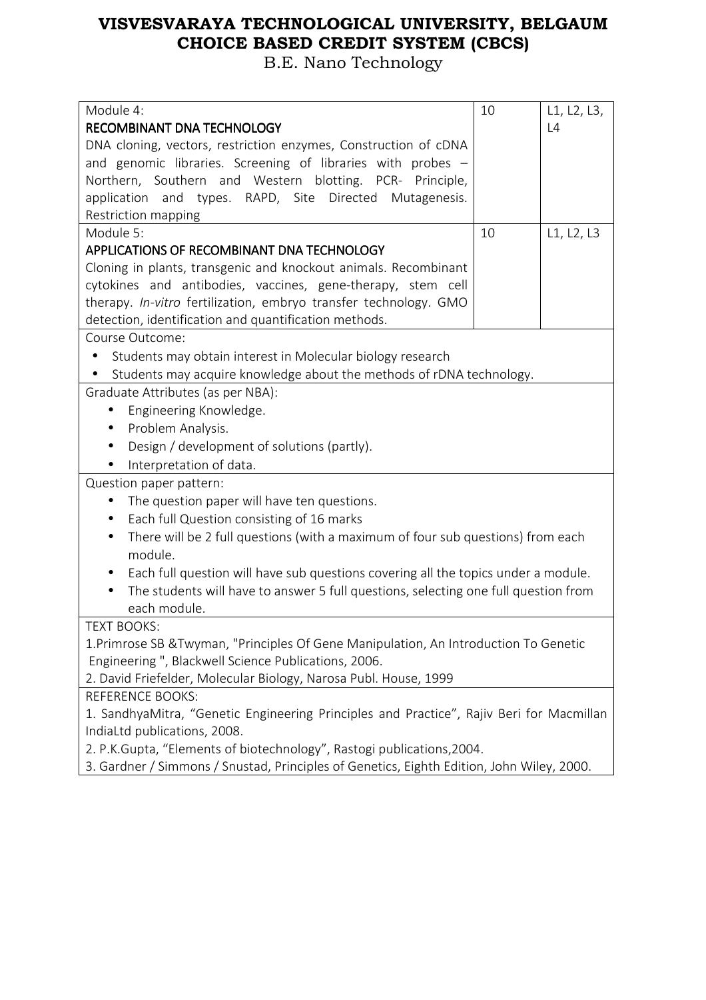| Module 4:                                                                                               | 10 | L1, L2, L3, |  |
|---------------------------------------------------------------------------------------------------------|----|-------------|--|
| RECOMBINANT DNA TECHNOLOGY                                                                              |    | L4          |  |
| DNA cloning, vectors, restriction enzymes, Construction of cDNA                                         |    |             |  |
| and genomic libraries. Screening of libraries with probes -                                             |    |             |  |
| Northern, Southern and Western blotting. PCR- Principle,                                                |    |             |  |
| application and types. RAPD, Site Directed<br>Mutagenesis.                                              |    |             |  |
| Restriction mapping                                                                                     |    |             |  |
| Module 5:                                                                                               | 10 | L1, L2, L3  |  |
| APPLICATIONS OF RECOMBINANT DNA TECHNOLOGY                                                              |    |             |  |
| Cloning in plants, transgenic and knockout animals. Recombinant                                         |    |             |  |
| cytokines and antibodies, vaccines, gene-therapy, stem cell                                             |    |             |  |
| therapy. In-vitro fertilization, embryo transfer technology. GMO                                        |    |             |  |
| detection, identification and quantification methods.                                                   |    |             |  |
| Course Outcome:                                                                                         |    |             |  |
| Students may obtain interest in Molecular biology research<br>$\bullet$                                 |    |             |  |
| Students may acquire knowledge about the methods of rDNA technology.                                    |    |             |  |
| Graduate Attributes (as per NBA):                                                                       |    |             |  |
| Engineering Knowledge.<br>$\bullet$                                                                     |    |             |  |
| Problem Analysis.<br>$\bullet$                                                                          |    |             |  |
| Design / development of solutions (partly).<br>$\bullet$                                                |    |             |  |
| Interpretation of data.                                                                                 |    |             |  |
| Question paper pattern:                                                                                 |    |             |  |
| The question paper will have ten questions.                                                             |    |             |  |
| Each full Question consisting of 16 marks<br>$\bullet$                                                  |    |             |  |
| There will be 2 full questions (with a maximum of four sub questions) from each<br>$\bullet$<br>module. |    |             |  |
| Each full question will have sub questions covering all the topics under a module.                      |    |             |  |
| The students will have to answer 5 full questions, selecting one full question from<br>$\bullet$        |    |             |  |
| each module.                                                                                            |    |             |  |
| <b>TEXT BOOKS:</b>                                                                                      |    |             |  |
| 1. Primrose SB & Twyman, "Principles Of Gene Manipulation, An Introduction To Genetic                   |    |             |  |
| Engineering", Blackwell Science Publications, 2006.                                                     |    |             |  |
| 2. David Friefelder, Molecular Biology, Narosa Publ. House, 1999                                        |    |             |  |
| <b>REFERENCE BOOKS:</b>                                                                                 |    |             |  |
| 1. SandhyaMitra, "Genetic Engineering Principles and Practice", Rajiv Beri for Macmillan                |    |             |  |
| IndiaLtd publications, 2008.                                                                            |    |             |  |
| 2. P.K.Gupta, "Elements of biotechnology", Rastogi publications, 2004.                                  |    |             |  |
| 3. Gardner / Simmons / Snustad, Principles of Genetics, Eighth Edition, John Wiley, 2000.               |    |             |  |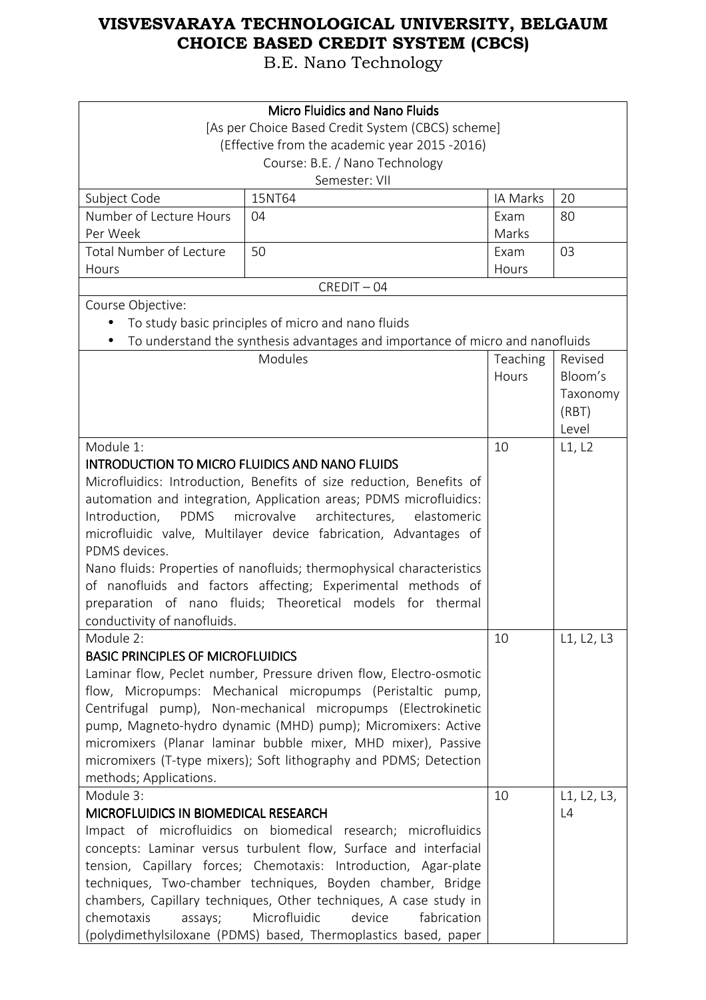| <b>Micro Fluidics and Nano Fluids</b><br>[As per Choice Based Credit System (CBCS) scheme]<br>(Effective from the academic year 2015 -2016)<br>Course: B.E. / Nano Technology                                                                                                                                                                                                                                                                                                                                                                                                                                    |                                                                                                                                                                                                                                                                                                                                                                                                                                                     |                   |                                                  |
|------------------------------------------------------------------------------------------------------------------------------------------------------------------------------------------------------------------------------------------------------------------------------------------------------------------------------------------------------------------------------------------------------------------------------------------------------------------------------------------------------------------------------------------------------------------------------------------------------------------|-----------------------------------------------------------------------------------------------------------------------------------------------------------------------------------------------------------------------------------------------------------------------------------------------------------------------------------------------------------------------------------------------------------------------------------------------------|-------------------|--------------------------------------------------|
|                                                                                                                                                                                                                                                                                                                                                                                                                                                                                                                                                                                                                  | Semester: VII                                                                                                                                                                                                                                                                                                                                                                                                                                       |                   |                                                  |
| Subject Code                                                                                                                                                                                                                                                                                                                                                                                                                                                                                                                                                                                                     | 15NT64                                                                                                                                                                                                                                                                                                                                                                                                                                              | IA Marks          | 20                                               |
| Number of Lecture Hours<br>Per Week                                                                                                                                                                                                                                                                                                                                                                                                                                                                                                                                                                              | 04                                                                                                                                                                                                                                                                                                                                                                                                                                                  | Exam<br>Marks     | 80                                               |
| <b>Total Number of Lecture</b><br>Hours                                                                                                                                                                                                                                                                                                                                                                                                                                                                                                                                                                          | 50                                                                                                                                                                                                                                                                                                                                                                                                                                                  | Exam<br>Hours     | 03                                               |
|                                                                                                                                                                                                                                                                                                                                                                                                                                                                                                                                                                                                                  | $CREDIT - 04$                                                                                                                                                                                                                                                                                                                                                                                                                                       |                   |                                                  |
| Course Objective:<br>$\bullet$                                                                                                                                                                                                                                                                                                                                                                                                                                                                                                                                                                                   | To study basic principles of micro and nano fluids<br>To understand the synthesis advantages and importance of micro and nanofluids                                                                                                                                                                                                                                                                                                                 |                   |                                                  |
|                                                                                                                                                                                                                                                                                                                                                                                                                                                                                                                                                                                                                  | Modules                                                                                                                                                                                                                                                                                                                                                                                                                                             | Teaching<br>Hours | Revised<br>Bloom's<br>Taxonomy<br>(RBT)<br>Level |
| Module 1:<br><b>INTRODUCTION TO MICRO FLUIDICS AND NANO FLUIDS</b><br>Microfluidics: Introduction, Benefits of size reduction, Benefits of<br>automation and integration, Application areas; PDMS microfluidics:<br>PDMS<br>microvalve architectures,<br>Introduction,<br>elastomeric<br>microfluidic valve, Multilayer device fabrication, Advantages of<br>PDMS devices.<br>Nano fluids: Properties of nanofluids; thermophysical characteristics<br>of nanofluids and factors affecting; Experimental methods of<br>preparation of nano fluids; Theoretical models for thermal<br>conductivity of nanofluids. |                                                                                                                                                                                                                                                                                                                                                                                                                                                     | 10                | L1, L2                                           |
| Module 2:<br><b>BASIC PRINCIPLES OF MICROFLUIDICS</b><br>Laminar flow, Peclet number, Pressure driven flow, Electro-osmotic<br>flow, Micropumps: Mechanical micropumps (Peristaltic pump,<br>Centrifugal pump), Non-mechanical micropumps (Electrokinetic<br>pump, Magneto-hydro dynamic (MHD) pump); Micromixers: Active<br>micromixers (Planar laminar bubble mixer, MHD mixer), Passive<br>micromixers (T-type mixers); Soft lithography and PDMS; Detection<br>methods; Applications.                                                                                                                        |                                                                                                                                                                                                                                                                                                                                                                                                                                                     | 10                | L1, L2, L3                                       |
| Module 3:<br>MICROFLUIDICS IN BIOMEDICAL RESEARCH<br>chemotaxis<br>assays;                                                                                                                                                                                                                                                                                                                                                                                                                                                                                                                                       | Impact of microfluidics on biomedical research; microfluidics<br>concepts: Laminar versus turbulent flow, Surface and interfacial<br>tension, Capillary forces; Chemotaxis: Introduction, Agar-plate<br>techniques, Two-chamber techniques, Boyden chamber, Bridge<br>chambers, Capillary techniques, Other techniques, A case study in<br>Microfluidic<br>device<br>fabrication<br>(polydimethylsiloxane (PDMS) based, Thermoplastics based, paper | 10                | L1, L2, L3,<br>L4                                |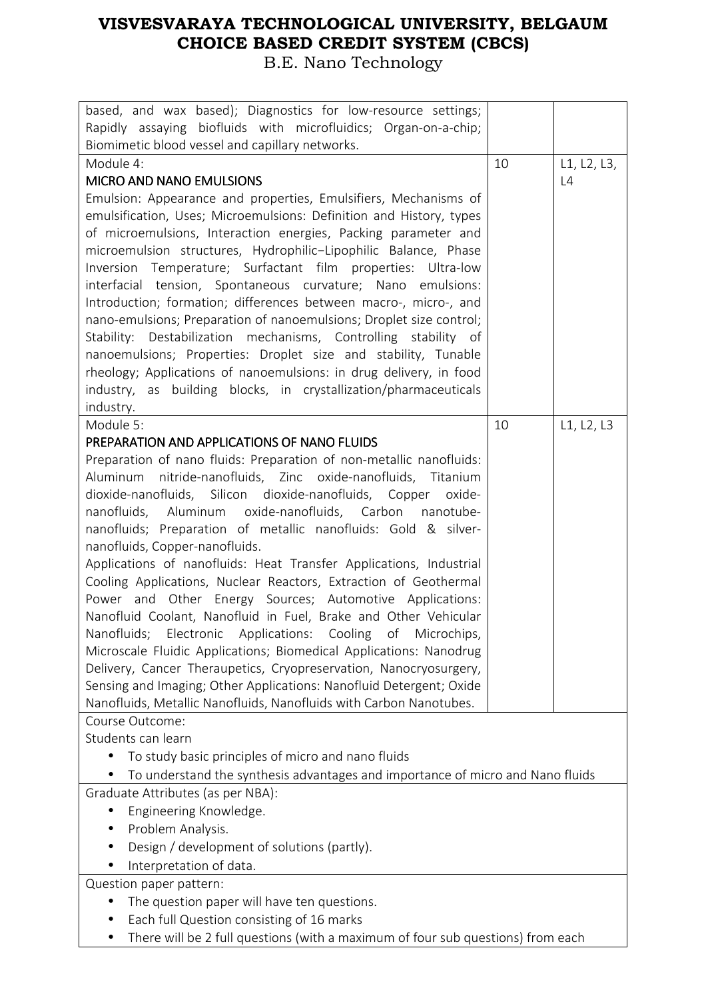| based, and wax based); Diagnostics for low-resource settings;                   |    |             |
|---------------------------------------------------------------------------------|----|-------------|
| Rapidly assaying biofluids with microfluidics; Organ-on-a-chip;                 |    |             |
| Biomimetic blood vessel and capillary networks.                                 |    |             |
| Module 4:                                                                       | 10 | L1, L2, L3, |
| <b>MICRO AND NANO EMULSIONS</b>                                                 |    | L4          |
| Emulsion: Appearance and properties, Emulsifiers, Mechanisms of                 |    |             |
| emulsification, Uses; Microemulsions: Definition and History, types             |    |             |
| of microemulsions, Interaction energies, Packing parameter and                  |    |             |
| microemulsion structures, Hydrophilic-Lipophilic Balance, Phase                 |    |             |
| Inversion Temperature; Surfactant film properties: Ultra-low                    |    |             |
| interfacial tension, Spontaneous curvature; Nano emulsions:                     |    |             |
| Introduction; formation; differences between macro-, micro-, and                |    |             |
| nano-emulsions; Preparation of nanoemulsions; Droplet size control;             |    |             |
| Stability: Destabilization mechanisms, Controlling stability of                 |    |             |
| nanoemulsions; Properties: Droplet size and stability, Tunable                  |    |             |
| rheology; Applications of nanoemulsions: in drug delivery, in food              |    |             |
| industry, as building blocks, in crystallization/pharmaceuticals                |    |             |
| industry.                                                                       |    |             |
| Module 5:                                                                       | 10 | L1, L2, L3  |
| PREPARATION AND APPLICATIONS OF NANO FLUIDS                                     |    |             |
| Preparation of nano fluids: Preparation of non-metallic nanofluids:             |    |             |
| nitride-nanofluids, Zinc oxide-nanofluids, Titanium<br>Aluminum                 |    |             |
| dioxide-nanofluids, Silicon dioxide-nanofluids, Copper<br>oxide-                |    |             |
| Aluminum oxide-nanofluids, Carbon nanotube-<br>nanofluids,                      |    |             |
| nanofluids; Preparation of metallic nanofluids: Gold & silver-                  |    |             |
| nanofluids, Copper-nanofluids.                                                  |    |             |
| Applications of nanofluids: Heat Transfer Applications, Industrial              |    |             |
| Cooling Applications, Nuclear Reactors, Extraction of Geothermal                |    |             |
| Power and Other Energy Sources; Automotive Applications:                        |    |             |
| Nanofluid Coolant, Nanofluid in Fuel, Brake and Other Vehicular                 |    |             |
| Nanofluids; Electronic Applications: Cooling of Microchips,                     |    |             |
| Microscale Fluidic Applications; Biomedical Applications: Nanodrug              |    |             |
| Delivery, Cancer Theraupetics, Cryopreservation, Nanocryosurgery,               |    |             |
| Sensing and Imaging; Other Applications: Nanofluid Detergent; Oxide             |    |             |
| Nanofluids, Metallic Nanofluids, Nanofluids with Carbon Nanotubes.              |    |             |
| Course Outcome:                                                                 |    |             |
| Students can learn                                                              |    |             |
| To study basic principles of micro and nano fluids                              |    |             |
| To understand the synthesis advantages and importance of micro and Nano fluids  |    |             |
| Graduate Attributes (as per NBA):                                               |    |             |
| Engineering Knowledge.                                                          |    |             |
| Problem Analysis.<br>$\bullet$                                                  |    |             |
| Design / development of solutions (partly).<br>$\bullet$                        |    |             |
| Interpretation of data.                                                         |    |             |
| Question paper pattern:                                                         |    |             |
| The question paper will have ten questions.<br>$\bullet$                        |    |             |
| Each full Question consisting of 16 marks                                       |    |             |
| There will be 2 full questions (with a maximum of four sub questions) from each |    |             |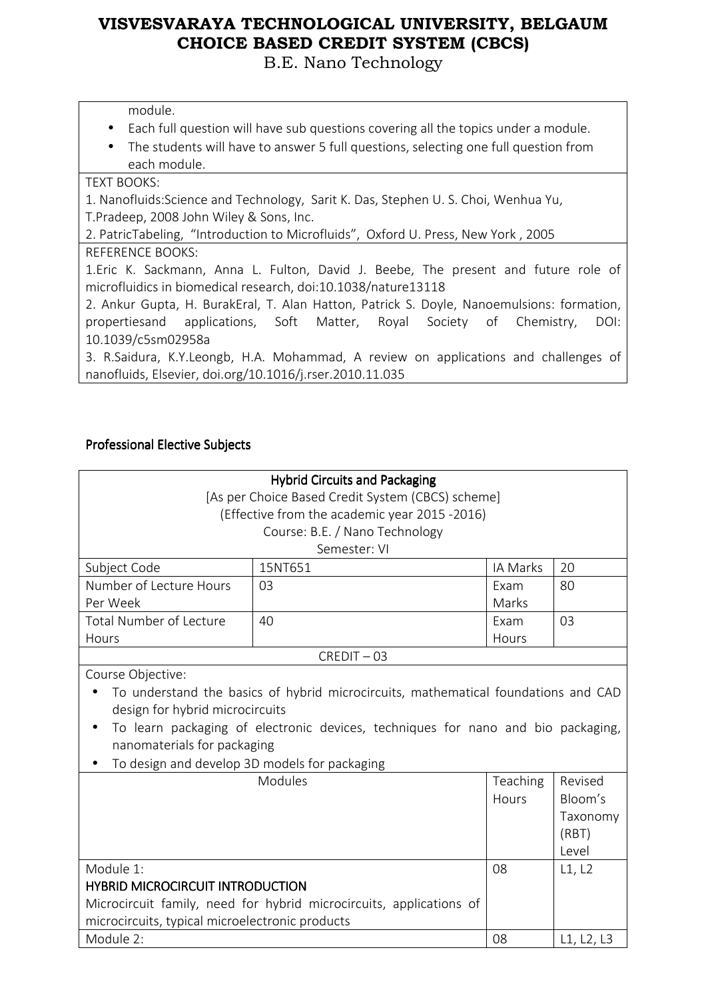B.E. Nano Technology

module.

- Each full question will have sub questions covering all the topics under a module.
- The students will have to answer 5 full questions, selecting one full question from each module.

#### TEXT BOOKS:

1. Nanofluids:Science and Technology, Sarit K. Das, Stephen U. S. Choi, Wenhua Yu, T.Pradeep, 2008 John Wiley & Sons, Inc.

2. PatricTabeling, "Introduction to Microfluids", Oxford U. Press, New York , 2005

REFERENCE BOOKS:

1.Eric K. Sackmann, Anna L. Fulton, David J. Beebe, The present and future role of microfluidics in biomedical research, doi:10.1038/nature13118

2. Ankur Gupta, H. BurakEral, T. Alan Hatton, Patrick S. Doyle, Nanoemulsions: formation, propertiesand applications, Soft Matter, Royal Society of Chemistry, DOI: 10.1039/c5sm02958a

3. R.Saidura, K.Y.Leongb, H.A. Mohammad, A review on applications and challenges of nanofluids, Elsevier, doi.org/10.1016/j.rser.2010.11.035

#### Professional Elective Subjects

| <b>Hybrid Circuits and Packaging</b>                                             |                                                                                    |                 |            |
|----------------------------------------------------------------------------------|------------------------------------------------------------------------------------|-----------------|------------|
| [As per Choice Based Credit System (CBCS) scheme]                                |                                                                                    |                 |            |
|                                                                                  | (Effective from the academic year 2015 -2016)                                      |                 |            |
|                                                                                  | Course: B.E. / Nano Technology                                                     |                 |            |
|                                                                                  | Semester: VI                                                                       |                 |            |
| Subject Code                                                                     | 15NT651                                                                            | IA Marks        | 20         |
| Number of Lecture Hours                                                          | 03                                                                                 | Exam            | 80         |
| Per Week                                                                         |                                                                                    | Marks           |            |
| <b>Total Number of Lecture</b>                                                   | 40                                                                                 | Exam            | 03         |
| Hours                                                                            |                                                                                    | Hours           |            |
|                                                                                  | $CREDIT - 03$                                                                      |                 |            |
| Course Objective:                                                                |                                                                                    |                 |            |
|                                                                                  | To understand the basics of hybrid microcircuits, mathematical foundations and CAD |                 |            |
| design for hybrid microcircuits                                                  |                                                                                    |                 |            |
| To learn packaging of electronic devices, techniques for nano and bio packaging, |                                                                                    |                 |            |
| nanomaterials for packaging                                                      |                                                                                    |                 |            |
| To design and develop 3D models for packaging                                    |                                                                                    |                 |            |
|                                                                                  | Modules                                                                            | <b>Teaching</b> | Revised    |
|                                                                                  |                                                                                    | Hours           | Bloom's    |
|                                                                                  |                                                                                    |                 | Taxonomy   |
|                                                                                  |                                                                                    |                 | (RBT)      |
|                                                                                  |                                                                                    |                 | Level      |
| Module 1:                                                                        |                                                                                    | 08              | L1, L2     |
| <b>HYBRID MICROCIRCUIT INTRODUCTION</b>                                          |                                                                                    |                 |            |
|                                                                                  | Microcircuit family, need for hybrid microcircuits, applications of                |                 |            |
| microcircuits, typical microelectronic products                                  |                                                                                    |                 |            |
| Module 2:                                                                        |                                                                                    | 08              | L1, L2, L3 |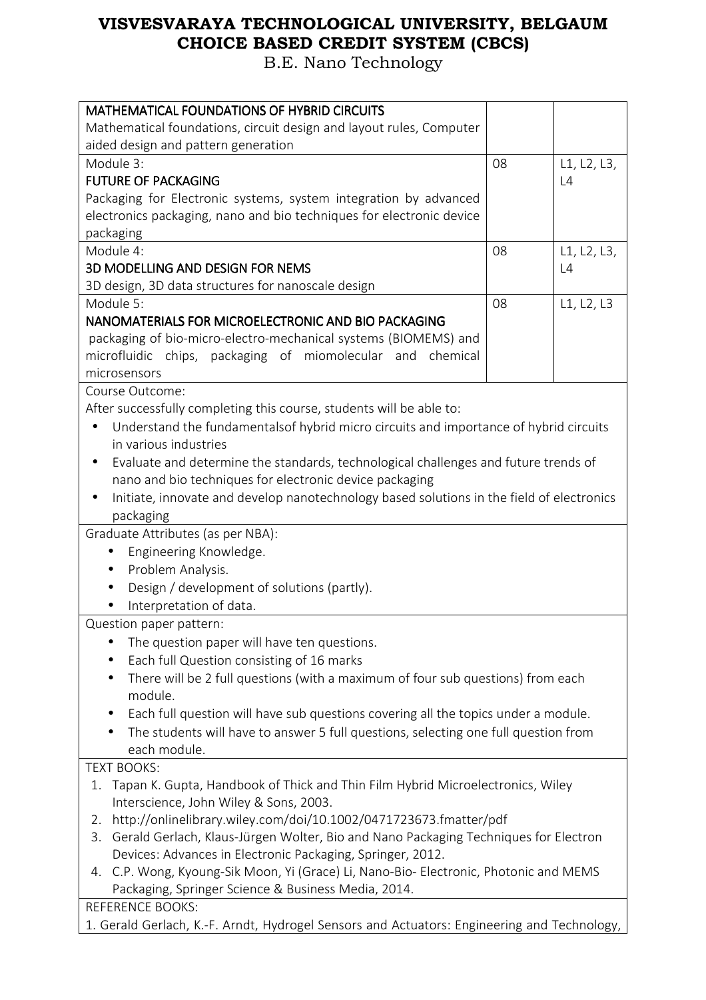| MATHEMATICAL FOUNDATIONS OF HYBRID CIRCUITS                                                                                                                          |    |             |
|----------------------------------------------------------------------------------------------------------------------------------------------------------------------|----|-------------|
| Mathematical foundations, circuit design and layout rules, Computer                                                                                                  |    |             |
| aided design and pattern generation                                                                                                                                  |    |             |
| Module 3:                                                                                                                                                            | 08 | L1, L2, L3, |
| <b>FUTURE OF PACKAGING</b>                                                                                                                                           |    | L4          |
| Packaging for Electronic systems, system integration by advanced                                                                                                     |    |             |
| electronics packaging, nano and bio techniques for electronic device                                                                                                 |    |             |
| packaging                                                                                                                                                            |    |             |
| Module 4:                                                                                                                                                            | 08 | L1, L2, L3, |
| <b>3D MODELLING AND DESIGN FOR NEMS</b>                                                                                                                              |    | L4          |
| 3D design, 3D data structures for nanoscale design<br>Module 5:                                                                                                      | 08 |             |
| NANOMATERIALS FOR MICROELECTRONIC AND BIO PACKAGING                                                                                                                  |    | L1, L2, L3  |
|                                                                                                                                                                      |    |             |
| packaging of bio-micro-electro-mechanical systems (BIOMEMS) and                                                                                                      |    |             |
| microfluidic chips, packaging of miomolecular and chemical                                                                                                           |    |             |
| microsensors<br>Course Outcome:                                                                                                                                      |    |             |
| After successfully completing this course, students will be able to:                                                                                                 |    |             |
| Understand the fundamentals of hybrid micro circuits and importance of hybrid circuits<br>$\bullet$                                                                  |    |             |
| in various industries                                                                                                                                                |    |             |
|                                                                                                                                                                      |    |             |
| Evaluate and determine the standards, technological challenges and future trends of<br>٠                                                                             |    |             |
| nano and bio techniques for electronic device packaging<br>Initiate, innovate and develop nanotechnology based solutions in the field of electronics                 |    |             |
| $\bullet$<br>packaging                                                                                                                                               |    |             |
| Graduate Attributes (as per NBA):                                                                                                                                    |    |             |
| Engineering Knowledge.                                                                                                                                               |    |             |
| $\bullet$                                                                                                                                                            |    |             |
| Problem Analysis.<br>$\bullet$<br>Design / development of solutions (partly).                                                                                        |    |             |
| Interpretation of data.                                                                                                                                              |    |             |
|                                                                                                                                                                      |    |             |
| Question paper pattern:                                                                                                                                              |    |             |
| The question paper will have ten questions.                                                                                                                          |    |             |
| Each full Question consisting of 16 marks                                                                                                                            |    |             |
| There will be 2 full questions (with a maximum of four sub questions) from each<br>$\bullet$                                                                         |    |             |
| module.                                                                                                                                                              |    |             |
| Each full question will have sub questions covering all the topics under a module.<br>$\bullet$                                                                      |    |             |
| The students will have to answer 5 full questions, selecting one full question from                                                                                  |    |             |
| each module.<br><b>TEXT BOOKS:</b>                                                                                                                                   |    |             |
| Tapan K. Gupta, Handbook of Thick and Thin Film Hybrid Microelectronics, Wiley                                                                                       |    |             |
| 1.<br>Interscience, John Wiley & Sons, 2003.                                                                                                                         |    |             |
|                                                                                                                                                                      |    |             |
| http://onlinelibrary.wiley.com/doi/10.1002/0471723673.fmatter/pdf<br>2.<br>Gerald Gerlach, Klaus-Jürgen Wolter, Bio and Nano Packaging Techniques for Electron<br>3. |    |             |
|                                                                                                                                                                      |    |             |
| Devices: Advances in Electronic Packaging, Springer, 2012.<br>4. C.P. Wong, Kyoung-Sik Moon, Yi (Grace) Li, Nano-Bio- Electronic, Photonic and MEMS                  |    |             |
| Packaging, Springer Science & Business Media, 2014.                                                                                                                  |    |             |
| <b>REFERENCE BOOKS:</b>                                                                                                                                              |    |             |
| 1. Gerald Gerlach, K.-F. Arndt, Hydrogel Sensors and Actuators: Engineering and Technology,                                                                          |    |             |
|                                                                                                                                                                      |    |             |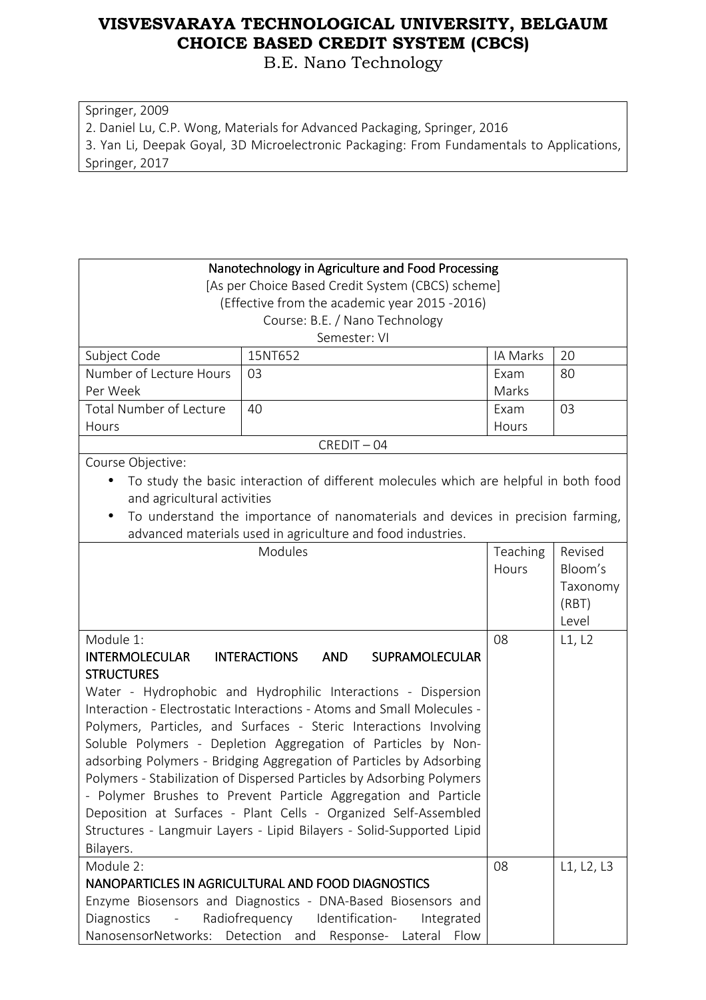| Springer, 2009                                                                            |
|-------------------------------------------------------------------------------------------|
| 2. Daniel Lu, C.P. Wong, Materials for Advanced Packaging, Springer, 2016                 |
| 3. Yan Li, Deepak Goyal, 3D Microelectronic Packaging: From Fundamentals to Applications, |
| Springer, 2017                                                                            |

|                                                                              | Nanotechnology in Agriculture and Food Processing                                    |          |            |
|------------------------------------------------------------------------------|--------------------------------------------------------------------------------------|----------|------------|
| [As per Choice Based Credit System (CBCS) scheme]                            |                                                                                      |          |            |
| (Effective from the academic year 2015 -2016)                                |                                                                                      |          |            |
|                                                                              | Course: B.E. / Nano Technology                                                       |          |            |
|                                                                              | Semester: VI                                                                         |          |            |
| Subject Code                                                                 | 15NT652                                                                              | IA Marks | 20         |
| Number of Lecture Hours                                                      | 03                                                                                   | Exam     | 80         |
| Per Week                                                                     |                                                                                      | Marks    |            |
| <b>Total Number of Lecture</b>                                               | 40                                                                                   | Exam     | 03         |
| Hours                                                                        |                                                                                      | Hours    |            |
|                                                                              | $CREDIT - 04$                                                                        |          |            |
| Course Objective:                                                            |                                                                                      |          |            |
| $\bullet$                                                                    | To study the basic interaction of different molecules which are helpful in both food |          |            |
| and agricultural activities                                                  |                                                                                      |          |            |
| $\bullet$                                                                    | To understand the importance of nanomaterials and devices in precision farming,      |          |            |
|                                                                              | advanced materials used in agriculture and food industries.                          |          |            |
|                                                                              | Modules                                                                              | Teaching | Revised    |
|                                                                              |                                                                                      | Hours    | Bloom's    |
|                                                                              |                                                                                      |          | Taxonomy   |
|                                                                              |                                                                                      |          | (RBT)      |
|                                                                              |                                                                                      |          | Level      |
| Module 1:                                                                    |                                                                                      | 08       | L1, L2     |
| <b>INTERMOLECULAR</b>                                                        | <b>INTERACTIONS</b><br><b>AND</b><br><b>SUPRAMOLECULAR</b>                           |          |            |
| <b>STRUCTURES</b>                                                            |                                                                                      |          |            |
|                                                                              | Water - Hydrophobic and Hydrophilic Interactions - Dispersion                        |          |            |
| Interaction - Electrostatic Interactions - Atoms and Small Molecules -       |                                                                                      |          |            |
| Polymers, Particles, and Surfaces - Steric Interactions Involving            |                                                                                      |          |            |
| Soluble Polymers - Depletion Aggregation of Particles by Non-                |                                                                                      |          |            |
| adsorbing Polymers - Bridging Aggregation of Particles by Adsorbing          |                                                                                      |          |            |
| Polymers - Stabilization of Dispersed Particles by Adsorbing Polymers        |                                                                                      |          |            |
| - Polymer Brushes to Prevent Particle Aggregation and Particle               |                                                                                      |          |            |
| Deposition at Surfaces - Plant Cells - Organized Self-Assembled              |                                                                                      |          |            |
| Structures - Langmuir Layers - Lipid Bilayers - Solid-Supported Lipid        |                                                                                      |          |            |
| Bilayers.                                                                    |                                                                                      |          |            |
| Module 2:                                                                    |                                                                                      | 08       | L1, L2, L3 |
|                                                                              | NANOPARTICLES IN AGRICULTURAL AND FOOD DIAGNOSTICS                                   |          |            |
|                                                                              | Enzyme Biosensors and Diagnostics - DNA-Based Biosensors and                         |          |            |
| Radiofrequency<br>Identification-<br>Diagnostics<br>$\sim 100$<br>Integrated |                                                                                      |          |            |
|                                                                              | NanosensorNetworks: Detection and Response- Lateral Flow                             |          |            |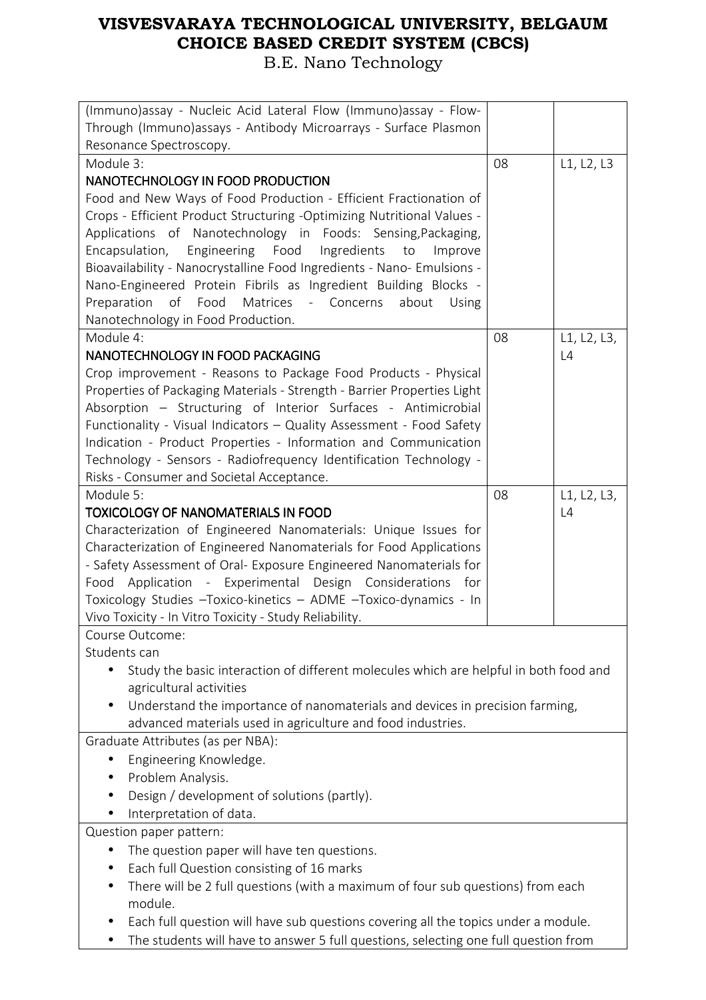| (Immuno)assay - Nucleic Acid Lateral Flow (Immuno)assay - Flow-                                    |    |             |
|----------------------------------------------------------------------------------------------------|----|-------------|
| Through (Immuno) assays - Antibody Microarrays - Surface Plasmon                                   |    |             |
| Resonance Spectroscopy.                                                                            |    |             |
| Module 3:                                                                                          | 08 | L1, L2, L3  |
| NANOTECHNOLOGY IN FOOD PRODUCTION                                                                  |    |             |
| Food and New Ways of Food Production - Efficient Fractionation of                                  |    |             |
| Crops - Efficient Product Structuring -Optimizing Nutritional Values -                             |    |             |
| Applications of Nanotechnology in Foods: Sensing, Packaging,                                       |    |             |
| Engineering Food Ingredients<br>Encapsulation,<br>to<br>Improve                                    |    |             |
| Bioavailability - Nanocrystalline Food Ingredients - Nano- Emulsions -                             |    |             |
| Nano-Engineered Protein Fibrils as Ingredient Building Blocks -                                    |    |             |
| Preparation of Food<br>Matrices - Concerns<br>about<br>Using                                       |    |             |
| Nanotechnology in Food Production.                                                                 |    |             |
| Module 4:                                                                                          | 08 | L1, L2, L3, |
| NANOTECHNOLOGY IN FOOD PACKAGING                                                                   |    | L4          |
| Crop improvement - Reasons to Package Food Products - Physical                                     |    |             |
| Properties of Packaging Materials - Strength - Barrier Properties Light                            |    |             |
| Absorption - Structuring of Interior Surfaces - Antimicrobial                                      |    |             |
| Functionality - Visual Indicators - Quality Assessment - Food Safety                               |    |             |
| Indication - Product Properties - Information and Communication                                    |    |             |
| Technology - Sensors - Radiofrequency Identification Technology -                                  |    |             |
| Risks - Consumer and Societal Acceptance.                                                          |    |             |
| Module 5:                                                                                          | 08 | L1, L2, L3, |
| <b>TOXICOLOGY OF NANOMATERIALS IN FOOD</b>                                                         |    | L4          |
| Characterization of Engineered Nanomaterials: Unique Issues for                                    |    |             |
| Characterization of Engineered Nanomaterials for Food Applications                                 |    |             |
| - Safety Assessment of Oral- Exposure Engineered Nanomaterials for                                 |    |             |
| Food Application - Experimental Design Considerations<br>for                                       |    |             |
| Toxicology Studies - Toxico-kinetics - ADME - Toxico-dynamics - In                                 |    |             |
| Vivo Toxicity - In Vitro Toxicity - Study Reliability.                                             |    |             |
| Course Outcome:                                                                                    |    |             |
| Students can                                                                                       |    |             |
| Study the basic interaction of different molecules which are helpful in both food and<br>$\bullet$ |    |             |
| agricultural activities                                                                            |    |             |
| Understand the importance of nanomaterials and devices in precision farming,<br>$\bullet$          |    |             |
| advanced materials used in agriculture and food industries.                                        |    |             |
| Graduate Attributes (as per NBA):                                                                  |    |             |
| Engineering Knowledge.<br>$\bullet$                                                                |    |             |
| Problem Analysis.<br>$\bullet$                                                                     |    |             |
| Design / development of solutions (partly).<br>٠                                                   |    |             |
| Interpretation of data.                                                                            |    |             |
| Question paper pattern:                                                                            |    |             |
| The question paper will have ten questions.<br>$\bullet$                                           |    |             |
| Each full Question consisting of 16 marks<br>$\bullet$                                             |    |             |
| There will be 2 full questions (with a maximum of four sub questions) from each<br>$\bullet$       |    |             |
| module.                                                                                            |    |             |
|                                                                                                    |    |             |
| Each full question will have sub questions covering all the topics under a module.<br>$\bullet$    |    |             |
| The students will have to answer 5 full questions, selecting one full question from                |    |             |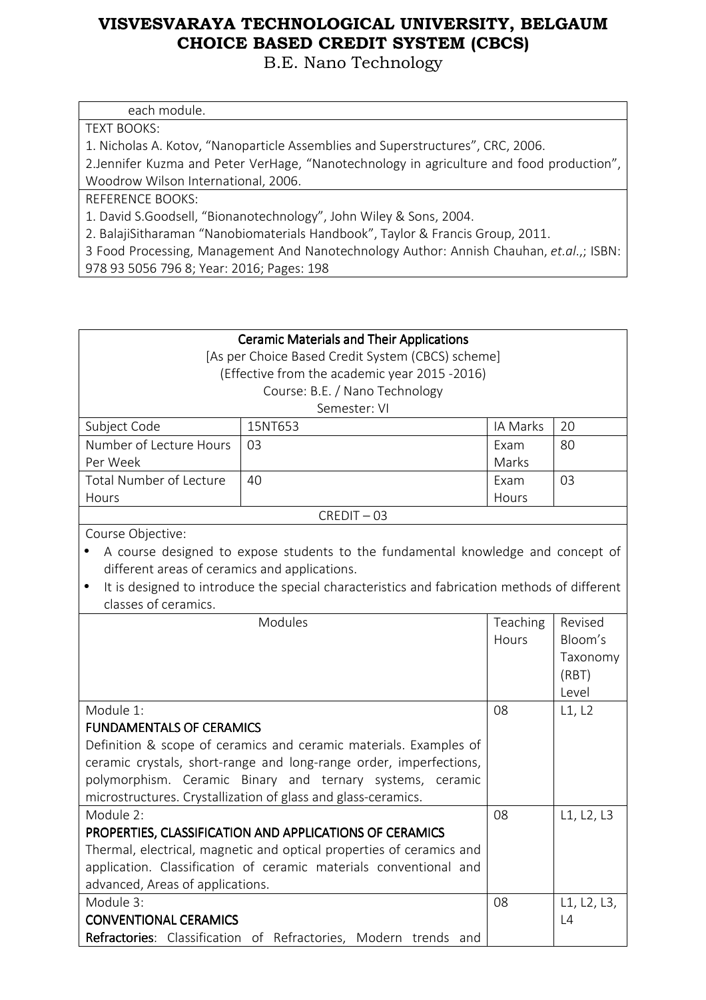B.E. Nano Technology

#### each module.

TEXT BOOKS:

1. Nicholas A. Kotov, "Nanoparticle Assemblies and Superstructures", CRC, 2006.

2.Jennifer Kuzma and Peter VerHage, "Nanotechnology in agriculture and food production", Woodrow Wilson International, 2006.

REFERENCE BOOKS:

1. David S.Goodsell, "Bionanotechnology", John Wiley & Sons, 2004.

2. BalajiSitharaman "Nanobiomaterials Handbook", Taylor & Francis Group, 2011.

3 Food Processing, Management And Nanotechnology Author: Annish Chauhan, *et.al*.,; ISBN: 978 93 5056 796 8; Year: 2016; Pages: 198

## Ceramic Materials and Their Applications

[As per Choice Based Credit System (CBCS) scheme] (Effective from the academic year 2015 -2016)

Course: B.E. / Nano Technology

| Semester: VI            |         |          |     |
|-------------------------|---------|----------|-----|
| Subject Code            | 15NT653 | IA Marks | 20  |
| Number of Lecture Hours | በ3      | Exam     | -80 |
| Per Week                |         | Marks    |     |
| Total Number of Lecture | 40      | Exam     | 03  |
| Hours                   |         | Hours    |     |
| $CREDIT - 03$           |         |          |     |

Course Objective:

• A course designed to expose students to the fundamental knowledge and concept of different areas of ceramics and applications.

• It is designed to introduce the special characteristics and fabrication methods of different classes of ceramics.

| <b>Modules</b>                                                       | <b>Teaching</b><br>Hours | Revised<br>Bloom's<br>Taxonomy<br>(RBT)<br>Level |
|----------------------------------------------------------------------|--------------------------|--------------------------------------------------|
| Module 1:                                                            | 08                       | L1, L2                                           |
| <b>FUNDAMENTALS OF CERAMICS</b>                                      |                          |                                                  |
| Definition & scope of ceramics and ceramic materials. Examples of    |                          |                                                  |
| ceramic crystals, short-range and long-range order, imperfections,   |                          |                                                  |
| polymorphism. Ceramic Binary and ternary systems, ceramic            |                          |                                                  |
| microstructures. Crystallization of glass and glass-ceramics.        |                          |                                                  |
| Module 2:                                                            | 08                       | L1, L2, L3                                       |
| PROPERTIES, CLASSIFICATION AND APPLICATIONS OF CERAMICS              |                          |                                                  |
| Thermal, electrical, magnetic and optical properties of ceramics and |                          |                                                  |
| application. Classification of ceramic materials conventional and    |                          |                                                  |
| advanced, Areas of applications.                                     |                          |                                                  |
| Module 3:                                                            | 08                       | L1, L2, L3,                                      |
| <b>CONVENTIONAL CERAMICS</b>                                         |                          | $\lfloor 4 \rfloor$                              |
| Refractories: Classification of Refractories, Modern trends and      |                          |                                                  |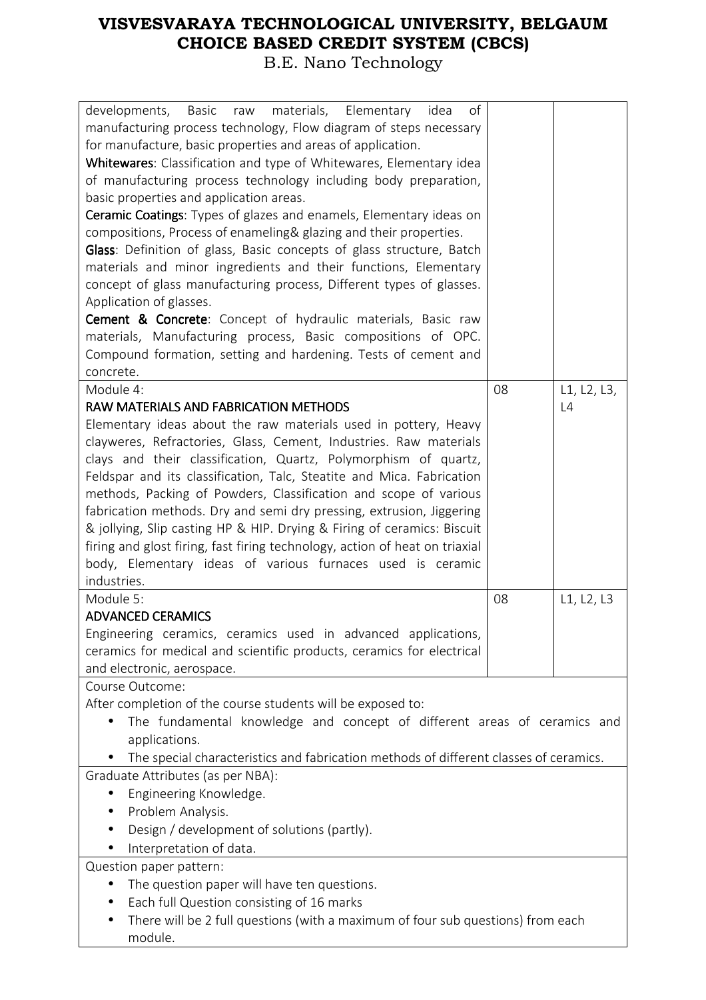| <b>Basic</b><br>materials,<br>of<br>developments,<br>Elementary<br>idea<br>raw                                                                 |    |             |
|------------------------------------------------------------------------------------------------------------------------------------------------|----|-------------|
| manufacturing process technology, Flow diagram of steps necessary                                                                              |    |             |
| for manufacture, basic properties and areas of application.                                                                                    |    |             |
| Whitewares: Classification and type of Whitewares, Elementary idea                                                                             |    |             |
| of manufacturing process technology including body preparation,                                                                                |    |             |
| basic properties and application areas.                                                                                                        |    |             |
| <b>Ceramic Coatings:</b> Types of glazes and enamels, Elementary ideas on<br>compositions, Process of enameling& glazing and their properties. |    |             |
| Glass: Definition of glass, Basic concepts of glass structure, Batch                                                                           |    |             |
| materials and minor ingredients and their functions, Elementary                                                                                |    |             |
| concept of glass manufacturing process, Different types of glasses.                                                                            |    |             |
| Application of glasses.                                                                                                                        |    |             |
| Cement & Concrete: Concept of hydraulic materials, Basic raw                                                                                   |    |             |
| materials, Manufacturing process, Basic compositions of OPC.                                                                                   |    |             |
| Compound formation, setting and hardening. Tests of cement and                                                                                 |    |             |
| concrete.                                                                                                                                      |    |             |
| Module 4:                                                                                                                                      | 08 | L1, L2, L3, |
| RAW MATERIALS AND FABRICATION METHODS                                                                                                          |    | L4          |
| Elementary ideas about the raw materials used in pottery, Heavy                                                                                |    |             |
| clayweres, Refractories, Glass, Cement, Industries. Raw materials                                                                              |    |             |
| clays and their classification, Quartz, Polymorphism of quartz,                                                                                |    |             |
| Feldspar and its classification, Talc, Steatite and Mica. Fabrication                                                                          |    |             |
| methods, Packing of Powders, Classification and scope of various                                                                               |    |             |
| fabrication methods. Dry and semi dry pressing, extrusion, Jiggering                                                                           |    |             |
| & jollying, Slip casting HP & HIP. Drying & Firing of ceramics: Biscuit                                                                        |    |             |
| firing and glost firing, fast firing technology, action of heat on triaxial                                                                    |    |             |
| body, Elementary ideas of various furnaces used is ceramic                                                                                     |    |             |
| industries.                                                                                                                                    |    |             |
| Module 5:                                                                                                                                      | 08 | L1, L2, L3  |
| <b>ADVANCED CERAMICS</b>                                                                                                                       |    |             |
| Engineering ceramics, ceramics used in advanced applications,                                                                                  |    |             |
| ceramics for medical and scientific products, ceramics for electrical                                                                          |    |             |
| and electronic, aerospace.                                                                                                                     |    |             |
| Course Outcome:                                                                                                                                |    |             |
| After completion of the course students will be exposed to:                                                                                    |    |             |
| The fundamental knowledge and concept of different areas of ceramics and                                                                       |    |             |
| applications.                                                                                                                                  |    |             |
| The special characteristics and fabrication methods of different classes of ceramics.                                                          |    |             |
| Graduate Attributes (as per NBA):                                                                                                              |    |             |
| Engineering Knowledge.                                                                                                                         |    |             |
| Problem Analysis.                                                                                                                              |    |             |
|                                                                                                                                                |    |             |
| Design / development of solutions (partly).                                                                                                    |    |             |
| Interpretation of data.<br>$\bullet$                                                                                                           |    |             |
| Question paper pattern:                                                                                                                        |    |             |
| The question paper will have ten questions.<br>$\bullet$                                                                                       |    |             |
| Each full Question consisting of 16 marks                                                                                                      |    |             |
| There will be 2 full questions (with a maximum of four sub questions) from each                                                                |    |             |
| module.                                                                                                                                        |    |             |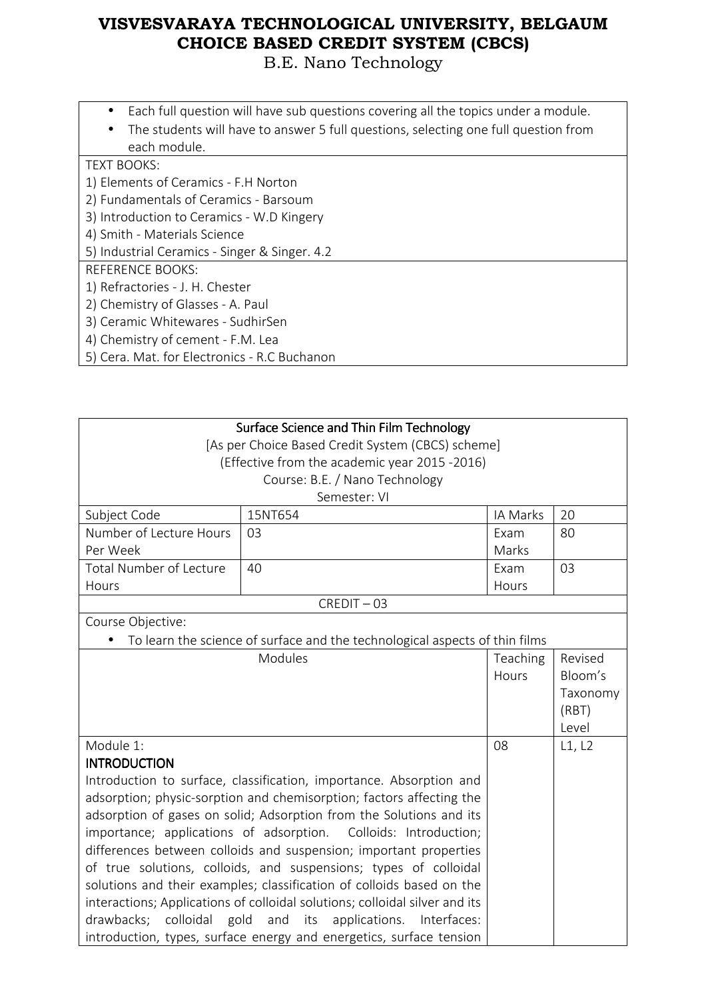B.E. Nano Technology

- Each full question will have sub questions covering all the topics under a module.
- The students will have to answer 5 full questions, selecting one full question from each module.

#### TEXT BOOKS:

- 1) Elements of Ceramics F.H Norton
- 2) Fundamentals of Ceramics Barsoum
- 3) Introduction to Ceramics W.D Kingery
- 4) Smith Materials Science
- 5) Industrial Ceramics Singer & Singer. 4.2

### REFERENCE BOOKS:

- 1) Refractories J. H. Chester
- 2) Chemistry of Glasses A. Paul
- 3) Ceramic Whitewares SudhirSen
- 4) Chemistry of cement F.M. Lea
- 5) Cera. Mat. for Electronics R.C Buchanon

| Surface Science and Thin Film Technology                                   |                                                                             |          |          |
|----------------------------------------------------------------------------|-----------------------------------------------------------------------------|----------|----------|
| [As per Choice Based Credit System (CBCS) scheme]                          |                                                                             |          |          |
|                                                                            | (Effective from the academic year 2015 -2016)                               |          |          |
|                                                                            | Course: B.E. / Nano Technology                                              |          |          |
|                                                                            | Semester: VI                                                                |          |          |
| Subject Code                                                               | 15NT654                                                                     | IA Marks | 20       |
| Number of Lecture Hours                                                    | 03                                                                          | Exam     | 80       |
| Per Week                                                                   |                                                                             | Marks    |          |
| <b>Total Number of Lecture</b>                                             | 40                                                                          | Exam     | 03       |
| Hours                                                                      |                                                                             | Hours    |          |
|                                                                            | $CREDIT - 03$                                                               |          |          |
| Course Objective:                                                          |                                                                             |          |          |
|                                                                            | To learn the science of surface and the technological aspects of thin films |          |          |
|                                                                            | Modules                                                                     | Teaching | Revised  |
|                                                                            |                                                                             | Hours    | Bloom's  |
|                                                                            |                                                                             |          | Taxonomy |
|                                                                            |                                                                             |          | (RBT)    |
|                                                                            |                                                                             |          | Level    |
| Module 1:                                                                  |                                                                             | 08       | L1, L2   |
| <b>INTRODUCTION</b>                                                        |                                                                             |          |          |
| Introduction to surface, classification, importance. Absorption and        |                                                                             |          |          |
|                                                                            | adsorption; physic-sorption and chemisorption; factors affecting the        |          |          |
|                                                                            | adsorption of gases on solid; Adsorption from the Solutions and its         |          |          |
|                                                                            | importance; applications of adsorption. Colloids: Introduction;             |          |          |
|                                                                            | differences between colloids and suspension; important properties           |          |          |
|                                                                            | of true solutions, colloids, and suspensions; types of colloidal            |          |          |
|                                                                            | solutions and their examples; classification of colloids based on the       |          |          |
|                                                                            | interactions; Applications of colloidal solutions; colloidal silver and its |          |          |
| colloidal gold<br>drawbacks;<br>and<br>its<br>applications.<br>Interfaces: |                                                                             |          |          |
|                                                                            | introduction, types, surface energy and energetics, surface tension         |          |          |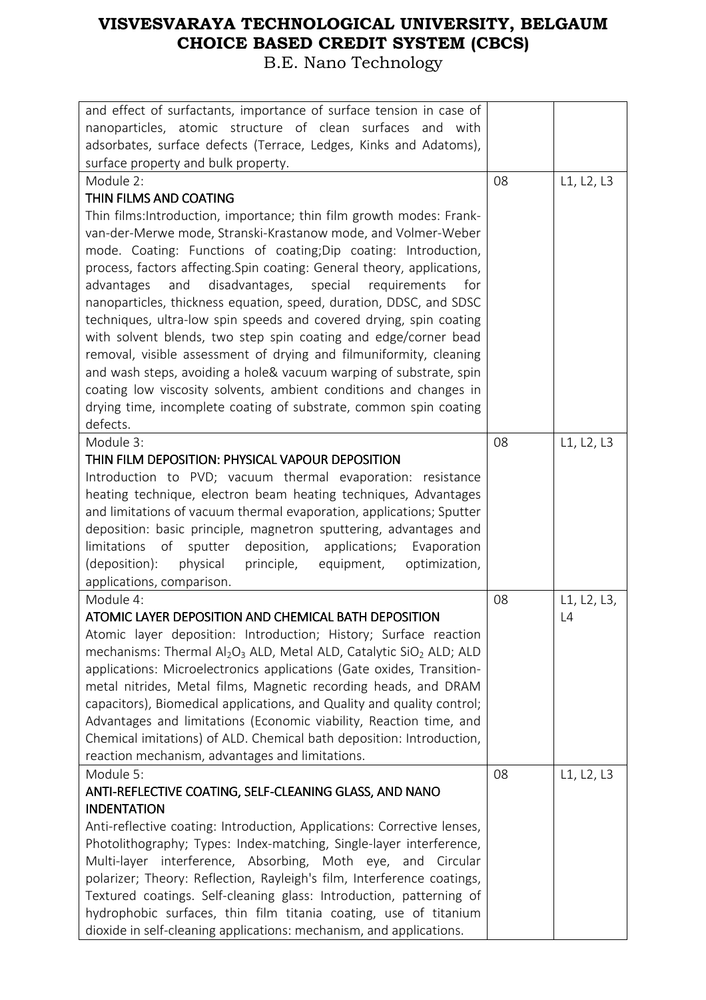| and effect of surfactants, importance of surface tension in case of               |    |             |
|-----------------------------------------------------------------------------------|----|-------------|
| nanoparticles, atomic structure of clean surfaces and with                        |    |             |
| adsorbates, surface defects (Terrace, Ledges, Kinks and Adatoms),                 |    |             |
| surface property and bulk property.                                               |    |             |
| Module 2:                                                                         | 08 | L1, L2, L3  |
| THIN FILMS AND COATING                                                            |    |             |
| Thin films: Introduction, importance; thin film growth modes: Frank-              |    |             |
| van-der-Merwe mode, Stranski-Krastanow mode, and Volmer-Weber                     |    |             |
| mode. Coating: Functions of coating;Dip coating: Introduction,                    |    |             |
| process, factors affecting. Spin coating: General theory, applications,           |    |             |
| disadvantages,<br>special<br>advantages<br>and<br>requirements<br>for             |    |             |
| nanoparticles, thickness equation, speed, duration, DDSC, and SDSC                |    |             |
| techniques, ultra-low spin speeds and covered drying, spin coating                |    |             |
| with solvent blends, two step spin coating and edge/corner bead                   |    |             |
| removal, visible assessment of drying and filmuniformity, cleaning                |    |             |
| and wash steps, avoiding a hole& vacuum warping of substrate, spin                |    |             |
| coating low viscosity solvents, ambient conditions and changes in                 |    |             |
| drying time, incomplete coating of substrate, common spin coating                 |    |             |
| defects.                                                                          |    |             |
| Module 3:                                                                         | 08 |             |
| THIN FILM DEPOSITION: PHYSICAL VAPOUR DEPOSITION                                  |    | L1, L2, L3  |
|                                                                                   |    |             |
| Introduction to PVD; vacuum thermal evaporation: resistance                       |    |             |
| heating technique, electron beam heating techniques, Advantages                   |    |             |
| and limitations of vacuum thermal evaporation, applications; Sputter              |    |             |
| deposition: basic principle, magnetron sputtering, advantages and                 |    |             |
| limitations<br>deposition, applications; Evaporation<br>of<br>sputter             |    |             |
| principle,<br>(deposition):<br>physical<br>equipment,<br>optimization,            |    |             |
|                                                                                   |    |             |
| applications, comparison.                                                         |    |             |
| Module 4:                                                                         | 08 | L1, L2, L3, |
| ATOMIC LAYER DEPOSITION AND CHEMICAL BATH DEPOSITION                              |    | L4          |
| Atomic layer deposition: Introduction; History; Surface reaction                  |    |             |
| mechanisms: Thermal $Al_2O_3$ ALD, Metal ALD, Catalytic SiO <sub>2</sub> ALD; ALD |    |             |
| applications: Microelectronics applications (Gate oxides, Transition-             |    |             |
| metal nitrides, Metal films, Magnetic recording heads, and DRAM                   |    |             |
| capacitors), Biomedical applications, and Quality and quality control;            |    |             |
| Advantages and limitations (Economic viability, Reaction time, and                |    |             |
| Chemical imitations) of ALD. Chemical bath deposition: Introduction,              |    |             |
| reaction mechanism, advantages and limitations.                                   |    |             |
| Module 5:                                                                         | 08 | L1, L2, L3  |
| ANTI-REFLECTIVE COATING, SELF-CLEANING GLASS, AND NANO                            |    |             |
| <b>INDENTATION</b>                                                                |    |             |
| Anti-reflective coating: Introduction, Applications: Corrective lenses,           |    |             |
| Photolithography; Types: Index-matching, Single-layer interference,               |    |             |
| Multi-layer interference, Absorbing, Moth eye, and Circular                       |    |             |
| polarizer; Theory: Reflection, Rayleigh's film, Interference coatings,            |    |             |
| Textured coatings. Self-cleaning glass: Introduction, patterning of               |    |             |
| hydrophobic surfaces, thin film titania coating, use of titanium                  |    |             |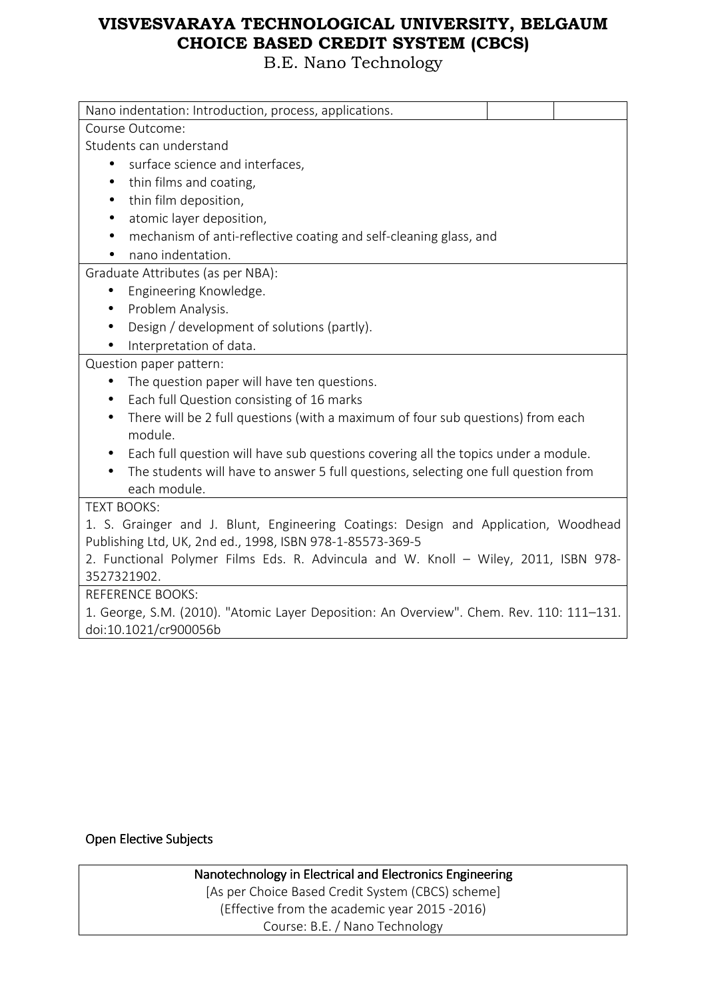B.E. Nano Technology

| Nano indentation: Introduction, process, applications.                                                  |
|---------------------------------------------------------------------------------------------------------|
| Course Outcome:                                                                                         |
| Students can understand                                                                                 |
| surface science and interfaces,                                                                         |
| thin films and coating,<br>$\bullet$                                                                    |
| thin film deposition,<br>$\bullet$                                                                      |
| atomic layer deposition,                                                                                |
| mechanism of anti-reflective coating and self-cleaning glass, and                                       |
| nano indentation.                                                                                       |
| Graduate Attributes (as per NBA):                                                                       |
| Engineering Knowledge.<br>$\bullet$                                                                     |
| Problem Analysis.                                                                                       |
| Design / development of solutions (partly).                                                             |
| Interpretation of data.                                                                                 |
| Question paper pattern:                                                                                 |
| The question paper will have ten questions.                                                             |
| Each full Question consisting of 16 marks                                                               |
| There will be 2 full questions (with a maximum of four sub questions) from each<br>$\bullet$<br>module. |
| Each full question will have sub questions covering all the topics under a module.                      |
| The students will have to answer 5 full questions, selecting one full question from                     |
| each module.                                                                                            |
| <b>TEXT BOOKS:</b>                                                                                      |
| 1. S. Grainger and J. Blunt, Engineering Coatings: Design and Application, Woodhead                     |
| Publishing Ltd, UK, 2nd ed., 1998, ISBN 978-1-85573-369-5                                               |
| 2. Functional Polymer Films Eds. R. Advincula and W. Knoll - Wiley, 2011, ISBN 978-                     |
| 3527321902.                                                                                             |
| <b>REFERENCE BOOKS:</b>                                                                                 |
| 1. George, S.M. (2010). "Atomic Layer Deposition: An Overview". Chem. Rev. 110: 111-131.                |
| doi:10.1021/cr900056b                                                                                   |

### Open Elective Subjects

### Nanotechnology in Electrical and Electronics Engineering [As per Choice Based Credit System (CBCS) scheme] (Effective from the academic year 2015 -2016) Course: B.E. / Nano Technology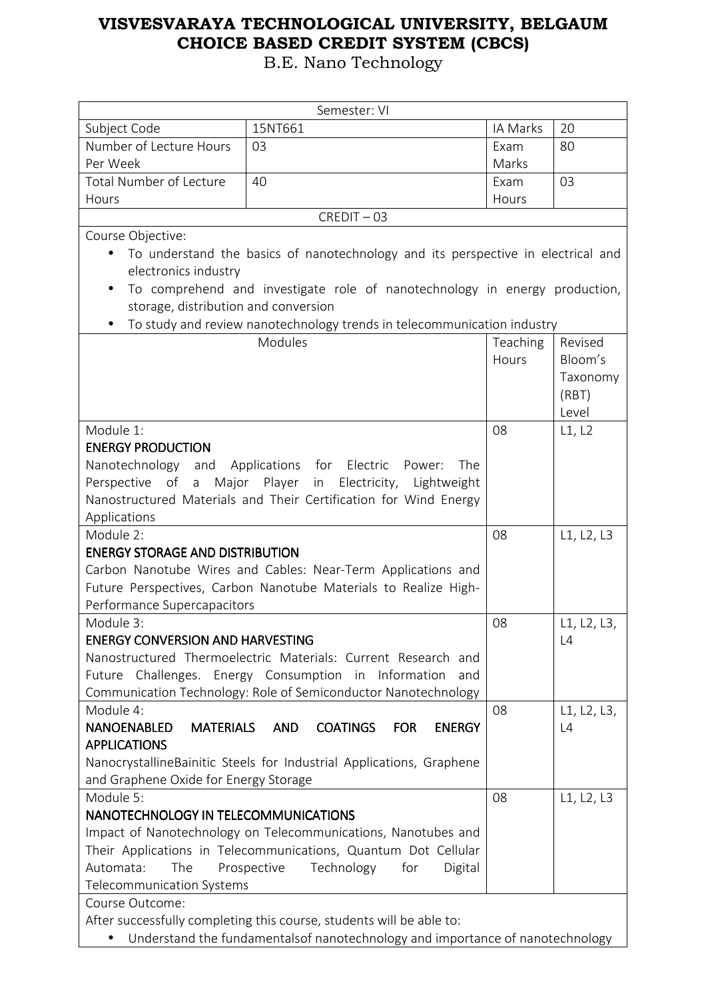|                                              | Semester: VI                                                                                                                                                   |          |             |
|----------------------------------------------|----------------------------------------------------------------------------------------------------------------------------------------------------------------|----------|-------------|
| Subject Code                                 | 15NT661                                                                                                                                                        | IA Marks | 20          |
| Number of Lecture Hours                      | 03                                                                                                                                                             | Exam     | 80          |
| Per Week                                     |                                                                                                                                                                | Marks    |             |
| <b>Total Number of Lecture</b>               | 40                                                                                                                                                             | Exam     | 03          |
| Hours                                        |                                                                                                                                                                | Hours    |             |
|                                              | $CREDIT - 03$                                                                                                                                                  |          |             |
| Course Objective:                            |                                                                                                                                                                |          |             |
| electronics industry<br>$\bullet$            | To understand the basics of nanotechnology and its perspective in electrical and<br>To comprehend and investigate role of nanotechnology in energy production, |          |             |
| storage, distribution and conversion         |                                                                                                                                                                |          |             |
|                                              | To study and review nanotechnology trends in telecommunication industry                                                                                        |          |             |
|                                              | Modules                                                                                                                                                        | Teaching | Revised     |
|                                              |                                                                                                                                                                | Hours    | Bloom's     |
|                                              |                                                                                                                                                                |          | Taxonomy    |
|                                              |                                                                                                                                                                |          | (RBT)       |
|                                              |                                                                                                                                                                |          | Level       |
| Module 1:                                    |                                                                                                                                                                | 08       | L1, L2      |
| <b>ENERGY PRODUCTION</b>                     |                                                                                                                                                                |          |             |
| Nanotechnology and Applications for Electric | Power:<br><b>The</b>                                                                                                                                           |          |             |
| of<br>Perspective<br>$\mathsf{a}$            | Major Player in Electricity,<br>Lightweight                                                                                                                    |          |             |
|                                              | Nanostructured Materials and Their Certification for Wind Energy                                                                                               |          |             |
| Applications                                 |                                                                                                                                                                |          |             |
| Module 2:                                    |                                                                                                                                                                | 08       | L1, L2, L3  |
| <b>ENERGY STORAGE AND DISTRIBUTION</b>       |                                                                                                                                                                |          |             |
|                                              | Carbon Nanotube Wires and Cables: Near-Term Applications and                                                                                                   |          |             |
|                                              | Future Perspectives, Carbon Nanotube Materials to Realize High-                                                                                                |          |             |
| Performance Supercapacitors                  |                                                                                                                                                                |          |             |
| Module 3:                                    |                                                                                                                                                                | 08       | L1, L2, L3, |
| <b>ENERGY CONVERSION AND HARVESTING</b>      |                                                                                                                                                                |          | L4          |
|                                              | Nanostructured Thermoelectric Materials: Current Research and                                                                                                  |          |             |
| Future                                       | Challenges. Energy Consumption in Information<br>and                                                                                                           |          |             |
|                                              | Communication Technology: Role of Semiconductor Nanotechnology                                                                                                 |          |             |
| Module 4:                                    |                                                                                                                                                                | 08       | L1, L2, L3, |
| <b>NANOENABLED</b><br><b>MATERIALS</b>       | <b>AND</b><br><b>COATINGS</b><br><b>FOR</b><br><b>ENERGY</b>                                                                                                   |          | L4          |
| <b>APPLICATIONS</b>                          |                                                                                                                                                                |          |             |
|                                              | Nanocrystalline Bainitic Steels for Industrial Applications, Graphene                                                                                          |          |             |
| and Graphene Oxide for Energy Storage        |                                                                                                                                                                |          |             |
| Module 5:                                    |                                                                                                                                                                | 08       | L1, L2, L3  |
| NANOTECHNOLOGY IN TELECOMMUNICATIONS         |                                                                                                                                                                |          |             |
|                                              | Impact of Nanotechnology on Telecommunications, Nanotubes and                                                                                                  |          |             |
|                                              | Their Applications in Telecommunications, Quantum Dot Cellular                                                                                                 |          |             |
| Automata:<br>The                             | Prospective<br>Technology<br>for<br>Digital                                                                                                                    |          |             |
| Telecommunication Systems                    |                                                                                                                                                                |          |             |
| Course Outcome:                              |                                                                                                                                                                |          |             |
|                                              | After successfully completing this course, students will be able to:                                                                                           |          |             |
|                                              | Understand the fundamentalsof nanotechnology and importance of nanotechnology                                                                                  |          |             |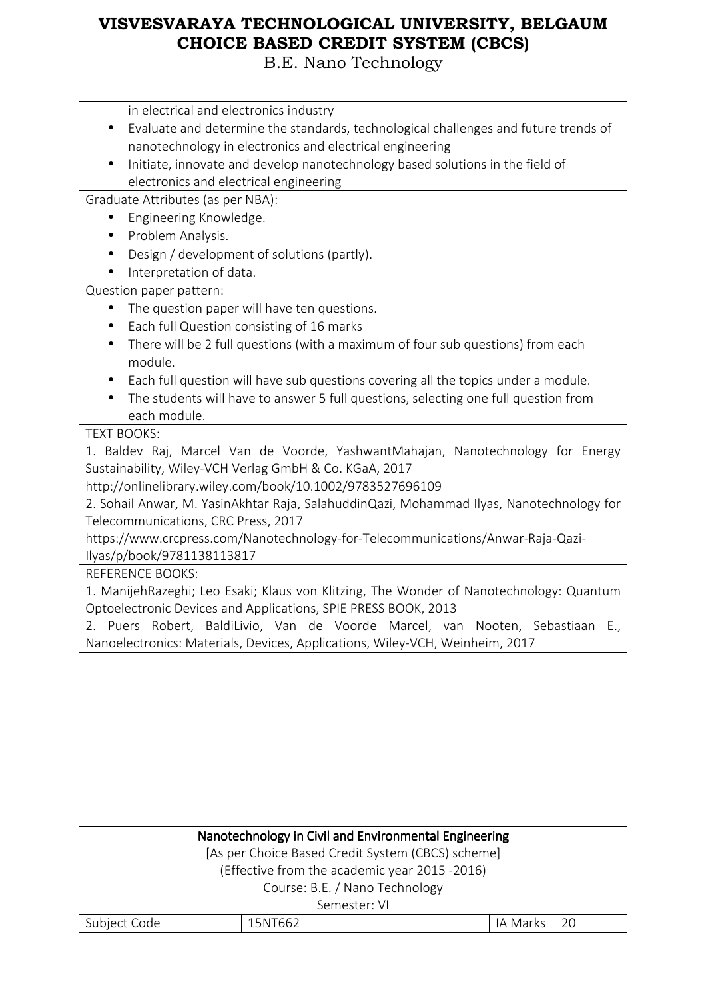| in electrical and electronics industry<br>Evaluate and determine the standards, technological challenges and future trends of<br>nanotechnology in electronics and electrical engineering<br>Initiate, innovate and develop nanotechnology based solutions in the field of |
|----------------------------------------------------------------------------------------------------------------------------------------------------------------------------------------------------------------------------------------------------------------------------|
| electronics and electrical engineering                                                                                                                                                                                                                                     |
| Graduate Attributes (as per NBA):                                                                                                                                                                                                                                          |
| Engineering Knowledge.                                                                                                                                                                                                                                                     |
| Problem Analysis.                                                                                                                                                                                                                                                          |
| Design / development of solutions (partly).                                                                                                                                                                                                                                |
| Interpretation of data.                                                                                                                                                                                                                                                    |
| Question paper pattern:                                                                                                                                                                                                                                                    |
| The question paper will have ten questions.<br>$\bullet$                                                                                                                                                                                                                   |
| Each full Question consisting of 16 marks<br>$\bullet$                                                                                                                                                                                                                     |
| There will be 2 full questions (with a maximum of four sub questions) from each<br>$\bullet$                                                                                                                                                                               |
| module.                                                                                                                                                                                                                                                                    |
| Each full question will have sub questions covering all the topics under a module.                                                                                                                                                                                         |
| The students will have to answer 5 full questions, selecting one full question from                                                                                                                                                                                        |
| each module.                                                                                                                                                                                                                                                               |
| <b>TEXT BOOKS:</b>                                                                                                                                                                                                                                                         |
| 1. Baldev Raj, Marcel Van de Voorde, YashwantMahajan, Nanotechnology for Energy                                                                                                                                                                                            |
| Sustainability, Wiley-VCH Verlag GmbH & Co. KGaA, 2017                                                                                                                                                                                                                     |
| http://onlinelibrary.wiley.com/book/10.1002/9783527696109                                                                                                                                                                                                                  |
| 2. Sohail Anwar, M. YasinAkhtar Raja, SalahuddinQazi, Mohammad Ilyas, Nanotechnology for                                                                                                                                                                                   |
| Telecommunications, CRC Press, 2017                                                                                                                                                                                                                                        |
| https://www.crcpress.com/Nanotechnology-for-Telecommunications/Anwar-Raja-Qazi-                                                                                                                                                                                            |
| Ilyas/p/book/9781138113817                                                                                                                                                                                                                                                 |
| <b>REFERENCE BOOKS:</b>                                                                                                                                                                                                                                                    |
| 1. ManijehRazeghi; Leo Esaki; Klaus von Klitzing, The Wonder of Nanotechnology: Quantum                                                                                                                                                                                    |
| Optoelectronic Devices and Applications, SPIE PRESS BOOK, 2013                                                                                                                                                                                                             |
| 2. Puers Robert, BaldiLivio, Van de Voorde Marcel, van Nooten, Sebastiaan<br>E.,                                                                                                                                                                                           |
| Nanoelectronics: Materials, Devices, Applications, Wiley-VCH, Weinheim, 2017                                                                                                                                                                                               |

| Nanotechnology in Civil and Environmental Engineering |         |          |                 |
|-------------------------------------------------------|---------|----------|-----------------|
| [As per Choice Based Credit System (CBCS) scheme]     |         |          |                 |
| (Effective from the academic year 2015 -2016)         |         |          |                 |
| Course: B.E. / Nano Technology                        |         |          |                 |
| Semester: VI                                          |         |          |                 |
| Subject Code                                          | 15NT662 | IA Marks | $\overline{20}$ |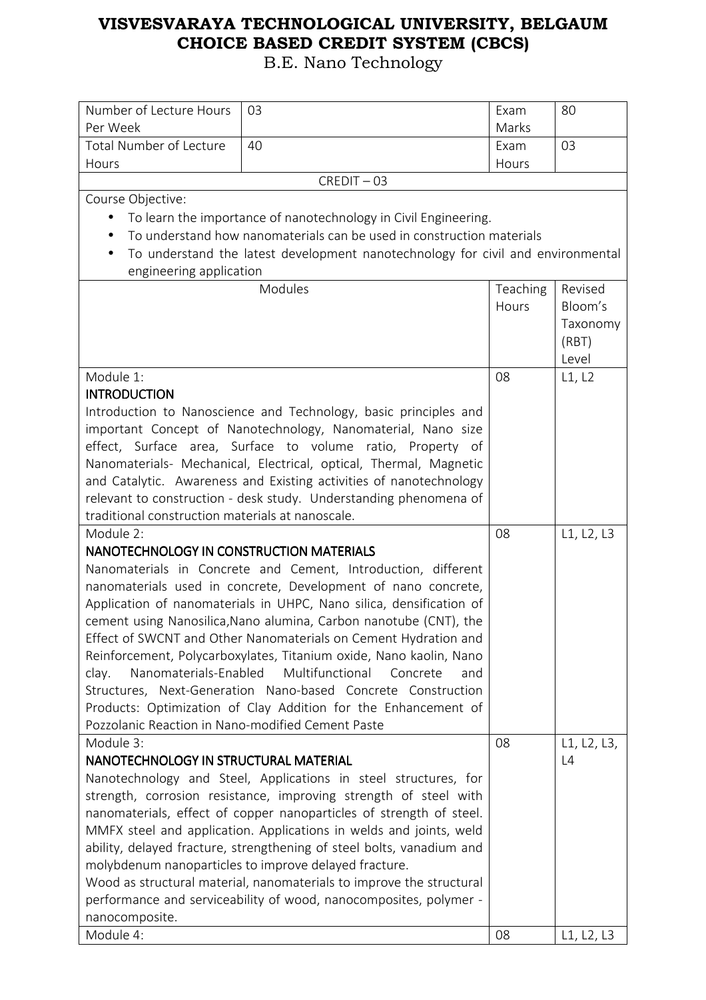| Number of Lecture Hours                                           | 03                                                                                                       | Exam     | 80          |
|-------------------------------------------------------------------|----------------------------------------------------------------------------------------------------------|----------|-------------|
| Per Week                                                          |                                                                                                          | Marks    |             |
| <b>Total Number of Lecture</b>                                    | 40                                                                                                       | Exam     | 03          |
| Hours                                                             |                                                                                                          | Hours    |             |
|                                                                   | $CREDIT - 03$                                                                                            |          |             |
| Course Objective:                                                 |                                                                                                          |          |             |
|                                                                   | To learn the importance of nanotechnology in Civil Engineering.                                          |          |             |
|                                                                   | To understand how nanomaterials can be used in construction materials                                    |          |             |
| $\bullet$                                                         | To understand the latest development nanotechnology for civil and environmental                          |          |             |
| engineering application                                           |                                                                                                          |          |             |
|                                                                   | <b>Modules</b>                                                                                           | Teaching | Revised     |
|                                                                   |                                                                                                          | Hours    | Bloom's     |
|                                                                   |                                                                                                          |          | Taxonomy    |
|                                                                   |                                                                                                          |          | (RBT)       |
|                                                                   |                                                                                                          |          | Level       |
| Module 1:                                                         |                                                                                                          | 08       | L1, L2      |
| <b>INTRODUCTION</b>                                               |                                                                                                          |          |             |
|                                                                   | Introduction to Nanoscience and Technology, basic principles and                                         |          |             |
|                                                                   | important Concept of Nanotechnology, Nanomaterial, Nano size                                             |          |             |
|                                                                   | effect, Surface area, Surface to volume ratio, Property of                                               |          |             |
|                                                                   | Nanomaterials- Mechanical, Electrical, optical, Thermal, Magnetic                                        |          |             |
|                                                                   | and Catalytic. Awareness and Existing activities of nanotechnology                                       |          |             |
| relevant to construction - desk study. Understanding phenomena of |                                                                                                          |          |             |
| traditional construction materials at nanoscale.                  |                                                                                                          |          |             |
| Module 2:                                                         |                                                                                                          | 08       | L1, L2, L3  |
| NANOTECHNOLOGY IN CONSTRUCTION MATERIALS                          |                                                                                                          |          |             |
|                                                                   | Nanomaterials in Concrete and Cement, Introduction, different                                            |          |             |
|                                                                   | nanomaterials used in concrete, Development of nano concrete,                                            |          |             |
|                                                                   | Application of nanomaterials in UHPC, Nano silica, densification of                                      |          |             |
|                                                                   | cement using Nanosilica, Nano alumina, Carbon nanotube (CNT), the                                        |          |             |
|                                                                   | Effect of SWCNT and Other Nanomaterials on Cement Hydration and                                          |          |             |
| Nanomaterials-Enabled                                             | Reinforcement, Polycarboxylates, Titanium oxide, Nano kaolin, Nano<br>Multifunctional<br>Concrete<br>and |          |             |
| clay.                                                             | Structures, Next-Generation Nano-based Concrete Construction                                             |          |             |
|                                                                   | Products: Optimization of Clay Addition for the Enhancement of                                           |          |             |
| Pozzolanic Reaction in Nano-modified Cement Paste                 |                                                                                                          |          |             |
| Module 3:                                                         |                                                                                                          | 08       | L1, L2, L3, |
| NANOTECHNOLOGY IN STRUCTURAL MATERIAL                             |                                                                                                          |          | L4          |
|                                                                   | Nanotechnology and Steel, Applications in steel structures, for                                          |          |             |
|                                                                   | strength, corrosion resistance, improving strength of steel with                                         |          |             |
|                                                                   | nanomaterials, effect of copper nanoparticles of strength of steel.                                      |          |             |
|                                                                   | MMFX steel and application. Applications in welds and joints, weld                                       |          |             |
|                                                                   | ability, delayed fracture, strengthening of steel bolts, vanadium and                                    |          |             |
|                                                                   | molybdenum nanoparticles to improve delayed fracture.                                                    |          |             |
|                                                                   | Wood as structural material, nanomaterials to improve the structural                                     |          |             |
|                                                                   | performance and serviceability of wood, nanocomposites, polymer -                                        |          |             |
| nanocomposite.                                                    |                                                                                                          |          |             |
| Module 4:                                                         |                                                                                                          | 08       | L1, L2, L3  |
|                                                                   |                                                                                                          |          |             |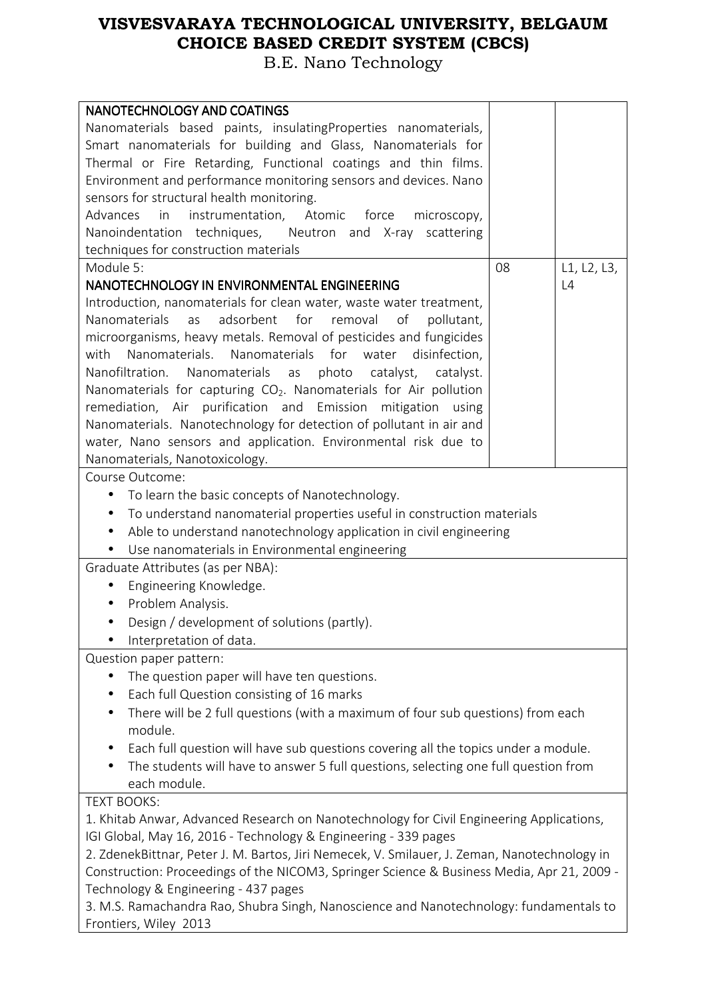| NANOTECHNOLOGY AND COATINGS                                                                  |    |             |
|----------------------------------------------------------------------------------------------|----|-------------|
| Nanomaterials based paints, insulating Properties nanomaterials,                             |    |             |
| Smart nanomaterials for building and Glass, Nanomaterials for                                |    |             |
| Thermal or Fire Retarding, Functional coatings and thin films.                               |    |             |
| Environment and performance monitoring sensors and devices. Nano                             |    |             |
| sensors for structural health monitoring.                                                    |    |             |
| Advances<br>instrumentation, Atomic<br>force<br>in<br>microscopy,                            |    |             |
| Nanoindentation techniques, Neutron and X-ray<br>scattering                                  |    |             |
| techniques for construction materials                                                        |    |             |
| Module 5:                                                                                    | 08 | L1, L2, L3, |
| NANOTECHNOLOGY IN ENVIRONMENTAL ENGINEERING                                                  |    | L4          |
| Introduction, nanomaterials for clean water, waste water treatment,                          |    |             |
| adsorbent<br>for<br><b>Nanomaterials</b><br>as<br>removal<br>of<br>pollutant,                |    |             |
| microorganisms, heavy metals. Removal of pesticides and fungicides                           |    |             |
| for<br>with<br>Nanomaterials.<br>Nanomaterials<br>water<br>disinfection,                     |    |             |
| Nanofiltration. Nanomaterials as<br>photo<br>catalyst,<br>catalyst.                          |    |             |
| Nanomaterials for capturing CO <sub>2</sub> . Nanomaterials for Air pollution                |    |             |
| remediation, Air purification and Emission mitigation using                                  |    |             |
| Nanomaterials. Nanotechnology for detection of pollutant in air and                          |    |             |
| water, Nano sensors and application. Environmental risk due to                               |    |             |
| Nanomaterials, Nanotoxicology.                                                               |    |             |
| Course Outcome:                                                                              |    |             |
| To learn the basic concepts of Nanotechnology.<br>$\bullet$                                  |    |             |
| To understand nanomaterial properties useful in construction materials<br>$\bullet$          |    |             |
| Able to understand nanotechnology application in civil engineering                           |    |             |
| Use nanomaterials in Environmental engineering<br>$\bullet$                                  |    |             |
| Graduate Attributes (as per NBA):                                                            |    |             |
| Engineering Knowledge.<br>$\bullet$                                                          |    |             |
| Problem Analysis.                                                                            |    |             |
| Design / development of solutions (partly).                                                  |    |             |
| Interpretation of data.                                                                      |    |             |
| Question paper pattern:                                                                      |    |             |
| The question paper will have ten questions.<br>$\bullet$                                     |    |             |
| Each full Question consisting of 16 marks<br>$\bullet$                                       |    |             |
| There will be 2 full questions (with a maximum of four sub questions) from each<br>$\bullet$ |    |             |
| module.                                                                                      |    |             |
| Each full question will have sub questions covering all the topics under a module.           |    |             |
| The students will have to answer 5 full questions, selecting one full question from          |    |             |
| each module.                                                                                 |    |             |
| <b>TEXT BOOKS:</b>                                                                           |    |             |
| 1. Khitab Anwar, Advanced Research on Nanotechnology for Civil Engineering Applications,     |    |             |
| IGI Global, May 16, 2016 - Technology & Engineering - 339 pages                              |    |             |
| 2. ZdenekBittnar, Peter J. M. Bartos, Jiri Nemecek, V. Smilauer, J. Zeman, Nanotechnology in |    |             |
| Construction: Proceedings of the NICOM3, Springer Science & Business Media, Apr 21, 2009 -   |    |             |
| Technology & Engineering - 437 pages                                                         |    |             |
| 3. M.S. Ramachandra Rao, Shubra Singh, Nanoscience and Nanotechnology: fundamentals to       |    |             |
| Frontiers, Wiley 2013                                                                        |    |             |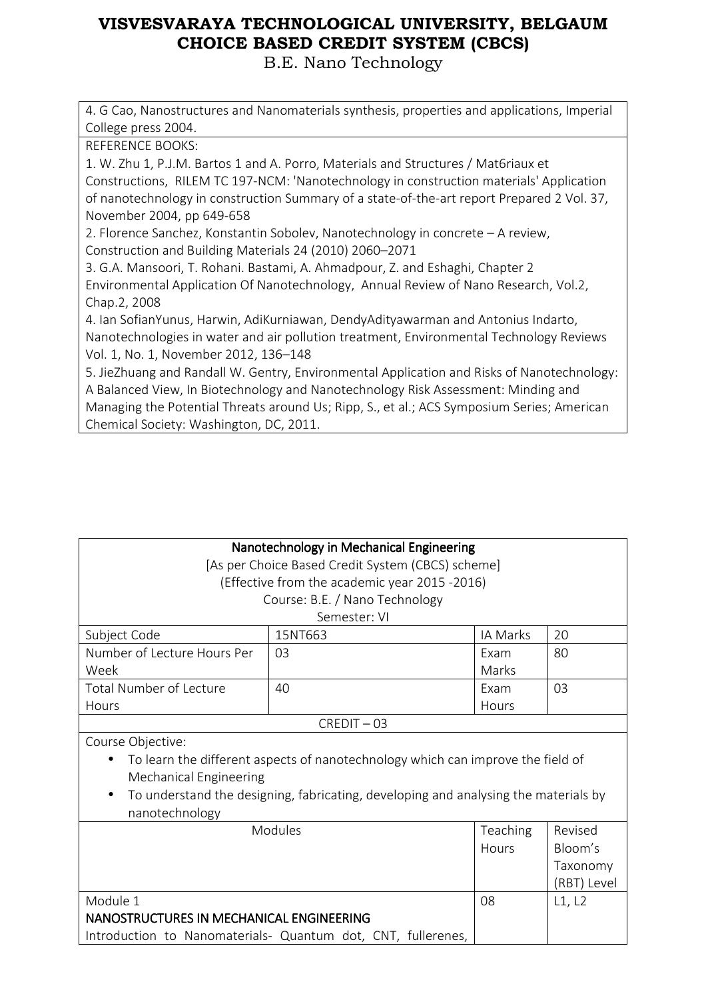B.E. Nano Technology

4. G Cao, Nanostructures and Nanomaterials synthesis, properties and applications, Imperial College press 2004. REFERENCE BOOKS: 1. W. Zhu 1, P.J.M. Bartos 1 and A. Porro, Materials and Structures / Mat6riaux et Constructions, RILEM TC 197-NCM: 'Nanotechnology in construction materials' Application of nanotechnology in construction Summary of a state-of-the-art report Prepared 2 Vol. 37, November 2004, pp 649-658

2. Florence Sanchez, Konstantin Sobolev, Nanotechnology in concrete – A review, Construction and Building Materials 24 (2010) 2060–2071

3. G.A. Mansoori, T. Rohani. Bastami, A. Ahmadpour, Z. and Eshaghi, Chapter 2 Environmental Application Of Nanotechnology, Annual Review of Nano Research, Vol.2, Chap.2, 2008

4. Ian SofianYunus, Harwin, AdiKurniawan, DendyAdityawarman and Antonius Indarto, Nanotechnologies in water and air pollution treatment, Environmental Technology Reviews Vol. 1, No. 1, November 2012, 136–148

5. JieZhuang and Randall W. Gentry, Environmental Application and Risks of Nanotechnology: A Balanced View, In Biotechnology and Nanotechnology Risk Assessment: Minding and Managing the Potential Threats around Us; Ripp, S., et al.; ACS Symposium Series; American Chemical Society: Washington, DC, 2011.

| Nanotechnology in Mechanical Engineering                                        |                                                                                     |          |             |
|---------------------------------------------------------------------------------|-------------------------------------------------------------------------------------|----------|-------------|
| [As per Choice Based Credit System (CBCS) scheme]                               |                                                                                     |          |             |
|                                                                                 | (Effective from the academic year 2015 -2016)                                       |          |             |
|                                                                                 | Course: B.E. / Nano Technology                                                      |          |             |
|                                                                                 | Semester: VI                                                                        |          |             |
| Subject Code                                                                    | 15NT663                                                                             | IA Marks | 20          |
| Number of Lecture Hours Per                                                     | 03                                                                                  | Exam     | 80          |
| Week                                                                            |                                                                                     | Marks    |             |
| <b>Total Number of Lecture</b>                                                  | 40                                                                                  | Exam     | 03          |
| Hours                                                                           |                                                                                     | Hours    |             |
|                                                                                 | $CREDIT - 03$                                                                       |          |             |
| Course Objective:                                                               |                                                                                     |          |             |
| To learn the different aspects of nanotechnology which can improve the field of |                                                                                     |          |             |
| Mechanical Engineering                                                          |                                                                                     |          |             |
| $\bullet$                                                                       | To understand the designing, fabricating, developing and analysing the materials by |          |             |
| nanotechnology                                                                  |                                                                                     |          |             |
|                                                                                 | Modules                                                                             | Teaching | Revised     |
|                                                                                 |                                                                                     | Hours    | Bloom's     |
|                                                                                 |                                                                                     |          | Taxonomy    |
|                                                                                 |                                                                                     |          | (RBT) Level |
| Module 1<br>08<br>L1, L2                                                        |                                                                                     |          |             |
| NANOSTRUCTURES IN MECHANICAL ENGINEERING                                        |                                                                                     |          |             |
|                                                                                 | Introduction to Nanomaterials- Quantum dot, CNT, fullerenes,                        |          |             |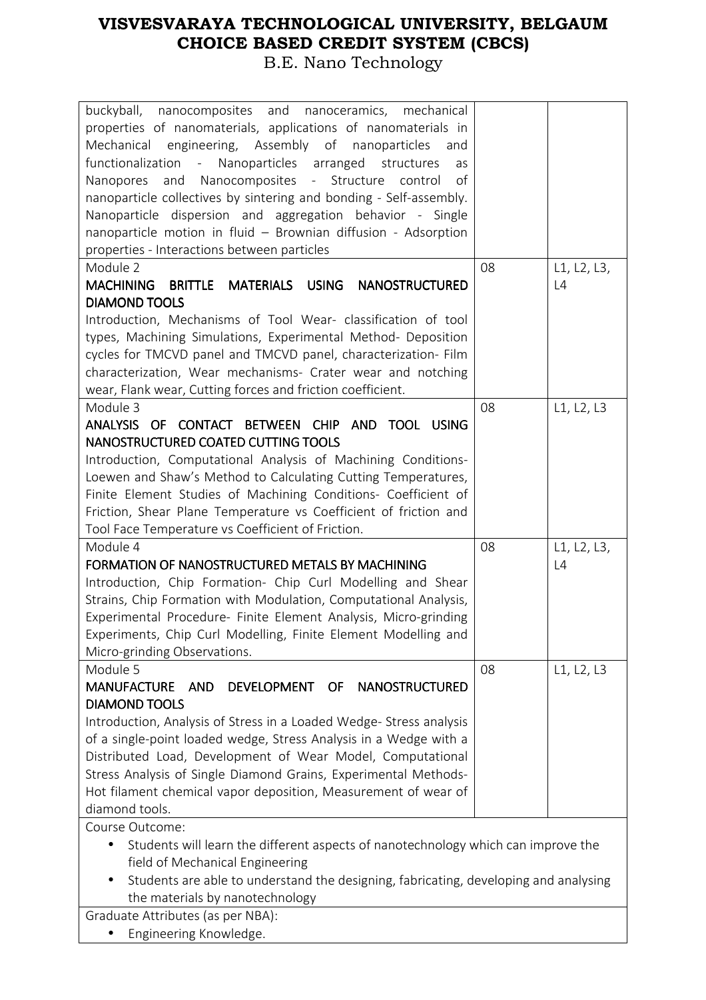| buckyball,<br>nanocomposites and nanoceramics, mechanical<br>properties of nanomaterials, applications of nanomaterials in<br>Mechanical engineering, Assembly of nanoparticles<br>and<br>functionalization - Nanoparticles arranged structures<br>as<br>Nanocomposites - Structure control<br>Nanopores and<br>of                                                                                                                                                     |    |             |
|------------------------------------------------------------------------------------------------------------------------------------------------------------------------------------------------------------------------------------------------------------------------------------------------------------------------------------------------------------------------------------------------------------------------------------------------------------------------|----|-------------|
| nanoparticle collectives by sintering and bonding - Self-assembly.<br>Nanoparticle dispersion and aggregation behavior - Single<br>nanoparticle motion in fluid - Brownian diffusion - Adsorption<br>properties - Interactions between particles                                                                                                                                                                                                                       |    |             |
| Module 2                                                                                                                                                                                                                                                                                                                                                                                                                                                               | 08 | L1, L2, L3, |
| <b>MACHINING</b><br>MATERIALS USING<br><b>NANOSTRUCTURED</b><br><b>BRITTLE</b><br><b>DIAMOND TOOLS</b>                                                                                                                                                                                                                                                                                                                                                                 |    | L4          |
| Introduction, Mechanisms of Tool Wear- classification of tool<br>types, Machining Simulations, Experimental Method- Deposition<br>cycles for TMCVD panel and TMCVD panel, characterization- Film<br>characterization, Wear mechanisms- Crater wear and notching<br>wear, Flank wear, Cutting forces and friction coefficient.                                                                                                                                          |    |             |
| Module 3                                                                                                                                                                                                                                                                                                                                                                                                                                                               | 08 | L1, L2, L3  |
| ANALYSIS OF CONTACT BETWEEN CHIP AND TOOL USING<br>NANOSTRUCTURED COATED CUTTING TOOLS<br>Introduction, Computational Analysis of Machining Conditions-<br>Loewen and Shaw's Method to Calculating Cutting Temperatures,<br>Finite Element Studies of Machining Conditions- Coefficient of<br>Friction, Shear Plane Temperature vs Coefficient of friction and<br>Tool Face Temperature vs Coefficient of Friction.                                                    |    |             |
| Module 4                                                                                                                                                                                                                                                                                                                                                                                                                                                               | 08 | L1, L2, L3, |
| FORMATION OF NANOSTRUCTURED METALS BY MACHINING<br>Introduction, Chip Formation- Chip Curl Modelling and Shear<br>Strains, Chip Formation with Modulation, Computational Analysis,<br>Experimental Procedure- Finite Element Analysis, Micro-grinding<br>Experiments, Chip Curl Modelling, Finite Element Modelling and<br>Micro-grinding Observations.                                                                                                                |    | L4          |
| Module 5                                                                                                                                                                                                                                                                                                                                                                                                                                                               | 08 | L1, L2, L3  |
| <b>MANUFACTURE</b><br>AND<br>DEVELOPMENT<br><b>OF</b><br><b>NANOSTRUCTURED</b><br><b>DIAMOND TOOLS</b><br>Introduction, Analysis of Stress in a Loaded Wedge-Stress analysis<br>of a single-point loaded wedge, Stress Analysis in a Wedge with a<br>Distributed Load, Development of Wear Model, Computational<br>Stress Analysis of Single Diamond Grains, Experimental Methods-<br>Hot filament chemical vapor deposition, Measurement of wear of<br>diamond tools. |    |             |
| Course Outcome:                                                                                                                                                                                                                                                                                                                                                                                                                                                        |    |             |
| Students will learn the different aspects of nanotechnology which can improve the<br>field of Mechanical Engineering<br>Students are able to understand the designing, fabricating, developing and analysing<br>the materials by nanotechnology                                                                                                                                                                                                                        |    |             |
| Graduate Attributes (as per NBA):                                                                                                                                                                                                                                                                                                                                                                                                                                      |    |             |
| Engineering Knowledge.                                                                                                                                                                                                                                                                                                                                                                                                                                                 |    |             |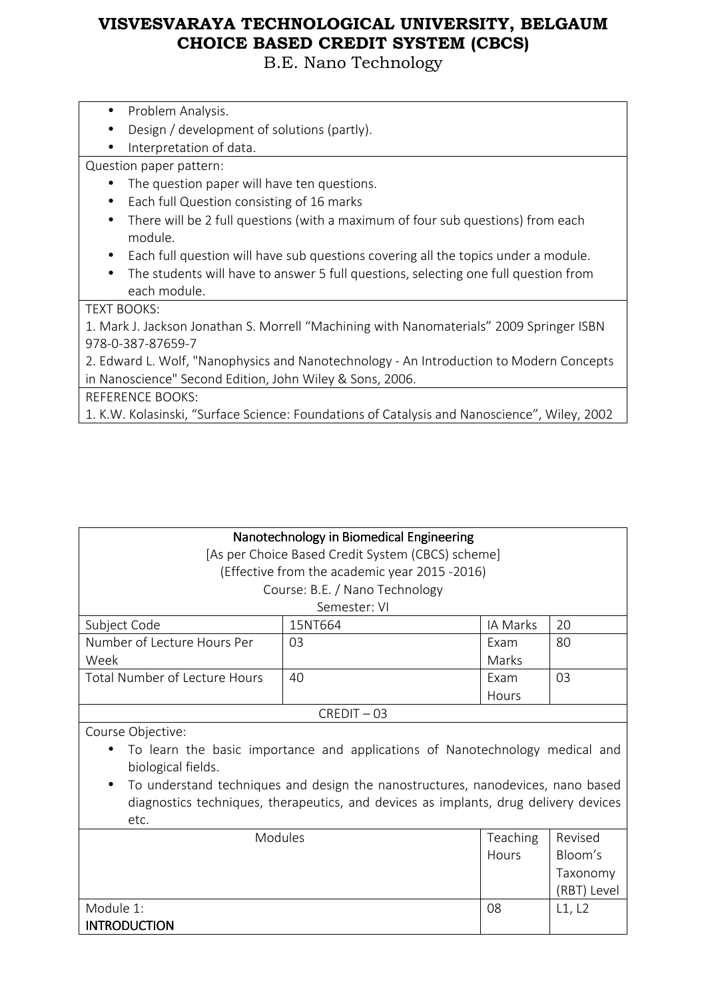B.E. Nano Technology

- Problem Analysis.
- Design / development of solutions (partly).
- Interpretation of data.

Question paper pattern:

- The question paper will have ten questions.
- Each full Question consisting of 16 marks
- There will be 2 full questions (with a maximum of four sub questions) from each module.
- Each full question will have sub questions covering all the topics under a module.
- The students will have to answer 5 full questions, selecting one full question from each module.

### TEXT BOOKS:

1. Mark J. Jackson Jonathan S. Morrell "Machining with Nanomaterials" 2009 Springer ISBN 978-0-387-87659-7

2. Edward L. Wolf, "Nanophysics and Nanotechnology - An Introduction to Modern Concepts in Nanoscience" Second Edition, John Wiley & Sons, 2006.

REFERENCE BOOKS:

1. K.W. Kolasinski, "Surface Science: Foundations of Catalysis and Nanoscience", Wiley, 2002

| Nanotechnology in Biomedical Engineering                                             |                                                                                 |                 |         |
|--------------------------------------------------------------------------------------|---------------------------------------------------------------------------------|-----------------|---------|
| [As per Choice Based Credit System (CBCS) scheme]                                    |                                                                                 |                 |         |
|                                                                                      | (Effective from the academic year 2015 -2016)                                   |                 |         |
|                                                                                      | Course: B.E. / Nano Technology                                                  |                 |         |
|                                                                                      | Semester: VI                                                                    |                 |         |
| Subject Code                                                                         | 15NT664                                                                         | IA Marks        | 20      |
| Number of Lecture Hours Per                                                          | 03                                                                              | Exam            | 80      |
| Week                                                                                 |                                                                                 | Marks           |         |
| Total Number of Lecture Hours                                                        | 40                                                                              | Exam            | 03      |
|                                                                                      |                                                                                 | Hours           |         |
|                                                                                      | $CREDIT - 03$                                                                   |                 |         |
| Course Objective:                                                                    |                                                                                 |                 |         |
|                                                                                      | To learn the basic importance and applications of Nanotechnology medical and    |                 |         |
| biological fields.                                                                   |                                                                                 |                 |         |
|                                                                                      | To understand techniques and design the nanostructures, nanodevices, nano based |                 |         |
| diagnostics techniques, therapeutics, and devices as implants, drug delivery devices |                                                                                 |                 |         |
| etc.                                                                                 |                                                                                 |                 |         |
| Modules                                                                              |                                                                                 | <b>Teaching</b> | Revised |
|                                                                                      |                                                                                 |                 |         |

| <b>IVIUUUICS</b>    | <b>ICALIIII</b> R | <b>ILCAPCA</b> |
|---------------------|-------------------|----------------|
|                     | Hours             | Bloom's        |
|                     |                   | Taxonomy       |
|                     |                   | (RBT) Level    |
| Module 1:           | -08               | L1, L2         |
| <b>INTRODUCTION</b> |                   |                |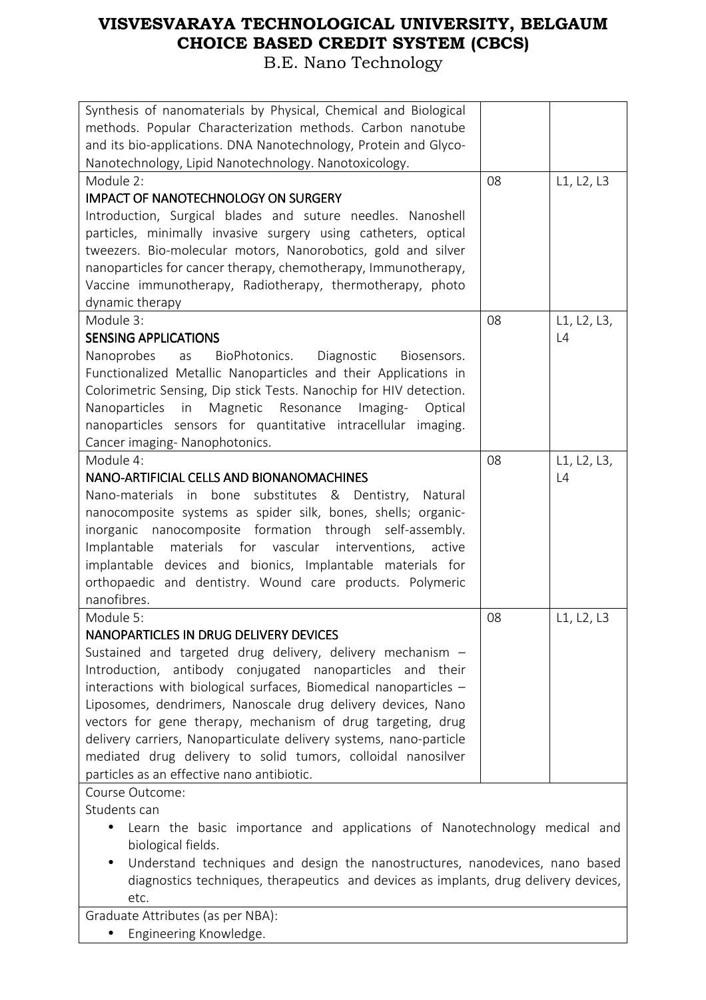| Synthesis of nanomaterials by Physical, Chemical and Biological                      |    |             |
|--------------------------------------------------------------------------------------|----|-------------|
| methods. Popular Characterization methods. Carbon nanotube                           |    |             |
| and its bio-applications. DNA Nanotechnology, Protein and Glyco-                     |    |             |
| Nanotechnology, Lipid Nanotechnology. Nanotoxicology.                                |    |             |
| Module 2:                                                                            | 08 | L1, L2, L3  |
| <b>IMPACT OF NANOTECHNOLOGY ON SURGERY</b>                                           |    |             |
| Introduction, Surgical blades and suture needles. Nanoshell                          |    |             |
| particles, minimally invasive surgery using catheters, optical                       |    |             |
| tweezers. Bio-molecular motors, Nanorobotics, gold and silver                        |    |             |
| nanoparticles for cancer therapy, chemotherapy, Immunotherapy,                       |    |             |
| Vaccine immunotherapy, Radiotherapy, thermotherapy, photo                            |    |             |
| dynamic therapy                                                                      |    |             |
| Module 3:                                                                            | 08 | L1, L2, L3, |
| <b>SENSING APPLICATIONS</b>                                                          |    | L4          |
| Diagnostic<br>Nanoprobes<br>BioPhotonics.<br>Biosensors.<br>as                       |    |             |
| Functionalized Metallic Nanoparticles and their Applications in                      |    |             |
| Colorimetric Sensing, Dip stick Tests. Nanochip for HIV detection.                   |    |             |
| in<br>Magnetic<br>Resonance<br>Nanoparticles<br>Imaging-<br>Optical                  |    |             |
| nanoparticles sensors for quantitative intracellular imaging.                        |    |             |
| Cancer imaging- Nanophotonics.                                                       |    |             |
| Module 4:                                                                            | 08 | L1, L2, L3, |
| NANO-ARTIFICIAL CELLS AND BIONANOMACHINES                                            |    | L4          |
| Nano-materials in bone substitutes & Dentistry,<br>Natural                           |    |             |
| nanocomposite systems as spider silk, bones, shells; organic-                        |    |             |
| inorganic nanocomposite formation through self-assembly.                             |    |             |
| materials for vascular interventions,<br>Implantable<br>active                       |    |             |
| implantable devices and bionics, Implantable materials for                           |    |             |
| orthopaedic and dentistry. Wound care products. Polymeric                            |    |             |
| nanofibres.                                                                          |    |             |
| Module 5:                                                                            | 08 | L1, L2, L3  |
| NANOPARTICLES IN DRUG DELIVERY DEVICES                                               |    |             |
| Sustained and targeted drug delivery, delivery mechanism -                           |    |             |
| Introduction, antibody conjugated nanoparticles and their                            |    |             |
| interactions with biological surfaces, Biomedical nanoparticles -                    |    |             |
| Liposomes, dendrimers, Nanoscale drug delivery devices, Nano                         |    |             |
| vectors for gene therapy, mechanism of drug targeting, drug                          |    |             |
| delivery carriers, Nanoparticulate delivery systems, nano-particle                   |    |             |
| mediated drug delivery to solid tumors, colloidal nanosilver                         |    |             |
| particles as an effective nano antibiotic.                                           |    |             |
| Course Outcome:                                                                      |    |             |
| Students can                                                                         |    |             |
| Learn the basic importance and applications of Nanotechnology medical and            |    |             |
| biological fields.                                                                   |    |             |
| Understand techniques and design the nanostructures, nanodevices, nano based         |    |             |
| diagnostics techniques, therapeutics and devices as implants, drug delivery devices, |    |             |
| etc.                                                                                 |    |             |
| Graduate Attributes (as per NBA):                                                    |    |             |
| Engineering Knowledge.                                                               |    |             |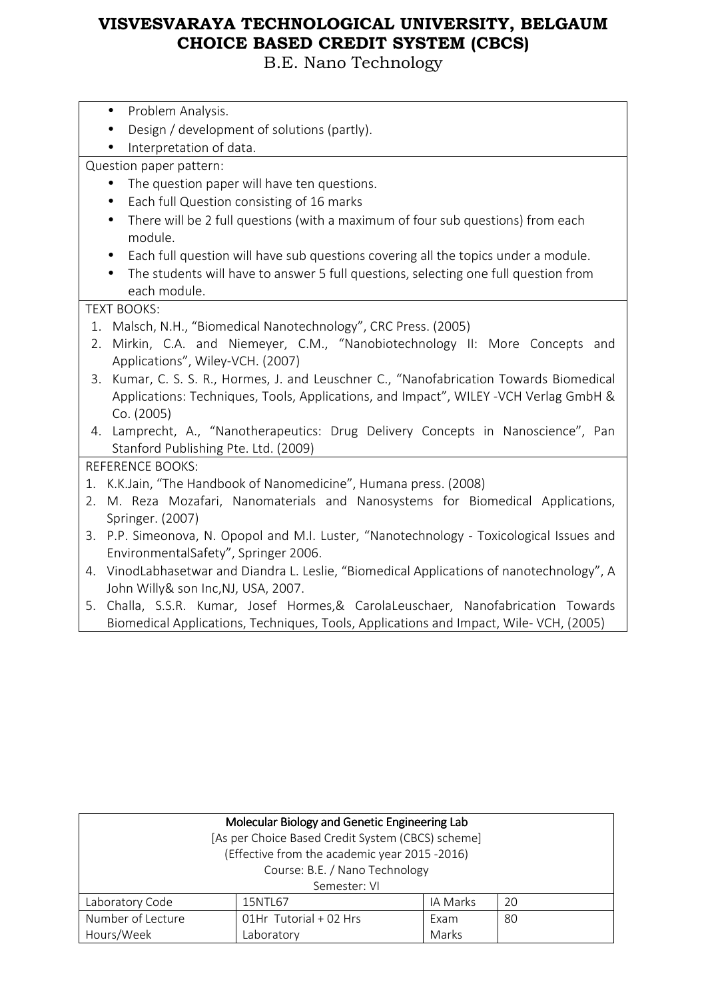B.E. Nano Technology

- Problem Analysis.
- Design / development of solutions (partly).
- Interpretation of data.

Question paper pattern:

- The question paper will have ten questions.
- Each full Question consisting of 16 marks
- There will be 2 full questions (with a maximum of four sub questions) from each module.
- Each full question will have sub questions covering all the topics under a module.
- The students will have to answer 5 full questions, selecting one full question from each module.

#### TEXT BOOKS:

- 1. Malsch, N.H., "Biomedical Nanotechnology", CRC Press. (2005)
- 2. Mirkin, C.A. and Niemeyer, C.M., "Nanobiotechnology II: More Concepts and Applications", Wiley-VCH. (2007)
- 3. Kumar, C. S. S. R., Hormes, J. and Leuschner C., "Nanofabrication Towards Biomedical Applications: Techniques, Tools, Applications, and Impact", WILEY -VCH Verlag GmbH & Co. (2005)
- 4. Lamprecht, A., "Nanotherapeutics: Drug Delivery Concepts in Nanoscience", Pan Stanford Publishing Pte. Ltd. (2009)

#### REFERENCE BOOKS:

- 1. K.K.Jain, "The Handbook of Nanomedicine", Humana press. (2008)
- 2. M. Reza Mozafari, Nanomaterials and Nanosystems for Biomedical Applications, Springer. (2007)
- 3. P.P. Simeonova, N. Opopol and M.I. Luster, "Nanotechnology Toxicological Issues and EnvironmentalSafety", Springer 2006.
- 4. VinodLabhasetwar and Diandra L. Leslie, "Biomedical Applications of nanotechnology", A John Willy& son Inc,NJ, USA, 2007.
- 5. Challa, S.S.R. Kumar, Josef Hormes,& CarolaLeuschaer, Nanofabrication Towards Biomedical Applications, Techniques, Tools, Applications and Impact, Wile- VCH, (2005)

| Molecular Biology and Genetic Engineering Lab |                                                   |          |    |
|-----------------------------------------------|---------------------------------------------------|----------|----|
|                                               | [As per Choice Based Credit System (CBCS) scheme] |          |    |
|                                               | (Effective from the academic year 2015 -2016)     |          |    |
|                                               | Course: B.E. / Nano Technology                    |          |    |
| Semester: VI                                  |                                                   |          |    |
| Laboratory Code                               | 15NTL67                                           | IA Marks | 20 |
| Number of Lecture                             | 01Hr Tutorial + 02 Hrs                            | Exam     | 80 |
| Hours/Week                                    | Laboratory                                        | Marks    |    |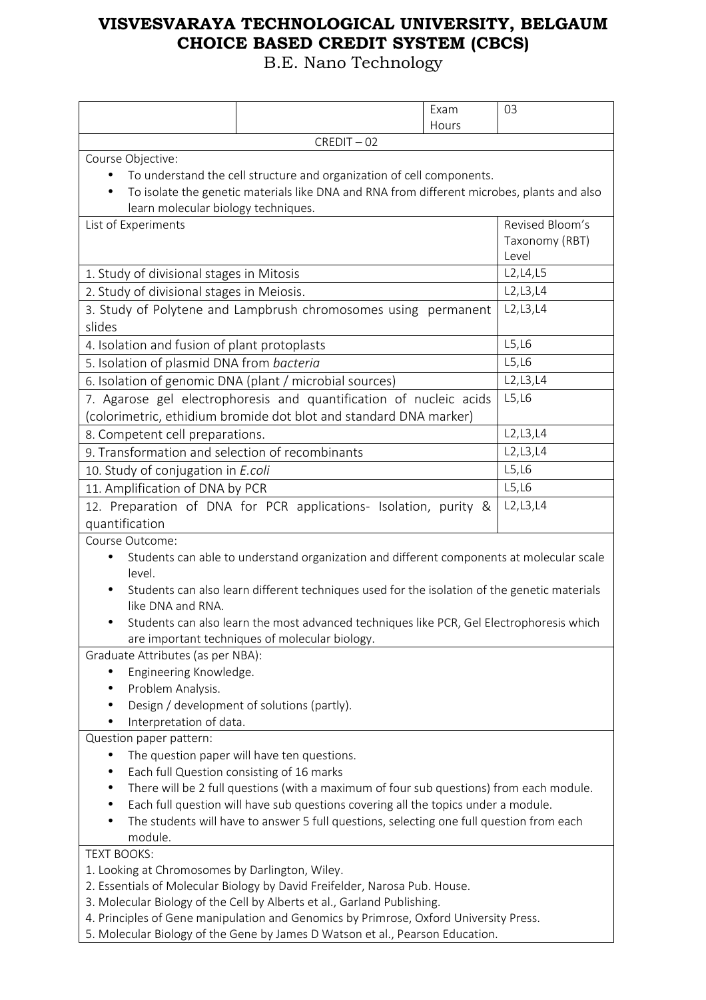|                                                                                                                                                                                |                                                                                                                                         | Exam  | 03                      |  |
|--------------------------------------------------------------------------------------------------------------------------------------------------------------------------------|-----------------------------------------------------------------------------------------------------------------------------------------|-------|-------------------------|--|
|                                                                                                                                                                                | $CREDIT - 02$                                                                                                                           | Hours |                         |  |
| Course Objective:                                                                                                                                                              |                                                                                                                                         |       |                         |  |
|                                                                                                                                                                                | To understand the cell structure and organization of cell components.                                                                   |       |                         |  |
|                                                                                                                                                                                | To isolate the genetic materials like DNA and RNA from different microbes, plants and also                                              |       |                         |  |
| learn molecular biology techniques.                                                                                                                                            |                                                                                                                                         |       |                         |  |
| List of Experiments                                                                                                                                                            |                                                                                                                                         |       | Revised Bloom's         |  |
|                                                                                                                                                                                |                                                                                                                                         |       | Taxonomy (RBT)<br>Level |  |
| 1. Study of divisional stages in Mitosis                                                                                                                                       |                                                                                                                                         |       | L2, L4, L5              |  |
| 2. Study of divisional stages in Meiosis.                                                                                                                                      |                                                                                                                                         |       | L2, L3, L4              |  |
|                                                                                                                                                                                | 3. Study of Polytene and Lampbrush chromosomes using permanent                                                                          |       | L2, L3, L4              |  |
| slides                                                                                                                                                                         |                                                                                                                                         |       |                         |  |
| 4. Isolation and fusion of plant protoplasts                                                                                                                                   |                                                                                                                                         |       | L5, L6                  |  |
| 5. Isolation of plasmid DNA from bacteria                                                                                                                                      |                                                                                                                                         |       | L5, L6                  |  |
|                                                                                                                                                                                | 6. Isolation of genomic DNA (plant / microbial sources)                                                                                 |       | L2, L3, L4              |  |
|                                                                                                                                                                                | 7. Agarose gel electrophoresis and quantification of nucleic acids<br>(colorimetric, ethidium bromide dot blot and standard DNA marker) |       | L5, L6                  |  |
| 8. Competent cell preparations.                                                                                                                                                |                                                                                                                                         |       | L2, L3, L4              |  |
| 9. Transformation and selection of recombinants                                                                                                                                |                                                                                                                                         |       | L2, L3, L4              |  |
| 10. Study of conjugation in E.coli                                                                                                                                             |                                                                                                                                         |       | L5, L6                  |  |
| 11. Amplification of DNA by PCR                                                                                                                                                |                                                                                                                                         |       | L5, L6                  |  |
|                                                                                                                                                                                | 12. Preparation of DNA for PCR applications- Isolation, purity &                                                                        |       | L2, L3, L4              |  |
| quantification                                                                                                                                                                 |                                                                                                                                         |       |                         |  |
| Course Outcome:                                                                                                                                                                |                                                                                                                                         |       |                         |  |
|                                                                                                                                                                                | Students can able to understand organization and different components at molecular scale                                                |       |                         |  |
| level.                                                                                                                                                                         |                                                                                                                                         |       |                         |  |
| like DNA and RNA.                                                                                                                                                              | Students can also learn different techniques used for the isolation of the genetic materials                                            |       |                         |  |
|                                                                                                                                                                                | Students can also learn the most advanced techniques like PCR, Gel Electrophoresis which                                                |       |                         |  |
|                                                                                                                                                                                | are important techniques of molecular biology.                                                                                          |       |                         |  |
| Graduate Attributes (as per NBA):                                                                                                                                              |                                                                                                                                         |       |                         |  |
| Engineering Knowledge.                                                                                                                                                         |                                                                                                                                         |       |                         |  |
| Problem Analysis.                                                                                                                                                              |                                                                                                                                         |       |                         |  |
|                                                                                                                                                                                | Design / development of solutions (partly).                                                                                             |       |                         |  |
| Interpretation of data.                                                                                                                                                        |                                                                                                                                         |       |                         |  |
| Question paper pattern:                                                                                                                                                        |                                                                                                                                         |       |                         |  |
|                                                                                                                                                                                | The question paper will have ten questions.                                                                                             |       |                         |  |
|                                                                                                                                                                                | Each full Question consisting of 16 marks                                                                                               |       |                         |  |
|                                                                                                                                                                                | There will be 2 full questions (with a maximum of four sub questions) from each module.                                                 |       |                         |  |
| Each full question will have sub questions covering all the topics under a module.<br>The students will have to answer 5 full questions, selecting one full question from each |                                                                                                                                         |       |                         |  |
| module.                                                                                                                                                                        |                                                                                                                                         |       |                         |  |
| <b>TEXT BOOKS:</b>                                                                                                                                                             |                                                                                                                                         |       |                         |  |
| 1. Looking at Chromosomes by Darlington, Wiley.                                                                                                                                |                                                                                                                                         |       |                         |  |
| 2. Essentials of Molecular Biology by David Freifelder, Narosa Pub. House.                                                                                                     |                                                                                                                                         |       |                         |  |
| 3. Molecular Biology of the Cell by Alberts et al., Garland Publishing.                                                                                                        |                                                                                                                                         |       |                         |  |
|                                                                                                                                                                                | 4. Principles of Gene manipulation and Genomics by Primrose, Oxford University Press.                                                   |       |                         |  |
|                                                                                                                                                                                | 5. Molecular Biology of the Gene by James D Watson et al., Pearson Education.                                                           |       |                         |  |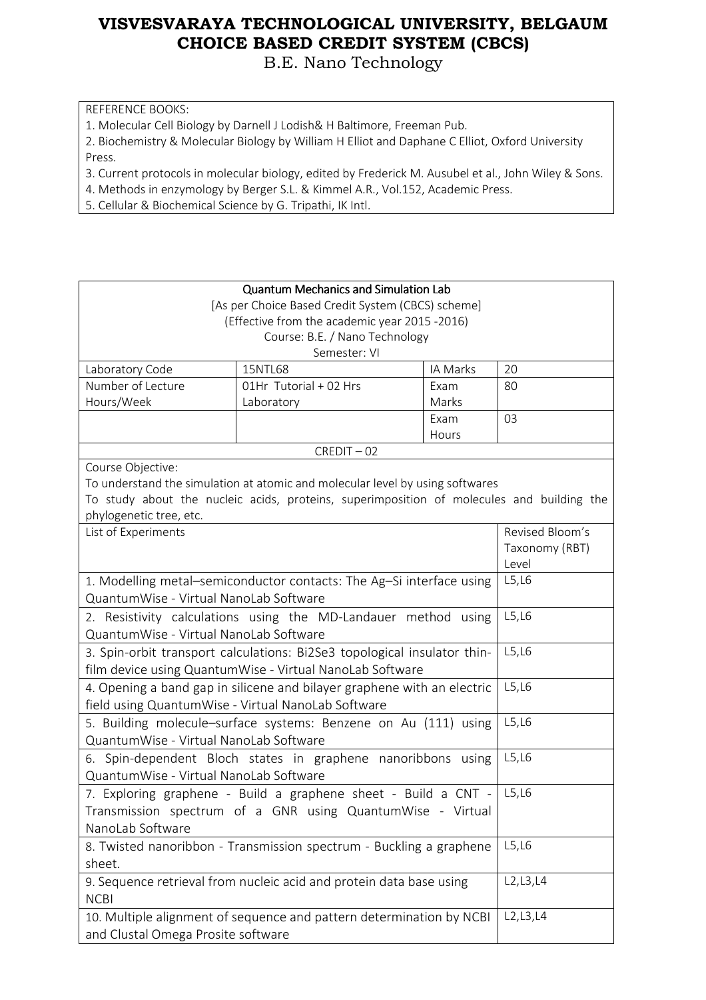B.E. Nano Technology

REFERENCE BOOKS:

1. Molecular Cell Biology by Darnell J Lodish& H Baltimore, Freeman Pub.

2. Biochemistry & Molecular Biology by William H Elliot and Daphane C Elliot, Oxford University Press.

3. Current protocols in molecular biology, edited by Frederick M. Ausubel et al., John Wiley & Sons.

4. Methods in enzymology by Berger S.L. & Kimmel A.R., Vol.152, Academic Press.

5. Cellular & Biochemical Science by G. Tripathi, IK Intl.

| <b>Quantum Mechanics and Simulation Lab</b><br>[As per Choice Based Credit System (CBCS) scheme]<br>(Effective from the academic year 2015 -2016) |                                                                                                                                                                            |               |                 |
|---------------------------------------------------------------------------------------------------------------------------------------------------|----------------------------------------------------------------------------------------------------------------------------------------------------------------------------|---------------|-----------------|
|                                                                                                                                                   | Course: B.E. / Nano Technology<br>Semester: VI                                                                                                                             |               |                 |
| Laboratory Code                                                                                                                                   | 15NTL68                                                                                                                                                                    | IA Marks      | 20              |
| Number of Lecture                                                                                                                                 | 01Hr Tutorial + 02 Hrs                                                                                                                                                     | Exam          | 80              |
| Hours/Week                                                                                                                                        | Laboratory                                                                                                                                                                 | Marks         |                 |
|                                                                                                                                                   |                                                                                                                                                                            | Exam<br>Hours | 03              |
|                                                                                                                                                   | $CREDIT - 02$                                                                                                                                                              |               |                 |
| Course Objective:<br>phylogenetic tree, etc.                                                                                                      | To understand the simulation at atomic and molecular level by using softwares<br>To study about the nucleic acids, proteins, superimposition of molecules and building the |               |                 |
| List of Experiments                                                                                                                               |                                                                                                                                                                            |               | Revised Bloom's |
|                                                                                                                                                   |                                                                                                                                                                            |               | Taxonomy (RBT)  |
|                                                                                                                                                   |                                                                                                                                                                            |               | Level           |
| 1. Modelling metal-semiconductor contacts: The Ag-Si interface using<br>QuantumWise - Virtual NanoLab Software                                    |                                                                                                                                                                            |               | L5, L6          |
| 2. Resistivity calculations using the MD-Landauer method using<br>QuantumWise - Virtual NanoLab Software                                          |                                                                                                                                                                            |               | L5, L6          |
| 3. Spin-orbit transport calculations: Bi2Se3 topological insulator thin-<br>film device using QuantumWise - Virtual NanoLab Software              |                                                                                                                                                                            |               | L5, L6          |
| 4. Opening a band gap in silicene and bilayer graphene with an electric<br>field using QuantumWise - Virtual NanoLab Software                     |                                                                                                                                                                            |               | L5, L6          |
| QuantumWise - Virtual NanoLab Software                                                                                                            | 5. Building molecule-surface systems: Benzene on Au (111) using                                                                                                            |               | L5, L6          |
| 6. Spin-dependent Bloch states in graphene nanoribbons using<br>QuantumWise - Virtual NanoLab Software                                            |                                                                                                                                                                            |               | L5, L6          |
| 7. Exploring graphene - Build a graphene sheet - Build a CNT -<br>Transmission spectrum of a GNR using QuantumWise - Virtual<br>NanoLab Software  |                                                                                                                                                                            |               | L5,L6           |
| 8. Twisted nanoribbon - Transmission spectrum - Buckling a graphene<br>sheet.                                                                     |                                                                                                                                                                            |               | L5, L6          |
| 9. Sequence retrieval from nucleic acid and protein data base using<br><b>NCBI</b>                                                                |                                                                                                                                                                            |               | L2, L3, L4      |
| and Clustal Omega Prosite software                                                                                                                | 10. Multiple alignment of sequence and pattern determination by NCBI                                                                                                       |               | L2, L3, L4      |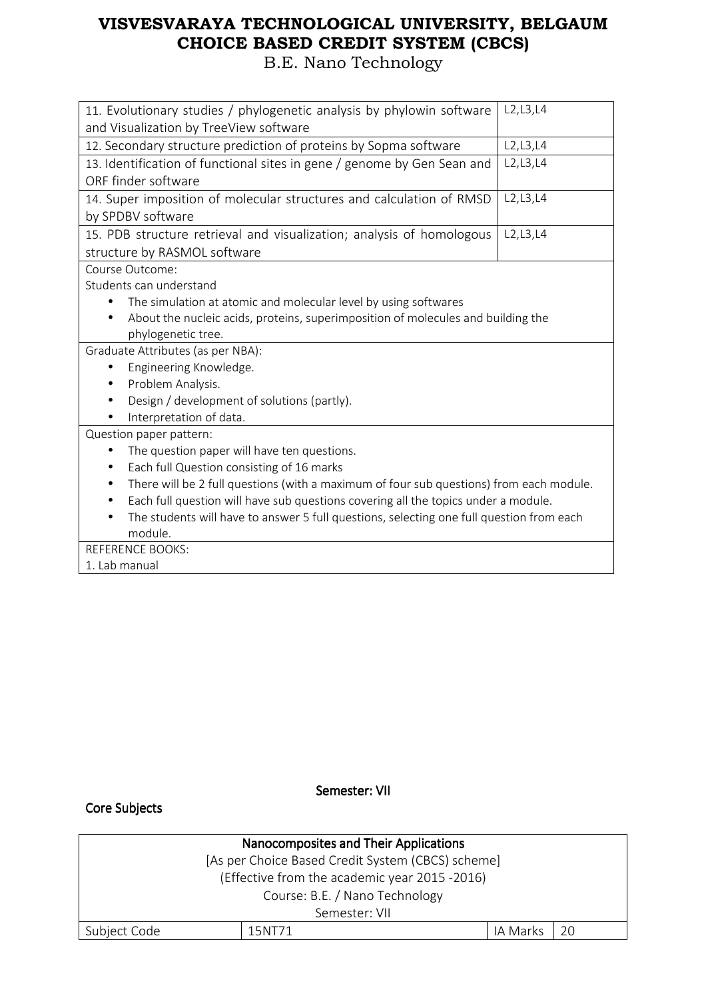B.E. Nano Technology

| and Visualization by TreeView software<br>L2, L3, L4<br>12. Secondary structure prediction of proteins by Sopma software<br>L2, L3, L4<br>13. Identification of functional sites in gene / genome by Gen Sean and<br>ORF finder software<br>14. Super imposition of molecular structures and calculation of RMSD<br>L2, L3, L4<br>by SPDBV software<br>15. PDB structure retrieval and visualization; analysis of homologous<br>L2, L3, L4<br>structure by RASMOL software<br>Course Outcome:<br>Students can understand<br>The simulation at atomic and molecular level by using softwares<br>About the nucleic acids, proteins, superimposition of molecules and building the<br>phylogenetic tree.<br>Graduate Attributes (as per NBA):<br>Engineering Knowledge.<br>Problem Analysis.<br>Design / development of solutions (partly).<br>Interpretation of data.<br>Question paper pattern:<br>The question paper will have ten questions.<br>Each full Question consisting of 16 marks<br>$\bullet$<br>There will be 2 full questions (with a maximum of four sub questions) from each module.<br>Each full question will have sub questions covering all the topics under a module.<br>The students will have to answer 5 full questions, selecting one full question from each<br>module.<br><b>REFERENCE BOOKS:</b><br>1. Lab manual |                                                                       |            |  |  |
|---------------------------------------------------------------------------------------------------------------------------------------------------------------------------------------------------------------------------------------------------------------------------------------------------------------------------------------------------------------------------------------------------------------------------------------------------------------------------------------------------------------------------------------------------------------------------------------------------------------------------------------------------------------------------------------------------------------------------------------------------------------------------------------------------------------------------------------------------------------------------------------------------------------------------------------------------------------------------------------------------------------------------------------------------------------------------------------------------------------------------------------------------------------------------------------------------------------------------------------------------------------------------------------------------------------------------------------------|-----------------------------------------------------------------------|------------|--|--|
|                                                                                                                                                                                                                                                                                                                                                                                                                                                                                                                                                                                                                                                                                                                                                                                                                                                                                                                                                                                                                                                                                                                                                                                                                                                                                                                                             | 11. Evolutionary studies / phylogenetic analysis by phylowin software | L2, L3, L4 |  |  |
|                                                                                                                                                                                                                                                                                                                                                                                                                                                                                                                                                                                                                                                                                                                                                                                                                                                                                                                                                                                                                                                                                                                                                                                                                                                                                                                                             |                                                                       |            |  |  |
|                                                                                                                                                                                                                                                                                                                                                                                                                                                                                                                                                                                                                                                                                                                                                                                                                                                                                                                                                                                                                                                                                                                                                                                                                                                                                                                                             |                                                                       |            |  |  |
|                                                                                                                                                                                                                                                                                                                                                                                                                                                                                                                                                                                                                                                                                                                                                                                                                                                                                                                                                                                                                                                                                                                                                                                                                                                                                                                                             |                                                                       |            |  |  |
|                                                                                                                                                                                                                                                                                                                                                                                                                                                                                                                                                                                                                                                                                                                                                                                                                                                                                                                                                                                                                                                                                                                                                                                                                                                                                                                                             |                                                                       |            |  |  |
|                                                                                                                                                                                                                                                                                                                                                                                                                                                                                                                                                                                                                                                                                                                                                                                                                                                                                                                                                                                                                                                                                                                                                                                                                                                                                                                                             |                                                                       |            |  |  |
|                                                                                                                                                                                                                                                                                                                                                                                                                                                                                                                                                                                                                                                                                                                                                                                                                                                                                                                                                                                                                                                                                                                                                                                                                                                                                                                                             |                                                                       |            |  |  |
|                                                                                                                                                                                                                                                                                                                                                                                                                                                                                                                                                                                                                                                                                                                                                                                                                                                                                                                                                                                                                                                                                                                                                                                                                                                                                                                                             |                                                                       |            |  |  |
|                                                                                                                                                                                                                                                                                                                                                                                                                                                                                                                                                                                                                                                                                                                                                                                                                                                                                                                                                                                                                                                                                                                                                                                                                                                                                                                                             |                                                                       |            |  |  |
|                                                                                                                                                                                                                                                                                                                                                                                                                                                                                                                                                                                                                                                                                                                                                                                                                                                                                                                                                                                                                                                                                                                                                                                                                                                                                                                                             |                                                                       |            |  |  |
|                                                                                                                                                                                                                                                                                                                                                                                                                                                                                                                                                                                                                                                                                                                                                                                                                                                                                                                                                                                                                                                                                                                                                                                                                                                                                                                                             |                                                                       |            |  |  |
|                                                                                                                                                                                                                                                                                                                                                                                                                                                                                                                                                                                                                                                                                                                                                                                                                                                                                                                                                                                                                                                                                                                                                                                                                                                                                                                                             |                                                                       |            |  |  |
|                                                                                                                                                                                                                                                                                                                                                                                                                                                                                                                                                                                                                                                                                                                                                                                                                                                                                                                                                                                                                                                                                                                                                                                                                                                                                                                                             |                                                                       |            |  |  |
|                                                                                                                                                                                                                                                                                                                                                                                                                                                                                                                                                                                                                                                                                                                                                                                                                                                                                                                                                                                                                                                                                                                                                                                                                                                                                                                                             |                                                                       |            |  |  |
|                                                                                                                                                                                                                                                                                                                                                                                                                                                                                                                                                                                                                                                                                                                                                                                                                                                                                                                                                                                                                                                                                                                                                                                                                                                                                                                                             |                                                                       |            |  |  |
|                                                                                                                                                                                                                                                                                                                                                                                                                                                                                                                                                                                                                                                                                                                                                                                                                                                                                                                                                                                                                                                                                                                                                                                                                                                                                                                                             |                                                                       |            |  |  |
|                                                                                                                                                                                                                                                                                                                                                                                                                                                                                                                                                                                                                                                                                                                                                                                                                                                                                                                                                                                                                                                                                                                                                                                                                                                                                                                                             |                                                                       |            |  |  |
|                                                                                                                                                                                                                                                                                                                                                                                                                                                                                                                                                                                                                                                                                                                                                                                                                                                                                                                                                                                                                                                                                                                                                                                                                                                                                                                                             |                                                                       |            |  |  |
|                                                                                                                                                                                                                                                                                                                                                                                                                                                                                                                                                                                                                                                                                                                                                                                                                                                                                                                                                                                                                                                                                                                                                                                                                                                                                                                                             |                                                                       |            |  |  |
|                                                                                                                                                                                                                                                                                                                                                                                                                                                                                                                                                                                                                                                                                                                                                                                                                                                                                                                                                                                                                                                                                                                                                                                                                                                                                                                                             |                                                                       |            |  |  |
|                                                                                                                                                                                                                                                                                                                                                                                                                                                                                                                                                                                                                                                                                                                                                                                                                                                                                                                                                                                                                                                                                                                                                                                                                                                                                                                                             |                                                                       |            |  |  |
|                                                                                                                                                                                                                                                                                                                                                                                                                                                                                                                                                                                                                                                                                                                                                                                                                                                                                                                                                                                                                                                                                                                                                                                                                                                                                                                                             |                                                                       |            |  |  |
|                                                                                                                                                                                                                                                                                                                                                                                                                                                                                                                                                                                                                                                                                                                                                                                                                                                                                                                                                                                                                                                                                                                                                                                                                                                                                                                                             |                                                                       |            |  |  |
|                                                                                                                                                                                                                                                                                                                                                                                                                                                                                                                                                                                                                                                                                                                                                                                                                                                                                                                                                                                                                                                                                                                                                                                                                                                                                                                                             |                                                                       |            |  |  |
|                                                                                                                                                                                                                                                                                                                                                                                                                                                                                                                                                                                                                                                                                                                                                                                                                                                                                                                                                                                                                                                                                                                                                                                                                                                                                                                                             |                                                                       |            |  |  |
|                                                                                                                                                                                                                                                                                                                                                                                                                                                                                                                                                                                                                                                                                                                                                                                                                                                                                                                                                                                                                                                                                                                                                                                                                                                                                                                                             |                                                                       |            |  |  |
|                                                                                                                                                                                                                                                                                                                                                                                                                                                                                                                                                                                                                                                                                                                                                                                                                                                                                                                                                                                                                                                                                                                                                                                                                                                                                                                                             |                                                                       |            |  |  |
|                                                                                                                                                                                                                                                                                                                                                                                                                                                                                                                                                                                                                                                                                                                                                                                                                                                                                                                                                                                                                                                                                                                                                                                                                                                                                                                                             |                                                                       |            |  |  |

### Core Subjects

Semester: VII

| Nanocomposites and Their Applications             |        |  |          |     |
|---------------------------------------------------|--------|--|----------|-----|
| [As per Choice Based Credit System (CBCS) scheme] |        |  |          |     |
| (Effective from the academic year 2015 -2016)     |        |  |          |     |
| Course: B.E. / Nano Technology                    |        |  |          |     |
| Semester: VII                                     |        |  |          |     |
| Subject Code                                      | 15NT71 |  | IA Marks | -20 |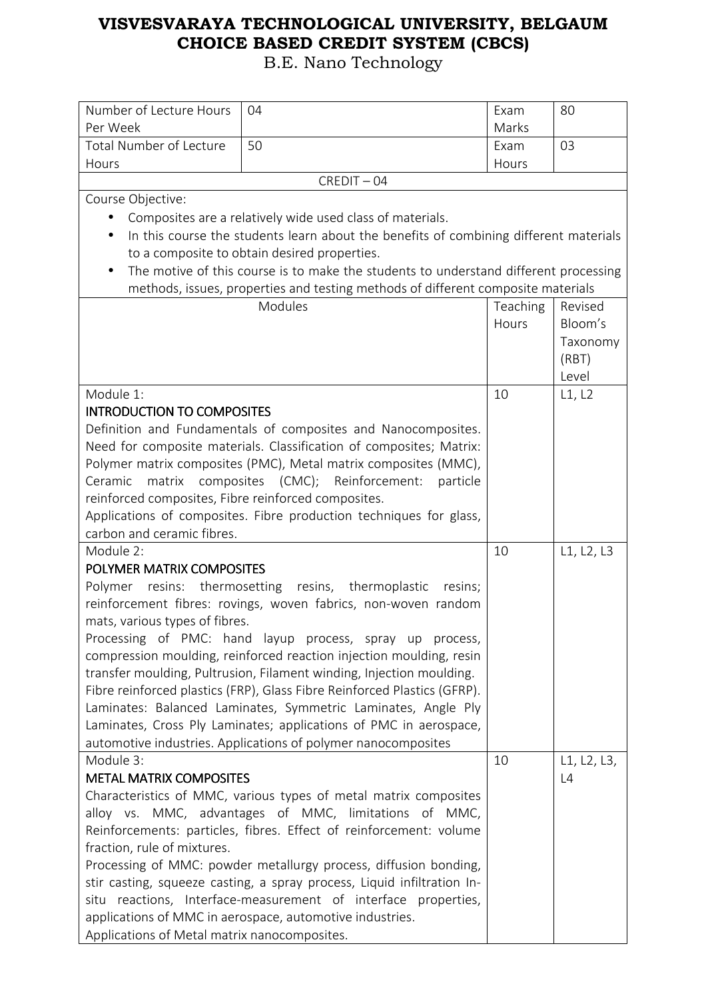| Number of Lecture Hours                             | 04                                                                                                                     | Exam     | 80          |
|-----------------------------------------------------|------------------------------------------------------------------------------------------------------------------------|----------|-------------|
| Per Week                                            |                                                                                                                        | Marks    |             |
| <b>Total Number of Lecture</b>                      | 50                                                                                                                     | Exam     | 03          |
| Hours                                               |                                                                                                                        | Hours    |             |
|                                                     | $CREDIT - 04$                                                                                                          |          |             |
| Course Objective:                                   |                                                                                                                        |          |             |
|                                                     | Composites are a relatively wide used class of materials.                                                              |          |             |
| $\bullet$                                           | In this course the students learn about the benefits of combining different materials                                  |          |             |
|                                                     | to a composite to obtain desired properties.                                                                           |          |             |
|                                                     | The motive of this course is to make the students to understand different processing                                   |          |             |
|                                                     | methods, issues, properties and testing methods of different composite materials                                       |          |             |
|                                                     | Modules                                                                                                                | Teaching | Revised     |
|                                                     |                                                                                                                        | Hours    | Bloom's     |
|                                                     |                                                                                                                        |          | Taxonomy    |
|                                                     |                                                                                                                        |          | (RBT)       |
|                                                     |                                                                                                                        |          | Level       |
| Module 1:                                           |                                                                                                                        | 10       | L1, L2      |
| <b>INTRODUCTION TO COMPOSITES</b>                   |                                                                                                                        |          |             |
|                                                     | Definition and Fundamentals of composites and Nanocomposites.                                                          |          |             |
|                                                     | Need for composite materials. Classification of composites; Matrix:                                                    |          |             |
| Ceramic                                             | Polymer matrix composites (PMC), Metal matrix composites (MMC),<br>matrix composites (CMC); Reinforcement:<br>particle |          |             |
| reinforced composites, Fibre reinforced composites. |                                                                                                                        |          |             |
|                                                     | Applications of composites. Fibre production techniques for glass,                                                     |          |             |
| carbon and ceramic fibres.                          |                                                                                                                        |          |             |
| Module 2:                                           |                                                                                                                        | 10       | L1, L2, L3  |
| POLYMER MATRIX COMPOSITES                           |                                                                                                                        |          |             |
| Polymer                                             | resins: thermosetting resins, thermoplastic<br>resins;                                                                 |          |             |
|                                                     | reinforcement fibres: rovings, woven fabrics, non-woven random                                                         |          |             |
| mats, various types of fibres.                      |                                                                                                                        |          |             |
|                                                     | Processing of PMC: hand layup process, spray up process,                                                               |          |             |
|                                                     | compression moulding, reinforced reaction injection moulding, resin                                                    |          |             |
|                                                     | transfer moulding, Pultrusion, Filament winding, Injection moulding.                                                   |          |             |
|                                                     | Fibre reinforced plastics (FRP), Glass Fibre Reinforced Plastics (GFRP).                                               |          |             |
|                                                     | Laminates: Balanced Laminates, Symmetric Laminates, Angle Ply                                                          |          |             |
|                                                     | Laminates, Cross Ply Laminates; applications of PMC in aerospace,                                                      |          |             |
|                                                     | automotive industries. Applications of polymer nanocomposites                                                          |          |             |
| Module 3:                                           |                                                                                                                        | 10       | L1, L2, L3, |
| <b>METAL MATRIX COMPOSITES</b>                      |                                                                                                                        |          | L4          |
|                                                     | Characteristics of MMC, various types of metal matrix composites                                                       |          |             |
|                                                     | alloy vs. MMC, advantages of MMC, limitations of MMC,                                                                  |          |             |
|                                                     | Reinforcements: particles, fibres. Effect of reinforcement: volume                                                     |          |             |
| fraction, rule of mixtures.                         |                                                                                                                        |          |             |
|                                                     | Processing of MMC: powder metallurgy process, diffusion bonding,                                                       |          |             |
|                                                     | stir casting, squeeze casting, a spray process, Liquid infiltration In-                                                |          |             |
|                                                     | situ reactions, Interface-measurement of interface properties,                                                         |          |             |
|                                                     | applications of MMC in aerospace, automotive industries.                                                               |          |             |
| Applications of Metal matrix nanocomposites.        |                                                                                                                        |          |             |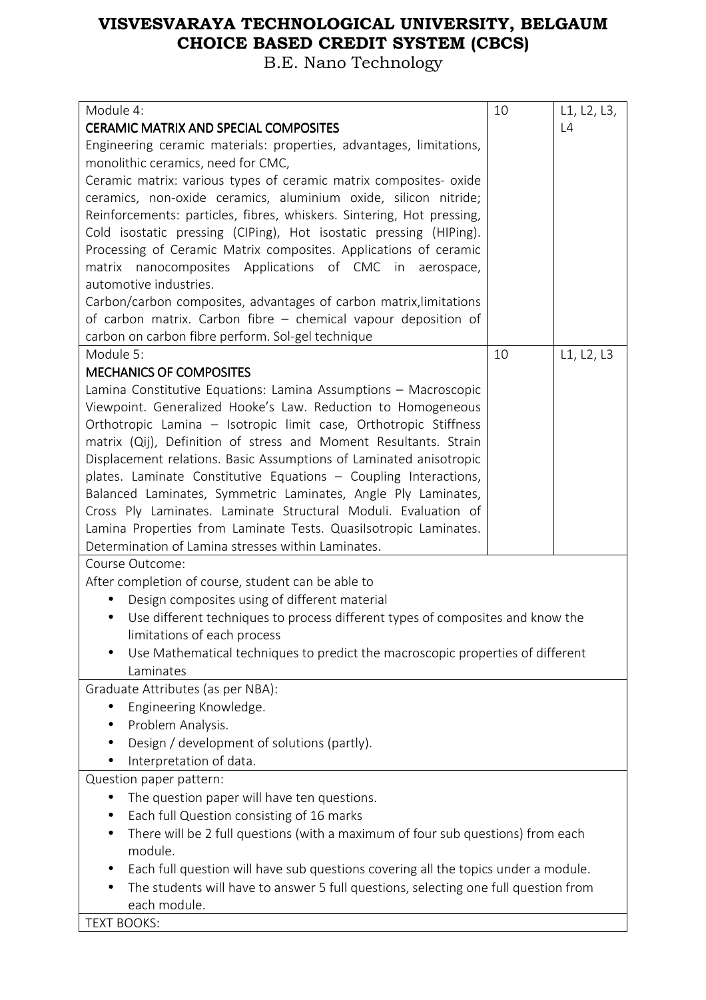B.E. Nano Technology

| Module 4:                                                                                                 | 10 |             |
|-----------------------------------------------------------------------------------------------------------|----|-------------|
|                                                                                                           |    | L1, L2, L3, |
| <b>CERAMIC MATRIX AND SPECIAL COMPOSITES</b>                                                              |    | L4          |
| Engineering ceramic materials: properties, advantages, limitations,<br>monolithic ceramics, need for CMC, |    |             |
|                                                                                                           |    |             |
| Ceramic matrix: various types of ceramic matrix composites- oxide                                         |    |             |
| ceramics, non-oxide ceramics, aluminium oxide, silicon nitride;                                           |    |             |
| Reinforcements: particles, fibres, whiskers. Sintering, Hot pressing,                                     |    |             |
| Cold isostatic pressing (CIPing), Hot isostatic pressing (HIPing).                                        |    |             |
| Processing of Ceramic Matrix composites. Applications of ceramic                                          |    |             |
| matrix nanocomposites Applications of CMC in aerospace,<br>automotive industries.                         |    |             |
|                                                                                                           |    |             |
| Carbon/carbon composites, advantages of carbon matrix, limitations                                        |    |             |
| of carbon matrix. Carbon fibre - chemical vapour deposition of                                            |    |             |
| carbon on carbon fibre perform. Sol-gel technique                                                         |    |             |
| Module 5:                                                                                                 | 10 | L1, L2, L3  |
| <b>MECHANICS OF COMPOSITES</b>                                                                            |    |             |
| Lamina Constitutive Equations: Lamina Assumptions - Macroscopic                                           |    |             |
| Viewpoint. Generalized Hooke's Law. Reduction to Homogeneous                                              |    |             |
| Orthotropic Lamina - Isotropic limit case, Orthotropic Stiffness                                          |    |             |
| matrix (Qij), Definition of stress and Moment Resultants. Strain                                          |    |             |
| Displacement relations. Basic Assumptions of Laminated anisotropic                                        |    |             |
| plates. Laminate Constitutive Equations - Coupling Interactions,                                          |    |             |
| Balanced Laminates, Symmetric Laminates, Angle Ply Laminates,                                             |    |             |
| Cross Ply Laminates. Laminate Structural Moduli. Evaluation of                                            |    |             |
| Lamina Properties from Laminate Tests. Quasilsotropic Laminates.                                          |    |             |
| Determination of Lamina stresses within Laminates.                                                        |    |             |
| Course Outcome:                                                                                           |    |             |
| After completion of course, student can be able to                                                        |    |             |
| Design composites using of different material                                                             |    |             |
| Use different techniques to process different types of composites and know the<br>$\bullet$               |    |             |
| limitations of each process                                                                               |    |             |
| Use Mathematical techniques to predict the macroscopic properties of different                            |    |             |
| Laminates                                                                                                 |    |             |
| Graduate Attributes (as per NBA):                                                                         |    |             |
| Engineering Knowledge.                                                                                    |    |             |
| Problem Analysis.                                                                                         |    |             |
| Design / development of solutions (partly).                                                               |    |             |
| Interpretation of data.                                                                                   |    |             |
| Question paper pattern:                                                                                   |    |             |
| The question paper will have ten questions.                                                               |    |             |
| Each full Question consisting of 16 marks                                                                 |    |             |
| There will be 2 full questions (with a maximum of four sub questions) from each                           |    |             |
| module.                                                                                                   |    |             |
| Each full question will have sub questions covering all the topics under a module.                        |    |             |
| The students will have to answer 5 full questions, selecting one full question from                       |    |             |
| each module.                                                                                              |    |             |
|                                                                                                           |    |             |

TEXT BOOKS: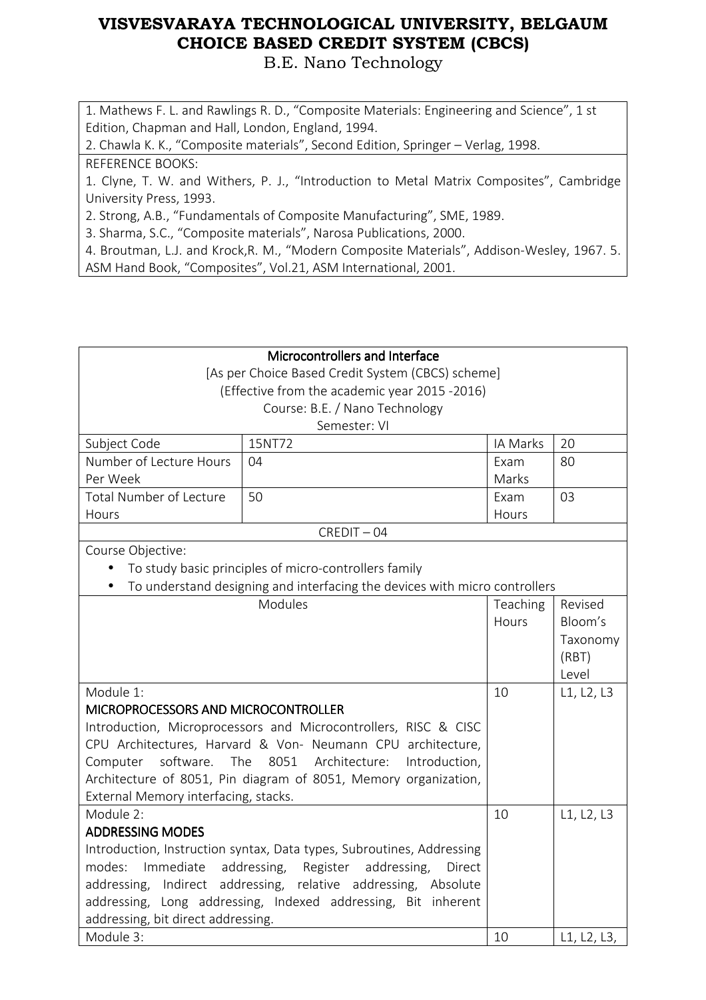B.E. Nano Technology

1. Mathews F. L. and Rawlings R. D., "Composite Materials: Engineering and Science", 1 st Edition, Chapman and Hall, London, England, 1994.

2. Chawla K. K., "Composite materials", Second Edition, Springer – Verlag, 1998.

REFERENCE BOOKS:

1. Clyne, T. W. and Withers, P. J., "Introduction to Metal Matrix Composites", Cambridge University Press, 1993.

2. Strong, A.B., "Fundamentals of Composite Manufacturing", SME, 1989.

3. Sharma, S.C., "Composite materials", Narosa Publications, 2000.

4. Broutman, L.J. and Krock,R. M., "Modern Composite Materials", Addison-Wesley, 1967. 5. ASM Hand Book, "Composites", Vol.21, ASM International, 2001.

|                                                   | Microcontrollers and Interface                                                                                                 |          |             |
|---------------------------------------------------|--------------------------------------------------------------------------------------------------------------------------------|----------|-------------|
| [As per Choice Based Credit System (CBCS) scheme] |                                                                                                                                |          |             |
| (Effective from the academic year 2015 -2016)     |                                                                                                                                |          |             |
|                                                   | Course: B.E. / Nano Technology                                                                                                 |          |             |
|                                                   | Semester: VI                                                                                                                   |          |             |
| Subject Code                                      | 15NT72                                                                                                                         | IA Marks | 20          |
| Number of Lecture Hours                           | 04                                                                                                                             | Exam     | 80          |
| Per Week                                          |                                                                                                                                | Marks    |             |
| <b>Total Number of Lecture</b>                    | 50                                                                                                                             | Exam     | 03          |
| Hours                                             |                                                                                                                                | Hours    |             |
|                                                   | $CREDIT - 04$                                                                                                                  |          |             |
| Course Objective:                                 |                                                                                                                                |          |             |
|                                                   | To study basic principles of micro-controllers family                                                                          |          |             |
| $\bullet$                                         | To understand designing and interfacing the devices with micro controllers                                                     |          |             |
|                                                   | Modules                                                                                                                        | Teaching | Revised     |
|                                                   |                                                                                                                                | Hours    | Bloom's     |
|                                                   |                                                                                                                                |          | Taxonomy    |
|                                                   |                                                                                                                                |          | (RBT)       |
|                                                   |                                                                                                                                |          | Level       |
| Module 1:                                         |                                                                                                                                | 10       | L1, L2, L3  |
| MICROPROCESSORS AND MICROCONTROLLER               |                                                                                                                                |          |             |
|                                                   | Introduction, Microprocessors and Microcontrollers, RISC & CISC<br>CPU Architectures, Harvard & Von- Neumann CPU architecture, |          |             |
| software.<br>Computer                             | The<br>8051<br>Architecture:<br>Introduction,                                                                                  |          |             |
|                                                   | Architecture of 8051, Pin diagram of 8051, Memory organization,                                                                |          |             |
| External Memory interfacing, stacks.              |                                                                                                                                |          |             |
| Module 2:                                         |                                                                                                                                | 10       | L1, L2, L3  |
| <b>ADDRESSING MODES</b>                           |                                                                                                                                |          |             |
|                                                   | Introduction, Instruction syntax, Data types, Subroutines, Addressing                                                          |          |             |
| modes:<br>Immediate                               | addressing, Register addressing,<br>Direct                                                                                     |          |             |
|                                                   | addressing, Indirect addressing, relative addressing, Absolute                                                                 |          |             |
|                                                   | addressing, Long addressing, Indexed addressing, Bit inherent                                                                  |          |             |
| addressing, bit direct addressing.                |                                                                                                                                |          |             |
| Module 3:                                         |                                                                                                                                | 10       | L1, L2, L3, |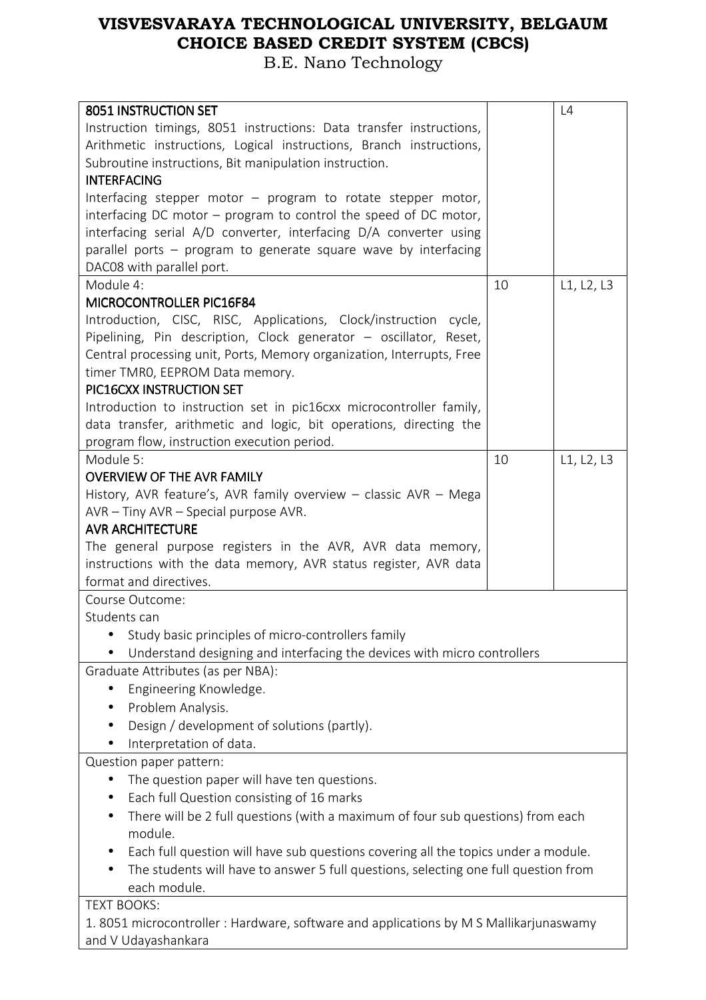| 8051 INSTRUCTION SET                                                                  |    | L4         |
|---------------------------------------------------------------------------------------|----|------------|
| Instruction timings, 8051 instructions: Data transfer instructions,                   |    |            |
| Arithmetic instructions, Logical instructions, Branch instructions,                   |    |            |
| Subroutine instructions, Bit manipulation instruction.                                |    |            |
| <b>INTERFACING</b>                                                                    |    |            |
| Interfacing stepper motor $-$ program to rotate stepper motor,                        |    |            |
| interfacing DC motor – program to control the speed of DC motor,                      |    |            |
| interfacing serial A/D converter, interfacing D/A converter using                     |    |            |
| parallel ports - program to generate square wave by interfacing                       |    |            |
| DAC08 with parallel port.                                                             |    |            |
| Module 4:                                                                             | 10 | L1, L2, L3 |
| MICROCONTROLLER PIC16F84                                                              |    |            |
| Introduction, CISC, RISC, Applications, Clock/instruction<br>cycle,                   |    |            |
| Pipelining, Pin description, Clock generator - oscillator, Reset,                     |    |            |
| Central processing unit, Ports, Memory organization, Interrupts, Free                 |    |            |
| timer TMRO, EEPROM Data memory.                                                       |    |            |
| PIC16CXX INSTRUCTION SET                                                              |    |            |
| Introduction to instruction set in pic16cxx microcontroller family,                   |    |            |
| data transfer, arithmetic and logic, bit operations, directing the                    |    |            |
| program flow, instruction execution period.                                           |    |            |
| Module 5:                                                                             | 10 | L1, L2, L3 |
| <b>OVERVIEW OF THE AVR FAMILY</b>                                                     |    |            |
| History, AVR feature's, AVR family overview - classic AVR - Mega                      |    |            |
| AVR - Tiny AVR - Special purpose AVR.                                                 |    |            |
| <b>AVR ARCHITECTURE</b>                                                               |    |            |
| The general purpose registers in the AVR, AVR data memory,                            |    |            |
| instructions with the data memory, AVR status register, AVR data                      |    |            |
| format and directives.                                                                |    |            |
| Course Outcome:                                                                       |    |            |
| Students can                                                                          |    |            |
|                                                                                       |    |            |
| Study basic principles of micro-controllers family                                    |    |            |
| Understand designing and interfacing the devices with micro controllers               |    |            |
| Graduate Attributes (as per NBA):                                                     |    |            |
| Engineering Knowledge.<br>$\bullet$                                                   |    |            |
| Problem Analysis.                                                                     |    |            |
| Design / development of solutions (partly).<br>$\bullet$                              |    |            |
| Interpretation of data.                                                               |    |            |
| Question paper pattern:                                                               |    |            |
| The question paper will have ten questions.                                           |    |            |
| Each full Question consisting of 16 marks<br>$\bullet$                                |    |            |
| There will be 2 full questions (with a maximum of four sub questions) from each       |    |            |
| module.                                                                               |    |            |
| Each full question will have sub questions covering all the topics under a module.    |    |            |
| The students will have to answer 5 full questions, selecting one full question from   |    |            |
| each module.                                                                          |    |            |
| <b>TEXT BOOKS:</b>                                                                    |    |            |
| 1. 8051 microcontroller: Hardware, software and applications by M S Mallikarjunaswamy |    |            |
| and V Udayashankara                                                                   |    |            |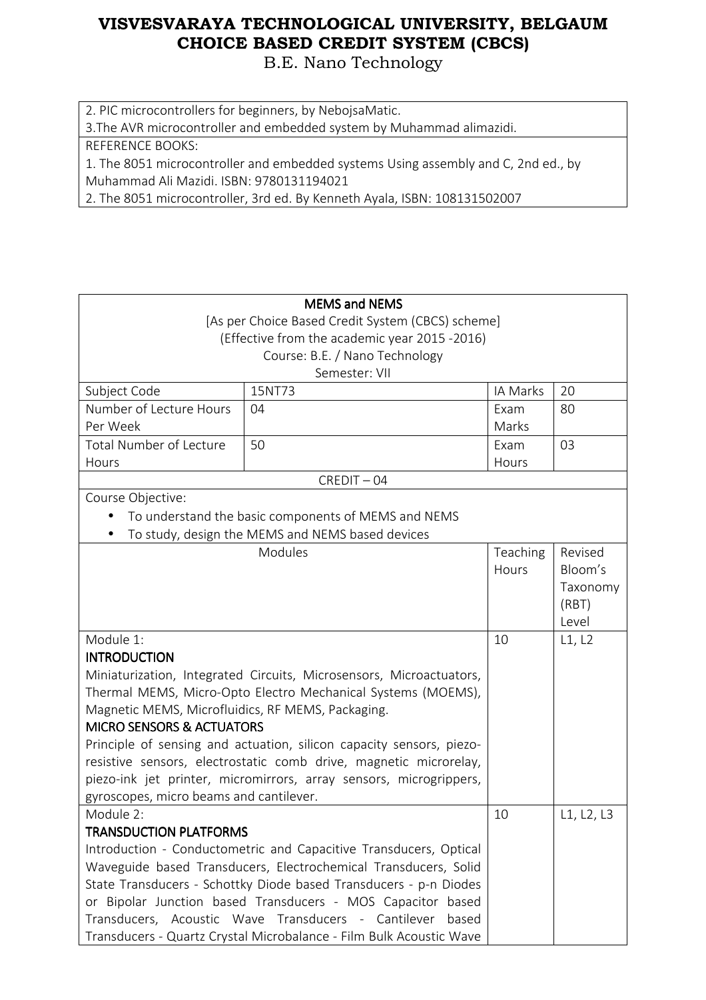B.E. Nano Technology

2. PIC microcontrollers for beginners, by NebojsaMatic.

3.The AVR microcontroller and embedded system by Muhammad alimazidi.

REFERENCE BOOKS:

1. The 8051 microcontroller and embedded systems Using assembly and C, 2nd ed., by Muhammad Ali Mazidi. ISBN: 9780131194021

2. The 8051 microcontroller, 3rd ed. By Kenneth Ayala, ISBN: 108131502007

| <b>MEMS and NEMS</b>                                                |                                                                      |          |            |
|---------------------------------------------------------------------|----------------------------------------------------------------------|----------|------------|
|                                                                     | [As per Choice Based Credit System (CBCS) scheme]                    |          |            |
| (Effective from the academic year 2015 -2016)                       |                                                                      |          |            |
|                                                                     | Course: B.E. / Nano Technology                                       |          |            |
|                                                                     | Semester: VII                                                        |          |            |
| Subject Code                                                        | 15NT73                                                               | IA Marks | 20         |
| Number of Lecture Hours                                             | 04                                                                   | Exam     | 80         |
| Per Week                                                            |                                                                      | Marks    |            |
| <b>Total Number of Lecture</b>                                      | 50                                                                   | Exam     | 03         |
| Hours                                                               |                                                                      | Hours    |            |
|                                                                     | $CREDIT - 04$                                                        |          |            |
| Course Objective:                                                   |                                                                      |          |            |
|                                                                     | To understand the basic components of MEMS and NEMS                  |          |            |
|                                                                     | To study, design the MEMS and NEMS based devices                     |          |            |
|                                                                     | Modules                                                              | Teaching | Revised    |
|                                                                     |                                                                      | Hours    | Bloom's    |
|                                                                     |                                                                      |          | Taxonomy   |
|                                                                     |                                                                      |          | (RBT)      |
|                                                                     |                                                                      |          | Level      |
| Module 1:                                                           |                                                                      | 10       | L1, L2     |
| <b>INTRODUCTION</b>                                                 |                                                                      |          |            |
| Miniaturization, Integrated Circuits, Microsensors, Microactuators, |                                                                      |          |            |
| Thermal MEMS, Micro-Opto Electro Mechanical Systems (MOEMS),        |                                                                      |          |            |
| Magnetic MEMS, Microfluidics, RF MEMS, Packaging.                   |                                                                      |          |            |
| <b>MICRO SENSORS &amp; ACTUATORS</b>                                |                                                                      |          |            |
|                                                                     | Principle of sensing and actuation, silicon capacity sensors, piezo- |          |            |
|                                                                     | resistive sensors, electrostatic comb drive, magnetic microrelay,    |          |            |
|                                                                     | piezo-ink jet printer, micromirrors, array sensors, microgrippers,   |          |            |
| gyroscopes, micro beams and cantilever.                             |                                                                      |          |            |
| Module 2:                                                           |                                                                      | 10       | L1, L2, L3 |
| <b>TRANSDUCTION PLATFORMS</b>                                       |                                                                      |          |            |
|                                                                     | Introduction - Conductometric and Capacitive Transducers, Optical    |          |            |
|                                                                     | Waveguide based Transducers, Electrochemical Transducers, Solid      |          |            |
|                                                                     | State Transducers - Schottky Diode based Transducers - p-n Diodes    |          |            |
|                                                                     | or Bipolar Junction based Transducers - MOS Capacitor based          |          |            |
| Transducers, Acoustic Wave Transducers - Cantilever based           |                                                                      |          |            |
|                                                                     | Transducers - Quartz Crystal Microbalance - Film Bulk Acoustic Wave  |          |            |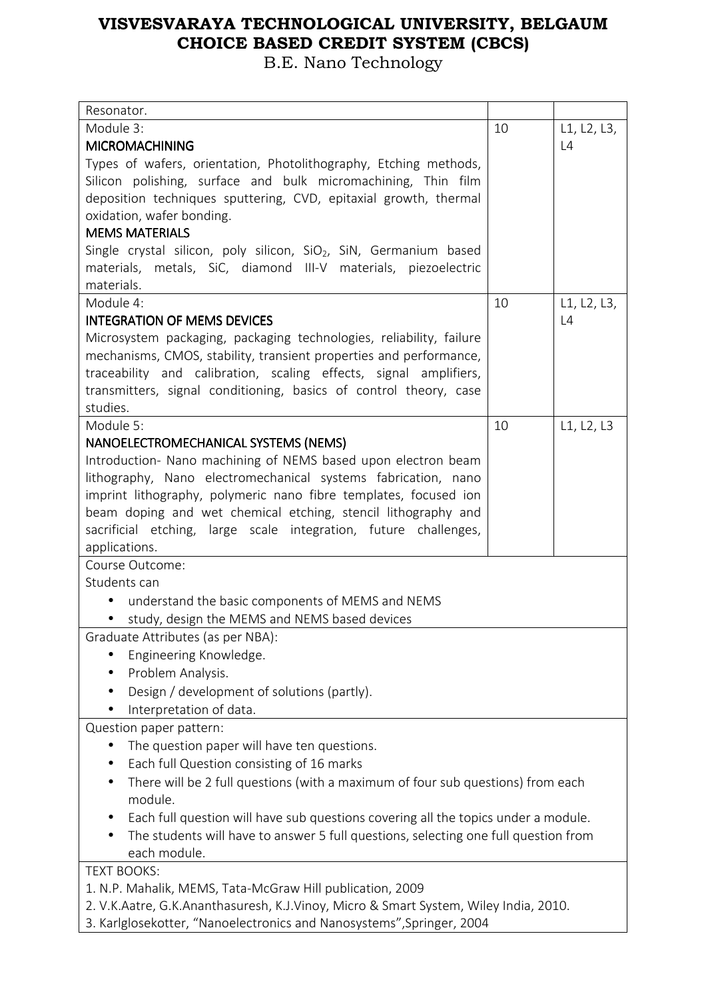| Resonator.                                                                           |    |             |
|--------------------------------------------------------------------------------------|----|-------------|
| Module 3:                                                                            | 10 | L1, L2, L3, |
| <b>MICROMACHINING</b>                                                                |    | L4          |
| Types of wafers, orientation, Photolithography, Etching methods,                     |    |             |
| Silicon polishing, surface and bulk micromachining, Thin film                        |    |             |
| deposition techniques sputtering, CVD, epitaxial growth, thermal                     |    |             |
| oxidation, wafer bonding.                                                            |    |             |
| <b>MEMS MATERIALS</b>                                                                |    |             |
| Single crystal silicon, poly silicon, SiO <sub>2</sub> , SiN, Germanium based        |    |             |
| materials, metals, SiC, diamond III-V materials, piezoelectric                       |    |             |
| materials.                                                                           |    |             |
| Module 4:                                                                            | 10 | L1, L2, L3, |
| <b>INTEGRATION OF MEMS DEVICES</b>                                                   |    | L4          |
| Microsystem packaging, packaging technologies, reliability, failure                  |    |             |
| mechanisms, CMOS, stability, transient properties and performance,                   |    |             |
| traceability and calibration, scaling effects, signal amplifiers,                    |    |             |
| transmitters, signal conditioning, basics of control theory, case                    |    |             |
| studies.                                                                             |    |             |
| Module 5:                                                                            | 10 | L1, L2, L3  |
| NANOELECTROMECHANICAL SYSTEMS (NEMS)                                                 |    |             |
| Introduction- Nano machining of NEMS based upon electron beam                        |    |             |
| lithography, Nano electromechanical systems fabrication, nano                        |    |             |
| imprint lithography, polymeric nano fibre templates, focused ion                     |    |             |
| beam doping and wet chemical etching, stencil lithography and                        |    |             |
| sacrificial etching, large scale integration, future challenges,                     |    |             |
| applications.                                                                        |    |             |
| Course Outcome:                                                                      |    |             |
| Students can                                                                         |    |             |
| understand the basic components of MEMS and NEMS                                     |    |             |
| study, design the MEMS and NEMS based devices                                        |    |             |
| Graduate Attributes (as per NBA):                                                    |    |             |
| Engineering Knowledge.                                                               |    |             |
| Problem Analysis.<br>$\bullet$                                                       |    |             |
| Design / development of solutions (partly).                                          |    |             |
| Interpretation of data.                                                              |    |             |
| Question paper pattern:                                                              |    |             |
| The question paper will have ten questions.<br>$\bullet$                             |    |             |
| Each full Question consisting of 16 marks                                            |    |             |
| There will be 2 full questions (with a maximum of four sub questions) from each      |    |             |
| module.                                                                              |    |             |
| Each full question will have sub questions covering all the topics under a module.   |    |             |
| The students will have to answer 5 full questions, selecting one full question from  |    |             |
| each module.                                                                         |    |             |
| <b>TEXT BOOKS:</b>                                                                   |    |             |
| 1. N.P. Mahalik, MEMS, Tata-McGraw Hill publication, 2009                            |    |             |
| 2. V.K.Aatre, G.K.Ananthasuresh, K.J.Vinoy, Micro & Smart System, Wiley India, 2010. |    |             |
| 3. Karlglosekotter, "Nanoelectronics and Nanosystems", Springer, 2004                |    |             |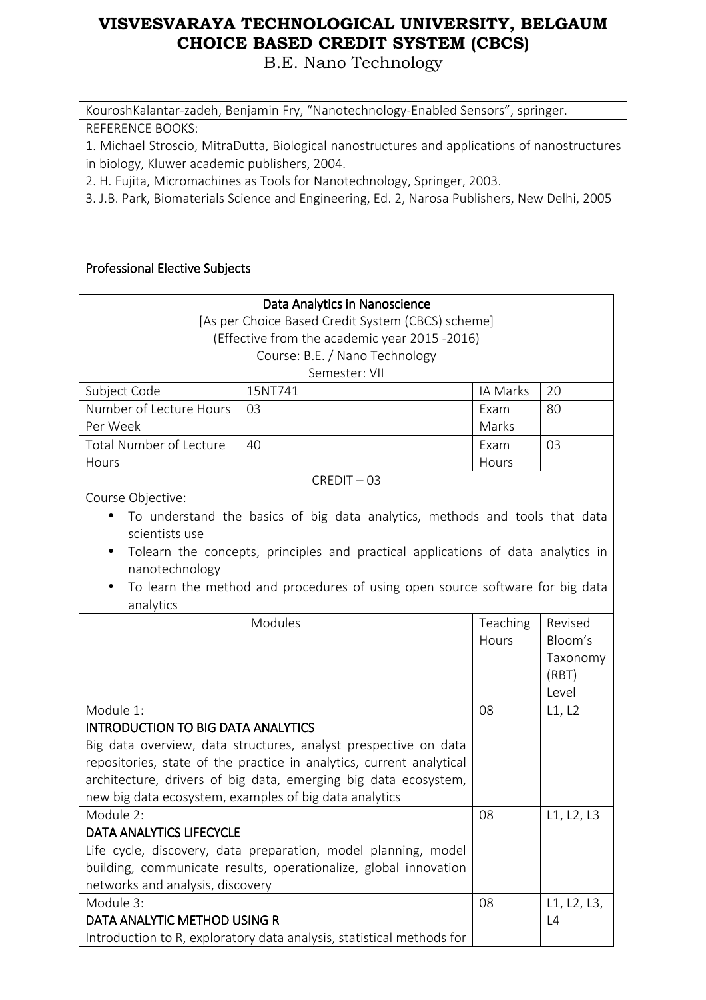B.E. Nano Technology

KouroshKalantar-zadeh, Benjamin Fry, "Nanotechnology-Enabled Sensors", springer.

REFERENCE BOOKS:

1. Michael Stroscio, MitraDutta, Biological nanostructures and applications of nanostructures

in biology, Kluwer academic publishers, 2004.

2. H. Fujita, Micromachines as Tools for Nanotechnology, Springer, 2003.

3. J.B. Park, Biomaterials Science and Engineering, Ed. 2, Narosa Publishers, New Delhi, 2005

#### Professional Elective Subjects

|                                                   | Data Analytics in Nanoscience                                                    |          |             |
|---------------------------------------------------|----------------------------------------------------------------------------------|----------|-------------|
| [As per Choice Based Credit System (CBCS) scheme] |                                                                                  |          |             |
|                                                   | (Effective from the academic year 2015 -2016)                                    |          |             |
|                                                   | Course: B.E. / Nano Technology                                                   |          |             |
|                                                   | Semester: VII                                                                    |          |             |
| Subject Code                                      | 15NT741                                                                          | IA Marks | 20          |
| Number of Lecture Hours                           | 03                                                                               | Exam     | 80          |
| Per Week                                          |                                                                                  | Marks    |             |
| <b>Total Number of Lecture</b>                    | 40                                                                               | Exam     | 03          |
| Hours                                             |                                                                                  | Hours    |             |
|                                                   | $CREDIT - 03$                                                                    |          |             |
| Course Objective:                                 |                                                                                  |          |             |
| scientists use                                    | To understand the basics of big data analytics, methods and tools that data      |          |             |
| $\bullet$                                         | Tolearn the concepts, principles and practical applications of data analytics in |          |             |
| nanotechnology                                    | To learn the method and procedures of using open source software for big data    |          |             |
| analytics                                         |                                                                                  |          |             |
|                                                   | Modules                                                                          | Teaching | Revised     |
|                                                   |                                                                                  | Hours    | Bloom's     |
|                                                   |                                                                                  |          | Taxonomy    |
|                                                   |                                                                                  |          | (RBT)       |
|                                                   |                                                                                  |          | Level       |
| Module 1:                                         |                                                                                  | 08       | L1, L2      |
| <b>INTRODUCTION TO BIG DATA ANALYTICS</b>         |                                                                                  |          |             |
|                                                   | Big data overview, data structures, analyst prespective on data                  |          |             |
|                                                   | repositories, state of the practice in analytics, current analytical             |          |             |
|                                                   | architecture, drivers of big data, emerging big data ecosystem,                  |          |             |
|                                                   | new big data ecosystem, examples of big data analytics                           |          |             |
| Module 2:                                         |                                                                                  | 08       | L1, L2, L3  |
| <b>DATA ANALYTICS LIFECYCLE</b>                   |                                                                                  |          |             |
|                                                   | Life cycle, discovery, data preparation, model planning, model                   |          |             |
|                                                   | building, communicate results, operationalize, global innovation                 |          |             |
| networks and analysis, discovery                  |                                                                                  |          |             |
| Module 3:                                         |                                                                                  | 08       | L1, L2, L3, |
| DATA ANALYTIC METHOD USING R                      |                                                                                  |          | L4          |
|                                                   | Introduction to R, exploratory data analysis, statistical methods for            |          |             |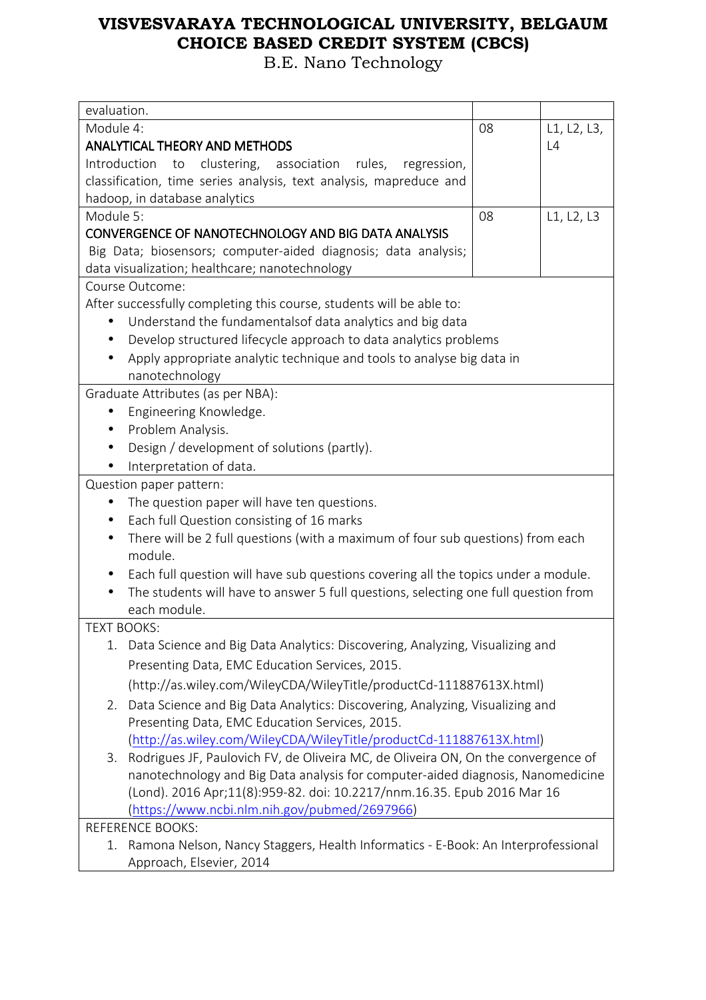| evaluation.                                                                                                                                                 |    |             |
|-------------------------------------------------------------------------------------------------------------------------------------------------------------|----|-------------|
| Module 4:                                                                                                                                                   | 08 | L1, L2, L3, |
| <b>ANALYTICAL THEORY AND METHODS</b>                                                                                                                        |    | L4          |
| Introduction<br>clustering, association<br>to<br>rules, regression,                                                                                         |    |             |
| classification, time series analysis, text analysis, mapreduce and                                                                                          |    |             |
| hadoop, in database analytics                                                                                                                               |    |             |
| Module 5:                                                                                                                                                   | 08 | L1, L2, L3  |
| <b>CONVERGENCE OF NANOTECHNOLOGY AND BIG DATA ANALYSIS</b>                                                                                                  |    |             |
| Big Data; biosensors; computer-aided diagnosis; data analysis;                                                                                              |    |             |
| data visualization; healthcare; nanotechnology                                                                                                              |    |             |
| Course Outcome:                                                                                                                                             |    |             |
| After successfully completing this course, students will be able to:                                                                                        |    |             |
| Understand the fundamentalsof data analytics and big data                                                                                                   |    |             |
| Develop structured lifecycle approach to data analytics problems                                                                                            |    |             |
| Apply appropriate analytic technique and tools to analyse big data in                                                                                       |    |             |
| nanotechnology                                                                                                                                              |    |             |
| Graduate Attributes (as per NBA):                                                                                                                           |    |             |
| Engineering Knowledge.                                                                                                                                      |    |             |
| Problem Analysis.                                                                                                                                           |    |             |
| Design / development of solutions (partly).                                                                                                                 |    |             |
| Interpretation of data.                                                                                                                                     |    |             |
| Question paper pattern:                                                                                                                                     |    |             |
| The question paper will have ten questions.                                                                                                                 |    |             |
| Each full Question consisting of 16 marks                                                                                                                   |    |             |
| There will be 2 full questions (with a maximum of four sub questions) from each                                                                             |    |             |
| module.                                                                                                                                                     |    |             |
| Each full question will have sub questions covering all the topics under a module.                                                                          |    |             |
| The students will have to answer 5 full questions, selecting one full question from                                                                         |    |             |
| each module.                                                                                                                                                |    |             |
| <b>TEXT BOOKS:</b>                                                                                                                                          |    |             |
| 1. Data Science and Big Data Analytics: Discovering, Analyzing, Visualizing and                                                                             |    |             |
| Presenting Data, EMC Education Services, 2015.                                                                                                              |    |             |
| (http://as.wiley.com/WileyCDA/WileyTitle/productCd-111887613X.html)                                                                                         |    |             |
|                                                                                                                                                             |    |             |
| 2. Data Science and Big Data Analytics: Discovering, Analyzing, Visualizing and                                                                             |    |             |
| Presenting Data, EMC Education Services, 2015.                                                                                                              |    |             |
| (http://as.wiley.com/WileyCDA/WileyTitle/productCd-111887613X.html)<br>3. Rodrigues JF, Paulovich FV, de Oliveira MC, de Oliveira ON, On the convergence of |    |             |
|                                                                                                                                                             |    |             |
| nanotechnology and Big Data analysis for computer-aided diagnosis, Nanomedicine                                                                             |    |             |
| (Lond). 2016 Apr;11(8):959-82. doi: 10.2217/nnm.16.35. Epub 2016 Mar 16<br>(https://www.ncbi.nlm.nih.gov/pubmed/2697966)                                    |    |             |
| <b>REFERENCE BOOKS:</b>                                                                                                                                     |    |             |
| 1. Ramona Nelson, Nancy Staggers, Health Informatics - E-Book: An Interprofessional                                                                         |    |             |
| Approach, Elsevier, 2014                                                                                                                                    |    |             |
|                                                                                                                                                             |    |             |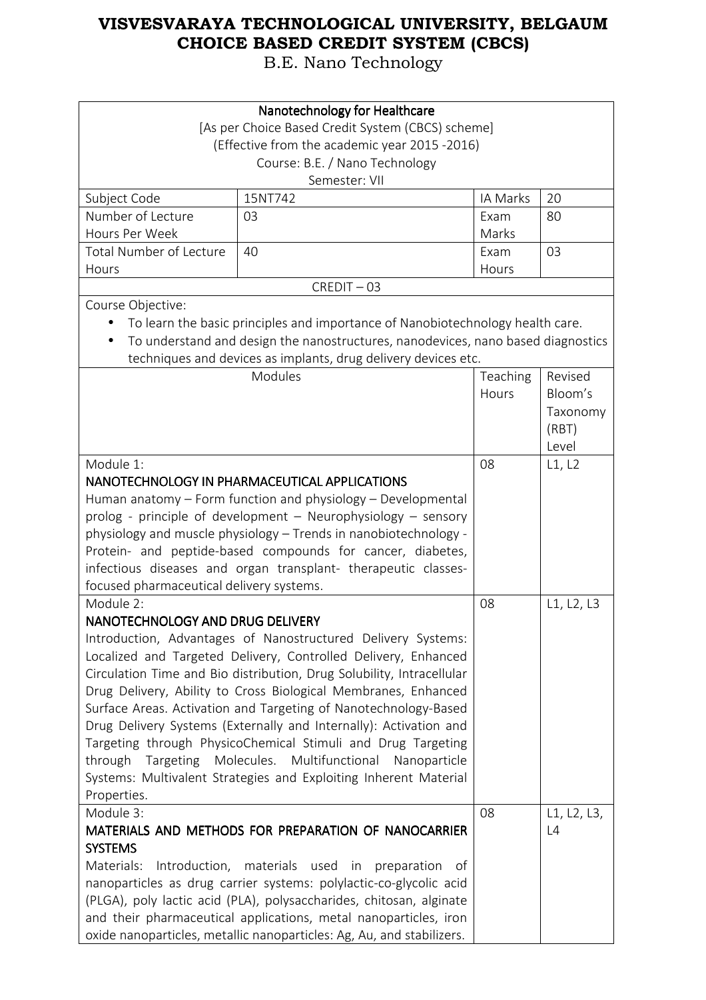| Nanotechnology for Healthcare<br>[As per Choice Based Credit System (CBCS) scheme]<br>(Effective from the academic year 2015 -2016) |                                                                                                                                                                                                                                                                                                                                                                                                                                                                                                                                                                                                               |                   |                                                  |
|-------------------------------------------------------------------------------------------------------------------------------------|---------------------------------------------------------------------------------------------------------------------------------------------------------------------------------------------------------------------------------------------------------------------------------------------------------------------------------------------------------------------------------------------------------------------------------------------------------------------------------------------------------------------------------------------------------------------------------------------------------------|-------------------|--------------------------------------------------|
|                                                                                                                                     | Course: B.E. / Nano Technology<br>Semester: VII                                                                                                                                                                                                                                                                                                                                                                                                                                                                                                                                                               |                   |                                                  |
| Subject Code                                                                                                                        | 15NT742                                                                                                                                                                                                                                                                                                                                                                                                                                                                                                                                                                                                       | IA Marks          | 20                                               |
| Number of Lecture<br>Hours Per Week                                                                                                 | 03                                                                                                                                                                                                                                                                                                                                                                                                                                                                                                                                                                                                            | Exam<br>Marks     | 80                                               |
| <b>Total Number of Lecture</b>                                                                                                      | 40                                                                                                                                                                                                                                                                                                                                                                                                                                                                                                                                                                                                            | Exam              | 03                                               |
| Hours                                                                                                                               |                                                                                                                                                                                                                                                                                                                                                                                                                                                                                                                                                                                                               | Hours             |                                                  |
| Course Objective:                                                                                                                   | $CREDIT - 03$                                                                                                                                                                                                                                                                                                                                                                                                                                                                                                                                                                                                 |                   |                                                  |
|                                                                                                                                     | To learn the basic principles and importance of Nanobiotechnology health care.<br>To understand and design the nanostructures, nanodevices, nano based diagnostics<br>techniques and devices as implants, drug delivery devices etc.                                                                                                                                                                                                                                                                                                                                                                          |                   |                                                  |
|                                                                                                                                     | Modules                                                                                                                                                                                                                                                                                                                                                                                                                                                                                                                                                                                                       | Teaching<br>Hours | Revised<br>Bloom's<br>Taxonomy<br>(RBT)<br>Level |
| Module 1:<br>focused pharmaceutical delivery systems.                                                                               | NANOTECHNOLOGY IN PHARMACEUTICAL APPLICATIONS<br>Human anatomy – Form function and physiology – Developmental<br>prolog - principle of development - Neurophysiology - sensory<br>physiology and muscle physiology – Trends in nanobiotechnology -<br>Protein- and peptide-based compounds for cancer, diabetes,<br>infectious diseases and organ transplant- therapeutic classes-                                                                                                                                                                                                                            | 08                | L1, L2                                           |
| Module 2:<br>NANOTECHNOLOGY AND DRUG DELIVERY<br>through<br>Properties.                                                             | Introduction, Advantages of Nanostructured Delivery Systems:<br>Localized and Targeted Delivery, Controlled Delivery, Enhanced<br>Circulation Time and Bio distribution, Drug Solubility, Intracellular<br>Drug Delivery, Ability to Cross Biological Membranes, Enhanced<br>Surface Areas. Activation and Targeting of Nanotechnology-Based<br>Drug Delivery Systems (Externally and Internally): Activation and<br>Targeting through PhysicoChemical Stimuli and Drug Targeting<br>Targeting Molecules. Multifunctional<br>Nanoparticle<br>Systems: Multivalent Strategies and Exploiting Inherent Material | 08                | L1, L2, L3                                       |
| Module 3:<br><b>SYSTEMS</b><br>Materials:                                                                                           | MATERIALS AND METHODS FOR PREPARATION OF NANOCARRIER<br>Introduction, materials used in preparation<br>of<br>nanoparticles as drug carrier systems: polylactic-co-glycolic acid<br>(PLGA), poly lactic acid (PLA), polysaccharides, chitosan, alginate<br>and their pharmaceutical applications, metal nanoparticles, iron<br>oxide nanoparticles, metallic nanoparticles: Ag, Au, and stabilizers.                                                                                                                                                                                                           | 08                | L1, L2, L3,<br>L4                                |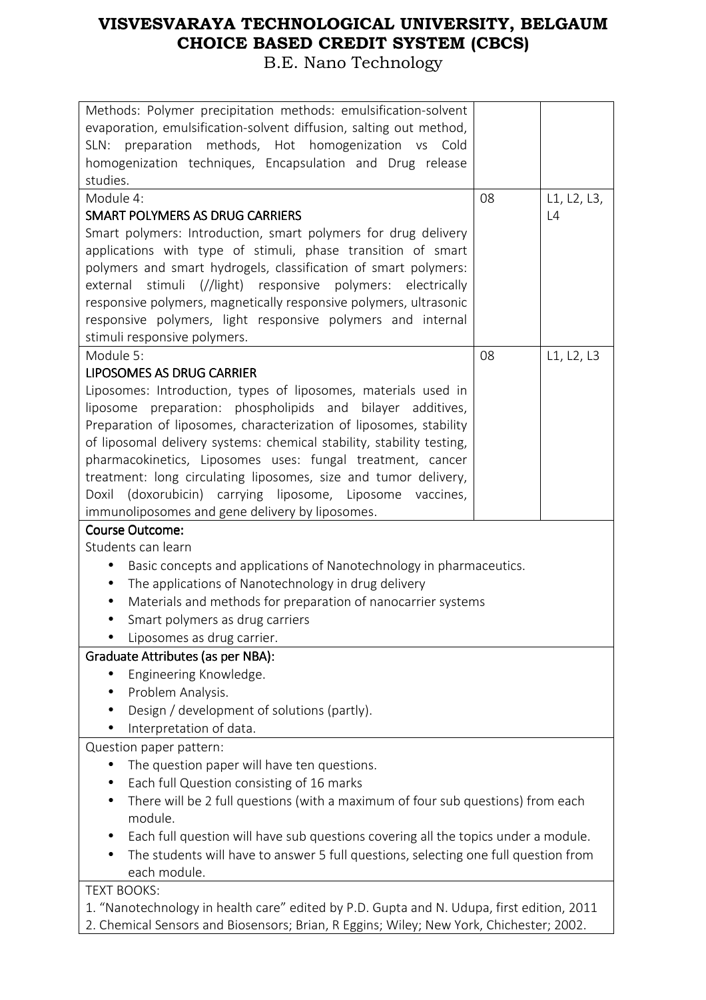| Methods: Polymer precipitation methods: emulsification-solvent                            |    |             |
|-------------------------------------------------------------------------------------------|----|-------------|
| evaporation, emulsification-solvent diffusion, salting out method,                        |    |             |
| preparation methods, Hot homogenization vs Cold<br>SLN:                                   |    |             |
| homogenization techniques, Encapsulation and Drug release                                 |    |             |
| studies.                                                                                  |    |             |
| Module 4:                                                                                 | 08 | L1, L2, L3, |
| <b>SMART POLYMERS AS DRUG CARRIERS</b>                                                    |    | L4          |
| Smart polymers: Introduction, smart polymers for drug delivery                            |    |             |
| applications with type of stimuli, phase transition of smart                              |    |             |
| polymers and smart hydrogels, classification of smart polymers:                           |    |             |
| (//light) responsive polymers: electrically<br>external<br>stimuli                        |    |             |
| responsive polymers, magnetically responsive polymers, ultrasonic                         |    |             |
| responsive polymers, light responsive polymers and internal                               |    |             |
| stimuli responsive polymers.                                                              |    |             |
| Module 5:                                                                                 | 08 | L1, L2, L3  |
| <b>LIPOSOMES AS DRUG CARRIER</b>                                                          |    |             |
| Liposomes: Introduction, types of liposomes, materials used in                            |    |             |
| liposome preparation: phospholipids and bilayer additives,                                |    |             |
| Preparation of liposomes, characterization of liposomes, stability                        |    |             |
| of liposomal delivery systems: chemical stability, stability testing,                     |    |             |
| pharmacokinetics, Liposomes uses: fungal treatment, cancer                                |    |             |
| treatment: long circulating liposomes, size and tumor delivery,                           |    |             |
| Doxil (doxorubicin) carrying liposome, Liposome vaccines,                                 |    |             |
| immunoliposomes and gene delivery by liposomes.                                           |    |             |
| <b>Course Outcome:</b>                                                                    |    |             |
| Students can learn                                                                        |    |             |
| Basic concepts and applications of Nanotechnology in pharmaceutics.<br>$\bullet$          |    |             |
| The applications of Nanotechnology in drug delivery<br>$\bullet$                          |    |             |
| Materials and methods for preparation of nanocarrier systems<br>$\bullet$                 |    |             |
| Smart polymers as drug carriers<br>$\bullet$                                              |    |             |
| Liposomes as drug carrier.                                                                |    |             |
| <b>Graduate Attributes (as per NBA):</b>                                                  |    |             |
| Engineering Knowledge.                                                                    |    |             |
| Problem Analysis.                                                                         |    |             |
| Design / development of solutions (partly).                                               |    |             |
| Interpretation of data.                                                                   |    |             |
| Question paper pattern:                                                                   |    |             |
| The question paper will have ten questions.                                               |    |             |
| Each full Question consisting of 16 marks                                                 |    |             |
| There will be 2 full questions (with a maximum of four sub questions) from each           |    |             |
| module.                                                                                   |    |             |
| Each full question will have sub questions covering all the topics under a module.        |    |             |
| The students will have to answer 5 full questions, selecting one full question from       |    |             |
| each module.                                                                              |    |             |
| <b>TEXT BOOKS:</b>                                                                        |    |             |
| 1. "Nanotechnology in health care" edited by P.D. Gupta and N. Udupa, first edition, 2011 |    |             |
| 2. Chemical Sensors and Biosensors; Brian, R Eggins; Wiley; New York, Chichester; 2002.   |    |             |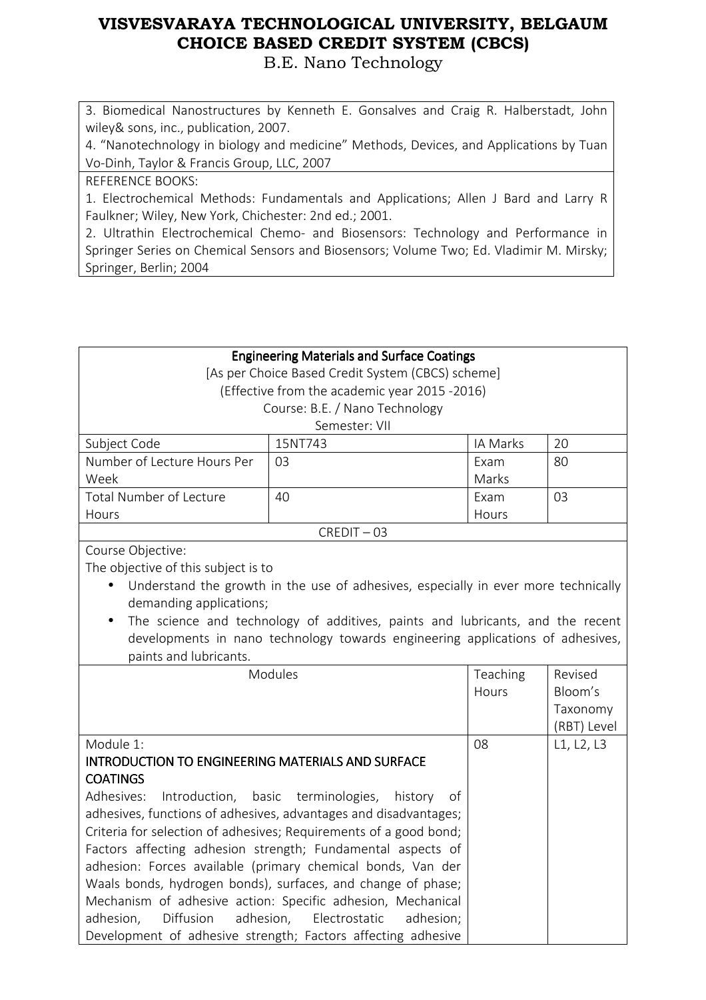B.E. Nano Technology

3. Biomedical Nanostructures by Kenneth E. Gonsalves and Craig R. Halberstadt, John wiley& sons, inc., publication, 2007.

4. "Nanotechnology in biology and medicine" Methods, Devices, and Applications by Tuan Vo-Dinh, Taylor & Francis Group, LLC, 2007

REFERENCE BOOKS:

1. Electrochemical Methods: Fundamentals and Applications; Allen J Bard and Larry R Faulkner; Wiley, New York, Chichester: 2nd ed.; 2001.

2. Ultrathin Electrochemical Chemo- and Biosensors: Technology and Performance in Springer Series on Chemical Sensors and Biosensors; Volume Two; Ed. Vladimir M. Mirsky; Springer, Berlin; 2004

#### **Engineering Materials and Surface Coatings**

[As per Choice Based Credit System (CBCS) scheme]

(Effective from the academic year 2015 -2016)

Course: B.E. / Nano Technology

|                             | Semester: VII |          |    |
|-----------------------------|---------------|----------|----|
| Subject Code                | 15NT743       | IA Marks | 20 |
| Number of Lecture Hours Per | 03            | Exam     | 80 |
| Week                        |               | Marks    |    |
| Total Number of Lecture     | 40            | Exam     | 03 |
| <b>Hours</b>                |               | Hours    |    |

#### CREDIT – 03

Course Objective:

The objective of this subject is to

- Understand the growth in the use of adhesives, especially in ever more technically demanding applications;
- The science and technology of additives, paints and lubricants, and the recent developments in nano technology towards engineering applications of adhesives, paints and lubricants.

| <b>Modules</b>                                                    | Teaching     | Revised     |
|-------------------------------------------------------------------|--------------|-------------|
|                                                                   | <b>Hours</b> | Bloom's     |
|                                                                   |              | Taxonomy    |
|                                                                   |              | (RBT) Level |
| Module 1:                                                         | 08           | L1, L2, L3  |
|                                                                   |              |             |
| <b>INTRODUCTION TO ENGINEERING MATERIALS AND SURFACE</b>          |              |             |
| <b>COATINGS</b>                                                   |              |             |
| Adhesives: Introduction, basic terminologies, history<br>of       |              |             |
| adhesives, functions of adhesives, advantages and disadvantages;  |              |             |
| Criteria for selection of adhesives; Requirements of a good bond; |              |             |
| Factors affecting adhesion strength; Fundamental aspects of       |              |             |
| adhesion: Forces available (primary chemical bonds, Van der       |              |             |
| Waals bonds, hydrogen bonds), surfaces, and change of phase;      |              |             |
| Mechanism of adhesive action: Specific adhesion, Mechanical       |              |             |
| Diffusion adhesion, Electrostatic<br>adhesion,<br>adhesion;       |              |             |
| Development of adhesive strength; Factors affecting adhesive      |              |             |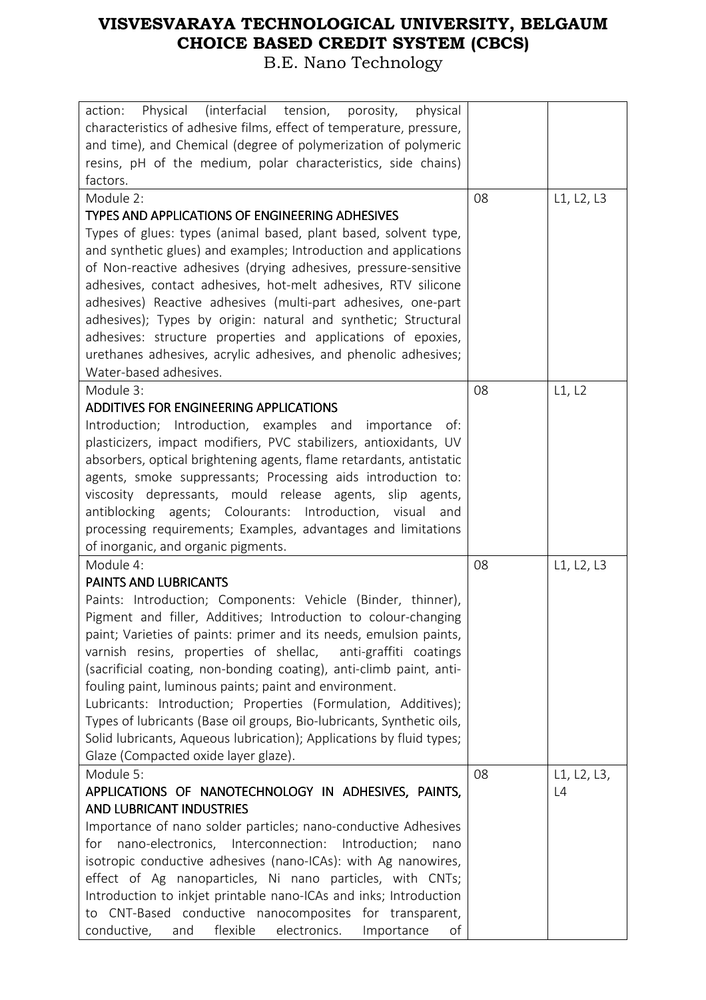| Physical (interfacial tension, porosity,<br>physical<br>action:       |    |             |
|-----------------------------------------------------------------------|----|-------------|
| characteristics of adhesive films, effect of temperature, pressure,   |    |             |
| and time), and Chemical (degree of polymerization of polymeric        |    |             |
| resins, pH of the medium, polar characteristics, side chains)         |    |             |
| factors.                                                              |    |             |
| Module 2:                                                             | 08 | L1, L2, L3  |
| TYPES AND APPLICATIONS OF ENGINEERING ADHESIVES                       |    |             |
| Types of glues: types (animal based, plant based, solvent type,       |    |             |
| and synthetic glues) and examples; Introduction and applications      |    |             |
| of Non-reactive adhesives (drying adhesives, pressure-sensitive       |    |             |
| adhesives, contact adhesives, hot-melt adhesives, RTV silicone        |    |             |
| adhesives) Reactive adhesives (multi-part adhesives, one-part         |    |             |
| adhesives); Types by origin: natural and synthetic; Structural        |    |             |
| adhesives: structure properties and applications of epoxies,          |    |             |
| urethanes adhesives, acrylic adhesives, and phenolic adhesives;       |    |             |
| Water-based adhesives.                                                |    |             |
| Module 3:                                                             | 08 | L1, L2      |
| ADDITIVES FOR ENGINEERING APPLICATIONS                                |    |             |
| Introduction; Introduction, examples and importance<br>of:            |    |             |
| plasticizers, impact modifiers, PVC stabilizers, antioxidants, UV     |    |             |
| absorbers, optical brightening agents, flame retardants, antistatic   |    |             |
| agents, smoke suppressants; Processing aids introduction to:          |    |             |
| viscosity depressants, mould release agents, slip agents,             |    |             |
| antiblocking agents; Colourants: Introduction, visual and             |    |             |
| processing requirements; Examples, advantages and limitations         |    |             |
| of inorganic, and organic pigments.                                   |    |             |
| Module 4:                                                             | 08 | L1, L2, L3  |
| PAINTS AND LUBRICANTS                                                 |    |             |
| Paints: Introduction; Components: Vehicle (Binder, thinner),          |    |             |
| Pigment and filler, Additives; Introduction to colour-changing        |    |             |
| paint; Varieties of paints: primer and its needs, emulsion paints,    |    |             |
| varnish resins, properties of shellac, anti-graffiti coatings         |    |             |
| (sacrificial coating, non-bonding coating), anti-climb paint, anti-   |    |             |
| fouling paint, luminous paints; paint and environment.                |    |             |
| Lubricants: Introduction; Properties (Formulation, Additives);        |    |             |
| Types of lubricants (Base oil groups, Bio-lubricants, Synthetic oils, |    |             |
| Solid lubricants, Aqueous lubrication); Applications by fluid types;  |    |             |
| Glaze (Compacted oxide layer glaze).                                  |    |             |
| Module 5:                                                             | 08 | L1, L2, L3, |
| APPLICATIONS OF NANOTECHNOLOGY IN ADHESIVES, PAINTS,                  |    | L4          |
| <b>AND LUBRICANT INDUSTRIES</b>                                       |    |             |
| Importance of nano solder particles; nano-conductive Adhesives        |    |             |
| nano-electronics, Interconnection: Introduction;<br>for<br>nano       |    |             |
| isotropic conductive adhesives (nano-ICAs): with Ag nanowires,        |    |             |
| effect of Ag nanoparticles, Ni nano particles, with CNTs;             |    |             |
| Introduction to inkjet printable nano-ICAs and inks; Introduction     |    |             |
| to CNT-Based conductive nanocomposites for transparent,               |    |             |
| flexible<br>conductive,<br>electronics.<br>and<br>Importance<br>οf    |    |             |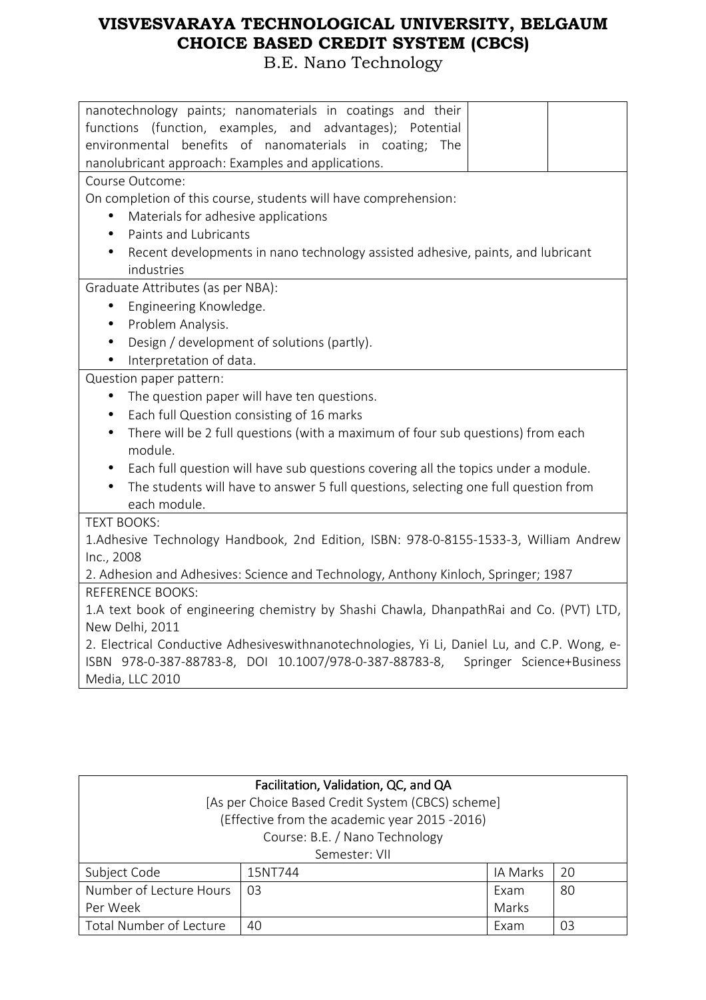| nanotechnology paints; nanomaterials in coatings and their                                   |
|----------------------------------------------------------------------------------------------|
| functions (function, examples, and advantages); Potential                                    |
| environmental benefits of nanomaterials in coating; The                                      |
| nanolubricant approach: Examples and applications.                                           |
| Course Outcome:                                                                              |
| On completion of this course, students will have comprehension:                              |
| Materials for adhesive applications                                                          |
| Paints and Lubricants<br>$\bullet$                                                           |
| Recent developments in nano technology assisted adhesive, paints, and lubricant              |
| industries                                                                                   |
| Graduate Attributes (as per NBA):                                                            |
| Engineering Knowledge.<br>$\bullet$                                                          |
| Problem Analysis.                                                                            |
| Design / development of solutions (partly).<br>$\bullet$                                     |
| Interpretation of data.                                                                      |
| Question paper pattern:                                                                      |
| The question paper will have ten questions.<br>$\bullet$                                     |
| Each full Question consisting of 16 marks<br>$\bullet$                                       |
| There will be 2 full questions (with a maximum of four sub questions) from each<br>$\bullet$ |
| module.                                                                                      |
| Each full question will have sub questions covering all the topics under a module.           |
| The students will have to answer 5 full questions, selecting one full question from          |
| each module.                                                                                 |
| <b>TEXT BOOKS:</b>                                                                           |
| 1.Adhesive Technology Handbook, 2nd Edition, ISBN: 978-0-8155-1533-3, William Andrew         |
| Inc., 2008                                                                                   |
| 2. Adhesion and Adhesives: Science and Technology, Anthony Kinloch, Springer; 1987           |
| <b>REFERENCE BOOKS:</b>                                                                      |
| 1.A text book of engineering chemistry by Shashi Chawla, DhanpathRai and Co. (PVT) LTD,      |
| New Delhi, 2011                                                                              |
| 2. Electrical Conductive Adhesiveswithnanotechnologies, Yi Li, Daniel Lu, and C.P. Wong, e-  |
| ISBN 978-0-387-88783-8, DOI 10.1007/978-0-387-88783-8,<br>Springer Science+Business          |
| Media, LLC 2010                                                                              |
|                                                                                              |
|                                                                                              |

| Facilitation, Validation, QC, and QA              |         |          |     |  |
|---------------------------------------------------|---------|----------|-----|--|
| [As per Choice Based Credit System (CBCS) scheme] |         |          |     |  |
| (Effective from the academic year 2015 -2016)     |         |          |     |  |
| Course: B.E. / Nano Technology                    |         |          |     |  |
| Semester: VII                                     |         |          |     |  |
| Subject Code                                      | 15NT744 | IA Marks | 20  |  |
| Number of Lecture Hours                           | በ3      | Exam     | -80 |  |
| Per Week                                          |         | Marks    |     |  |
| Total Number of Lecture                           | 40      | Exam     | 03  |  |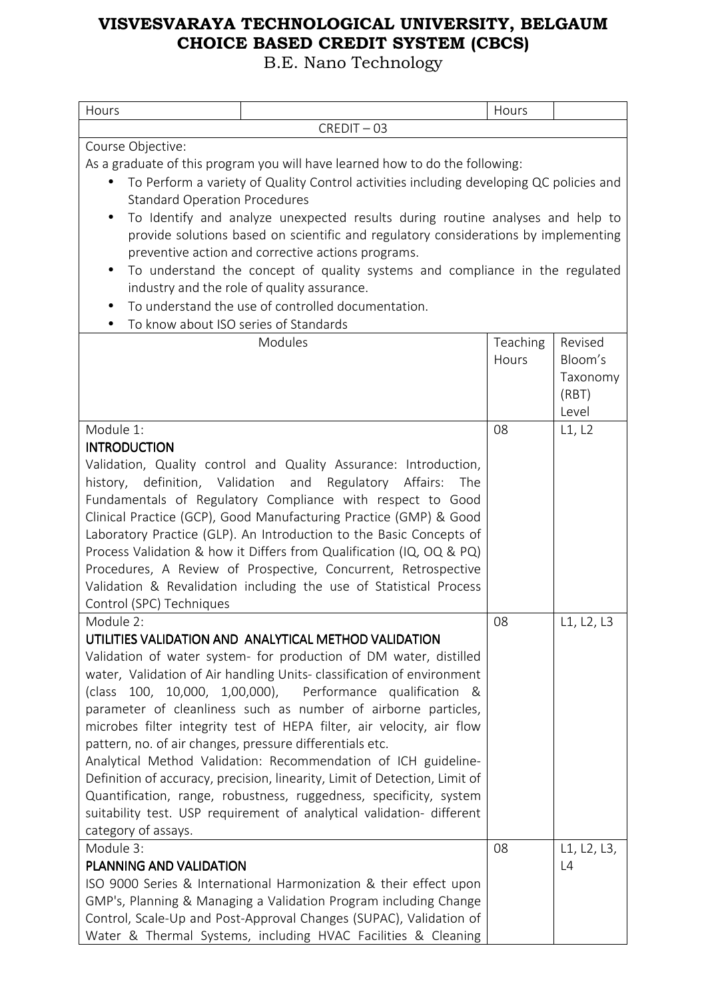| $CREDIT - 03$<br>Course Objective:<br>As a graduate of this program you will have learned how to do the following:<br>To Perform a variety of Quality Control activities including developing QC policies and<br>$\bullet$<br><b>Standard Operation Procedures</b><br>To Identify and analyze unexpected results during routine analyses and help to<br>$\bullet$<br>provide solutions based on scientific and regulatory considerations by implementing<br>preventive action and corrective actions programs.<br>To understand the concept of quality systems and compliance in the regulated<br>$\bullet$<br>industry and the role of quality assurance.<br>To understand the use of controlled documentation.<br>To know about ISO series of Standards<br>Modules<br>Teaching<br>Revised<br>Bloom's<br>Hours<br>Taxonomy<br>(RBT)<br>Level<br>Module 1:<br>L1, L2<br>08<br><b>INTRODUCTION</b><br>Validation, Quality control and Quality Assurance: Introduction,<br>definition, Validation and Regulatory Affairs:<br>The<br>history,<br>Fundamentals of Regulatory Compliance with respect to Good<br>Clinical Practice (GCP), Good Manufacturing Practice (GMP) & Good<br>Laboratory Practice (GLP). An Introduction to the Basic Concepts of<br>Process Validation & how it Differs from Qualification (IQ, OQ & PQ)<br>Procedures, A Review of Prospective, Concurrent, Retrospective<br>Validation & Revalidation including the use of Statistical Process<br>Control (SPC) Techniques |
|--------------------------------------------------------------------------------------------------------------------------------------------------------------------------------------------------------------------------------------------------------------------------------------------------------------------------------------------------------------------------------------------------------------------------------------------------------------------------------------------------------------------------------------------------------------------------------------------------------------------------------------------------------------------------------------------------------------------------------------------------------------------------------------------------------------------------------------------------------------------------------------------------------------------------------------------------------------------------------------------------------------------------------------------------------------------------------------------------------------------------------------------------------------------------------------------------------------------------------------------------------------------------------------------------------------------------------------------------------------------------------------------------------------------------------------------------------------------------------------------------|
|                                                                                                                                                                                                                                                                                                                                                                                                                                                                                                                                                                                                                                                                                                                                                                                                                                                                                                                                                                                                                                                                                                                                                                                                                                                                                                                                                                                                                                                                                                  |
|                                                                                                                                                                                                                                                                                                                                                                                                                                                                                                                                                                                                                                                                                                                                                                                                                                                                                                                                                                                                                                                                                                                                                                                                                                                                                                                                                                                                                                                                                                  |
|                                                                                                                                                                                                                                                                                                                                                                                                                                                                                                                                                                                                                                                                                                                                                                                                                                                                                                                                                                                                                                                                                                                                                                                                                                                                                                                                                                                                                                                                                                  |
|                                                                                                                                                                                                                                                                                                                                                                                                                                                                                                                                                                                                                                                                                                                                                                                                                                                                                                                                                                                                                                                                                                                                                                                                                                                                                                                                                                                                                                                                                                  |
|                                                                                                                                                                                                                                                                                                                                                                                                                                                                                                                                                                                                                                                                                                                                                                                                                                                                                                                                                                                                                                                                                                                                                                                                                                                                                                                                                                                                                                                                                                  |
|                                                                                                                                                                                                                                                                                                                                                                                                                                                                                                                                                                                                                                                                                                                                                                                                                                                                                                                                                                                                                                                                                                                                                                                                                                                                                                                                                                                                                                                                                                  |
|                                                                                                                                                                                                                                                                                                                                                                                                                                                                                                                                                                                                                                                                                                                                                                                                                                                                                                                                                                                                                                                                                                                                                                                                                                                                                                                                                                                                                                                                                                  |
|                                                                                                                                                                                                                                                                                                                                                                                                                                                                                                                                                                                                                                                                                                                                                                                                                                                                                                                                                                                                                                                                                                                                                                                                                                                                                                                                                                                                                                                                                                  |
|                                                                                                                                                                                                                                                                                                                                                                                                                                                                                                                                                                                                                                                                                                                                                                                                                                                                                                                                                                                                                                                                                                                                                                                                                                                                                                                                                                                                                                                                                                  |
|                                                                                                                                                                                                                                                                                                                                                                                                                                                                                                                                                                                                                                                                                                                                                                                                                                                                                                                                                                                                                                                                                                                                                                                                                                                                                                                                                                                                                                                                                                  |
|                                                                                                                                                                                                                                                                                                                                                                                                                                                                                                                                                                                                                                                                                                                                                                                                                                                                                                                                                                                                                                                                                                                                                                                                                                                                                                                                                                                                                                                                                                  |
|                                                                                                                                                                                                                                                                                                                                                                                                                                                                                                                                                                                                                                                                                                                                                                                                                                                                                                                                                                                                                                                                                                                                                                                                                                                                                                                                                                                                                                                                                                  |
|                                                                                                                                                                                                                                                                                                                                                                                                                                                                                                                                                                                                                                                                                                                                                                                                                                                                                                                                                                                                                                                                                                                                                                                                                                                                                                                                                                                                                                                                                                  |
|                                                                                                                                                                                                                                                                                                                                                                                                                                                                                                                                                                                                                                                                                                                                                                                                                                                                                                                                                                                                                                                                                                                                                                                                                                                                                                                                                                                                                                                                                                  |
|                                                                                                                                                                                                                                                                                                                                                                                                                                                                                                                                                                                                                                                                                                                                                                                                                                                                                                                                                                                                                                                                                                                                                                                                                                                                                                                                                                                                                                                                                                  |
|                                                                                                                                                                                                                                                                                                                                                                                                                                                                                                                                                                                                                                                                                                                                                                                                                                                                                                                                                                                                                                                                                                                                                                                                                                                                                                                                                                                                                                                                                                  |
|                                                                                                                                                                                                                                                                                                                                                                                                                                                                                                                                                                                                                                                                                                                                                                                                                                                                                                                                                                                                                                                                                                                                                                                                                                                                                                                                                                                                                                                                                                  |
|                                                                                                                                                                                                                                                                                                                                                                                                                                                                                                                                                                                                                                                                                                                                                                                                                                                                                                                                                                                                                                                                                                                                                                                                                                                                                                                                                                                                                                                                                                  |
|                                                                                                                                                                                                                                                                                                                                                                                                                                                                                                                                                                                                                                                                                                                                                                                                                                                                                                                                                                                                                                                                                                                                                                                                                                                                                                                                                                                                                                                                                                  |
|                                                                                                                                                                                                                                                                                                                                                                                                                                                                                                                                                                                                                                                                                                                                                                                                                                                                                                                                                                                                                                                                                                                                                                                                                                                                                                                                                                                                                                                                                                  |
|                                                                                                                                                                                                                                                                                                                                                                                                                                                                                                                                                                                                                                                                                                                                                                                                                                                                                                                                                                                                                                                                                                                                                                                                                                                                                                                                                                                                                                                                                                  |
|                                                                                                                                                                                                                                                                                                                                                                                                                                                                                                                                                                                                                                                                                                                                                                                                                                                                                                                                                                                                                                                                                                                                                                                                                                                                                                                                                                                                                                                                                                  |
|                                                                                                                                                                                                                                                                                                                                                                                                                                                                                                                                                                                                                                                                                                                                                                                                                                                                                                                                                                                                                                                                                                                                                                                                                                                                                                                                                                                                                                                                                                  |
|                                                                                                                                                                                                                                                                                                                                                                                                                                                                                                                                                                                                                                                                                                                                                                                                                                                                                                                                                                                                                                                                                                                                                                                                                                                                                                                                                                                                                                                                                                  |
|                                                                                                                                                                                                                                                                                                                                                                                                                                                                                                                                                                                                                                                                                                                                                                                                                                                                                                                                                                                                                                                                                                                                                                                                                                                                                                                                                                                                                                                                                                  |
|                                                                                                                                                                                                                                                                                                                                                                                                                                                                                                                                                                                                                                                                                                                                                                                                                                                                                                                                                                                                                                                                                                                                                                                                                                                                                                                                                                                                                                                                                                  |
|                                                                                                                                                                                                                                                                                                                                                                                                                                                                                                                                                                                                                                                                                                                                                                                                                                                                                                                                                                                                                                                                                                                                                                                                                                                                                                                                                                                                                                                                                                  |
|                                                                                                                                                                                                                                                                                                                                                                                                                                                                                                                                                                                                                                                                                                                                                                                                                                                                                                                                                                                                                                                                                                                                                                                                                                                                                                                                                                                                                                                                                                  |
|                                                                                                                                                                                                                                                                                                                                                                                                                                                                                                                                                                                                                                                                                                                                                                                                                                                                                                                                                                                                                                                                                                                                                                                                                                                                                                                                                                                                                                                                                                  |
| Module 2:<br>08<br>L1, L2, L3                                                                                                                                                                                                                                                                                                                                                                                                                                                                                                                                                                                                                                                                                                                                                                                                                                                                                                                                                                                                                                                                                                                                                                                                                                                                                                                                                                                                                                                                    |
| UTILITIES VALIDATION AND ANALYTICAL METHOD VALIDATION                                                                                                                                                                                                                                                                                                                                                                                                                                                                                                                                                                                                                                                                                                                                                                                                                                                                                                                                                                                                                                                                                                                                                                                                                                                                                                                                                                                                                                            |
| Validation of water system- for production of DM water, distilled                                                                                                                                                                                                                                                                                                                                                                                                                                                                                                                                                                                                                                                                                                                                                                                                                                                                                                                                                                                                                                                                                                                                                                                                                                                                                                                                                                                                                                |
| water, Validation of Air handling Units- classification of environment                                                                                                                                                                                                                                                                                                                                                                                                                                                                                                                                                                                                                                                                                                                                                                                                                                                                                                                                                                                                                                                                                                                                                                                                                                                                                                                                                                                                                           |
| (class 100, 10,000, 1,00,000),<br>Performance qualification &                                                                                                                                                                                                                                                                                                                                                                                                                                                                                                                                                                                                                                                                                                                                                                                                                                                                                                                                                                                                                                                                                                                                                                                                                                                                                                                                                                                                                                    |
| parameter of cleanliness such as number of airborne particles,                                                                                                                                                                                                                                                                                                                                                                                                                                                                                                                                                                                                                                                                                                                                                                                                                                                                                                                                                                                                                                                                                                                                                                                                                                                                                                                                                                                                                                   |
| microbes filter integrity test of HEPA filter, air velocity, air flow                                                                                                                                                                                                                                                                                                                                                                                                                                                                                                                                                                                                                                                                                                                                                                                                                                                                                                                                                                                                                                                                                                                                                                                                                                                                                                                                                                                                                            |
| pattern, no. of air changes, pressure differentials etc.                                                                                                                                                                                                                                                                                                                                                                                                                                                                                                                                                                                                                                                                                                                                                                                                                                                                                                                                                                                                                                                                                                                                                                                                                                                                                                                                                                                                                                         |
| Analytical Method Validation: Recommendation of ICH guideline-                                                                                                                                                                                                                                                                                                                                                                                                                                                                                                                                                                                                                                                                                                                                                                                                                                                                                                                                                                                                                                                                                                                                                                                                                                                                                                                                                                                                                                   |
| Definition of accuracy, precision, linearity, Limit of Detection, Limit of                                                                                                                                                                                                                                                                                                                                                                                                                                                                                                                                                                                                                                                                                                                                                                                                                                                                                                                                                                                                                                                                                                                                                                                                                                                                                                                                                                                                                       |
| Quantification, range, robustness, ruggedness, specificity, system                                                                                                                                                                                                                                                                                                                                                                                                                                                                                                                                                                                                                                                                                                                                                                                                                                                                                                                                                                                                                                                                                                                                                                                                                                                                                                                                                                                                                               |
| suitability test. USP requirement of analytical validation- different                                                                                                                                                                                                                                                                                                                                                                                                                                                                                                                                                                                                                                                                                                                                                                                                                                                                                                                                                                                                                                                                                                                                                                                                                                                                                                                                                                                                                            |
| category of assays.                                                                                                                                                                                                                                                                                                                                                                                                                                                                                                                                                                                                                                                                                                                                                                                                                                                                                                                                                                                                                                                                                                                                                                                                                                                                                                                                                                                                                                                                              |
| Module 3:<br>08<br>L1, L2, L3,                                                                                                                                                                                                                                                                                                                                                                                                                                                                                                                                                                                                                                                                                                                                                                                                                                                                                                                                                                                                                                                                                                                                                                                                                                                                                                                                                                                                                                                                   |
| PLANNING AND VALIDATION<br>L4                                                                                                                                                                                                                                                                                                                                                                                                                                                                                                                                                                                                                                                                                                                                                                                                                                                                                                                                                                                                                                                                                                                                                                                                                                                                                                                                                                                                                                                                    |
| ISO 9000 Series & International Harmonization & their effect upon                                                                                                                                                                                                                                                                                                                                                                                                                                                                                                                                                                                                                                                                                                                                                                                                                                                                                                                                                                                                                                                                                                                                                                                                                                                                                                                                                                                                                                |
| GMP's, Planning & Managing a Validation Program including Change                                                                                                                                                                                                                                                                                                                                                                                                                                                                                                                                                                                                                                                                                                                                                                                                                                                                                                                                                                                                                                                                                                                                                                                                                                                                                                                                                                                                                                 |
| Control, Scale-Up and Post-Approval Changes (SUPAC), Validation of                                                                                                                                                                                                                                                                                                                                                                                                                                                                                                                                                                                                                                                                                                                                                                                                                                                                                                                                                                                                                                                                                                                                                                                                                                                                                                                                                                                                                               |
| Water & Thermal Systems, including HVAC Facilities & Cleaning                                                                                                                                                                                                                                                                                                                                                                                                                                                                                                                                                                                                                                                                                                                                                                                                                                                                                                                                                                                                                                                                                                                                                                                                                                                                                                                                                                                                                                    |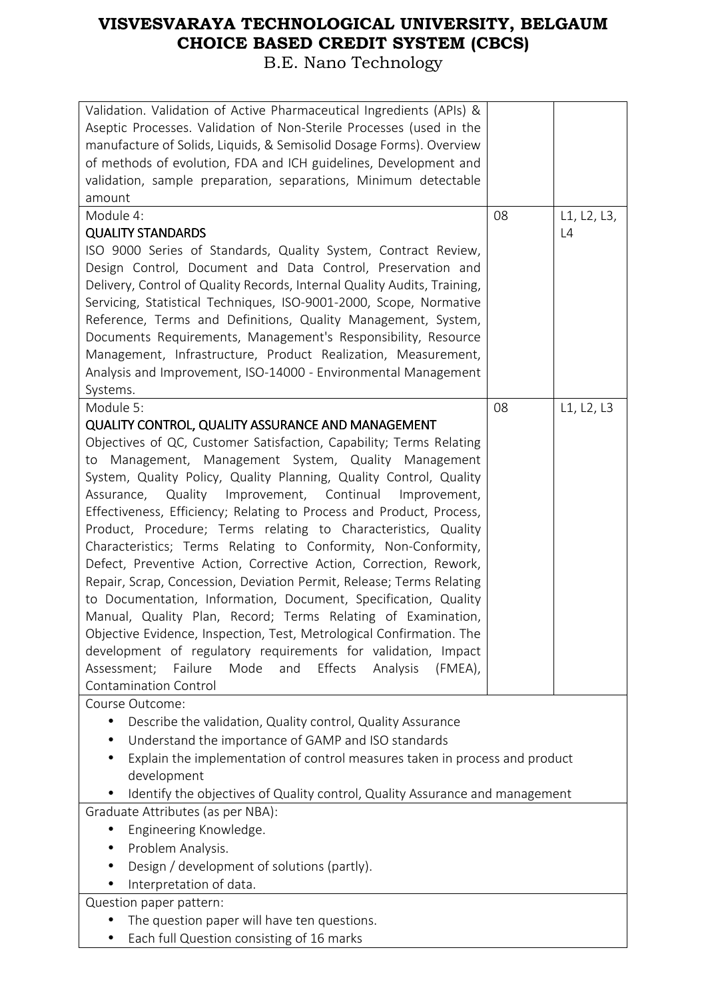| Validation. Validation of Active Pharmaceutical Ingredients (APIs) &<br>Aseptic Processes. Validation of Non-Sterile Processes (used in the<br>manufacture of Solids, Liquids, & Semisolid Dosage Forms). Overview<br>of methods of evolution, FDA and ICH guidelines, Development and<br>validation, sample preparation, separations, Minimum detectable<br>amount<br>Module 4:<br><b>QUALITY STANDARDS</b><br>ISO 9000 Series of Standards, Quality System, Contract Review,                                                                                                                                                                                                                                                                                                                                                                                                                                                                                                                                                                                                     | 08 | L1, L2, L3,<br>L4 |
|------------------------------------------------------------------------------------------------------------------------------------------------------------------------------------------------------------------------------------------------------------------------------------------------------------------------------------------------------------------------------------------------------------------------------------------------------------------------------------------------------------------------------------------------------------------------------------------------------------------------------------------------------------------------------------------------------------------------------------------------------------------------------------------------------------------------------------------------------------------------------------------------------------------------------------------------------------------------------------------------------------------------------------------------------------------------------------|----|-------------------|
| Design Control, Document and Data Control, Preservation and<br>Delivery, Control of Quality Records, Internal Quality Audits, Training,<br>Servicing, Statistical Techniques, ISO-9001-2000, Scope, Normative<br>Reference, Terms and Definitions, Quality Management, System,<br>Documents Requirements, Management's Responsibility, Resource<br>Management, Infrastructure, Product Realization, Measurement,<br>Analysis and Improvement, ISO-14000 - Environmental Management<br>Systems.                                                                                                                                                                                                                                                                                                                                                                                                                                                                                                                                                                                     |    |                   |
| Module 5:<br>QUALITY CONTROL, QUALITY ASSURANCE AND MANAGEMENT<br>Objectives of QC, Customer Satisfaction, Capability; Terms Relating<br>to Management, Management System, Quality Management<br>System, Quality Policy, Quality Planning, Quality Control, Quality<br>Improvement, Continual Improvement,<br>Assurance, Quality<br>Effectiveness, Efficiency; Relating to Process and Product, Process,<br>Product, Procedure; Terms relating to Characteristics, Quality<br>Characteristics; Terms Relating to Conformity, Non-Conformity,<br>Defect, Preventive Action, Corrective Action, Correction, Rework,<br>Repair, Scrap, Concession, Deviation Permit, Release; Terms Relating<br>to Documentation, Information, Document, Specification, Quality<br>Manual, Quality Plan, Record; Terms Relating of Examination,<br>Objective Evidence, Inspection, Test, Metrological Confirmation. The<br>development of regulatory requirements for validation, Impact<br>Assessment;<br>Failure<br>Mode<br>and<br>Effects<br>Analysis<br>$(FMA)$ ,<br><b>Contamination Control</b> | 08 | L1, L2, L3        |
| Course Outcome:<br>Describe the validation, Quality control, Quality Assurance<br>$\bullet$<br>Understand the importance of GAMP and ISO standards<br>Explain the implementation of control measures taken in process and product<br>development<br>Identify the objectives of Quality control, Quality Assurance and management<br>$\bullet$<br>Graduate Attributes (as per NBA):<br>Engineering Knowledge.<br>$\bullet$<br>Problem Analysis.<br>Design / development of solutions (partly).<br>Interpretation of data.<br>$\bullet$                                                                                                                                                                                                                                                                                                                                                                                                                                                                                                                                              |    |                   |
| Question paper pattern:<br>The question paper will have ten questions.<br>Each full Question consisting of 16 marks                                                                                                                                                                                                                                                                                                                                                                                                                                                                                                                                                                                                                                                                                                                                                                                                                                                                                                                                                                |    |                   |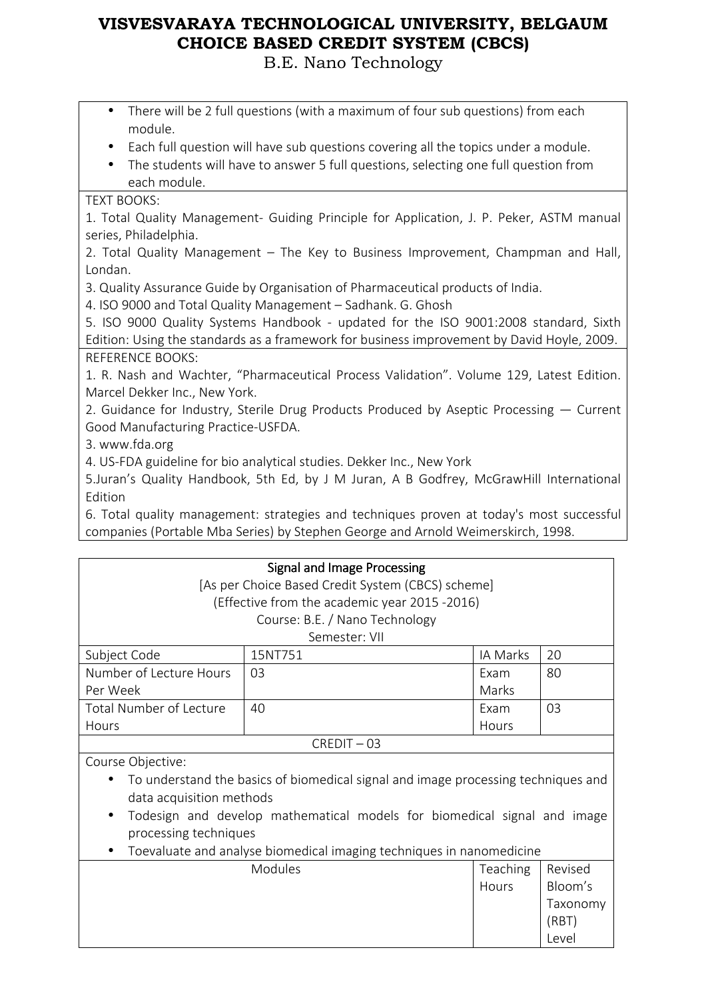B.E. Nano Technology

- There will be 2 full questions (with a maximum of four sub questions) from each module.
- Each full question will have sub questions covering all the topics under a module.
- The students will have to answer 5 full questions, selecting one full question from each module.

### TEXT BOOKS:

1. Total Quality Management- Guiding Principle for Application, J. P. Peker, ASTM manual series, Philadelphia.

2. Total Quality Management – The Key to Business Improvement, Champman and Hall, Londan.

3. Quality Assurance Guide by Organisation of Pharmaceutical products of India.

4. ISO 9000 and Total Quality Management – Sadhank. G. Ghosh

5. ISO 9000 Quality Systems Handbook - updated for the ISO 9001:2008 standard, Sixth Edition: Using the standards as a framework for business improvement by David Hoyle, 2009. REFERENCE BOOKS:

1. R. Nash and Wachter, "Pharmaceutical Process Validation". Volume 129, Latest Edition. Marcel Dekker Inc., New York.

2. Guidance for Industry, Sterile Drug Products Produced by Aseptic Processing — Current Good Manufacturing Practice-USFDA.

3. www.fda.org

4. US-FDA guideline for bio analytical studies. Dekker Inc., New York

5.Juran's Quality Handbook, 5th Ed, by J M Juran, A B Godfrey, McGrawHill International Edition

6. Total quality management: strategies and techniques proven at today's most successful companies (Portable Mba Series) by Stephen George and Arnold Weimerskirch, 1998.

| Signal and Image Processing                   |                                                   |          |    |  |
|-----------------------------------------------|---------------------------------------------------|----------|----|--|
|                                               | [As per Choice Based Credit System (CBCS) scheme] |          |    |  |
| (Effective from the academic year 2015 -2016) |                                                   |          |    |  |
| Course: B.E. / Nano Technology                |                                                   |          |    |  |
| Semester: VII                                 |                                                   |          |    |  |
| Subject Code                                  | 15NT751                                           | IA Marks | 20 |  |
| Number of Lecture Hours                       | 0 <sub>3</sub>                                    | Exam     | 80 |  |
| Per Week                                      |                                                   | Marks    |    |  |
| Total Number of Lecture                       | 40                                                | Exam     | 03 |  |
| <b>Hours</b>                                  |                                                   | Hours    |    |  |
| $CRFDIT - 03$                                 |                                                   |          |    |  |

Course Objective:

- To understand the basics of biomedical signal and image processing techniques and data acquisition methods
- Todesign and develop mathematical models for biomedical signal and image processing techniques

• Toevaluate and analyse biomedical imaging techniques in nanomedicine

| Modules | Teaching   Revised |          |
|---------|--------------------|----------|
|         | Hours              | Bloom's  |
|         |                    | Taxonomy |
|         |                    | (RBT)    |
|         |                    | Level    |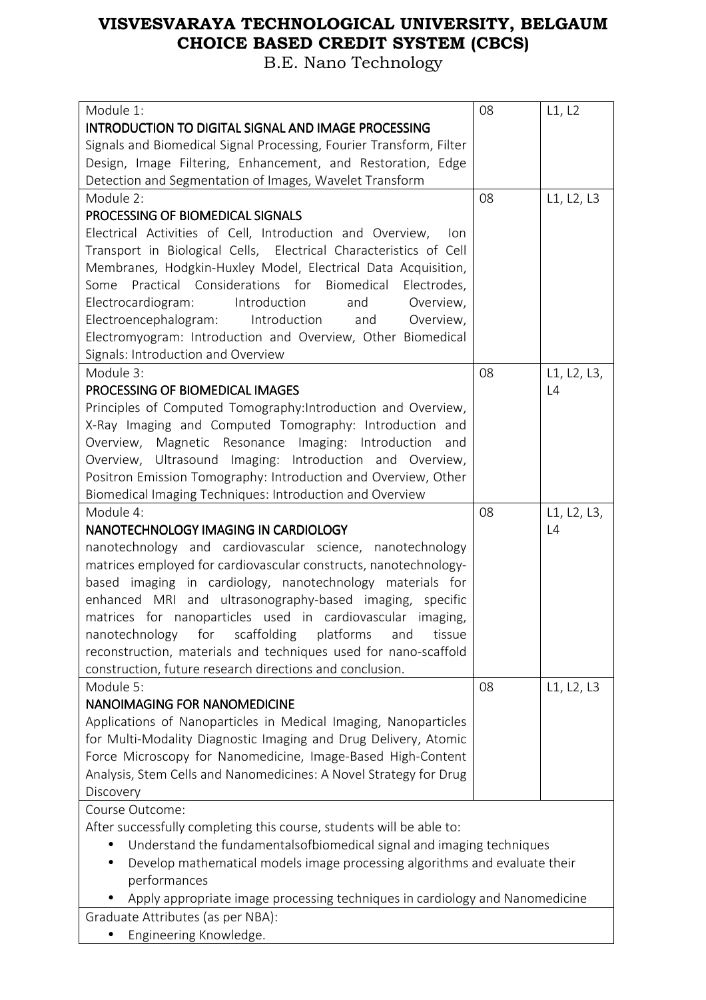| Module 1:                                                                    | 08 | L1, L2            |  |
|------------------------------------------------------------------------------|----|-------------------|--|
| <b>INTRODUCTION TO DIGITAL SIGNAL AND IMAGE PROCESSING</b>                   |    |                   |  |
| Signals and Biomedical Signal Processing, Fourier Transform, Filter          |    |                   |  |
| Design, Image Filtering, Enhancement, and Restoration, Edge                  |    |                   |  |
| Detection and Segmentation of Images, Wavelet Transform                      |    |                   |  |
| Module 2:                                                                    | 08 | L1, L2, L3        |  |
| PROCESSING OF BIOMEDICAL SIGNALS                                             |    |                   |  |
| Electrical Activities of Cell, Introduction and Overview,<br>lon             |    |                   |  |
| Transport in Biological Cells, Electrical Characteristics of Cell            |    |                   |  |
| Membranes, Hodgkin-Huxley Model, Electrical Data Acquisition,                |    |                   |  |
| Some Practical Considerations for Biomedical<br>Electrodes,                  |    |                   |  |
| Electrocardiogram:<br>Introduction<br>and<br>Overview,                       |    |                   |  |
| Electroencephalogram: Introduction<br>Overview,<br>and                       |    |                   |  |
| Electromyogram: Introduction and Overview, Other Biomedical                  |    |                   |  |
| Signals: Introduction and Overview                                           |    |                   |  |
| Module 3:<br>PROCESSING OF BIOMEDICAL IMAGES                                 | 08 | L1, L2, L3,<br>L4 |  |
| Principles of Computed Tomography: Introduction and Overview,                |    |                   |  |
| X-Ray Imaging and Computed Tomography: Introduction and                      |    |                   |  |
| Overview, Magnetic Resonance Imaging: Introduction<br>and                    |    |                   |  |
| Overview, Ultrasound Imaging: Introduction and Overview,                     |    |                   |  |
| Positron Emission Tomography: Introduction and Overview, Other               |    |                   |  |
| Biomedical Imaging Techniques: Introduction and Overview                     |    |                   |  |
| Module 4:                                                                    | 08 | L1, L2, L3,       |  |
| NANOTECHNOLOGY IMAGING IN CARDIOLOGY                                         |    | L4                |  |
| nanotechnology and cardiovascular science, nanotechnology                    |    |                   |  |
| matrices employed for cardiovascular constructs, nanotechnology-             |    |                   |  |
| based imaging in cardiology, nanotechnology materials for                    |    |                   |  |
| enhanced MRI and ultrasonography-based imaging, specific                     |    |                   |  |
| matrices for nanoparticles used in cardiovascular imaging,                   |    |                   |  |
| scaffolding<br>nanotechnology<br>for<br>platforms<br>tissue<br>and           |    |                   |  |
| reconstruction, materials and techniques used for nano-scaffold              |    |                   |  |
| construction, future research directions and conclusion.                     |    |                   |  |
| Module 5:                                                                    | 08 | L1, L2, L3        |  |
| <b>NANOIMAGING FOR NANOMEDICINE</b>                                          |    |                   |  |
| Applications of Nanoparticles in Medical Imaging, Nanoparticles              |    |                   |  |
| for Multi-Modality Diagnostic Imaging and Drug Delivery, Atomic              |    |                   |  |
| Force Microscopy for Nanomedicine, Image-Based High-Content                  |    |                   |  |
| Analysis, Stem Cells and Nanomedicines: A Novel Strategy for Drug            |    |                   |  |
| Discovery                                                                    |    |                   |  |
| Course Outcome:                                                              |    |                   |  |
| After successfully completing this course, students will be able to:         |    |                   |  |
| Understand the fundamentalsofbiomedical signal and imaging techniques        |    |                   |  |
| Develop mathematical models image processing algorithms and evaluate their   |    |                   |  |
| performances                                                                 |    |                   |  |
| Apply appropriate image processing techniques in cardiology and Nanomedicine |    |                   |  |
| Graduate Attributes (as per NBA):                                            |    |                   |  |
| Engineering Knowledge.                                                       |    |                   |  |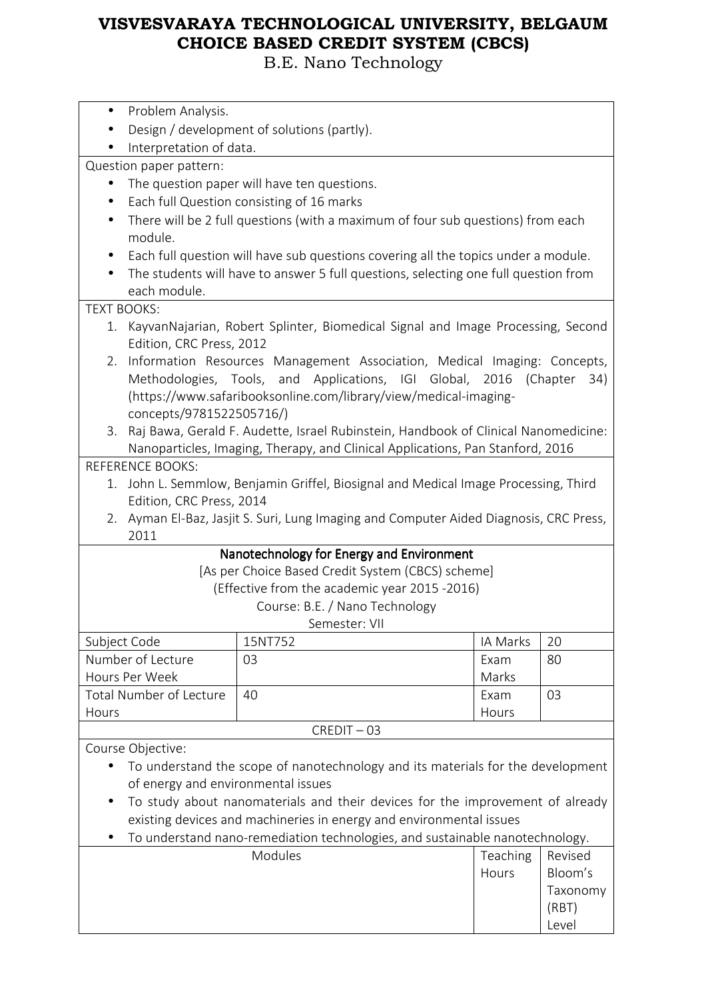B.E. Nano Technology

| Problem Analysis.<br>$\bullet$                                                             |                                                                                        |          |                   |
|--------------------------------------------------------------------------------------------|----------------------------------------------------------------------------------------|----------|-------------------|
|                                                                                            | Design / development of solutions (partly).                                            |          |                   |
| Interpretation of data.                                                                    |                                                                                        |          |                   |
| Question paper pattern:                                                                    |                                                                                        |          |                   |
|                                                                                            | The question paper will have ten questions.                                            |          |                   |
| $\bullet$                                                                                  | Each full Question consisting of 16 marks                                              |          |                   |
| $\bullet$<br>module.                                                                       | There will be 2 full questions (with a maximum of four sub questions) from each        |          |                   |
|                                                                                            | Each full question will have sub questions covering all the topics under a module.     |          |                   |
| each module.                                                                               | The students will have to answer 5 full questions, selecting one full question from    |          |                   |
| <b>TEXT BOOKS:</b>                                                                         |                                                                                        |          |                   |
| Edition, CRC Press, 2012                                                                   | 1. KayvanNajarian, Robert Splinter, Biomedical Signal and Image Processing, Second     |          |                   |
| 2.                                                                                         | Information Resources Management Association, Medical Imaging: Concepts,               |          |                   |
|                                                                                            | Methodologies, Tools, and Applications, IGI Global, 2016 (Chapter                      |          | 34)               |
| concepts/9781522505716/)                                                                   | (https://www.safaribooksonline.com/library/view/medical-imaging-                       |          |                   |
| 3.                                                                                         | Raj Bawa, Gerald F. Audette, Israel Rubinstein, Handbook of Clinical Nanomedicine:     |          |                   |
|                                                                                            | Nanoparticles, Imaging, Therapy, and Clinical Applications, Pan Stanford, 2016         |          |                   |
| <b>REFERENCE BOOKS:</b>                                                                    |                                                                                        |          |                   |
|                                                                                            | 1. John L. Semmlow, Benjamin Griffel, Biosignal and Medical Image Processing, Third    |          |                   |
| Edition, CRC Press, 2014                                                                   |                                                                                        |          |                   |
|                                                                                            | 2. Ayman El-Baz, Jasjit S. Suri, Lung Imaging and Computer Aided Diagnosis, CRC Press, |          |                   |
| 2011                                                                                       |                                                                                        |          |                   |
|                                                                                            | Nanotechnology for Energy and Environment                                              |          |                   |
|                                                                                            | [As per Choice Based Credit System (CBCS) scheme]                                      |          |                   |
|                                                                                            | (Effective from the academic year 2015 -2016)                                          |          |                   |
|                                                                                            | Course: B.E. / Nano Technology                                                         |          |                   |
|                                                                                            | Semester: VII                                                                          |          |                   |
| Subject Code                                                                               | 15NT752                                                                                | IA Marks | 20                |
| Number of Lecture                                                                          | 03                                                                                     | Exam     | 80                |
| Hours Per Week                                                                             |                                                                                        | Marks    |                   |
| <b>Total Number of Lecture</b>                                                             | 40                                                                                     | Exam     | 03                |
| Hours                                                                                      |                                                                                        | Hours    |                   |
|                                                                                            | $CREDIT - 03$                                                                          |          |                   |
| Course Objective:                                                                          |                                                                                        |          |                   |
|                                                                                            |                                                                                        |          |                   |
|                                                                                            | To understand the scope of nanotechnology and its materials for the development        |          |                   |
| of energy and environmental issues                                                         |                                                                                        |          |                   |
| To study about nanomaterials and their devices for the improvement of already<br>$\bullet$ |                                                                                        |          |                   |
| existing devices and machineries in energy and environmental issues                        |                                                                                        |          |                   |
| To understand nano-remediation technologies, and sustainable nanotechnology.<br>$\bullet$  |                                                                                        |          |                   |
|                                                                                            | Modules                                                                                | Teaching | Revised           |
|                                                                                            |                                                                                        | Hours    | Bloom's           |
|                                                                                            |                                                                                        |          | Taxonomy<br>(RBT) |

Level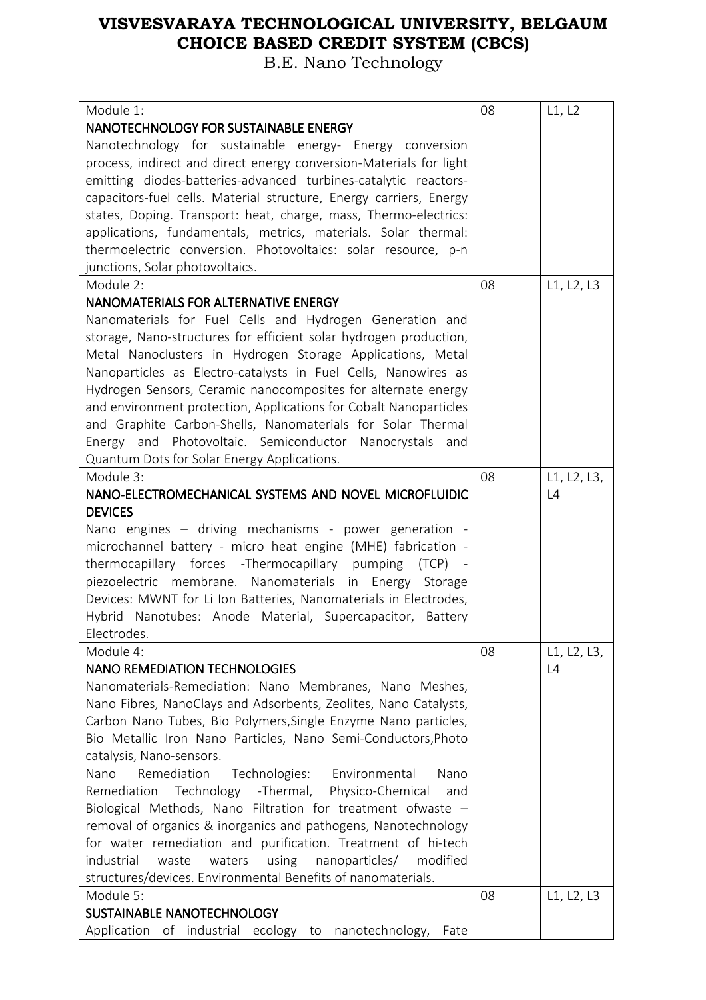| Module 1:                                                            | 08 | L1, L2      |
|----------------------------------------------------------------------|----|-------------|
| NANOTECHNOLOGY FOR SUSTAINABLE ENERGY                                |    |             |
| Nanotechnology for sustainable energy- Energy conversion             |    |             |
| process, indirect and direct energy conversion-Materials for light   |    |             |
| emitting diodes-batteries-advanced turbines-catalytic reactors-      |    |             |
|                                                                      |    |             |
| capacitors-fuel cells. Material structure, Energy carriers, Energy   |    |             |
| states, Doping. Transport: heat, charge, mass, Thermo-electrics:     |    |             |
| applications, fundamentals, metrics, materials. Solar thermal:       |    |             |
| thermoelectric conversion. Photovoltaics: solar resource, p-n        |    |             |
| junctions, Solar photovoltaics.                                      |    |             |
| Module 2:                                                            | 08 | L1, L2, L3  |
| NANOMATERIALS FOR ALTERNATIVE ENERGY                                 |    |             |
| Nanomaterials for Fuel Cells and Hydrogen Generation and             |    |             |
| storage, Nano-structures for efficient solar hydrogen production,    |    |             |
| Metal Nanoclusters in Hydrogen Storage Applications, Metal           |    |             |
| Nanoparticles as Electro-catalysts in Fuel Cells, Nanowires as       |    |             |
| Hydrogen Sensors, Ceramic nanocomposites for alternate energy        |    |             |
| and environment protection, Applications for Cobalt Nanoparticles    |    |             |
| and Graphite Carbon-Shells, Nanomaterials for Solar Thermal          |    |             |
| Energy and Photovoltaic. Semiconductor Nanocrystals<br>and           |    |             |
| Quantum Dots for Solar Energy Applications.                          |    |             |
| Module 3:                                                            | 08 | L1, L2, L3, |
| NANO-ELECTROMECHANICAL SYSTEMS AND NOVEL MICROFLUIDIC                |    | L4          |
|                                                                      |    |             |
| <b>DEVICES</b>                                                       |    |             |
| Nano engines - driving mechanisms - power generation -               |    |             |
| microchannel battery - micro heat engine (MHE) fabrication -         |    |             |
| thermocapillary forces -Thermocapillary pumping (TCP)                |    |             |
| piezoelectric membrane. Nanomaterials in Energy<br>Storage           |    |             |
| Devices: MWNT for Li Ion Batteries, Nanomaterials in Electrodes,     |    |             |
| Hybrid Nanotubes: Anode Material, Supercapacitor, Battery            |    |             |
| Electrodes.                                                          |    |             |
| Module 4:                                                            | 08 | L1, L2, L3, |
| <b>NANO REMEDIATION TECHNOLOGIES</b>                                 |    | L4          |
| Nanomaterials-Remediation: Nano Membranes, Nano Meshes,              |    |             |
| Nano Fibres, NanoClays and Adsorbents, Zeolites, Nano Catalysts,     |    |             |
| Carbon Nano Tubes, Bio Polymers, Single Enzyme Nano particles,       |    |             |
| Bio Metallic Iron Nano Particles, Nano Semi-Conductors, Photo        |    |             |
| catalysis, Nano-sensors.                                             |    |             |
| Remediation<br>Nano<br>Technologies: Environmental<br>Nano           |    |             |
| Technology - Thermal, Physico-Chemical<br>Remediation<br>and         |    |             |
| Biological Methods, Nano Filtration for treatment ofwaste -          |    |             |
| removal of organics & inorganics and pathogens, Nanotechnology       |    |             |
|                                                                      |    |             |
| for water remediation and purification. Treatment of hi-tech         |    |             |
| industrial<br>using<br>nanoparticles/<br>waste<br>waters<br>modified |    |             |
| structures/devices. Environmental Benefits of nanomaterials.         |    |             |
| Module 5:                                                            | 08 | L1, L2, L3  |
| SUSTAINABLE NANOTECHNOLOGY                                           |    |             |
| Application of industrial ecology to nanotechnology,<br>Fate         |    |             |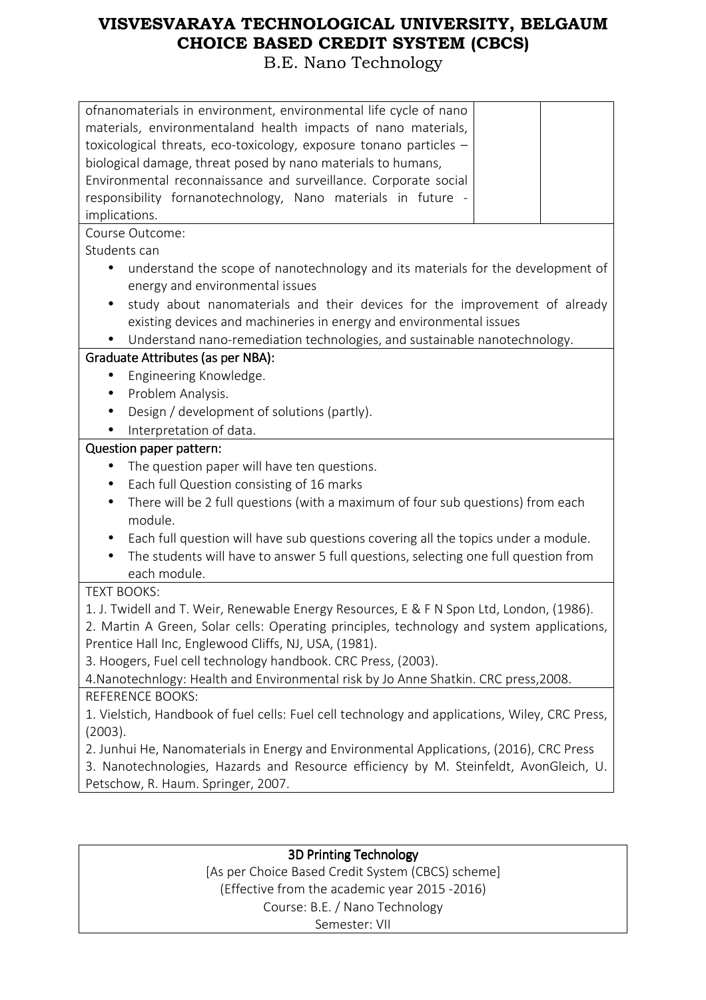# B.E. Nano Technology

| ofnanomaterials in environment, environmental life cycle of nano<br>materials, environmentaland health impacts of nano materials,<br>toxicological threats, eco-toxicology, exposure tonano particles - |  |  |  |
|---------------------------------------------------------------------------------------------------------------------------------------------------------------------------------------------------------|--|--|--|
| biological damage, threat posed by nano materials to humans,                                                                                                                                            |  |  |  |
| Environmental reconnaissance and surveillance. Corporate social                                                                                                                                         |  |  |  |
| responsibility fornanotechnology, Nano materials in future -                                                                                                                                            |  |  |  |
| implications.                                                                                                                                                                                           |  |  |  |
| Course Outcome:                                                                                                                                                                                         |  |  |  |
| Students can                                                                                                                                                                                            |  |  |  |
| understand the scope of nanotechnology and its materials for the development of<br>energy and environmental issues                                                                                      |  |  |  |
| study about nanomaterials and their devices for the improvement of already                                                                                                                              |  |  |  |
| existing devices and machineries in energy and environmental issues                                                                                                                                     |  |  |  |
| Understand nano-remediation technologies, and sustainable nanotechnology.                                                                                                                               |  |  |  |
| Graduate Attributes (as per NBA):                                                                                                                                                                       |  |  |  |
| Engineering Knowledge.<br>$\bullet$                                                                                                                                                                     |  |  |  |
| Problem Analysis.<br>$\bullet$                                                                                                                                                                          |  |  |  |
| Design / development of solutions (partly).<br>$\bullet$                                                                                                                                                |  |  |  |
| Interpretation of data.                                                                                                                                                                                 |  |  |  |
| Question paper pattern:                                                                                                                                                                                 |  |  |  |
| The question paper will have ten questions.                                                                                                                                                             |  |  |  |
| Each full Question consisting of 16 marks<br>$\bullet$                                                                                                                                                  |  |  |  |
| There will be 2 full questions (with a maximum of four sub questions) from each<br>$\bullet$                                                                                                            |  |  |  |
| module.                                                                                                                                                                                                 |  |  |  |
| Each full question will have sub questions covering all the topics under a module.                                                                                                                      |  |  |  |
| The students will have to answer 5 full questions, selecting one full question from<br>$\bullet$                                                                                                        |  |  |  |
| each module.                                                                                                                                                                                            |  |  |  |
| <b>TEXT BOOKS:</b>                                                                                                                                                                                      |  |  |  |
| 1. J. Twidell and T. Weir, Renewable Energy Resources, E & F N Spon Ltd, London, (1986).                                                                                                                |  |  |  |
| 2. Martin A Green, Solar cells: Operating principles, technology and system applications,                                                                                                               |  |  |  |
| Prentice Hall Inc, Englewood Cliffs, NJ, USA, (1981).                                                                                                                                                   |  |  |  |
| 3. Hoogers, Fuel cell technology handbook. CRC Press, (2003).                                                                                                                                           |  |  |  |
| 4. Nanotechnlogy: Health and Environmental risk by Jo Anne Shatkin. CRC press, 2008.                                                                                                                    |  |  |  |
| <b>REFERENCE BOOKS:</b>                                                                                                                                                                                 |  |  |  |
| 1. Vielstich, Handbook of fuel cells: Fuel cell technology and applications, Wiley, CRC Press,                                                                                                          |  |  |  |
| (2003).                                                                                                                                                                                                 |  |  |  |
| 2. Junhui He, Nanomaterials in Energy and Environmental Applications, (2016), CRC Press                                                                                                                 |  |  |  |
| 3. Nanotechnologies, Hazards and Resource efficiency by M. Steinfeldt, AvonGleich, U.                                                                                                                   |  |  |  |
| Petschow, R. Haum. Springer, 2007.                                                                                                                                                                      |  |  |  |

### 3D Printing Technology

[As per Choice Based Credit System (CBCS) scheme] (Effective from the academic year 2015 -2016) Course: B.E. / Nano Technology Semester: VII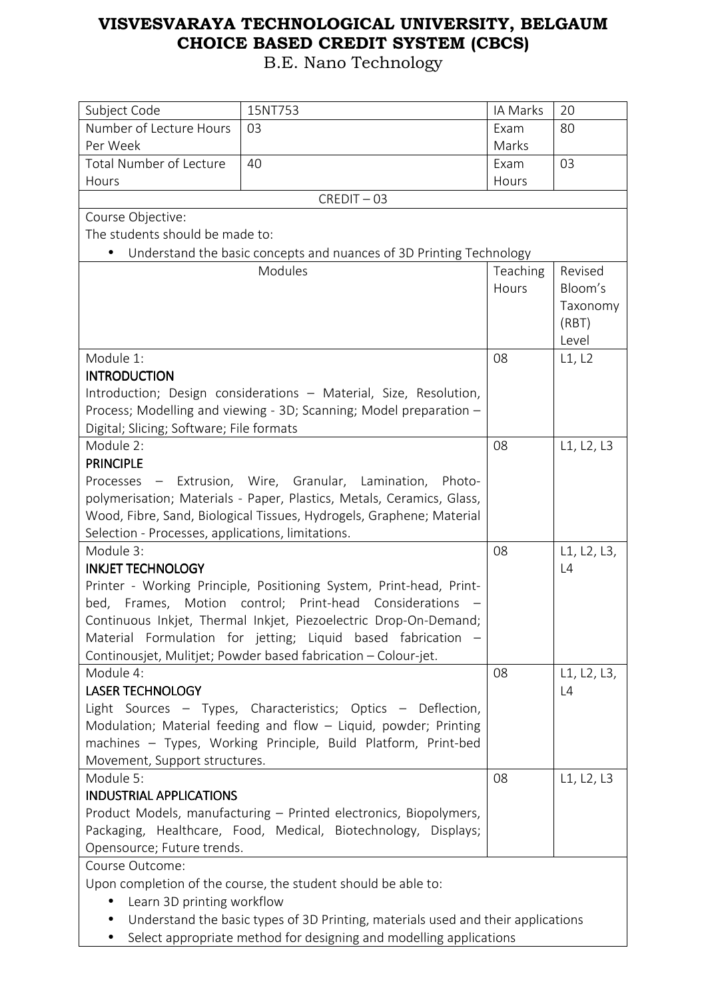| Subject Code                                                                                                                     | 15NT753                                                                          | IA Marks | 20          |
|----------------------------------------------------------------------------------------------------------------------------------|----------------------------------------------------------------------------------|----------|-------------|
| Number of Lecture Hours                                                                                                          | 03                                                                               | Exam     | 80          |
| Per Week                                                                                                                         |                                                                                  | Marks    |             |
| Total Number of Lecture                                                                                                          | 40                                                                               | Exam     | 03          |
| Hours                                                                                                                            |                                                                                  | Hours    |             |
|                                                                                                                                  | $CREDIT - 03$                                                                    |          |             |
| Course Objective:                                                                                                                |                                                                                  |          |             |
| The students should be made to:                                                                                                  |                                                                                  |          |             |
| $\bullet$                                                                                                                        | Understand the basic concepts and nuances of 3D Printing Technology              |          |             |
|                                                                                                                                  | Modules                                                                          | Teaching | Revised     |
|                                                                                                                                  |                                                                                  | Hours    | Bloom's     |
|                                                                                                                                  |                                                                                  |          | Taxonomy    |
|                                                                                                                                  |                                                                                  |          | (RBT)       |
|                                                                                                                                  |                                                                                  |          | Level       |
| Module 1:                                                                                                                        |                                                                                  | 08       | L1, L2      |
| <b>INTRODUCTION</b>                                                                                                              |                                                                                  |          |             |
|                                                                                                                                  | Introduction; Design considerations - Material, Size, Resolution,                |          |             |
|                                                                                                                                  | Process; Modelling and viewing - 3D; Scanning; Model preparation -               |          |             |
| Digital; Slicing; Software; File formats                                                                                         |                                                                                  |          |             |
| Module 2:                                                                                                                        |                                                                                  | 08       | L1, L2, L3  |
| <b>PRINCIPLE</b>                                                                                                                 |                                                                                  |          |             |
|                                                                                                                                  | Processes - Extrusion, Wire, Granular, Lamination, Photo-                        |          |             |
| polymerisation; Materials - Paper, Plastics, Metals, Ceramics, Glass,                                                            |                                                                                  |          |             |
| Wood, Fibre, Sand, Biological Tissues, Hydrogels, Graphene; Material                                                             |                                                                                  |          |             |
| Selection - Processes, applications, limitations.                                                                                |                                                                                  |          |             |
| Module 3:                                                                                                                        |                                                                                  |          | L1, L2, L3, |
| <b>INKJET TECHNOLOGY</b>                                                                                                         |                                                                                  |          | L4          |
| Printer - Working Principle, Positioning System, Print-head, Print-                                                              |                                                                                  |          |             |
| bed, Frames, Motion control; Print-head Considerations                                                                           |                                                                                  |          |             |
| Continuous Inkjet, Thermal Inkjet, Piezoelectric Drop-On-Demand;<br>Material Formulation for jetting; Liquid based fabrication - |                                                                                  |          |             |
|                                                                                                                                  | Continousjet, Mulitjet; Powder based fabrication - Colour-jet.                   |          |             |
| Module 4:                                                                                                                        |                                                                                  | 08       | L1, L2, L3, |
| <b>LASER TECHNOLOGY</b>                                                                                                          |                                                                                  |          | L4          |
|                                                                                                                                  | Light Sources - Types, Characteristics; Optics - Deflection,                     |          |             |
|                                                                                                                                  | Modulation; Material feeding and flow - Liquid, powder; Printing                 |          |             |
|                                                                                                                                  | machines - Types, Working Principle, Build Platform, Print-bed                   |          |             |
| Movement, Support structures.                                                                                                    |                                                                                  |          |             |
| Module 5:                                                                                                                        |                                                                                  | 08       | L1, L2, L3  |
| <b>INDUSTRIAL APPLICATIONS</b>                                                                                                   |                                                                                  |          |             |
|                                                                                                                                  | Product Models, manufacturing - Printed electronics, Biopolymers,                |          |             |
|                                                                                                                                  | Packaging, Healthcare, Food, Medical, Biotechnology, Displays;                   |          |             |
| Opensource; Future trends.                                                                                                       |                                                                                  |          |             |
| Course Outcome:                                                                                                                  |                                                                                  |          |             |
| Upon completion of the course, the student should be able to:                                                                    |                                                                                  |          |             |
| Learn 3D printing workflow<br>$\bullet$                                                                                          |                                                                                  |          |             |
|                                                                                                                                  | Understand the basic types of 3D Printing, materials used and their applications |          |             |
| Select appropriate method for designing and modelling applications<br>$\bullet$                                                  |                                                                                  |          |             |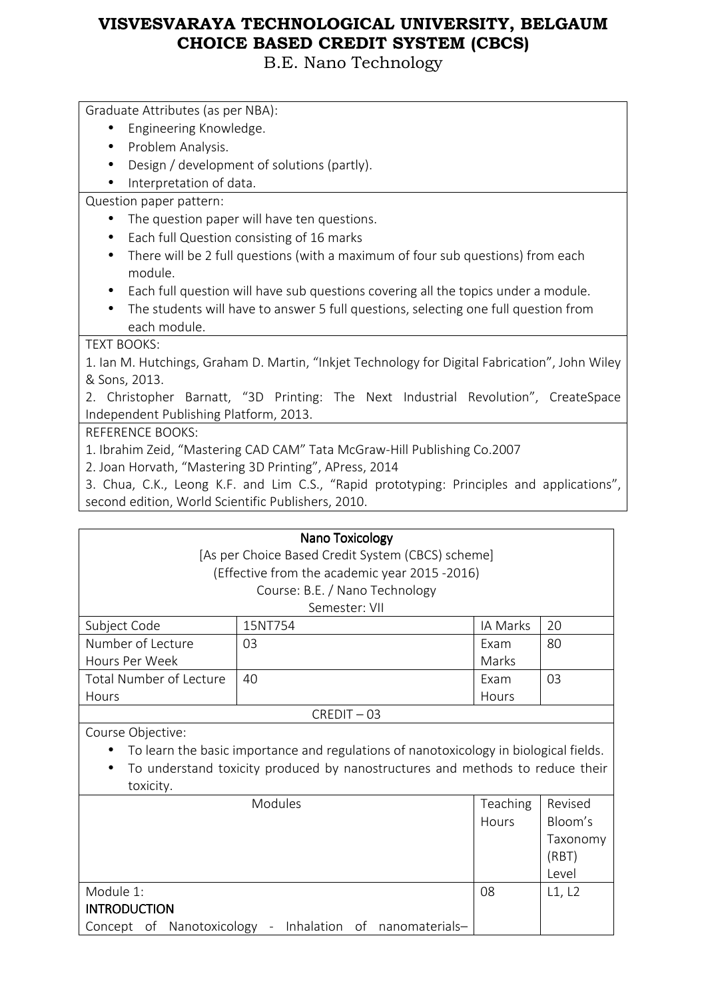B.E. Nano Technology

Graduate Attributes (as per NBA):

- Engineering Knowledge.
- Problem Analysis.
- Design / development of solutions (partly).

• Interpretation of data.

Question paper pattern:

- The question paper will have ten questions.
- Each full Question consisting of 16 marks
- There will be 2 full questions (with a maximum of four sub questions) from each module.
- Each full question will have sub questions covering all the topics under a module.
- The students will have to answer 5 full questions, selecting one full question from each module.

#### TEXT BOOKS:

1. Ian M. Hutchings, Graham D. Martin, "Inkjet Technology for Digital Fabrication", John Wiley & Sons, 2013.

2. Christopher Barnatt, "3D Printing: The Next Industrial Revolution", CreateSpace Independent Publishing Platform, 2013.

#### REFERENCE BOOKS:

1. Ibrahim Zeid, "Mastering CAD CAM" Tata McGraw-Hill Publishing Co.2007

2. Joan Horvath, "Mastering 3D Printing", APress, 2014

3. Chua, C.K., Leong K.F. and Lim C.S., "Rapid prototyping: Principles and applications", second edition, World Scientific Publishers, 2010.

| Nano Toxicology                                                                       |                                                                               |          |          |  |
|---------------------------------------------------------------------------------------|-------------------------------------------------------------------------------|----------|----------|--|
|                                                                                       | [As per Choice Based Credit System (CBCS) scheme]                             |          |          |  |
|                                                                                       | (Effective from the academic year 2015 -2016)                                 |          |          |  |
|                                                                                       | Course: B.E. / Nano Technology                                                |          |          |  |
|                                                                                       | Semester: VII                                                                 |          |          |  |
| Subject Code                                                                          | 15NT754                                                                       | IA Marks | 20       |  |
| Number of Lecture                                                                     | 03                                                                            | Exam     | 80       |  |
| Hours Per Week                                                                        |                                                                               | Marks    |          |  |
| <b>Total Number of Lecture</b>                                                        | 40                                                                            | Exam     | 03       |  |
| Hours                                                                                 |                                                                               | Hours    |          |  |
|                                                                                       | $CREDIT - 03$                                                                 |          |          |  |
| Course Objective:                                                                     |                                                                               |          |          |  |
| To learn the basic importance and regulations of nanotoxicology in biological fields. |                                                                               |          |          |  |
|                                                                                       | To understand toxicity produced by nanostructures and methods to reduce their |          |          |  |
| toxicity.                                                                             |                                                                               |          |          |  |
| Modules<br>Teaching                                                                   |                                                                               | Revised  |          |  |
|                                                                                       |                                                                               | Hours    | Bloom's  |  |
|                                                                                       |                                                                               |          | Taxonomy |  |
|                                                                                       |                                                                               |          | (RBT)    |  |
|                                                                                       |                                                                               |          |          |  |

|                                                          |    | l evel |
|----------------------------------------------------------|----|--------|
| Module 1:                                                | 08 |        |
| INTRODUCTION                                             |    |        |
| Concept of Nanotoxicology - Inhalation of nanomaterials- |    |        |
|                                                          |    |        |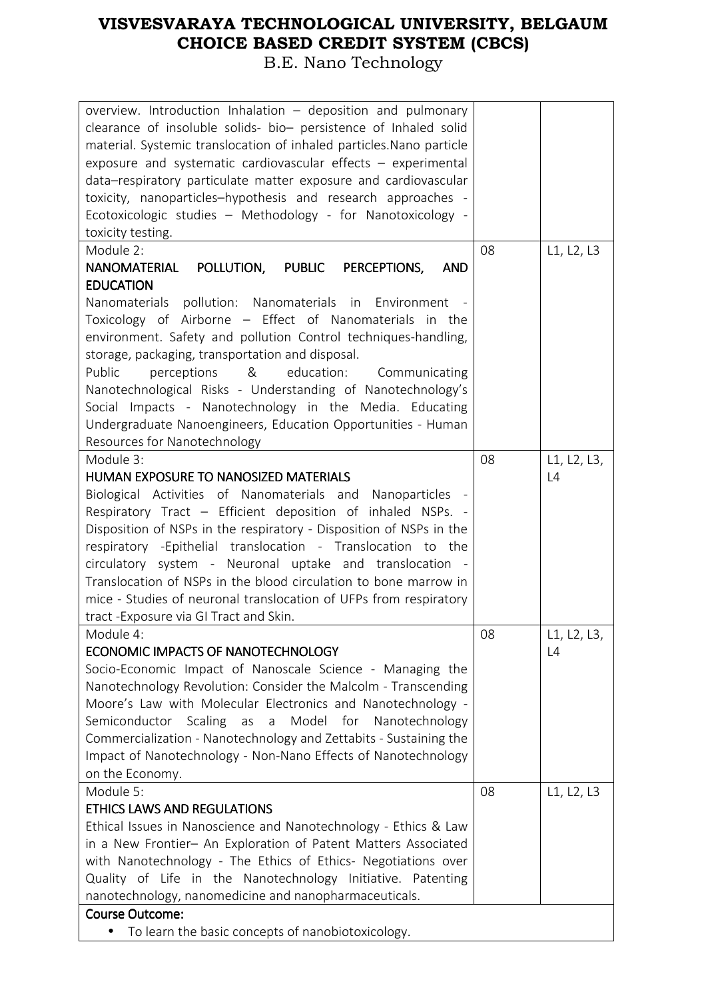| Module 2:<br>08<br>L1, L2, L3<br>NANOMATERIAL POLLUTION, PUBLIC PERCEPTIONS,<br><b>AND</b><br><b>EDUCATION</b><br>Nanomaterials pollution: Nanomaterials in Environment<br>Toxicology of Airborne - Effect of Nanomaterials<br>in the<br>environment. Safety and pollution Control techniques-handling,<br>storage, packaging, transportation and disposal.<br>education:<br>Public<br>$\alpha$<br>perceptions<br>Communicating<br>Nanotechnological Risks - Understanding of Nanotechnology's<br>Social Impacts - Nanotechnology in the Media. Educating<br>Undergraduate Nanoengineers, Education Opportunities - Human<br>Resources for Nanotechnology<br>Module 3:<br>L1, L2, L3,<br>08<br>HUMAN EXPOSURE TO NANOSIZED MATERIALS<br>L4<br>Biological Activities of Nanomaterials and Nanoparticles<br>Respiratory Tract - Efficient deposition of inhaled NSPs. -<br>Disposition of NSPs in the respiratory - Disposition of NSPs in the<br>respiratory - Epithelial translocation - Translocation to the<br>circulatory system - Neuronal uptake and translocation -<br>Translocation of NSPs in the blood circulation to bone marrow in<br>mice - Studies of neuronal translocation of UFPs from respiratory<br>tract - Exposure via GI Tract and Skin.<br>Module 4:<br>08<br>L1, L2, L3,<br>ECONOMIC IMPACTS OF NANOTECHNOLOGY<br>L4<br>Socio-Economic Impact of Nanoscale Science - Managing the<br>Nanotechnology Revolution: Consider the Malcolm - Transcending<br>Moore's Law with Molecular Electronics and Nanotechnology -<br>Scaling<br>Model for<br>Semiconductor<br>as a<br>Nanotechnology<br>Commercialization - Nanotechnology and Zettabits - Sustaining the<br>Impact of Nanotechnology - Non-Nano Effects of Nanotechnology<br>on the Economy.<br>Module 5:<br>L1, L2, L3<br>08<br><b>ETHICS LAWS AND REGULATIONS</b><br>Ethical Issues in Nanoscience and Nanotechnology - Ethics & Law<br>in a New Frontier- An Exploration of Patent Matters Associated<br>with Nanotechnology - The Ethics of Ethics- Negotiations over<br>Quality of Life in the Nanotechnology Initiative. Patenting<br>nanotechnology, nanomedicine and nanopharmaceuticals.<br><b>Course Outcome:</b> | overview. Introduction Inhalation - deposition and pulmonary<br>clearance of insoluble solids- bio- persistence of Inhaled solid<br>material. Systemic translocation of inhaled particles. Nano particle<br>exposure and systematic cardiovascular effects - experimental<br>data-respiratory particulate matter exposure and cardiovascular<br>toxicity, nanoparticles-hypothesis and research approaches -<br>Ecotoxicologic studies - Methodology - for Nanotoxicology -<br>toxicity testing. |  |
|------------------------------------------------------------------------------------------------------------------------------------------------------------------------------------------------------------------------------------------------------------------------------------------------------------------------------------------------------------------------------------------------------------------------------------------------------------------------------------------------------------------------------------------------------------------------------------------------------------------------------------------------------------------------------------------------------------------------------------------------------------------------------------------------------------------------------------------------------------------------------------------------------------------------------------------------------------------------------------------------------------------------------------------------------------------------------------------------------------------------------------------------------------------------------------------------------------------------------------------------------------------------------------------------------------------------------------------------------------------------------------------------------------------------------------------------------------------------------------------------------------------------------------------------------------------------------------------------------------------------------------------------------------------------------------------------------------------------------------------------------------------------------------------------------------------------------------------------------------------------------------------------------------------------------------------------------------------------------------------------------------------------------------------------------------------------------------------------------------------------------------------------------------------------------------------------------|--------------------------------------------------------------------------------------------------------------------------------------------------------------------------------------------------------------------------------------------------------------------------------------------------------------------------------------------------------------------------------------------------------------------------------------------------------------------------------------------------|--|
|                                                                                                                                                                                                                                                                                                                                                                                                                                                                                                                                                                                                                                                                                                                                                                                                                                                                                                                                                                                                                                                                                                                                                                                                                                                                                                                                                                                                                                                                                                                                                                                                                                                                                                                                                                                                                                                                                                                                                                                                                                                                                                                                                                                                      |                                                                                                                                                                                                                                                                                                                                                                                                                                                                                                  |  |
|                                                                                                                                                                                                                                                                                                                                                                                                                                                                                                                                                                                                                                                                                                                                                                                                                                                                                                                                                                                                                                                                                                                                                                                                                                                                                                                                                                                                                                                                                                                                                                                                                                                                                                                                                                                                                                                                                                                                                                                                                                                                                                                                                                                                      |                                                                                                                                                                                                                                                                                                                                                                                                                                                                                                  |  |
|                                                                                                                                                                                                                                                                                                                                                                                                                                                                                                                                                                                                                                                                                                                                                                                                                                                                                                                                                                                                                                                                                                                                                                                                                                                                                                                                                                                                                                                                                                                                                                                                                                                                                                                                                                                                                                                                                                                                                                                                                                                                                                                                                                                                      |                                                                                                                                                                                                                                                                                                                                                                                                                                                                                                  |  |
|                                                                                                                                                                                                                                                                                                                                                                                                                                                                                                                                                                                                                                                                                                                                                                                                                                                                                                                                                                                                                                                                                                                                                                                                                                                                                                                                                                                                                                                                                                                                                                                                                                                                                                                                                                                                                                                                                                                                                                                                                                                                                                                                                                                                      |                                                                                                                                                                                                                                                                                                                                                                                                                                                                                                  |  |
|                                                                                                                                                                                                                                                                                                                                                                                                                                                                                                                                                                                                                                                                                                                                                                                                                                                                                                                                                                                                                                                                                                                                                                                                                                                                                                                                                                                                                                                                                                                                                                                                                                                                                                                                                                                                                                                                                                                                                                                                                                                                                                                                                                                                      |                                                                                                                                                                                                                                                                                                                                                                                                                                                                                                  |  |
|                                                                                                                                                                                                                                                                                                                                                                                                                                                                                                                                                                                                                                                                                                                                                                                                                                                                                                                                                                                                                                                                                                                                                                                                                                                                                                                                                                                                                                                                                                                                                                                                                                                                                                                                                                                                                                                                                                                                                                                                                                                                                                                                                                                                      |                                                                                                                                                                                                                                                                                                                                                                                                                                                                                                  |  |
|                                                                                                                                                                                                                                                                                                                                                                                                                                                                                                                                                                                                                                                                                                                                                                                                                                                                                                                                                                                                                                                                                                                                                                                                                                                                                                                                                                                                                                                                                                                                                                                                                                                                                                                                                                                                                                                                                                                                                                                                                                                                                                                                                                                                      |                                                                                                                                                                                                                                                                                                                                                                                                                                                                                                  |  |
|                                                                                                                                                                                                                                                                                                                                                                                                                                                                                                                                                                                                                                                                                                                                                                                                                                                                                                                                                                                                                                                                                                                                                                                                                                                                                                                                                                                                                                                                                                                                                                                                                                                                                                                                                                                                                                                                                                                                                                                                                                                                                                                                                                                                      |                                                                                                                                                                                                                                                                                                                                                                                                                                                                                                  |  |
|                                                                                                                                                                                                                                                                                                                                                                                                                                                                                                                                                                                                                                                                                                                                                                                                                                                                                                                                                                                                                                                                                                                                                                                                                                                                                                                                                                                                                                                                                                                                                                                                                                                                                                                                                                                                                                                                                                                                                                                                                                                                                                                                                                                                      |                                                                                                                                                                                                                                                                                                                                                                                                                                                                                                  |  |
|                                                                                                                                                                                                                                                                                                                                                                                                                                                                                                                                                                                                                                                                                                                                                                                                                                                                                                                                                                                                                                                                                                                                                                                                                                                                                                                                                                                                                                                                                                                                                                                                                                                                                                                                                                                                                                                                                                                                                                                                                                                                                                                                                                                                      |                                                                                                                                                                                                                                                                                                                                                                                                                                                                                                  |  |
|                                                                                                                                                                                                                                                                                                                                                                                                                                                                                                                                                                                                                                                                                                                                                                                                                                                                                                                                                                                                                                                                                                                                                                                                                                                                                                                                                                                                                                                                                                                                                                                                                                                                                                                                                                                                                                                                                                                                                                                                                                                                                                                                                                                                      | To learn the basic concepts of nanobiotoxicology.                                                                                                                                                                                                                                                                                                                                                                                                                                                |  |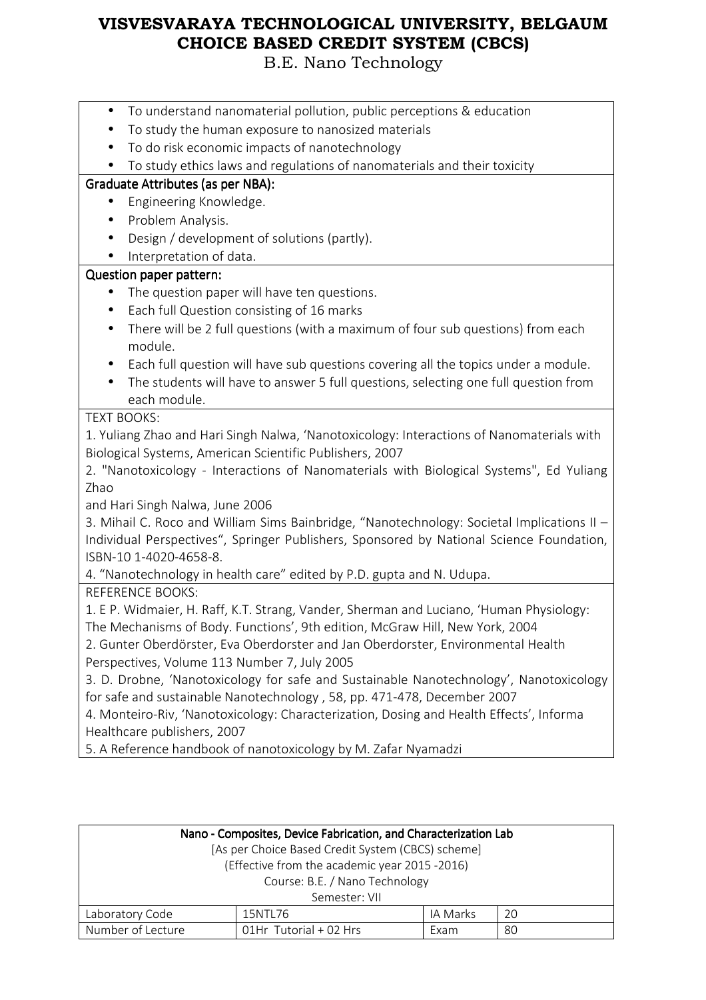B.E. Nano Technology

- To understand nanomaterial pollution, public perceptions & education
- To study the human exposure to nanosized materials
- To do risk economic impacts of nanotechnology
- To study ethics laws and regulations of nanomaterials and their toxicity

### Graduate Attributes (as per NBA):

- Engineering Knowledge.
- Problem Analysis.
- Design / development of solutions (partly).
- Interpretation of data.

### Question paper pattern:

- The question paper will have ten questions.
- Each full Question consisting of 16 marks
- There will be 2 full questions (with a maximum of four sub questions) from each module.
- Each full question will have sub questions covering all the topics under a module.
- The students will have to answer 5 full questions, selecting one full question from each module.

### TEXT BOOKS:

1. Yuliang Zhao and Hari Singh Nalwa, 'Nanotoxicology: Interactions of Nanomaterials with Biological Systems, American Scientific Publishers, 2007

2. "Nanotoxicology - Interactions of Nanomaterials with Biological Systems", Ed Yuliang Zhao

and Hari Singh Nalwa, June 2006

3. Mihail C. Roco and William Sims Bainbridge, "Nanotechnology: Societal Implications II – Individual Perspectives", Springer Publishers, Sponsored by National Science Foundation, ISBN-10 1-4020-4658-8.

4. "Nanotechnology in health care" edited by P.D. gupta and N. Udupa.

REFERENCE BOOKS:

1. E P. Widmaier, H. Raff, K.T. Strang, Vander, Sherman and Luciano, 'Human Physiology: The Mechanisms of Body. Functions', 9th edition, McGraw Hill, New York, 2004

2. Gunter Oberdörster, Eva Oberdorster and Jan Oberdorster, Environmental Health Perspectives, Volume 113 Number 7, July 2005

3. D. Drobne, 'Nanotoxicology for safe and Sustainable Nanotechnology', Nanotoxicology for safe and sustainable Nanotechnology , 58, pp. 471-478, December 2007

4. Monteiro-Riv, 'Nanotoxicology: Characterization, Dosing and Health Effects', Informa Healthcare publishers, 2007

5. A Reference handbook of nanotoxicology by M. Zafar Nyamadzi

| Nano - Composites, Device Fabrication, and Characterization Lab |                                               |  |  |  |  |
|-----------------------------------------------------------------|-----------------------------------------------|--|--|--|--|
| [As per Choice Based Credit System (CBCS) scheme]               |                                               |  |  |  |  |
|                                                                 | (Effective from the academic year 2015 -2016) |  |  |  |  |
| Course: B.E. / Nano Technology                                  |                                               |  |  |  |  |
| Semester: VII                                                   |                                               |  |  |  |  |
| Laboratory Code<br>IA Marks<br>20<br>15NTL76                    |                                               |  |  |  |  |
| Number of Lecture<br>01Hr Tutorial + 02 Hrs<br>80<br>Exam       |                                               |  |  |  |  |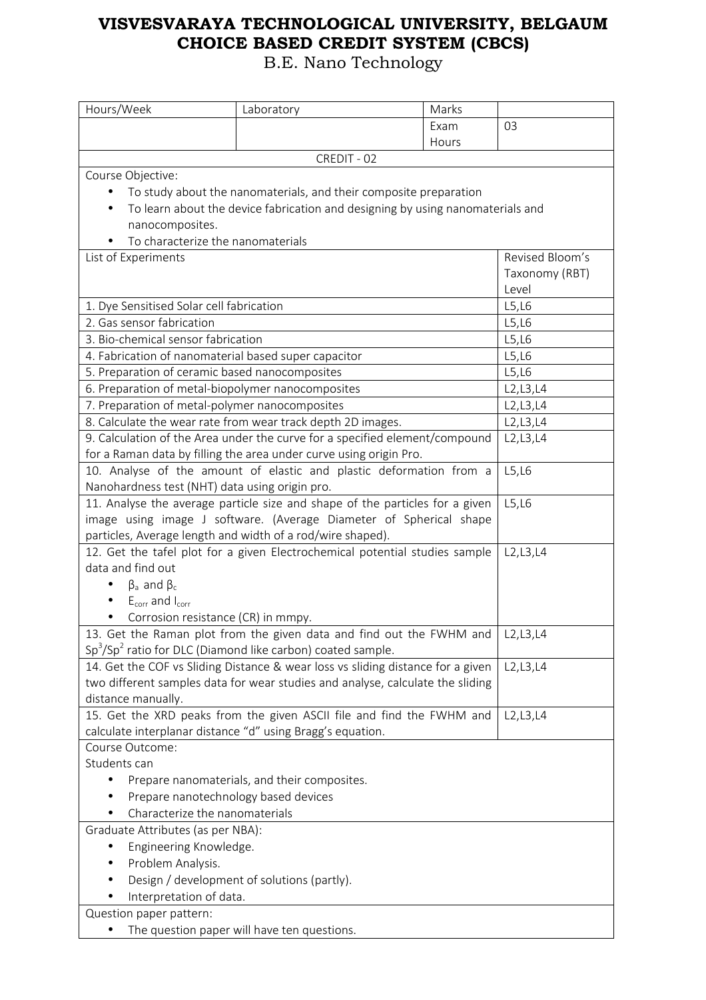| Hours/Week                                                                                                                                         | Laboratory                                                                     | Marks |                 |
|----------------------------------------------------------------------------------------------------------------------------------------------------|--------------------------------------------------------------------------------|-------|-----------------|
|                                                                                                                                                    |                                                                                | Exam  | 03              |
|                                                                                                                                                    |                                                                                | Hours |                 |
|                                                                                                                                                    | CREDIT - 02                                                                    |       |                 |
| Course Objective:                                                                                                                                  |                                                                                |       |                 |
|                                                                                                                                                    | To study about the nanomaterials, and their composite preparation              |       |                 |
|                                                                                                                                                    | To learn about the device fabrication and designing by using nanomaterials and |       |                 |
| nanocomposites.                                                                                                                                    |                                                                                |       |                 |
| To characterize the nanomaterials                                                                                                                  |                                                                                |       |                 |
| List of Experiments                                                                                                                                |                                                                                |       | Revised Bloom's |
|                                                                                                                                                    |                                                                                |       | Taxonomy (RBT)  |
|                                                                                                                                                    |                                                                                |       | Level           |
| 1. Dye Sensitised Solar cell fabrication                                                                                                           |                                                                                |       | L5, L6          |
| 2. Gas sensor fabrication                                                                                                                          |                                                                                |       | L5, L6          |
| 3. Bio-chemical sensor fabrication                                                                                                                 |                                                                                |       | L5, L6          |
| 4. Fabrication of nanomaterial based super capacitor                                                                                               |                                                                                |       | L5, L6          |
| 5. Preparation of ceramic based nanocomposites                                                                                                     |                                                                                |       | L5, L6          |
| 6. Preparation of metal-biopolymer nanocomposites                                                                                                  |                                                                                |       | L2, L3, L4      |
| 7. Preparation of metal-polymer nanocomposites                                                                                                     |                                                                                |       | L2, L3, L4      |
| 8. Calculate the wear rate from wear track depth 2D images.                                                                                        |                                                                                |       | L2, L3, L4      |
| 9. Calculation of the Area under the curve for a specified element/compound                                                                        |                                                                                |       | L2, L3, L4      |
| for a Raman data by filling the area under curve using origin Pro.                                                                                 |                                                                                |       |                 |
| 10. Analyse of the amount of elastic and plastic deformation from a                                                                                |                                                                                |       | L5, L6          |
| Nanohardness test (NHT) data using origin pro.                                                                                                     |                                                                                |       | L5, L6          |
| 11. Analyse the average particle size and shape of the particles for a given<br>image using image J software. (Average Diameter of Spherical shape |                                                                                |       |                 |
| particles, Average length and width of a rod/wire shaped).                                                                                         |                                                                                |       |                 |
| 12. Get the tafel plot for a given Electrochemical potential studies sample                                                                        |                                                                                |       | L2, L3, L4      |
| data and find out                                                                                                                                  |                                                                                |       |                 |
| $\beta_a$ and $\beta_c$                                                                                                                            |                                                                                |       |                 |
| $E_{corr}$ and $I_{corr}$                                                                                                                          |                                                                                |       |                 |
| Corrosion resistance (CR) in mmpy.                                                                                                                 |                                                                                |       |                 |
| 13. Get the Raman plot from the given data and find out the FWHM and                                                                               |                                                                                |       | L2, L3, L4      |
| $Sp3/Sp2$ ratio for DLC (Diamond like carbon) coated sample.                                                                                       |                                                                                |       |                 |
| 14. Get the COF vs Sliding Distance & wear loss vs sliding distance for a given                                                                    |                                                                                |       | L2, L3, L4      |
| two different samples data for wear studies and analyse, calculate the sliding                                                                     |                                                                                |       |                 |
| distance manually.                                                                                                                                 |                                                                                |       |                 |
| 15. Get the XRD peaks from the given ASCII file and find the FWHM and                                                                              |                                                                                |       | L2, L3, L4      |
| calculate interplanar distance "d" using Bragg's equation.                                                                                         |                                                                                |       |                 |
| Course Outcome:                                                                                                                                    |                                                                                |       |                 |
| Students can                                                                                                                                       |                                                                                |       |                 |
|                                                                                                                                                    | Prepare nanomaterials, and their composites.                                   |       |                 |
| Prepare nanotechnology based devices                                                                                                               |                                                                                |       |                 |
| Characterize the nanomaterials                                                                                                                     |                                                                                |       |                 |
| Graduate Attributes (as per NBA):                                                                                                                  |                                                                                |       |                 |
| Engineering Knowledge.<br>$\bullet$                                                                                                                |                                                                                |       |                 |
| Problem Analysis.                                                                                                                                  |                                                                                |       |                 |
| Design / development of solutions (partly).                                                                                                        |                                                                                |       |                 |
| Interpretation of data.                                                                                                                            |                                                                                |       |                 |
| Question paper pattern:                                                                                                                            |                                                                                |       |                 |
|                                                                                                                                                    | The question paper will have ten questions.                                    |       |                 |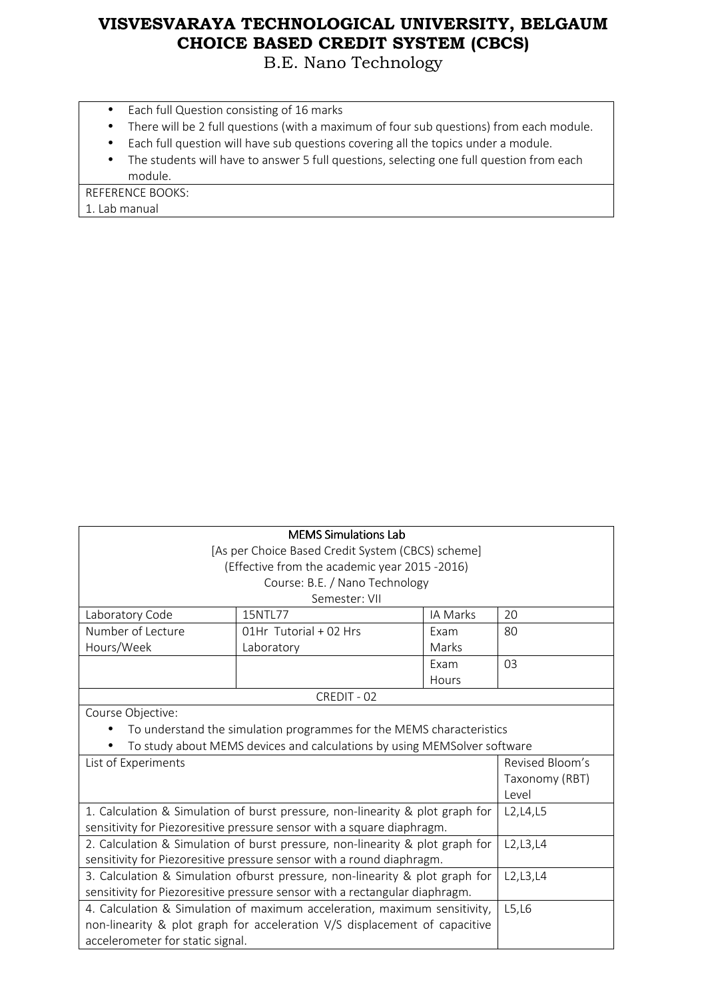B.E. Nano Technology

- Each full Question consisting of 16 marks
- There will be 2 full questions (with a maximum of four sub questions) from each module.
- Each full question will have sub questions covering all the topics under a module.
- The students will have to answer 5 full questions, selecting one full question from each module.

REFERENCE BOOKS:

1. Lab manual

| [As per Choice Based Credit System (CBCS) scheme]<br>(Effective from the academic year 2015 -2016) |                                                                               |          |                 |
|----------------------------------------------------------------------------------------------------|-------------------------------------------------------------------------------|----------|-----------------|
|                                                                                                    | Course: B.E. / Nano Technology                                                |          |                 |
|                                                                                                    | Semester: VII                                                                 |          |                 |
| Laboratory Code                                                                                    | 15NTL77                                                                       | IA Marks | 20              |
| Number of Lecture                                                                                  | $01$ Hr Tutorial + 02 Hrs                                                     | Exam     | 80              |
| Hours/Week                                                                                         | Laboratory                                                                    | Marks    |                 |
|                                                                                                    |                                                                               | Exam     | 03              |
|                                                                                                    |                                                                               | Hours    |                 |
|                                                                                                    | CREDIT - 02                                                                   |          |                 |
| Course Objective:                                                                                  |                                                                               |          |                 |
|                                                                                                    | To understand the simulation programmes for the MEMS characteristics          |          |                 |
|                                                                                                    | To study about MEMS devices and calculations by using MEMSolver software      |          |                 |
| List of Experiments                                                                                |                                                                               |          | Revised Bloom's |
|                                                                                                    |                                                                               |          | Taxonomy (RBT)  |
|                                                                                                    |                                                                               |          | Level           |
|                                                                                                    | 1. Calculation & Simulation of burst pressure, non-linearity & plot graph for |          | L2, L4, L5      |
| sensitivity for Piezoresitive pressure sensor with a square diaphragm.                             |                                                                               |          |                 |
| 2. Calculation & Simulation of burst pressure, non-linearity & plot graph for                      |                                                                               |          | L2, L3, L4      |
| sensitivity for Piezoresitive pressure sensor with a round diaphragm.                              |                                                                               |          |                 |
| 3. Calculation & Simulation ofburst pressure, non-linearity & plot graph for                       |                                                                               |          | L2, L3, L4      |
| sensitivity for Piezoresitive pressure sensor with a rectangular diaphragm.                        |                                                                               |          |                 |
| 4. Calculation & Simulation of maximum acceleration, maximum sensitivity,                          |                                                                               |          | L5,L6           |
| non-linearity & plot graph for acceleration V/S displacement of capacitive                         |                                                                               |          |                 |
| accelerometer for static signal.                                                                   |                                                                               |          |                 |

MEMS Simulations Lab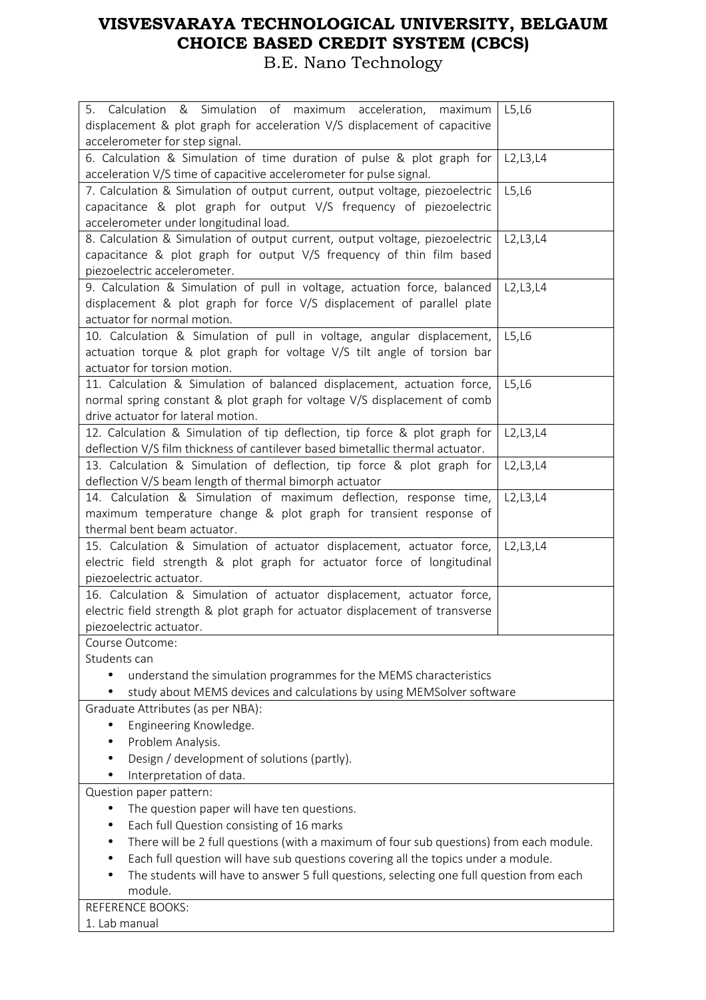| 5. Calculation & Simulation of maximum acceleration, maximum<br>displacement & plot graph for acceleration V/S displacement of capacitive<br>accelerometer for step signal.                                                                                                                                                                                                      | L5, L6     |
|----------------------------------------------------------------------------------------------------------------------------------------------------------------------------------------------------------------------------------------------------------------------------------------------------------------------------------------------------------------------------------|------------|
| 6. Calculation & Simulation of time duration of pulse & plot graph for<br>acceleration V/S time of capacitive accelerometer for pulse signal.                                                                                                                                                                                                                                    | L2, L3, L4 |
| 7. Calculation & Simulation of output current, output voltage, piezoelectric<br>capacitance & plot graph for output V/S frequency of piezoelectric<br>accelerometer under longitudinal load.                                                                                                                                                                                     | L5, L6     |
| 8. Calculation & Simulation of output current, output voltage, piezoelectric<br>capacitance & plot graph for output V/S frequency of thin film based<br>piezoelectric accelerometer.                                                                                                                                                                                             | L2, L3, L4 |
| 9. Calculation & Simulation of pull in voltage, actuation force, balanced<br>displacement & plot graph for force V/S displacement of parallel plate<br>actuator for normal motion.                                                                                                                                                                                               | L2, L3, L4 |
| 10. Calculation & Simulation of pull in voltage, angular displacement,<br>actuation torque & plot graph for voltage V/S tilt angle of torsion bar<br>actuator for torsion motion.                                                                                                                                                                                                | L5, L6     |
| 11. Calculation & Simulation of balanced displacement, actuation force,<br>normal spring constant & plot graph for voltage V/S displacement of comb<br>drive actuator for lateral motion.                                                                                                                                                                                        | L5,L6      |
| 12. Calculation & Simulation of tip deflection, tip force & plot graph for<br>deflection V/S film thickness of cantilever based bimetallic thermal actuator.                                                                                                                                                                                                                     | L2, L3, L4 |
| 13. Calculation & Simulation of deflection, tip force & plot graph for<br>deflection V/S beam length of thermal bimorph actuator                                                                                                                                                                                                                                                 | L2, L3, L4 |
| 14. Calculation & Simulation of maximum deflection, response time,<br>maximum temperature change & plot graph for transient response of<br>thermal bent beam actuator.                                                                                                                                                                                                           | L2, L3, L4 |
| 15. Calculation & Simulation of actuator displacement, actuator force,<br>electric field strength & plot graph for actuator force of longitudinal<br>piezoelectric actuator.                                                                                                                                                                                                     | L2, L3, L4 |
| 16. Calculation & Simulation of actuator displacement, actuator force,<br>electric field strength & plot graph for actuator displacement of transverse<br>piezoelectric actuator.                                                                                                                                                                                                |            |
| Course Outcome:<br>Students can                                                                                                                                                                                                                                                                                                                                                  |            |
| understand the simulation programmes for the MEMS characteristics<br>study about MEMS devices and calculations by using MEMSolver software                                                                                                                                                                                                                                       |            |
| Graduate Attributes (as per NBA):<br>Engineering Knowledge.<br>Problem Analysis.<br>Design / development of solutions (partly).<br>Interpretation of data.                                                                                                                                                                                                                       |            |
| Question paper pattern:                                                                                                                                                                                                                                                                                                                                                          |            |
| The question paper will have ten questions.<br>Each full Question consisting of 16 marks<br>There will be 2 full questions (with a maximum of four sub questions) from each module.<br>Each full question will have sub questions covering all the topics under a module.<br>The students will have to answer 5 full questions, selecting one full question from each<br>module. |            |
| <b>REFERENCE BOOKS:</b><br>1. Lab manual                                                                                                                                                                                                                                                                                                                                         |            |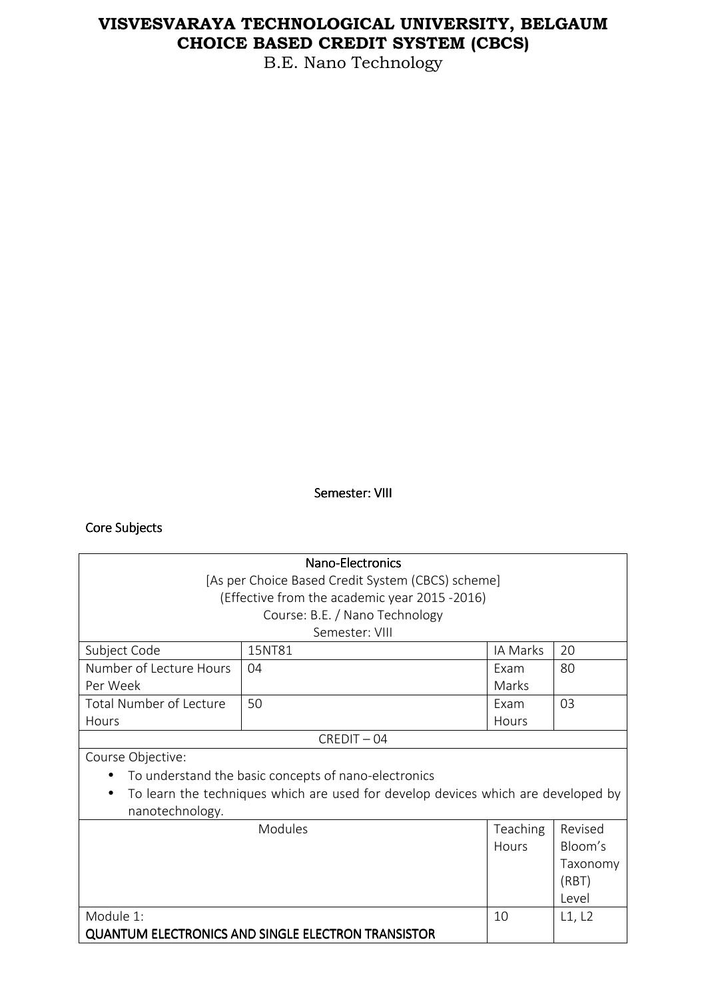B.E. Nano Technology

#### Semester: VIII

### Core Subjects

| Nano-Electronics                                          |                                                                                   |             |          |  |
|-----------------------------------------------------------|-----------------------------------------------------------------------------------|-------------|----------|--|
|                                                           | [As per Choice Based Credit System (CBCS) scheme]                                 |             |          |  |
|                                                           | (Effective from the academic year 2015 -2016)                                     |             |          |  |
|                                                           | Course: B.E. / Nano Technology                                                    |             |          |  |
|                                                           | Semester: VIII                                                                    |             |          |  |
| Subject Code                                              | 15NT81                                                                            | IA Marks    | 20       |  |
| Number of Lecture Hours                                   | 04                                                                                | Exam        | 80       |  |
| Per Week                                                  |                                                                                   | Marks       |          |  |
| <b>Total Number of Lecture</b>                            | 50                                                                                | <b>Fxam</b> | 03       |  |
| Hours                                                     |                                                                                   | Hours       |          |  |
|                                                           | $CREDIT - 04$                                                                     |             |          |  |
| Course Objective:                                         |                                                                                   |             |          |  |
|                                                           | To understand the basic concepts of nano-electronics                              |             |          |  |
| nanotechnology.                                           | To learn the techniques which are used for develop devices which are developed by |             |          |  |
|                                                           | Modules                                                                           | Teaching    | Revised  |  |
|                                                           |                                                                                   | Hours       | Bloom's  |  |
|                                                           |                                                                                   |             | Taxonomy |  |
| (RBT)                                                     |                                                                                   |             |          |  |
| I evel                                                    |                                                                                   |             |          |  |
| Module 1:<br>10<br>L1, L2                                 |                                                                                   |             |          |  |
| <b>QUANTUM ELECTRONICS AND SINGLE ELECTRON TRANSISTOR</b> |                                                                                   |             |          |  |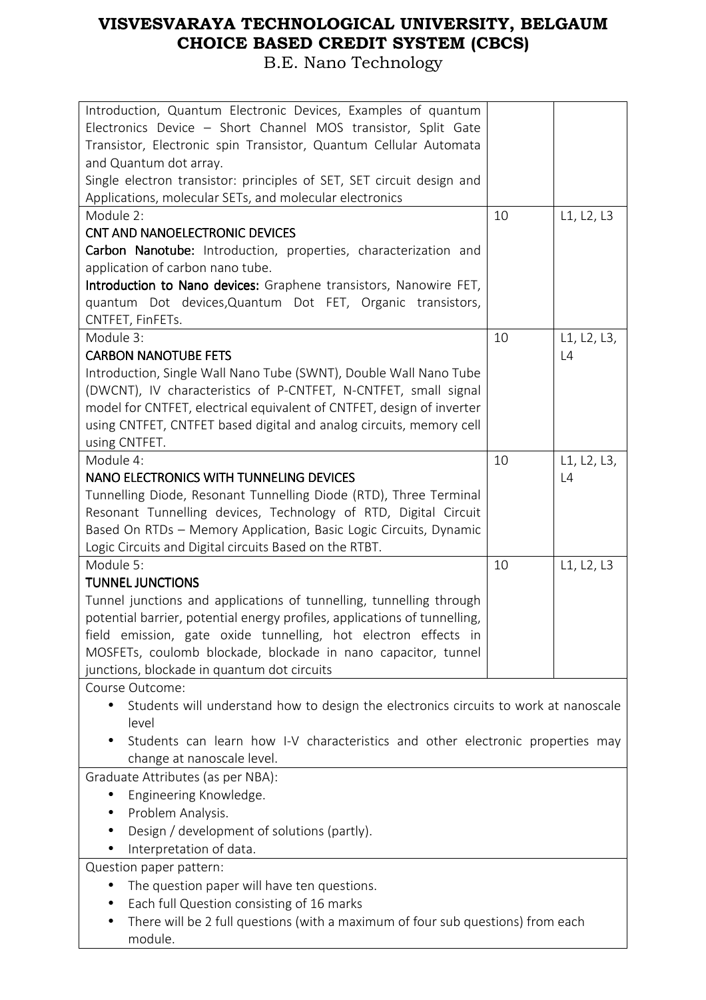| Introduction, Quantum Electronic Devices, Examples of quantum<br>Electronics Device - Short Channel MOS transistor, Split Gate<br>Transistor, Electronic spin Transistor, Quantum Cellular Automata<br>and Quantum dot array.<br>Single electron transistor: principles of SET, SET circuit design and<br>Applications, molecular SETs, and molecular electronics<br>Module 2:<br><b>CNT AND NANOELECTRONIC DEVICES</b> | 10 | L1, L2, L3        |
|-------------------------------------------------------------------------------------------------------------------------------------------------------------------------------------------------------------------------------------------------------------------------------------------------------------------------------------------------------------------------------------------------------------------------|----|-------------------|
| Carbon Nanotube: Introduction, properties, characterization and<br>application of carbon nano tube.<br>Introduction to Nano devices: Graphene transistors, Nanowire FET,<br>quantum Dot devices, Quantum Dot FET, Organic transistors,<br>CNTFET, FinFETs.                                                                                                                                                              |    |                   |
| Module 3:<br><b>CARBON NANOTUBE FETS</b><br>Introduction, Single Wall Nano Tube (SWNT), Double Wall Nano Tube<br>(DWCNT), IV characteristics of P-CNTFET, N-CNTFET, small signal<br>model for CNTFET, electrical equivalent of CNTFET, design of inverter<br>using CNTFET, CNTFET based digital and analog circuits, memory cell<br>using CNTFET.                                                                       | 10 | L1, L2, L3,<br>L4 |
| Module 4:<br>NANO ELECTRONICS WITH TUNNELING DEVICES<br>Tunnelling Diode, Resonant Tunnelling Diode (RTD), Three Terminal<br>Resonant Tunnelling devices, Technology of RTD, Digital Circuit<br>Based On RTDs - Memory Application, Basic Logic Circuits, Dynamic<br>Logic Circuits and Digital circuits Based on the RTBT.                                                                                             | 10 | L1, L2, L3,<br>L4 |
| Module 5:<br><b>TUNNEL JUNCTIONS</b><br>Tunnel junctions and applications of tunnelling, tunnelling through<br>potential barrier, potential energy profiles, applications of tunnelling,<br>field emission, gate oxide tunnelling, hot electron effects in<br>MOSFETs, coulomb blockade, blockade in nano capacitor, tunnel<br>junctions, blockade in quantum dot circuits                                              | 10 | L1, L2, L3        |
| Course Outcome:<br>Students will understand how to design the electronics circuits to work at nanoscale<br>level<br>Students can learn how I-V characteristics and other electronic properties may<br>change at nanoscale level.<br>Graduate Attributes (as per NBA):<br>Engineering Knowledge.                                                                                                                         |    |                   |
| Problem Analysis.<br>Design / development of solutions (partly).<br>Interpretation of data.<br>Question paper pattern:                                                                                                                                                                                                                                                                                                  |    |                   |
| The question paper will have ten questions.<br>Each full Question consisting of 16 marks<br>There will be 2 full questions (with a maximum of four sub questions) from each<br>module.                                                                                                                                                                                                                                  |    |                   |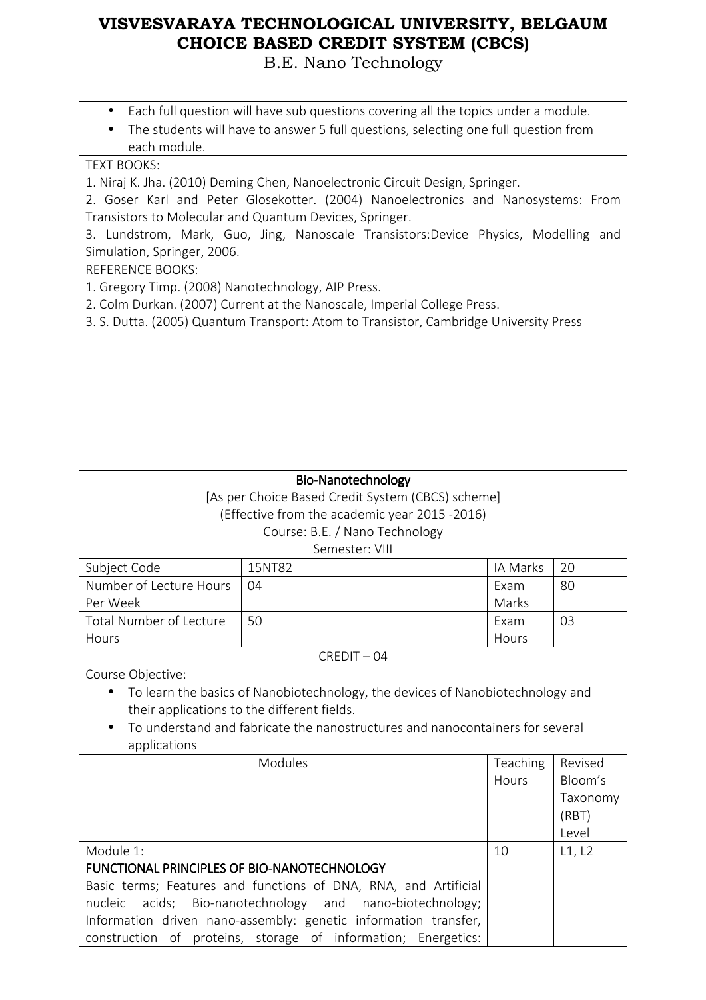B.E. Nano Technology

- Each full question will have sub questions covering all the topics under a module.
- The students will have to answer 5 full questions, selecting one full question from each module.

TEXT BOOKS:

1. Niraj K. Jha. (2010) Deming Chen, Nanoelectronic Circuit Design, Springer.

2. Goser Karl and Peter Glosekotter. (2004) Nanoelectronics and Nanosystems: From Transistors to Molecular and Quantum Devices, Springer.

3. Lundstrom, Mark, Guo, Jing, Nanoscale Transistors:Device Physics, Modelling and Simulation, Springer, 2006.

REFERENCE BOOKS:

- 1. Gregory Timp. (2008) Nanotechnology, AIP Press.
- 2. Colm Durkan. (2007) Current at the Nanoscale, Imperial College Press.
- 3. S. Dutta. (2005) Quantum Transport: Atom to Transistor, Cambridge University Press

| <b>Bio-Nanotechnology</b>                                                     |                                                                                |          |          |
|-------------------------------------------------------------------------------|--------------------------------------------------------------------------------|----------|----------|
| [As per Choice Based Credit System (CBCS) scheme]                             |                                                                                |          |          |
|                                                                               | (Effective from the academic year 2015 -2016)                                  |          |          |
|                                                                               | Course: B.E. / Nano Technology                                                 |          |          |
|                                                                               | Semester: VIII                                                                 |          |          |
| Subject Code                                                                  | 15NT82                                                                         | IA Marks | 20       |
| Number of Lecture Hours                                                       | 04                                                                             | Exam     | 80       |
| Per Week                                                                      |                                                                                | Marks    |          |
| <b>Total Number of Lecture</b>                                                | 50                                                                             | Exam     | 03       |
| Hours                                                                         |                                                                                | Hours    |          |
|                                                                               | $CREDIT - 04$                                                                  |          |          |
| Course Objective:                                                             |                                                                                |          |          |
| $\bullet$                                                                     | To learn the basics of Nanobiotechnology, the devices of Nanobiotechnology and |          |          |
|                                                                               | their applications to the different fields.                                    |          |          |
| To understand and fabricate the nanostructures and nanocontainers for several |                                                                                |          |          |
| applications                                                                  |                                                                                |          |          |
| Modules<br>Teaching<br>Revised                                                |                                                                                |          |          |
|                                                                               |                                                                                | Hours    | Bloom's  |
|                                                                               |                                                                                |          | Taxonomy |
|                                                                               |                                                                                |          | (RBT)    |
| Level                                                                         |                                                                                |          |          |
| Module 1:<br>10<br>L1, L2                                                     |                                                                                |          |          |
| <b>FUNCTIONAL PRINCIPLES OF BIO-NANOTECHNOLOGY</b>                            |                                                                                |          |          |
| Basic terms; Features and functions of DNA, RNA, and Artificial               |                                                                                |          |          |
| acids; Bio-nanotechnology and nano-biotechnology;<br>nucleic                  |                                                                                |          |          |
| Information driven nano-assembly: genetic information transfer,               |                                                                                |          |          |
| construction<br>of proteins, storage of information; Energetics:              |                                                                                |          |          |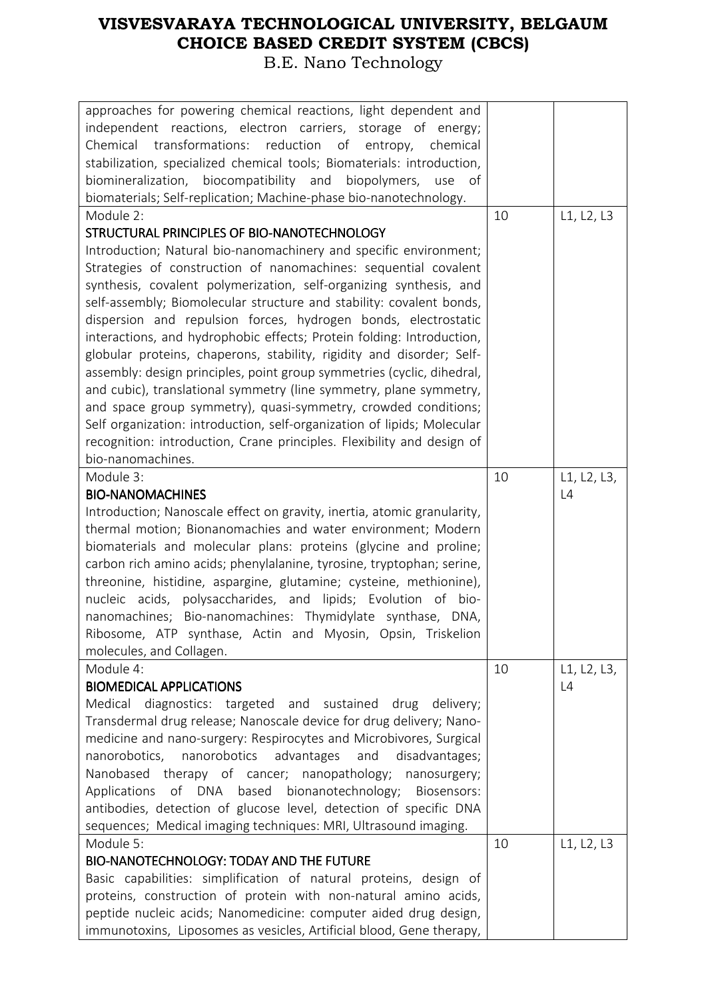| approaches for powering chemical reactions, light dependent and         |    |             |
|-------------------------------------------------------------------------|----|-------------|
| independent reactions, electron carriers, storage of energy;            |    |             |
| Chemical transformations: reduction of entropy,<br>chemical             |    |             |
| stabilization, specialized chemical tools; Biomaterials: introduction,  |    |             |
| biomineralization, biocompatibility and biopolymers, use<br>of          |    |             |
| biomaterials; Self-replication; Machine-phase bio-nanotechnology.       |    |             |
| Module 2:                                                               | 10 | L1, L2, L3  |
| STRUCTURAL PRINCIPLES OF BIO-NANOTECHNOLOGY                             |    |             |
| Introduction; Natural bio-nanomachinery and specific environment;       |    |             |
| Strategies of construction of nanomachines: sequential covalent         |    |             |
| synthesis, covalent polymerization, self-organizing synthesis, and      |    |             |
| self-assembly; Biomolecular structure and stability: covalent bonds,    |    |             |
| dispersion and repulsion forces, hydrogen bonds, electrostatic          |    |             |
| interactions, and hydrophobic effects; Protein folding: Introduction,   |    |             |
| globular proteins, chaperons, stability, rigidity and disorder; Self-   |    |             |
| assembly: design principles, point group symmetries (cyclic, dihedral,  |    |             |
| and cubic), translational symmetry (line symmetry, plane symmetry,      |    |             |
|                                                                         |    |             |
| and space group symmetry), quasi-symmetry, crowded conditions;          |    |             |
| Self organization: introduction, self-organization of lipids; Molecular |    |             |
| recognition: introduction, Crane principles. Flexibility and design of  |    |             |
| bio-nanomachines.                                                       |    |             |
| Module 3:                                                               | 10 | L1, L2, L3, |
| <b>BIO-NANOMACHINES</b>                                                 |    | L4          |
| Introduction; Nanoscale effect on gravity, inertia, atomic granularity, |    |             |
| thermal motion; Bionanomachies and water environment; Modern            |    |             |
| biomaterials and molecular plans: proteins (glycine and proline;        |    |             |
| carbon rich amino acids; phenylalanine, tyrosine, tryptophan; serine,   |    |             |
| threonine, histidine, aspargine, glutamine; cysteine, methionine),      |    |             |
| nucleic acids, polysaccharides, and lipids; Evolution of bio-           |    |             |
| nanomachines; Bio-nanomachines: Thymidylate synthase, DNA,              |    |             |
| Ribosome, ATP synthase, Actin and Myosin, Opsin, Triskelion             |    |             |
| molecules, and Collagen.                                                |    |             |
| Module 4:                                                               | 10 | L1, L2, L3, |
| <b>BIOMEDICAL APPLICATIONS</b>                                          |    | L4          |
| Medical<br>diagnostics: targeted and sustained drug<br>delivery;        |    |             |
| Transdermal drug release; Nanoscale device for drug delivery; Nano-     |    |             |
| medicine and nano-surgery: Respirocytes and Microbivores, Surgical      |    |             |
| nanorobotics advantages<br>and<br>nanorobotics,<br>disadvantages;       |    |             |
| Nanobased therapy of cancer; nanopathology;<br>nanosurgery;             |    |             |
| Applications<br>of DNA based bionanotechnology; Biosensors:             |    |             |
| antibodies, detection of glucose level, detection of specific DNA       |    |             |
| sequences; Medical imaging techniques: MRI, Ultrasound imaging.         |    |             |
| Module 5:                                                               | 10 | L1, L2, L3  |
| <b>BIO-NANOTECHNOLOGY: TODAY AND THE FUTURE</b>                         |    |             |
| Basic capabilities: simplification of natural proteins, design of       |    |             |
| proteins, construction of protein with non-natural amino acids,         |    |             |
| peptide nucleic acids; Nanomedicine: computer aided drug design,        |    |             |
| immunotoxins, Liposomes as vesicles, Artificial blood, Gene therapy,    |    |             |
|                                                                         |    |             |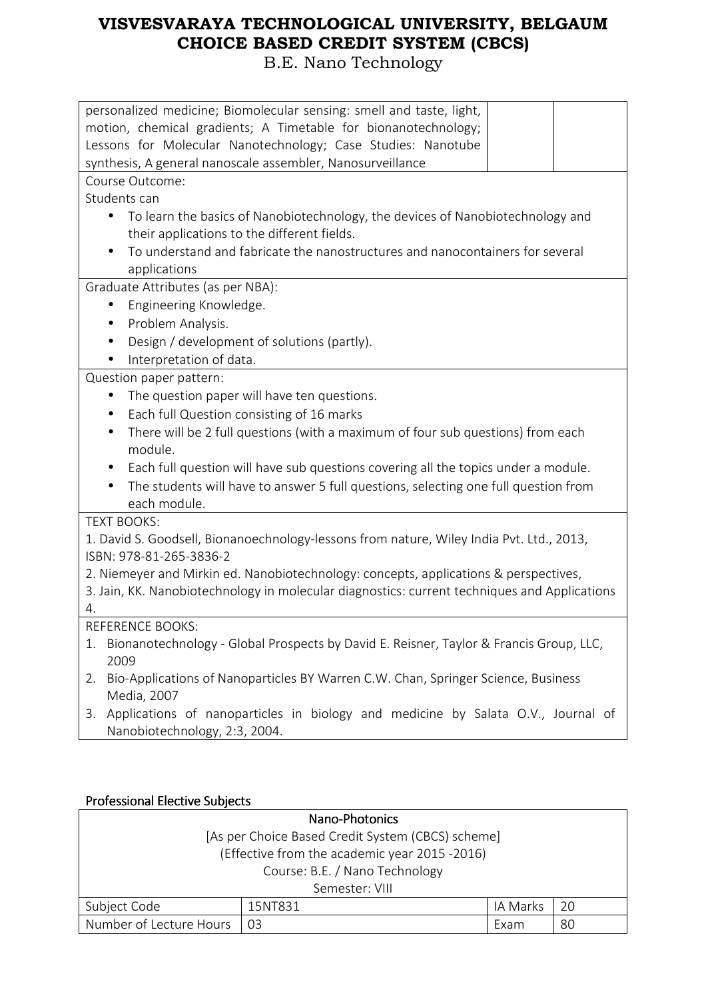B.E. Nano Technology

| personalized medicine; Biomolecular sensing: smell and taste, light,                            |  |  |  |
|-------------------------------------------------------------------------------------------------|--|--|--|
| motion, chemical gradients; A Timetable for bionanotechnology;                                  |  |  |  |
| Lessons for Molecular Nanotechnology; Case Studies: Nanotube                                    |  |  |  |
| synthesis, A general nanoscale assembler, Nanosurveillance                                      |  |  |  |
| Course Outcome:                                                                                 |  |  |  |
| Students can                                                                                    |  |  |  |
| To learn the basics of Nanobiotechnology, the devices of Nanobiotechnology and                  |  |  |  |
| their applications to the different fields.                                                     |  |  |  |
| To understand and fabricate the nanostructures and nanocontainers for several                   |  |  |  |
| applications                                                                                    |  |  |  |
| Graduate Attributes (as per NBA):                                                               |  |  |  |
| Engineering Knowledge.                                                                          |  |  |  |
| Problem Analysis.                                                                               |  |  |  |
| Design / development of solutions (partly).                                                     |  |  |  |
| Interpretation of data.                                                                         |  |  |  |
| Question paper pattern:                                                                         |  |  |  |
| The question paper will have ten questions.<br>$\bullet$                                        |  |  |  |
| Each full Question consisting of 16 marks<br>$\bullet$                                          |  |  |  |
| There will be 2 full questions (with a maximum of four sub questions) from each<br>$\bullet$    |  |  |  |
| module.                                                                                         |  |  |  |
| Each full question will have sub questions covering all the topics under a module.<br>$\bullet$ |  |  |  |
| The students will have to answer 5 full questions, selecting one full question from             |  |  |  |
| each module.                                                                                    |  |  |  |
| <b>TEXT BOOKS:</b>                                                                              |  |  |  |
| 1. David S. Goodsell, Bionanoechnology-lessons from nature, Wiley India Pvt. Ltd., 2013,        |  |  |  |
| ISBN: 978-81-265-3836-2                                                                         |  |  |  |
| 2. Niemeyer and Mirkin ed. Nanobiotechnology: concepts, applications & perspectives,            |  |  |  |
| 3. Jain, KK. Nanobiotechnology in molecular diagnostics: current techniques and Applications    |  |  |  |
| 4.                                                                                              |  |  |  |
| REFERENCE BOOKS:                                                                                |  |  |  |
| Bionanotechnology - Global Prospects by David E. Reisner, Taylor & Francis Group, LLC,<br>1.    |  |  |  |
| 2009                                                                                            |  |  |  |
| Bio-Applications of Nanoparticles BY Warren C.W. Chan, Springer Science, Business<br>2.         |  |  |  |
| Media, 2007                                                                                     |  |  |  |
| Applications of nanoparticles in biology and medicine by Salata O.V., Journal of<br>3.          |  |  |  |
| Nanobiotechnology, 2:3, 2004.                                                                   |  |  |  |
|                                                                                                 |  |  |  |
|                                                                                                 |  |  |  |

### Professional Elective Subjects

| Nano-Photonics                             |                                                   |      |    |  |
|--------------------------------------------|---------------------------------------------------|------|----|--|
|                                            | [As per Choice Based Credit System (CBCS) scheme] |      |    |  |
|                                            | (Effective from the academic year 2015 -2016)     |      |    |  |
| Course: B.E. / Nano Technology             |                                                   |      |    |  |
| Semester: VIII                             |                                                   |      |    |  |
| Subject Code<br>IA Marks<br>-20<br>15NT831 |                                                   |      |    |  |
| Number of Lecture Hours                    | -03                                               | Exam | 80 |  |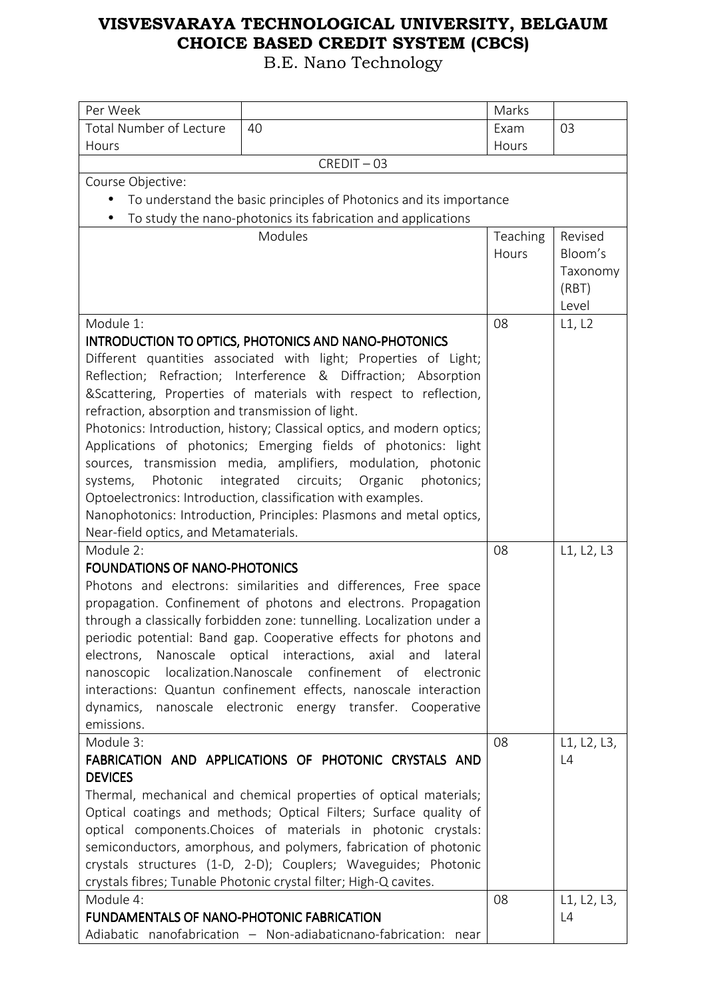| Per Week                                                            |                                                                                                                                          | Marks    |                   |
|---------------------------------------------------------------------|------------------------------------------------------------------------------------------------------------------------------------------|----------|-------------------|
| <b>Total Number of Lecture</b>                                      | 40                                                                                                                                       | Exam     | 03                |
| Hours                                                               |                                                                                                                                          | Hours    |                   |
|                                                                     | $CREDIT - 03$                                                                                                                            |          |                   |
| Course Objective:                                                   |                                                                                                                                          |          |                   |
|                                                                     | To understand the basic principles of Photonics and its importance                                                                       |          |                   |
|                                                                     | To study the nano-photonics its fabrication and applications                                                                             |          |                   |
|                                                                     | Modules                                                                                                                                  | Teaching | Revised           |
|                                                                     |                                                                                                                                          | Hours    | Bloom's           |
|                                                                     |                                                                                                                                          |          | Taxonomy          |
|                                                                     |                                                                                                                                          |          | (RBT)             |
|                                                                     |                                                                                                                                          |          | Level             |
| Module 1:                                                           |                                                                                                                                          | 08       | L1, L2            |
|                                                                     | INTRODUCTION TO OPTICS, PHOTONICS AND NANO-PHOTONICS<br>Different quantities associated with light; Properties of Light;                 |          |                   |
|                                                                     | Reflection; Refraction; Interference & Diffraction; Absorption                                                                           |          |                   |
|                                                                     | &Scattering, Properties of materials with respect to reflection,                                                                         |          |                   |
| refraction, absorption and transmission of light.                   |                                                                                                                                          |          |                   |
|                                                                     | Photonics: Introduction, history; Classical optics, and modern optics;                                                                   |          |                   |
|                                                                     | Applications of photonics; Emerging fields of photonics: light                                                                           |          |                   |
|                                                                     | sources, transmission media, amplifiers, modulation, photonic                                                                            |          |                   |
| systems, Photonic                                                   | integrated<br>circuits; Organic photonics;                                                                                               |          |                   |
|                                                                     | Optoelectronics: Introduction, classification with examples.                                                                             |          |                   |
| Nanophotonics: Introduction, Principles: Plasmons and metal optics, |                                                                                                                                          |          |                   |
| Near-field optics, and Metamaterials.                               |                                                                                                                                          |          |                   |
| Module 2:                                                           |                                                                                                                                          | 08       | L1, L2, L3        |
| <b>FOUNDATIONS OF NANO-PHOTONICS</b>                                |                                                                                                                                          |          |                   |
| Photons and electrons: similarities and differences, Free space     |                                                                                                                                          |          |                   |
|                                                                     | propagation. Confinement of photons and electrons. Propagation<br>through a classically forbidden zone: tunnelling. Localization under a |          |                   |
|                                                                     | periodic potential: Band gap. Cooperative effects for photons and                                                                        |          |                   |
|                                                                     | electrons, Nanoscale optical interactions, axial and<br>lateral                                                                          |          |                   |
| nanoscopic                                                          | localization.Nanoscale confinement of electronic                                                                                         |          |                   |
|                                                                     | interactions: Quantun confinement effects, nanoscale interaction                                                                         |          |                   |
|                                                                     | dynamics, nanoscale electronic energy transfer. Cooperative                                                                              |          |                   |
| emissions.                                                          |                                                                                                                                          |          |                   |
| Module 3:                                                           |                                                                                                                                          | 08       | L1, L2, L3,       |
|                                                                     | FABRICATION AND APPLICATIONS OF PHOTONIC CRYSTALS AND                                                                                    |          | L4                |
| <b>DEVICES</b>                                                      |                                                                                                                                          |          |                   |
|                                                                     | Thermal, mechanical and chemical properties of optical materials;                                                                        |          |                   |
|                                                                     | Optical coatings and methods; Optical Filters; Surface quality of                                                                        |          |                   |
|                                                                     | optical components. Choices of materials in photonic crystals:                                                                           |          |                   |
|                                                                     | semiconductors, amorphous, and polymers, fabrication of photonic                                                                         |          |                   |
|                                                                     | crystals structures (1-D, 2-D); Couplers; Waveguides; Photonic                                                                           |          |                   |
| Module 4:                                                           | crystals fibres; Tunable Photonic crystal filter; High-Q cavites.                                                                        | 08       |                   |
| <b>FUNDAMENTALS OF NANO-PHOTONIC FABRICATION</b>                    |                                                                                                                                          |          | L1, L2, L3,<br>L4 |
|                                                                     | Adiabatic nanofabrication - Non-adiabaticnano-fabrication: near                                                                          |          |                   |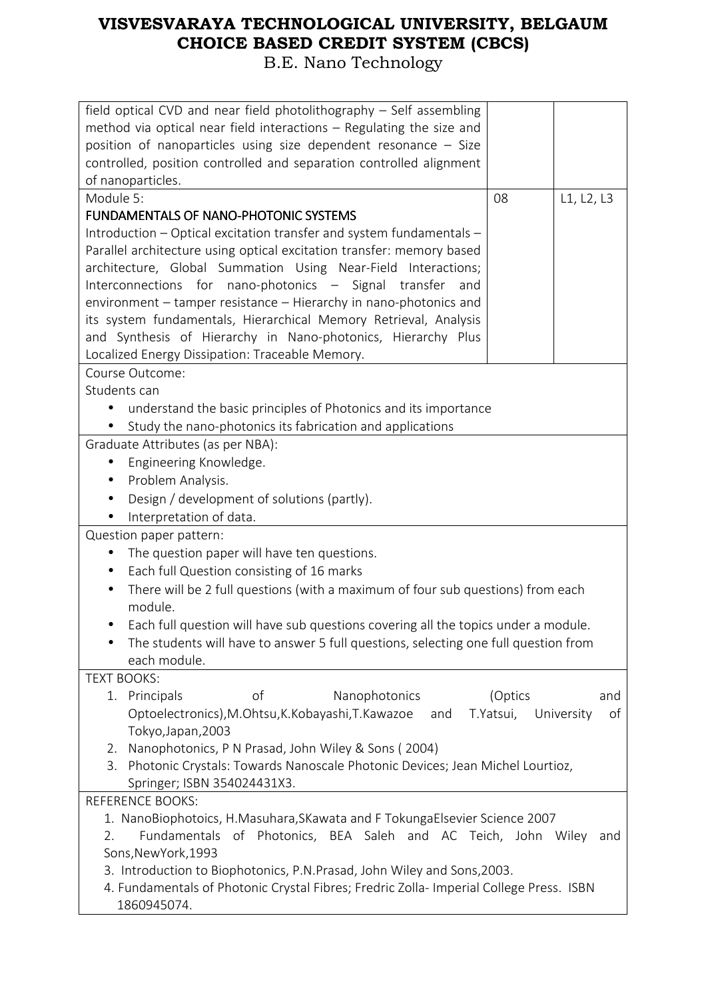| field optical CVD and near field photolithography - Self assembling                     |            |                  |
|-----------------------------------------------------------------------------------------|------------|------------------|
| method via optical near field interactions - Regulating the size and                    |            |                  |
| position of nanoparticles using size dependent resonance - Size                         |            |                  |
| controlled, position controlled and separation controlled alignment                     |            |                  |
| of nanoparticles.                                                                       |            |                  |
| Module 5:                                                                               | 08         | L1, L2, L3       |
| <b>FUNDAMENTALS OF NANO-PHOTONIC SYSTEMS</b>                                            |            |                  |
| Introduction – Optical excitation transfer and system fundamentals –                    |            |                  |
| Parallel architecture using optical excitation transfer: memory based                   |            |                  |
| architecture, Global Summation Using Near-Field Interactions;                           |            |                  |
| Interconnections for nano-photonics - Signal transfer<br>and                            |            |                  |
| environment - tamper resistance - Hierarchy in nano-photonics and                       |            |                  |
| its system fundamentals, Hierarchical Memory Retrieval, Analysis                        |            |                  |
| and Synthesis of Hierarchy in Nano-photonics, Hierarchy Plus                            |            |                  |
| Localized Energy Dissipation: Traceable Memory.                                         |            |                  |
| Course Outcome:                                                                         |            |                  |
| Students can                                                                            |            |                  |
| understand the basic principles of Photonics and its importance<br>$\bullet$            |            |                  |
| Study the nano-photonics its fabrication and applications                               |            |                  |
| Graduate Attributes (as per NBA):                                                       |            |                  |
| Engineering Knowledge.<br>$\bullet$                                                     |            |                  |
| Problem Analysis.<br>$\bullet$                                                          |            |                  |
| Design / development of solutions (partly).<br>$\bullet$                                |            |                  |
| Interpretation of data.                                                                 |            |                  |
| Question paper pattern:                                                                 |            |                  |
| The question paper will have ten questions.<br>$\bullet$                                |            |                  |
| Each full Question consisting of 16 marks<br>$\bullet$                                  |            |                  |
| There will be 2 full questions (with a maximum of four sub questions) from each         |            |                  |
| module.                                                                                 |            |                  |
| Each full question will have sub questions covering all the topics under a module.      |            |                  |
| The students will have to answer 5 full questions, selecting one full question from     |            |                  |
| each module.                                                                            |            |                  |
| <b>TEXT BOOKS:</b>                                                                      |            |                  |
| 1. Principals<br>οf<br>Nanophotonics                                                    | (Optics    | and              |
| Optoelectronics), M. Ohtsu, K. Kobayashi, T. Kawazoe<br>and                             | T. Yatsui, | University<br>of |
| Tokyo, Japan, 2003                                                                      |            |                  |
| Nanophotonics, P N Prasad, John Wiley & Sons (2004)<br>2.                               |            |                  |
| Photonic Crystals: Towards Nanoscale Photonic Devices; Jean Michel Lourtioz,<br>3.      |            |                  |
| Springer; ISBN 354024431X3.                                                             |            |                  |
| <b>REFERENCE BOOKS:</b>                                                                 |            |                  |
| 1. NanoBiophotoics, H.Masuhara, SKawata and F Tokunga Elsevier Science 2007             |            |                  |
| Fundamentals of Photonics, BEA Saleh and AC Teich, John Wiley<br>2.                     |            | and              |
| Sons, New York, 1993                                                                    |            |                  |
| 3. Introduction to Biophotonics, P.N.Prasad, John Wiley and Sons, 2003.                 |            |                  |
| 4. Fundamentals of Photonic Crystal Fibres; Fredric Zolla- Imperial College Press. ISBN |            |                  |
| 1860945074.                                                                             |            |                  |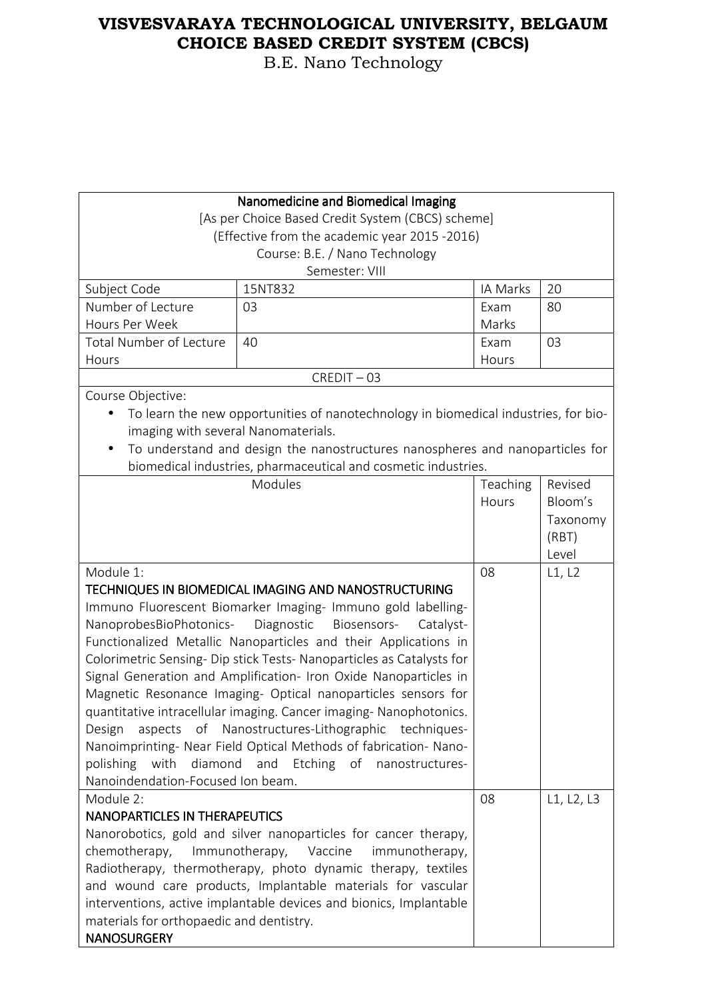| Nanomedicine and Biomedical Imaging      |                                                                                     |          |            |
|------------------------------------------|-------------------------------------------------------------------------------------|----------|------------|
|                                          | [As per Choice Based Credit System (CBCS) scheme]                                   |          |            |
|                                          | (Effective from the academic year 2015 -2016)                                       |          |            |
|                                          | Course: B.E. / Nano Technology                                                      |          |            |
|                                          | Semester: VIII                                                                      |          |            |
| Subject Code                             | 15NT832                                                                             | IA Marks | 20         |
| Number of Lecture                        | 03                                                                                  | Exam     | 80         |
| Hours Per Week                           |                                                                                     | Marks    |            |
| <b>Total Number of Lecture</b>           | 40                                                                                  | Exam     | 03         |
| Hours                                    |                                                                                     | Hours    |            |
|                                          | $CREDIT - 03$                                                                       |          |            |
| Course Objective:                        |                                                                                     |          |            |
|                                          | To learn the new opportunities of nanotechnology in biomedical industries, for bio- |          |            |
| imaging with several Nanomaterials.      |                                                                                     |          |            |
|                                          | To understand and design the nanostructures nanospheres and nanoparticles for       |          |            |
|                                          | biomedical industries, pharmaceutical and cosmetic industries.                      |          |            |
|                                          | Modules                                                                             | Teaching | Revised    |
|                                          |                                                                                     | Hours    | Bloom's    |
|                                          |                                                                                     |          | Taxonomy   |
|                                          |                                                                                     |          | (RBT)      |
|                                          |                                                                                     |          | Level      |
| Module 1:                                |                                                                                     | 08       | L1, L2     |
|                                          | TECHNIQUES IN BIOMEDICAL IMAGING AND NANOSTRUCTURING                                |          |            |
|                                          | Immuno Fluorescent Biomarker Imaging- Immuno gold labelling-                        |          |            |
| NanoprobesBioPhotonics-                  | Diagnostic<br>Biosensors-<br>Catalyst-                                              |          |            |
|                                          | Functionalized Metallic Nanoparticles and their Applications in                     |          |            |
|                                          | Colorimetric Sensing- Dip stick Tests- Nanoparticles as Catalysts for               |          |            |
|                                          | Signal Generation and Amplification- Iron Oxide Nanoparticles in                    |          |            |
|                                          | Magnetic Resonance Imaging- Optical nanoparticles sensors for                       |          |            |
|                                          | quantitative intracellular imaging. Cancer imaging- Nanophotonics.                  |          |            |
| Design                                   | aspects of Nanostructures-Lithographic techniques-                                  |          |            |
|                                          | Nanoimprinting- Near Field Optical Methods of fabrication- Nano-                    |          |            |
|                                          | polishing with diamond and Etching of nanostructures-                               |          |            |
| Nanoindendation-Focused Ion beam.        |                                                                                     |          |            |
| Module 2:                                |                                                                                     | 08       | L1, L2, L3 |
| <b>NANOPARTICLES IN THERAPEUTICS</b>     |                                                                                     |          |            |
|                                          | Nanorobotics, gold and silver nanoparticles for cancer therapy,                     |          |            |
| chemotherapy,                            | Immunotherapy, Vaccine<br>immunotherapy,                                            |          |            |
|                                          | Radiotherapy, thermotherapy, photo dynamic therapy, textiles                        |          |            |
|                                          | and wound care products, Implantable materials for vascular                         |          |            |
|                                          | interventions, active implantable devices and bionics, Implantable                  |          |            |
| materials for orthopaedic and dentistry. |                                                                                     |          |            |
| <b>NANOSURGERY</b>                       |                                                                                     |          |            |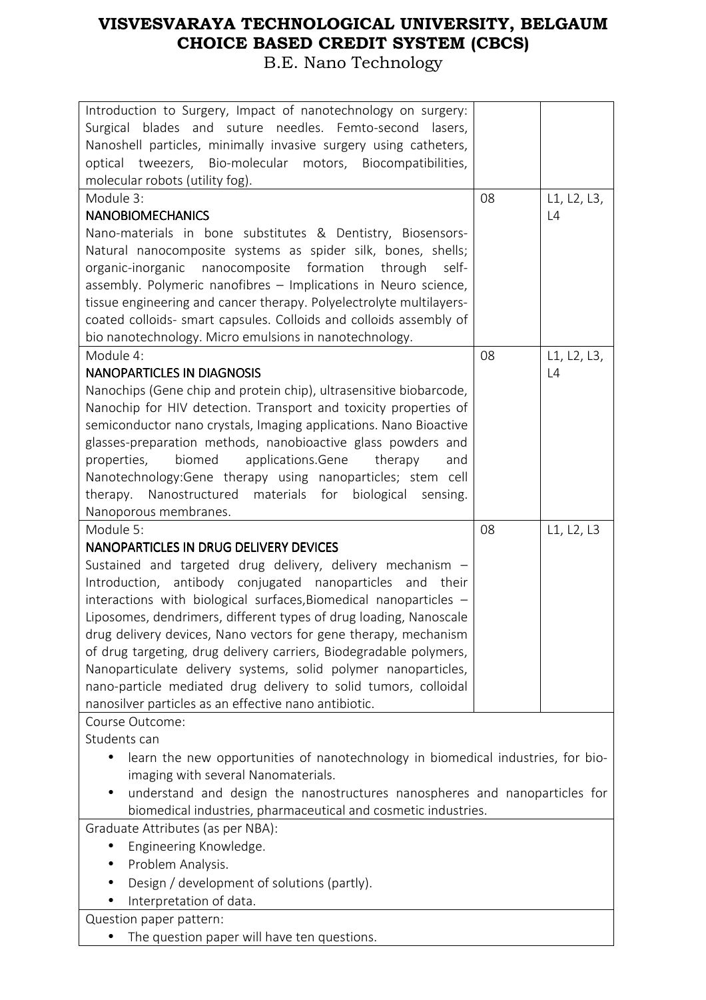| Introduction to Surgery, Impact of nanotechnology on surgery:                                                               |    |             |
|-----------------------------------------------------------------------------------------------------------------------------|----|-------------|
| blades and suture needles. Femto-second<br>Surgical<br>lasers,                                                              |    |             |
| Nanoshell particles, minimally invasive surgery using catheters,                                                            |    |             |
| optical tweezers, Bio-molecular motors, Biocompatibilities,                                                                 |    |             |
| molecular robots (utility fog).                                                                                             |    |             |
| Module 3:                                                                                                                   | 08 | L1, L2, L3, |
| <b>NANOBIOMECHANICS</b>                                                                                                     |    | L4          |
| Nano-materials in bone substitutes & Dentistry, Biosensors-<br>Natural nanocomposite systems as spider silk, bones, shells; |    |             |
| organic-inorganic<br>nanocomposite formation<br>through<br>self-                                                            |    |             |
| assembly. Polymeric nanofibres - Implications in Neuro science,                                                             |    |             |
| tissue engineering and cancer therapy. Polyelectrolyte multilayers-                                                         |    |             |
| coated colloids- smart capsules. Colloids and colloids assembly of                                                          |    |             |
| bio nanotechnology. Micro emulsions in nanotechnology.                                                                      |    |             |
| Module 4:                                                                                                                   | 08 | L1, L2, L3, |
| <b>NANOPARTICLES IN DIAGNOSIS</b>                                                                                           |    | L4          |
| Nanochips (Gene chip and protein chip), ultrasensitive biobarcode,                                                          |    |             |
| Nanochip for HIV detection. Transport and toxicity properties of                                                            |    |             |
| semiconductor nano crystals, Imaging applications. Nano Bioactive                                                           |    |             |
| glasses-preparation methods, nanobioactive glass powders and                                                                |    |             |
| properties,<br>biomed<br>applications.Gene<br>therapy<br>and                                                                |    |             |
| Nanotechnology:Gene therapy using nanoparticles; stem cell                                                                  |    |             |
| Nanostructured materials for<br>biological<br>therapy.<br>sensing.                                                          |    |             |
| Nanoporous membranes.                                                                                                       |    |             |
| Module 5:                                                                                                                   | 08 | L1, L2, L3  |
| NANOPARTICLES IN DRUG DELIVERY DEVICES                                                                                      |    |             |
|                                                                                                                             |    |             |
| Sustained and targeted drug delivery, delivery mechanism -                                                                  |    |             |
| Introduction, antibody conjugated nanoparticles<br>and their                                                                |    |             |
| interactions with biological surfaces, Biomedical nanoparticles -                                                           |    |             |
| Liposomes, dendrimers, different types of drug loading, Nanoscale                                                           |    |             |
| drug delivery devices, Nano vectors for gene therapy, mechanism                                                             |    |             |
| of drug targeting, drug delivery carriers, Biodegradable polymers,                                                          |    |             |
| Nanoparticulate delivery systems, solid polymer nanoparticles,                                                              |    |             |
| nano-particle mediated drug delivery to solid tumors, colloidal                                                             |    |             |
| nanosilver particles as an effective nano antibiotic.                                                                       |    |             |
| Course Outcome:                                                                                                             |    |             |
| Students can                                                                                                                |    |             |
| learn the new opportunities of nanotechnology in biomedical industries, for bio-                                            |    |             |
| imaging with several Nanomaterials.<br>understand and design the nanostructures nanospheres and nanoparticles for           |    |             |
| biomedical industries, pharmaceutical and cosmetic industries.                                                              |    |             |
| Graduate Attributes (as per NBA):                                                                                           |    |             |
| Engineering Knowledge.<br>$\bullet$                                                                                         |    |             |
| Problem Analysis.                                                                                                           |    |             |
| Design / development of solutions (partly).                                                                                 |    |             |
| Interpretation of data.                                                                                                     |    |             |
| Question paper pattern:                                                                                                     |    |             |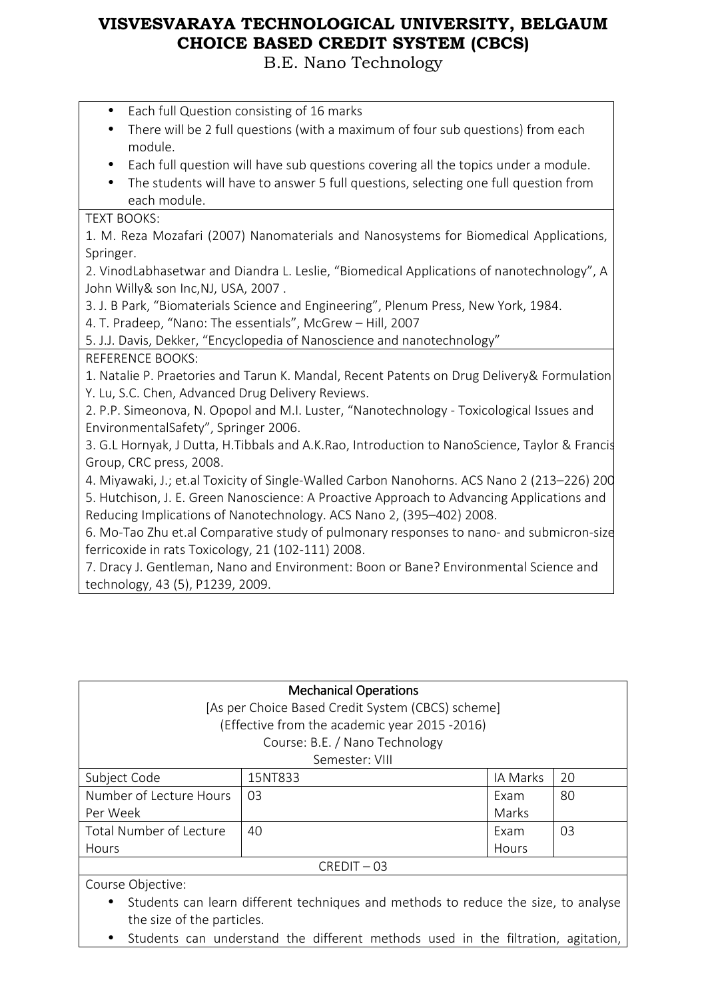B.E. Nano Technology

- Each full Question consisting of 16 marks
- There will be 2 full questions (with a maximum of four sub questions) from each module.
- Each full question will have sub questions covering all the topics under a module.
- The students will have to answer 5 full questions, selecting one full question from each module.

TEXT BOOKS:

1. M. Reza Mozafari (2007) Nanomaterials and Nanosystems for Biomedical Applications, Springer.

2. VinodLabhasetwar and Diandra L. Leslie, "Biomedical Applications of nanotechnology", A John Willy& son Inc,NJ, USA, 2007 .

3. J. B Park, "Biomaterials Science and Engineering", Plenum Press, New York, 1984.

4. T. Pradeep, "Nano: The essentials", McGrew – Hill, 2007

5. J.J. Davis, Dekker, "Encyclopedia of Nanoscience and nanotechnology"

### REFERENCE BOOKS:

1. Natalie P. Praetories and Tarun K. Mandal, Recent Patents on Drug Delivery& Formulation Y. Lu, S.C. Chen, Advanced Drug Delivery Reviews.

2. P.P. Simeonova, N. Opopol and M.I. Luster, "Nanotechnology - Toxicological Issues and EnvironmentalSafety", Springer 2006.

3. G.L Hornyak, J Dutta, H.Tibbals and A.K.Rao, Introduction to NanoScience, Taylor & Francis Group, CRC press, 2008.

4. Miyawaki, J.; et.al Toxicity of Single-Walled Carbon Nanohorns. ACS Nano 2 (213–226) 2008.

5. Hutchison, J. E. Green Nanoscience: A Proactive Approach to Advancing Applications and Reducing Implications of Nanotechnology. ACS Nano 2, (395–402) 2008.

6. Mo-Tao Zhu et.al Comparative study of pulmonary responses to nano- and submicron-sized ferricoxide in rats Toxicology, 21 (102-111) 2008.

7. Dracy J. Gentleman, Nano and Environment: Boon or Bane? Environmental Science and technology, 43 (5), P1239, 2009.

|                                               | <b>Mechanical Operations</b><br>[As per Choice Based Credit System (CBCS) scheme] |          |    |
|-----------------------------------------------|-----------------------------------------------------------------------------------|----------|----|
| (Effective from the academic year 2015 -2016) |                                                                                   |          |    |
| Course: B.E. / Nano Technology                |                                                                                   |          |    |
| Semester: VIII                                |                                                                                   |          |    |
| Subject Code                                  | 15NT833                                                                           | IA Marks | 20 |
| Number of Lecture Hours                       | 03                                                                                | Exam     | 80 |
| Per Week                                      |                                                                                   | Marks    |    |
| Total Number of Lecture                       | 40                                                                                | Exam     | 03 |
| <b>Hours</b>                                  |                                                                                   | Hours    |    |
|                                               | $CREDIT - 03$                                                                     |          |    |
| Course Objective:                             |                                                                                   |          |    |

- Students can learn different techniques and methods to reduce the size, to analyse the size of the particles.
- Students can understand the different methods used in the filtration, agitation,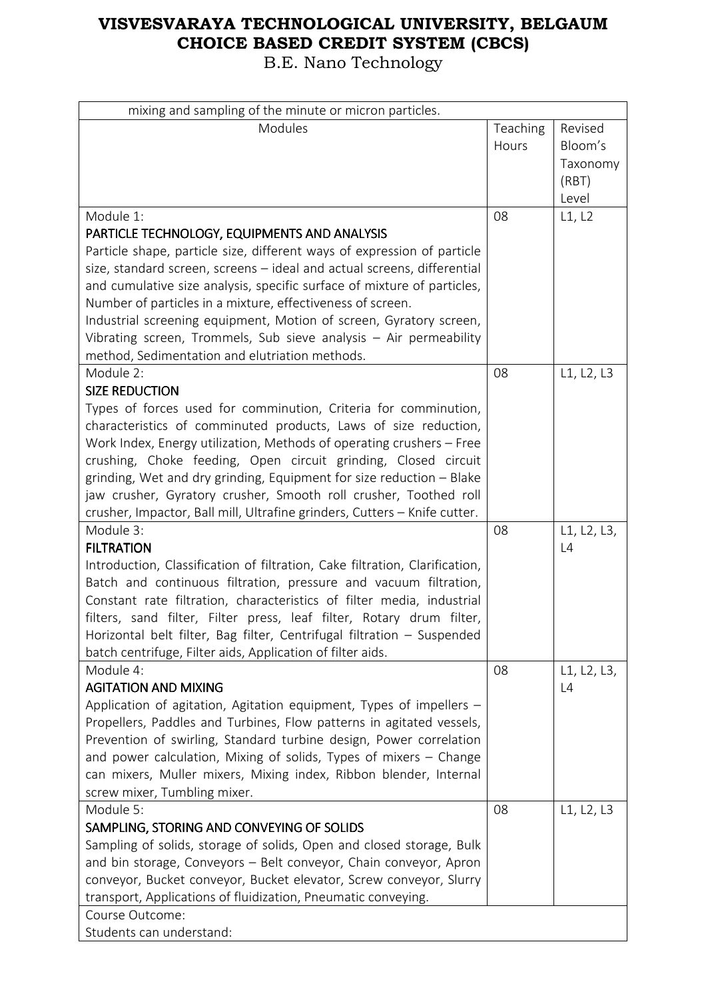| mixing and sampling of the minute or micron particles.                                                                                    |          |             |
|-------------------------------------------------------------------------------------------------------------------------------------------|----------|-------------|
| Modules                                                                                                                                   | Teaching | Revised     |
|                                                                                                                                           | Hours    | Bloom's     |
|                                                                                                                                           |          | Taxonomy    |
|                                                                                                                                           |          | (RBT)       |
| Module 1:                                                                                                                                 | 08       | Level       |
| PARTICLE TECHNOLOGY, EQUIPMENTS AND ANALYSIS                                                                                              |          | L1, L2      |
| Particle shape, particle size, different ways of expression of particle                                                                   |          |             |
| size, standard screen, screens - ideal and actual screens, differential                                                                   |          |             |
| and cumulative size analysis, specific surface of mixture of particles,                                                                   |          |             |
| Number of particles in a mixture, effectiveness of screen.                                                                                |          |             |
| Industrial screening equipment, Motion of screen, Gyratory screen,                                                                        |          |             |
| Vibrating screen, Trommels, Sub sieve analysis - Air permeability                                                                         |          |             |
| method, Sedimentation and elutriation methods.                                                                                            |          |             |
| Module 2:                                                                                                                                 | 08       | L1, L2, L3  |
| <b>SIZE REDUCTION</b><br>Types of forces used for comminution, Criteria for comminution,                                                  |          |             |
| characteristics of comminuted products, Laws of size reduction,                                                                           |          |             |
| Work Index, Energy utilization, Methods of operating crushers - Free                                                                      |          |             |
| crushing, Choke feeding, Open circuit grinding, Closed circuit                                                                            |          |             |
| grinding, Wet and dry grinding, Equipment for size reduction - Blake                                                                      |          |             |
| jaw crusher, Gyratory crusher, Smooth roll crusher, Toothed roll                                                                          |          |             |
| crusher, Impactor, Ball mill, Ultrafine grinders, Cutters - Knife cutter.                                                                 |          |             |
| Module 3:                                                                                                                                 | 08       | L1, L2, L3, |
| <b>FILTRATION</b>                                                                                                                         |          | L4          |
| Introduction, Classification of filtration, Cake filtration, Clarification,                                                               |          |             |
| Batch and continuous filtration, pressure and vacuum filtration,<br>Constant rate filtration, characteristics of filter media, industrial |          |             |
| filters, sand filter, Filter press, leaf filter, Rotary drum filter,                                                                      |          |             |
| Horizontal belt filter, Bag filter, Centrifugal filtration – Suspended                                                                    |          |             |
| batch centrifuge, Filter aids, Application of filter aids.                                                                                |          |             |
| Module 4:                                                                                                                                 | 08       | L1, L2, L3, |
| <b>AGITATION AND MIXING</b>                                                                                                               |          | L4          |
| Application of agitation, Agitation equipment, Types of impellers -                                                                       |          |             |
| Propellers, Paddles and Turbines, Flow patterns in agitated vessels,                                                                      |          |             |
| Prevention of swirling, Standard turbine design, Power correlation                                                                        |          |             |
| and power calculation, Mixing of solids, Types of mixers - Change                                                                         |          |             |
| can mixers, Muller mixers, Mixing index, Ribbon blender, Internal<br>screw mixer, Tumbling mixer.                                         |          |             |
| Module 5:                                                                                                                                 | 08       | L1, L2, L3  |
| SAMPLING, STORING AND CONVEYING OF SOLIDS                                                                                                 |          |             |
| Sampling of solids, storage of solids, Open and closed storage, Bulk                                                                      |          |             |
| and bin storage, Conveyors - Belt conveyor, Chain conveyor, Apron                                                                         |          |             |
| conveyor, Bucket conveyor, Bucket elevator, Screw conveyor, Slurry                                                                        |          |             |
| transport, Applications of fluidization, Pneumatic conveying.                                                                             |          |             |
| Course Outcome:                                                                                                                           |          |             |
| Students can understand:                                                                                                                  |          |             |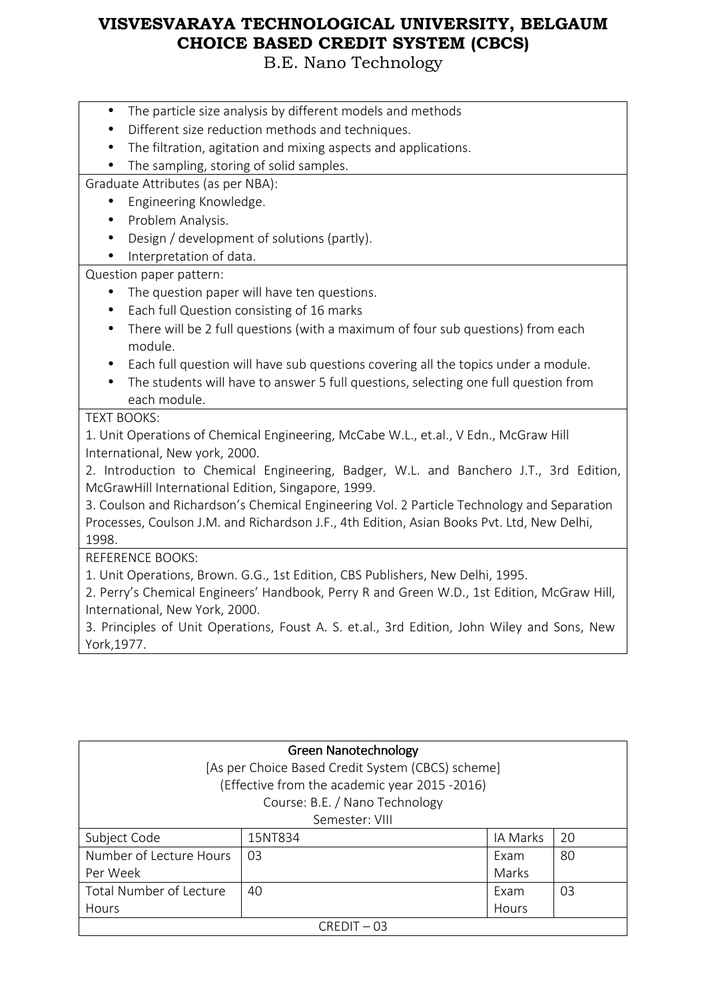B.E. Nano Technology

- The particle size analysis by different models and methods
- Different size reduction methods and techniques.
- The filtration, agitation and mixing aspects and applications.

• The sampling, storing of solid samples.

Graduate Attributes (as per NBA):

- Engineering Knowledge.
- Problem Analysis.
- Design / development of solutions (partly).
- Interpretation of data.

Question paper pattern:

- The question paper will have ten questions.
- Each full Question consisting of 16 marks
- There will be 2 full questions (with a maximum of four sub questions) from each module.
- Each full question will have sub questions covering all the topics under a module.
- The students will have to answer 5 full questions, selecting one full question from each module.

### TEXT BOOKS:

1. Unit Operations of Chemical Engineering, McCabe W.L., et.al., V Edn., McGraw Hill International, New york, 2000.

2. Introduction to Chemical Engineering, Badger, W.L. and Banchero J.T., 3rd Edition, McGrawHill International Edition, Singapore, 1999.

3. Coulson and Richardson's Chemical Engineering Vol. 2 Particle Technology and Separation Processes, Coulson J.M. and Richardson J.F., 4th Edition, Asian Books Pvt. Ltd, New Delhi, 1998.

REFERENCE BOOKS:

1. Unit Operations, Brown. G.G., 1st Edition, CBS Publishers, New Delhi, 1995.

2. Perry's Chemical Engineers' Handbook, Perry R and Green W.D., 1st Edition, McGraw Hill, International, New York, 2000.

3. Principles of Unit Operations, Foust A. S. et.al., 3rd Edition, John Wiley and Sons, New York,1977.

| <b>Green Nanotechnology</b>                       |                |          |    |
|---------------------------------------------------|----------------|----------|----|
| [As per Choice Based Credit System (CBCS) scheme] |                |          |    |
| (Effective from the academic year 2015 -2016)     |                |          |    |
| Course: B.E. / Nano Technology                    |                |          |    |
| Semester: VIII                                    |                |          |    |
| Subject Code                                      | 15NT834        | IA Marks | 20 |
| Number of Lecture Hours                           | 0 <sub>3</sub> | Exam     | 80 |
| Per Week                                          |                | Marks    |    |
| Total Number of Lecture                           | 40             | Exam     | 03 |
| Hours                                             |                | Hours    |    |
| $CRFDIT - 03$                                     |                |          |    |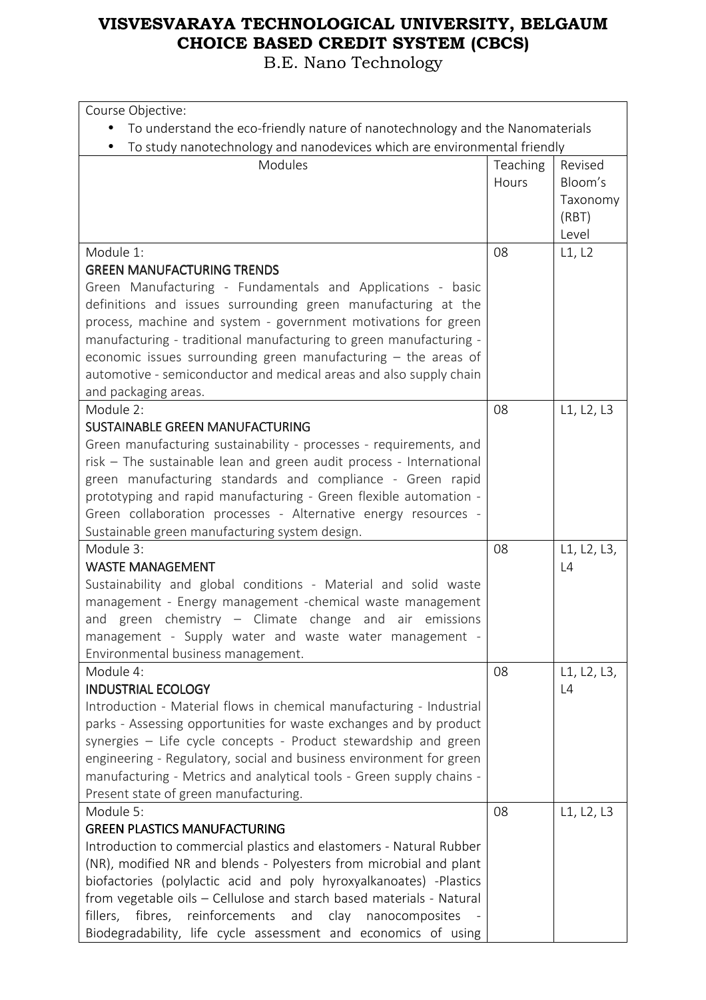| Course Objective:                                                                                                                           |                   |                                                  |
|---------------------------------------------------------------------------------------------------------------------------------------------|-------------------|--------------------------------------------------|
| To understand the eco-friendly nature of nanotechnology and the Nanomaterials                                                               |                   |                                                  |
| To study nanotechnology and nanodevices which are environmental friendly<br>$\bullet$                                                       |                   |                                                  |
| Modules                                                                                                                                     | Teaching<br>Hours | Revised<br>Bloom's<br>Taxonomy<br>(RBT)<br>Level |
| Module 1:                                                                                                                                   | 08                | L1, L2                                           |
| <b>GREEN MANUFACTURING TRENDS</b>                                                                                                           |                   |                                                  |
| Green Manufacturing - Fundamentals and Applications - basic                                                                                 |                   |                                                  |
| definitions and issues surrounding green manufacturing at the                                                                               |                   |                                                  |
| process, machine and system - government motivations for green                                                                              |                   |                                                  |
| manufacturing - traditional manufacturing to green manufacturing -                                                                          |                   |                                                  |
| economic issues surrounding green manufacturing $-$ the areas of                                                                            |                   |                                                  |
| automotive - semiconductor and medical areas and also supply chain                                                                          |                   |                                                  |
| and packaging areas.                                                                                                                        |                   |                                                  |
| Module 2:                                                                                                                                   | 08                | L1, L2, L3                                       |
| SUSTAINABLE GREEN MANUFACTURING                                                                                                             |                   |                                                  |
| Green manufacturing sustainability - processes - requirements, and<br>risk - The sustainable lean and green audit process - International   |                   |                                                  |
| green manufacturing standards and compliance - Green rapid                                                                                  |                   |                                                  |
| prototyping and rapid manufacturing - Green flexible automation -                                                                           |                   |                                                  |
| Green collaboration processes - Alternative energy resources -                                                                              |                   |                                                  |
| Sustainable green manufacturing system design.                                                                                              |                   |                                                  |
| Module 3:                                                                                                                                   | 08                | L1, L2, L3,                                      |
| <b>WASTE MANAGEMENT</b>                                                                                                                     |                   | L4                                               |
| Sustainability and global conditions - Material and solid waste                                                                             |                   |                                                  |
| management - Energy management -chemical waste management                                                                                   |                   |                                                  |
| and green chemistry - Climate change and air emissions                                                                                      |                   |                                                  |
| management - Supply water and waste water management -                                                                                      |                   |                                                  |
| Environmental business management.                                                                                                          |                   |                                                  |
| Module 4:                                                                                                                                   | 08                | L1, L2, L3,                                      |
| <b>INDUSTRIAL ECOLOGY</b>                                                                                                                   |                   | L4                                               |
| Introduction - Material flows in chemical manufacturing - Industrial                                                                        |                   |                                                  |
| parks - Assessing opportunities for waste exchanges and by product                                                                          |                   |                                                  |
| synergies - Life cycle concepts - Product stewardship and green                                                                             |                   |                                                  |
| engineering - Regulatory, social and business environment for green<br>manufacturing - Metrics and analytical tools - Green supply chains - |                   |                                                  |
| Present state of green manufacturing.                                                                                                       |                   |                                                  |
| Module 5:                                                                                                                                   | 08                | L1, L2, L3                                       |
| <b>GREEN PLASTICS MANUFACTURING</b>                                                                                                         |                   |                                                  |
| Introduction to commercial plastics and elastomers - Natural Rubber                                                                         |                   |                                                  |
| (NR), modified NR and blends - Polyesters from microbial and plant                                                                          |                   |                                                  |
| biofactories (polylactic acid and poly hyroxyalkanoates) -Plastics                                                                          |                   |                                                  |
| from vegetable oils - Cellulose and starch based materials - Natural                                                                        |                   |                                                  |
| fillers,<br>fibres,<br>reinforcements<br>and<br>clay<br>nanocomposites                                                                      |                   |                                                  |
| Biodegradability, life cycle assessment and economics of using                                                                              |                   |                                                  |